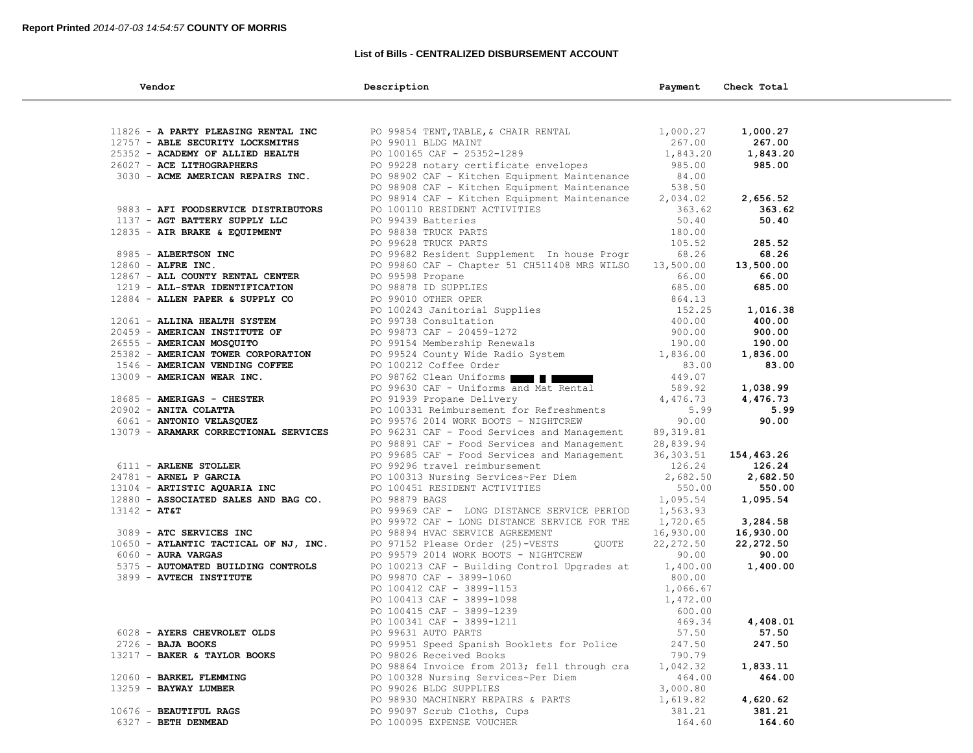## **List of Bills - CENTRALIZED DISBURSEMENT ACCOUNT**

| Vendor                                | Description                                                                                                                                                                          | Payment            | Check Total |  |
|---------------------------------------|--------------------------------------------------------------------------------------------------------------------------------------------------------------------------------------|--------------------|-------------|--|
|                                       |                                                                                                                                                                                      |                    |             |  |
| 11826 - A PARTY PLEASING RENTAL INC   | PO 99854 TENT, TABLE, & CHAIR RENTAL                                                                                                                                                 | 1,000.27           | 1,000.27    |  |
| 12757 - ABLE SECURITY LOCKSMITHS      | PO 99011 BLDG MAINT                                                                                                                                                                  | 267.00             | 267.00      |  |
| 25352 - ACADEMY OF ALLIED HEALTH      | PO 100165 CAF - 25352-1289                                                                                                                                                           | 1,843.20           | 1,843.20    |  |
| 26027 - ACE LITHOGRAPHERS             | PO 99228 notary certificate envelopes                                                                                                                                                | 985.00             | 985.00      |  |
| 3030 - ACME AMERICAN REPAIRS INC.     | PO 98902 CAF - Kitchen Equipment Maintenance                                                                                                                                         | 84.00              |             |  |
|                                       | PO 98908 CAF - Kitchen Equipment Maintenance                                                                                                                                         | 538.50             |             |  |
|                                       | PO 98914 CAF - Kitchen Equipment Maintenance                                                                                                                                         | 2,034.02           | 2,656.52    |  |
| 9883 - AFI FOODSERVICE DISTRIBUTORS   |                                                                                                                                                                                      | 363.62             | 363.62      |  |
| 1137 - AGT BATTERY SUPPLY LLC         | PO 100110 RESIDENT ACTIVITIES<br>PO 99439 Batteries                                                                                                                                  | 50.40              | 50.40       |  |
| 12835 - AIR BRAKE & EQUIPMENT         | PO 98838 TRUCK PARTS                                                                                                                                                                 | 180.00             |             |  |
|                                       | PO 99628 TRUCK PARTS                                                                                                                                                                 | 105.52             | 285.52      |  |
| 8985 - ALBERTSON INC                  | PO 99682 Resident Supplement In house Progr                                                                                                                                          | 68.26              | 68.26       |  |
| 12860 - ALFRE INC.                    | PO 99860 CAF - Chapter 51 CH511408 MRS WILSO                                                                                                                                         | 13,500.00          | 13,500.00   |  |
| 12867 - ALL COUNTY RENTAL CENTER      | PO 99598 Propane                                                                                                                                                                     | 66.00              | 66.00       |  |
| 1219 - ALL-STAR IDENTIFICATION        | PO 98878 ID SUPPLIES                                                                                                                                                                 | 685.00             | 685.00      |  |
| 12884 - ALLEN PAPER & SUPPLY CO       | PO 99010 OTHER OPER                                                                                                                                                                  | 864.13             |             |  |
|                                       |                                                                                                                                                                                      | 152.25             | 1,016.38    |  |
| 12061 - ALLINA HEALTH SYSTEM          |                                                                                                                                                                                      | 400.00             | 400.00      |  |
| 20459 - AMERICAN INSTITUTE OF         |                                                                                                                                                                                      | 900.00             | 900.00      |  |
| 26555 - AMERICAN MOSQUITO             |                                                                                                                                                                                      | 190.00             | 190.00      |  |
| 25382 - AMERICAN TOWER CORPORATION    | PO 99010 OTHER OPER<br>PO 100243 Janitorial Supplies<br>PO 99738 Consultation<br>PO 99873 CAF - 20459-1272<br>PO 99524 County Wide Radio System<br>PO 99524 County Wide Radio System | 1,836.00           | 1,836.00    |  |
| 1546 - AMERICAN VENDING COFFEE        | PO 100212 Coffee Order                                                                                                                                                               | 83.00              | 83.00       |  |
| 13009 - AMERICAN WEAR INC.            | PO 98762 Clean Uniforms                                                                                                                                                              | 449.07             |             |  |
|                                       | PO 99630 CAF - Uniforms and Mat Rental                                                                                                                                               | 589.92             | 1,038.99    |  |
| 18685 - AMERIGAS - CHESTER            | PO 91939 Propane Delivery                                                                                                                                                            | 4,476.73           | 4,476.73    |  |
| 20902 - ANITA COLATTA                 | PO 100331 Reimbursement for Refreshments                                                                                                                                             | 5.99               | 5.99        |  |
| 6061 - ANTONIO VELASQUEZ              | PO 99576 2014 WORK BOOTS - NIGHTCREW                                                                                                                                                 | 90.00              | 90.00       |  |
| 13079 - ARAMARK CORRECTIONAL SERVICES | PO 96231 CAF - Food Services and Management                                                                                                                                          | 89, 319.81         |             |  |
|                                       | PO 98891 CAF - Food Services and Management                                                                                                                                          | 28,839.94          |             |  |
|                                       | PO 99685 CAF - Food Services and Management                                                                                                                                          | 36, 303.51         | 154,463.26  |  |
| 6111 - ARLENE STOLLER                 | PO 99296 travel reimbursement                                                                                                                                                        | 126.24             | 126.24      |  |
| 24781 - ARNEL P GARCIA                | PO 100313 Nursing Services~Per Diem                                                                                                                                                  | 2,682.50           | 2,682.50    |  |
| 13104 - ARTISTIC AQUARIA INC          | PO 100451 RESIDENT ACTIVITIES                                                                                                                                                        | 550.00             | 550.00      |  |
| 12880 - ASSOCIATED SALES AND BAG CO.  | PO 98879 BAGS                                                                                                                                                                        | 1,095.54           | 1,095.54    |  |
| $13142 - AT&T$                        | PO 99969 CAF - LONG DISTANCE SERVICE PERIOD                                                                                                                                          | 1,563.93           |             |  |
|                                       | PO 99972 CAF - LONG DISTANCE SERVICE FOR THE                                                                                                                                         | 1,720.65           | 3,284.58    |  |
| 3089 - ATC SERVICES INC               | PO 98894 HVAC SERVICE AGREEMENT                                                                                                                                                      | 16,930.00          | 16,930.00   |  |
| 10650 - ATLANTIC TACTICAL OF NJ, INC. | QUOTE<br>PO 97152 Please Order (25)-VESTS                                                                                                                                            | 22, 272.50         | 22,272.50   |  |
| 6060 - AURA VARGAS                    | PO 99579 2014 WORK BOOTS - NIGHTCREW                                                                                                                                                 | 90.00              | 90.00       |  |
| 5375 - AUTOMATED BUILDING CONTROLS    | PO 100213 CAF - Building Control Upgrades at                                                                                                                                         | 1,400.00<br>800.00 | 1,400.00    |  |
| 3899 - AVTECH INSTITUTE               | PO 99870 CAF - 3899-1060<br>$PQ = 100412$ $CAF = 3899 - 1155$<br>PO 100413 $CAF = 3899 - 1098$<br>$PQ = 3899 - 1239$<br>$PQ = 3899 - 1239$                                           |                    |             |  |
|                                       |                                                                                                                                                                                      | 1,066.67           |             |  |
|                                       |                                                                                                                                                                                      | 1,472.00<br>600.00 |             |  |
|                                       |                                                                                                                                                                                      | 469.34             | 4,408.01    |  |
| 6028 - AYERS CHEVROLET OLDS           | PO 99631 AUTO PARTS                                                                                                                                                                  | 57.50              | 57.50       |  |
| $2726$ - BAJA BOOKS                   | PO 99951 Speed Spanish Booklets for Police                                                                                                                                           | 247.50             | 247.50      |  |
| 13217 - BAKER & TAYLOR BOOKS          | PO 98026 Received Books                                                                                                                                                              | 790.79             |             |  |
|                                       | PO 98864 Invoice from 2013; fell through cra                                                                                                                                         | 1,042.32           | 1,833.11    |  |
| 12060 - BARKEL FLEMMING               | PO 100328 Nursing Services~Per Diem                                                                                                                                                  | 464.00             | 464.00      |  |
| 13259 - BAYWAY LUMBER                 | PO 99026 BLDG SUPPLIES                                                                                                                                                               | 3,000.80           |             |  |
|                                       | PO 98930 MACHINERY REPAIRS & PARTS                                                                                                                                                   | 1,619.82           | 4,620.62    |  |
| 10676 - BEAUTIFUL RAGS                | PO 99097 Scrub Cloths, Cups                                                                                                                                                          | 381.21             | 381.21      |  |
| 6327 - BETH DENMEAD                   | PO 100095 EXPENSE VOUCHER                                                                                                                                                            | 164.60             | 164.60      |  |
|                                       |                                                                                                                                                                                      |                    |             |  |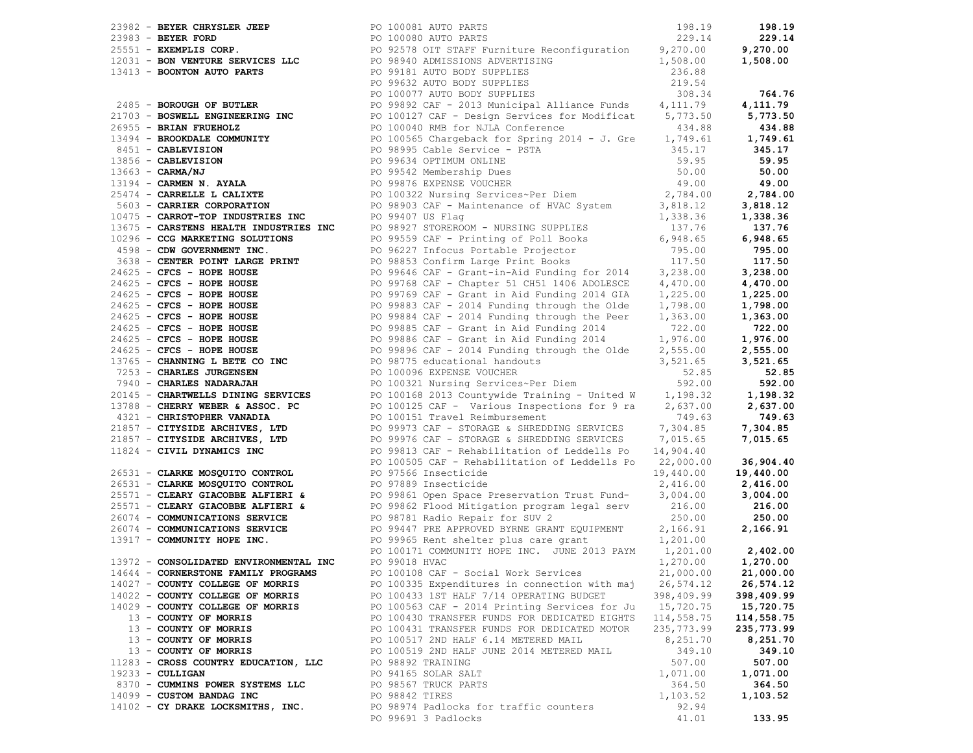|                                        | 2013 - Series Courage, Maria Control (2013) AND ANN (2013) - 1911-2013 - 1922) - 1922 - 1922 - 1922 - 1922 - 1922 - 1922 - 1922 - 1922 - 1922 - 1922 - 1922 - 1922 - 1922 - 1922 - 1922 - 1922 - 1922 - 1922 - 1922 - 1922 - |                     |            |
|----------------------------------------|------------------------------------------------------------------------------------------------------------------------------------------------------------------------------------------------------------------------------|---------------------|------------|
|                                        |                                                                                                                                                                                                                              |                     |            |
|                                        |                                                                                                                                                                                                                              |                     |            |
|                                        |                                                                                                                                                                                                                              |                     |            |
|                                        |                                                                                                                                                                                                                              |                     |            |
|                                        |                                                                                                                                                                                                                              |                     |            |
|                                        |                                                                                                                                                                                                                              |                     |            |
| 13972 - CONSOLIDATED ENVIRONMENTAL INC | PO 99018 HVAC                                                                                                                                                                                                                | 1,270.00            | 1,270.00   |
| 14644 - CORNERSTONE FAMILY PROGRAMS    | PO 100108 CAF - Social Work Services                                                                                                                                                                                         | 21,000.00 21,000.00 |            |
| 14027 - COUNTY COLLEGE OF MORRIS       | PO 100335 Expenditures in connection with maj                                                                                                                                                                                | 26,574.12           | 26,574.12  |
| 14022 - COUNTY COLLEGE OF MORRIS       | PO 100433 1ST HALF 7/14 OPERATING BUDGET                                                                                                                                                                                     | 398,409.99          | 398,409.99 |
| 14029 - COUNTY COLLEGE OF MORRIS       | PO 100563 CAF - 2014 Printing Services for Ju 15,720.75                                                                                                                                                                      |                     | 15,720.75  |
| 13 - COUNTY OF MORRIS                  | PO 100430 TRANSFER FUNDS FOR DEDICATED EIGHTS 114,558.75                                                                                                                                                                     |                     | 114,558.75 |
| 13 - COUNTY OF MORRIS                  | PO 100431 TRANSFER FUNDS FOR DEDICATED MOTOR                                                                                                                                                                                 | 235,773.99          | 235,773.99 |
| 13 - COUNTY OF MORRIS                  | PO 100517 2ND HALF 6.14 METERED MAIL                                                                                                                                                                                         | 8,251.70            | 8,251.70   |
| 13 - COUNTY OF MORRIS                  | PO 100519 2ND HALF JUNE 2014 METERED MAIL                                                                                                                                                                                    | 349.10              | 349.10     |
| 11283 - CROSS COUNTRY EDUCATION, LLC   | PO 98892 TRAINING                                                                                                                                                                                                            | 507.00              | 507.00     |
| $19233 - \text{CULLIGAN}$              | PO 94165 SOLAR SALT                                                                                                                                                                                                          | 1,071.00            | 1,071.00   |
| 8370 - CUMMINS POWER SYSTEMS LLC       | PO 98567 TRUCK PARTS                                                                                                                                                                                                         | 364.50              | 364.50     |
| 14099 - CUSTOM BANDAG INC              | PO 98842 TIRES                                                                                                                                                                                                               | 1,103.52            | 1,103.52   |
| 14102 - CY DRAKE LOCKSMITHS, INC.      | PO 98974 Padlocks for traffic counters                                                                                                                                                                                       | 92.94               |            |
|                                        | PO 99691 3 Padlocks                                                                                                                                                                                                          | 41.01               | 133.95     |
|                                        |                                                                                                                                                                                                                              |                     |            |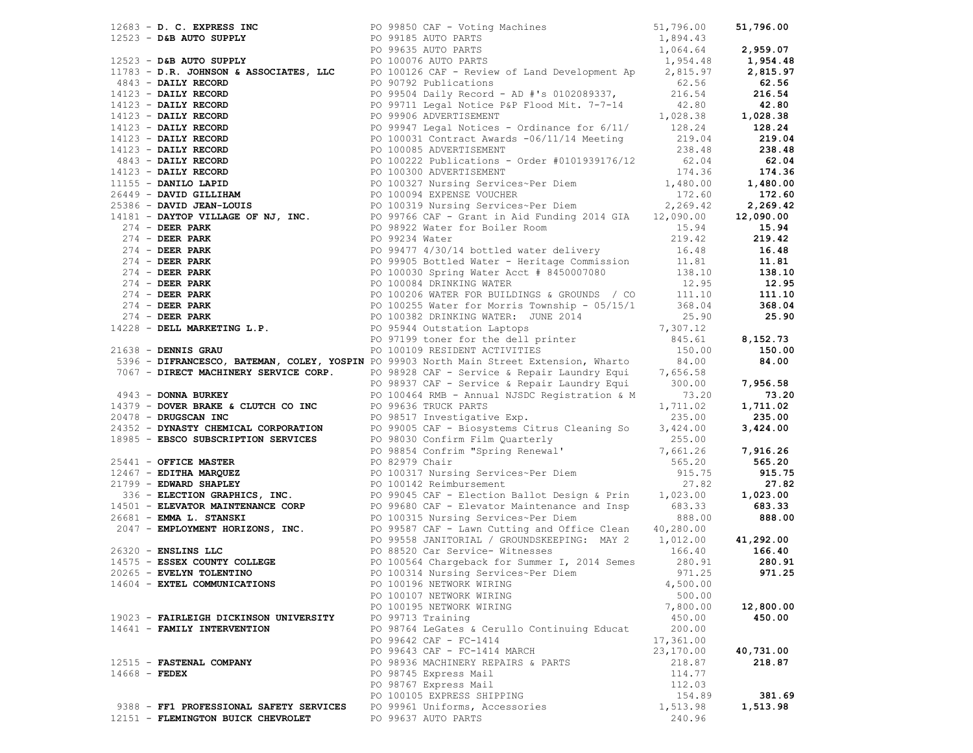|                                         | 1963 - So, Christian Hotel and Maria Christian (1961)<br>1973 - So, Christian Christian (1971)<br>1973 - So, Christian (1982)<br>1973 - So, Christian (1982)<br>1983 - So, Christian (1982)<br>1983 - So, Christian (1982)<br>1983 - So, |           |           |
|-----------------------------------------|------------------------------------------------------------------------------------------------------------------------------------------------------------------------------------------------------------------------------------------|-----------|-----------|
|                                         |                                                                                                                                                                                                                                          |           |           |
|                                         |                                                                                                                                                                                                                                          |           |           |
|                                         |                                                                                                                                                                                                                                          |           |           |
|                                         |                                                                                                                                                                                                                                          |           |           |
|                                         |                                                                                                                                                                                                                                          |           |           |
|                                         |                                                                                                                                                                                                                                          |           |           |
|                                         |                                                                                                                                                                                                                                          |           |           |
|                                         |                                                                                                                                                                                                                                          |           |           |
|                                         |                                                                                                                                                                                                                                          |           |           |
|                                         |                                                                                                                                                                                                                                          |           |           |
|                                         |                                                                                                                                                                                                                                          |           |           |
|                                         |                                                                                                                                                                                                                                          |           |           |
|                                         |                                                                                                                                                                                                                                          |           |           |
|                                         |                                                                                                                                                                                                                                          |           |           |
|                                         |                                                                                                                                                                                                                                          |           |           |
|                                         |                                                                                                                                                                                                                                          |           |           |
|                                         |                                                                                                                                                                                                                                          |           |           |
|                                         |                                                                                                                                                                                                                                          |           |           |
|                                         |                                                                                                                                                                                                                                          |           |           |
|                                         |                                                                                                                                                                                                                                          |           |           |
|                                         |                                                                                                                                                                                                                                          |           |           |
|                                         |                                                                                                                                                                                                                                          |           |           |
|                                         |                                                                                                                                                                                                                                          |           |           |
|                                         |                                                                                                                                                                                                                                          |           |           |
|                                         |                                                                                                                                                                                                                                          |           |           |
|                                         |                                                                                                                                                                                                                                          |           |           |
|                                         |                                                                                                                                                                                                                                          |           |           |
|                                         |                                                                                                                                                                                                                                          |           |           |
|                                         |                                                                                                                                                                                                                                          |           |           |
|                                         |                                                                                                                                                                                                                                          |           |           |
|                                         |                                                                                                                                                                                                                                          |           |           |
|                                         |                                                                                                                                                                                                                                          |           |           |
|                                         |                                                                                                                                                                                                                                          |           |           |
|                                         |                                                                                                                                                                                                                                          |           |           |
|                                         |                                                                                                                                                                                                                                          |           |           |
|                                         |                                                                                                                                                                                                                                          |           |           |
|                                         |                                                                                                                                                                                                                                          |           |           |
|                                         |                                                                                                                                                                                                                                          |           |           |
|                                         |                                                                                                                                                                                                                                          |           |           |
|                                         |                                                                                                                                                                                                                                          |           |           |
|                                         |                                                                                                                                                                                                                                          |           |           |
|                                         |                                                                                                                                                                                                                                          |           |           |
|                                         |                                                                                                                                                                                                                                          |           |           |
|                                         |                                                                                                                                                                                                                                          |           |           |
|                                         |                                                                                                                                                                                                                                          |           |           |
|                                         |                                                                                                                                                                                                                                          |           |           |
|                                         |                                                                                                                                                                                                                                          |           |           |
|                                         |                                                                                                                                                                                                                                          |           |           |
|                                         |                                                                                                                                                                                                                                          |           |           |
|                                         |                                                                                                                                                                                                                                          |           |           |
|                                         |                                                                                                                                                                                                                                          |           |           |
| 14604 - EXTEL COMMUNICATIONS            | PO 100196 NETWORK WIRING                                                                                                                                                                                                                 | 4,500.00  |           |
|                                         | PO 100107 NETWORK WIRING                                                                                                                                                                                                                 | 500.00    |           |
|                                         | PO 100195 NETWORK WIRING                                                                                                                                                                                                                 | 7,800.00  | 12,800.00 |
| 19023 - FAIRLEIGH DICKINSON UNIVERSITY  | PO 99713 Training                                                                                                                                                                                                                        | 450.00    | 450.00    |
| 14641 - FAMILY INTERVENTION             | PO 98764 LeGates & Cerullo Continuing Educat                                                                                                                                                                                             | 200.00    |           |
|                                         |                                                                                                                                                                                                                                          |           |           |
|                                         | PO 99642 CAF - FC-1414                                                                                                                                                                                                                   | 17,361.00 |           |
|                                         | PO 99643 CAF - FC-1414 MARCH                                                                                                                                                                                                             | 23,170.00 | 40,731.00 |
| 12515 - FASTENAL COMPANY                | PO 98936 MACHINERY REPAIRS & PARTS                                                                                                                                                                                                       | 218.87    | 218.87    |
| $14668$ - FEDEX                         | PO 98745 Express Mail                                                                                                                                                                                                                    | 114.77    |           |
|                                         | PO 98767 Express Mail                                                                                                                                                                                                                    | 112.03    |           |
|                                         | PO 100105 EXPRESS SHIPPING                                                                                                                                                                                                               | 154.89    | 381.69    |
| 9388 - FF1 PROFESSIONAL SAFETY SERVICES | PO 99961 Uniforms, Accessories                                                                                                                                                                                                           | 1,513.98  | 1,513.98  |
| 12151 - FLEMINGTON BUICK CHEVROLET      | PO 99637 AUTO PARTS                                                                                                                                                                                                                      | 240.96    |           |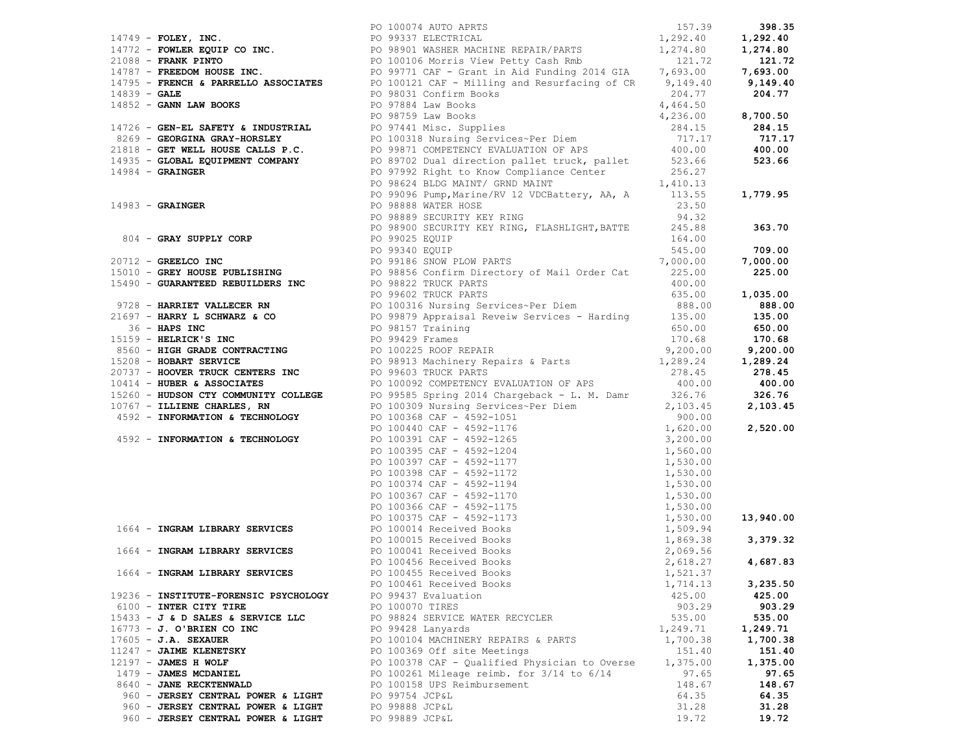|                                       | 1705 - PROSES, PRO, 1991 - 1991 - 1992 - 1992 - 1992 - 1992 - 1992 - 1992 - 1992 - 1992 - 1992 - 1992 - 1992 - 1992 - 1992 - 1992 - 1992 - 1992 - 1992 - 1992 - 1992 - 1992 - 1992 - 1992 - 1992 - 1992 - 1992 - 1992 - 1992 |          |          |
|---------------------------------------|------------------------------------------------------------------------------------------------------------------------------------------------------------------------------------------------------------------------------|----------|----------|
|                                       |                                                                                                                                                                                                                              |          |          |
|                                       |                                                                                                                                                                                                                              |          |          |
|                                       |                                                                                                                                                                                                                              |          |          |
|                                       |                                                                                                                                                                                                                              |          |          |
|                                       |                                                                                                                                                                                                                              |          |          |
|                                       |                                                                                                                                                                                                                              |          |          |
|                                       |                                                                                                                                                                                                                              |          |          |
|                                       |                                                                                                                                                                                                                              |          |          |
|                                       |                                                                                                                                                                                                                              |          |          |
|                                       |                                                                                                                                                                                                                              |          |          |
|                                       |                                                                                                                                                                                                                              |          |          |
|                                       |                                                                                                                                                                                                                              |          |          |
|                                       |                                                                                                                                                                                                                              |          |          |
|                                       |                                                                                                                                                                                                                              |          |          |
|                                       |                                                                                                                                                                                                                              |          |          |
|                                       |                                                                                                                                                                                                                              |          |          |
|                                       |                                                                                                                                                                                                                              |          |          |
|                                       |                                                                                                                                                                                                                              |          |          |
|                                       |                                                                                                                                                                                                                              |          |          |
|                                       |                                                                                                                                                                                                                              |          |          |
|                                       |                                                                                                                                                                                                                              |          |          |
|                                       |                                                                                                                                                                                                                              |          |          |
|                                       |                                                                                                                                                                                                                              |          |          |
|                                       |                                                                                                                                                                                                                              |          |          |
|                                       |                                                                                                                                                                                                                              |          |          |
|                                       |                                                                                                                                                                                                                              |          |          |
|                                       |                                                                                                                                                                                                                              |          |          |
|                                       |                                                                                                                                                                                                                              |          |          |
|                                       |                                                                                                                                                                                                                              |          |          |
|                                       |                                                                                                                                                                                                                              |          |          |
|                                       |                                                                                                                                                                                                                              |          |          |
|                                       |                                                                                                                                                                                                                              |          |          |
|                                       |                                                                                                                                                                                                                              |          |          |
|                                       |                                                                                                                                                                                                                              |          |          |
|                                       |                                                                                                                                                                                                                              |          |          |
|                                       |                                                                                                                                                                                                                              |          |          |
|                                       |                                                                                                                                                                                                                              |          |          |
|                                       |                                                                                                                                                                                                                              |          |          |
|                                       |                                                                                                                                                                                                                              |          |          |
|                                       |                                                                                                                                                                                                                              |          |          |
|                                       |                                                                                                                                                                                                                              |          |          |
|                                       |                                                                                                                                                                                                                              |          |          |
|                                       |                                                                                                                                                                                                                              |          |          |
|                                       |                                                                                                                                                                                                                              |          |          |
|                                       |                                                                                                                                                                                                                              |          |          |
|                                       |                                                                                                                                                                                                                              |          |          |
|                                       |                                                                                                                                                                                                                              |          |          |
|                                       |                                                                                                                                                                                                                              |          |          |
|                                       |                                                                                                                                                                                                                              |          |          |
|                                       |                                                                                                                                                                                                                              |          |          |
|                                       | PO 100461 Received Books                                                                                                                                                                                                     | 1,714.13 | 3,235.50 |
| 19236 - INSTITUTE-FORENSIC PSYCHOLOGY | PO 99437 Evaluation                                                                                                                                                                                                          | 425.00   | 425.00   |
| 6100 - INTER CITY TIRE                | PO 100070 TIRES                                                                                                                                                                                                              | 903.29   | 903.29   |
| $15433 - J$ & D SALES & SERVICE LLC   | PO 98824 SERVICE WATER RECYCLER                                                                                                                                                                                              | 535.00   | 535.00   |
| 16773 - J. O'BRIEN CO INC             | PO 99428 Lanyards                                                                                                                                                                                                            | 1,249.71 | 1,249.71 |
| $17605 - J.A.$ SEXAUER                | PO 100104 MACHINERY REPAIRS & PARTS                                                                                                                                                                                          | 1,700.38 | 1,700.38 |
| 11247 - JAIME KLENETSKY               | PO 100369 Off site Meetings                                                                                                                                                                                                  | 151.40   | 151.40   |
| $12197 - JAMES$ H WOLF                | PO 100378 CAF - Qualified Physician to Overse                                                                                                                                                                                | 1,375.00 | 1,375.00 |
| 1479 - JAMES MCDANIEL                 | PO 100261 Mileage reimb. for $3/14$ to $6/14$                                                                                                                                                                                | 97.65    | 97.65    |
| 8640 - JANE RECKTENWALD               | PO 100158 UPS Reimbursement                                                                                                                                                                                                  | 148.67   | 148.67   |
| 960 - JERSEY CENTRAL POWER & LIGHT    | PO 99754 JCP&L                                                                                                                                                                                                               | 64.35    | 64.35    |
| 960 - JERSEY CENTRAL POWER & LIGHT    | PO 99888 JCP&L                                                                                                                                                                                                               | 31.28    | 31.28    |
| 960 - JERSEY CENTRAL POWER & LIGHT    | PO 99889 JCP&L                                                                                                                                                                                                               | 19.72    | 19.72    |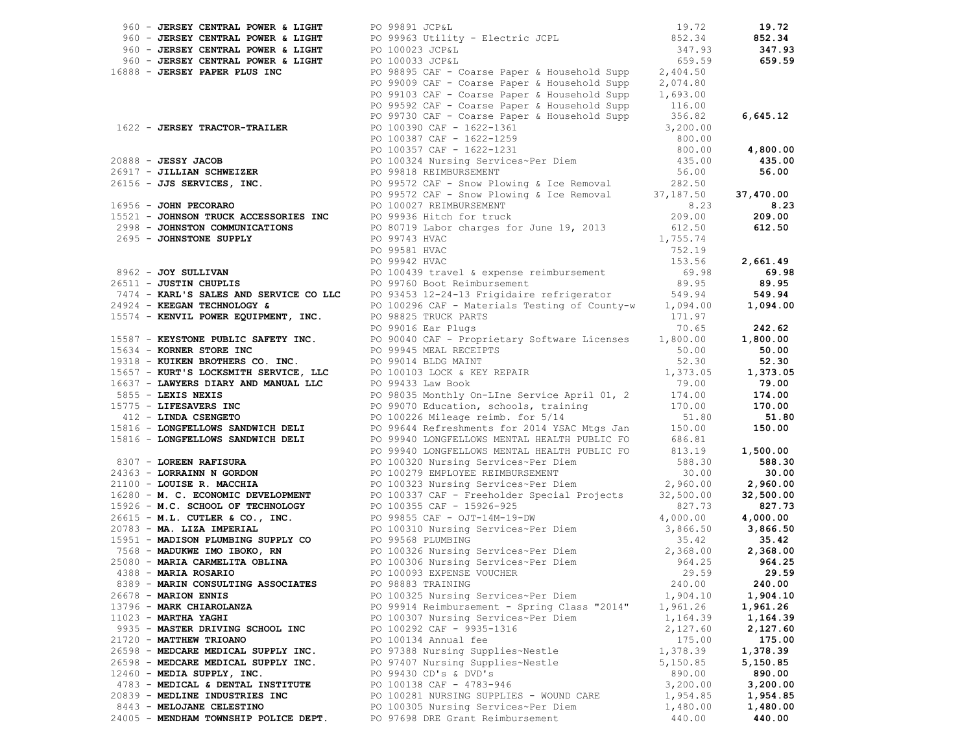| 960 - JERSEY CENTRAL POWER & LIGHT PO 99891 JCP&L | 19.72                                                                                                                                                                                                                                     |          | 19.72    |
|---------------------------------------------------|-------------------------------------------------------------------------------------------------------------------------------------------------------------------------------------------------------------------------------------------|----------|----------|
|                                                   |                                                                                                                                                                                                                                           |          | 852.34   |
|                                                   |                                                                                                                                                                                                                                           | 347.93   | 347.93   |
|                                                   |                                                                                                                                                                                                                                           |          | 659.59   |
|                                                   | 960 - JERSEY CENTRAL POWER & LIGHT<br>960 - JERSEY CENTRAL POWER & LIGHT<br>960 - JERSEY CENTRAL POWER & LIGHT<br>960 - JERSEY CENTRAL POWER & LIGHT<br>960 - JERSEY CENTRAL POWER & LIGHT<br>960 - JERSEY CENTRAL POWER & LIGHT<br>960 - |          |          |
|                                                   |                                                                                                                                                                                                                                           |          |          |
|                                                   |                                                                                                                                                                                                                                           |          |          |
|                                                   |                                                                                                                                                                                                                                           |          |          |
|                                                   |                                                                                                                                                                                                                                           |          |          |
|                                                   |                                                                                                                                                                                                                                           |          |          |
|                                                   |                                                                                                                                                                                                                                           |          |          |
|                                                   |                                                                                                                                                                                                                                           |          |          |
|                                                   |                                                                                                                                                                                                                                           |          |          |
|                                                   |                                                                                                                                                                                                                                           |          |          |
|                                                   |                                                                                                                                                                                                                                           |          |          |
|                                                   |                                                                                                                                                                                                                                           |          |          |
|                                                   |                                                                                                                                                                                                                                           |          |          |
|                                                   |                                                                                                                                                                                                                                           |          |          |
|                                                   |                                                                                                                                                                                                                                           |          |          |
|                                                   |                                                                                                                                                                                                                                           |          |          |
|                                                   |                                                                                                                                                                                                                                           |          |          |
|                                                   |                                                                                                                                                                                                                                           |          |          |
|                                                   |                                                                                                                                                                                                                                           |          |          |
|                                                   |                                                                                                                                                                                                                                           |          |          |
|                                                   |                                                                                                                                                                                                                                           |          |          |
|                                                   |                                                                                                                                                                                                                                           |          |          |
|                                                   |                                                                                                                                                                                                                                           |          |          |
|                                                   |                                                                                                                                                                                                                                           |          |          |
|                                                   |                                                                                                                                                                                                                                           |          |          |
|                                                   |                                                                                                                                                                                                                                           |          |          |
|                                                   |                                                                                                                                                                                                                                           |          |          |
|                                                   |                                                                                                                                                                                                                                           |          |          |
|                                                   |                                                                                                                                                                                                                                           |          |          |
|                                                   |                                                                                                                                                                                                                                           |          |          |
|                                                   |                                                                                                                                                                                                                                           |          |          |
|                                                   |                                                                                                                                                                                                                                           |          |          |
|                                                   |                                                                                                                                                                                                                                           |          |          |
|                                                   |                                                                                                                                                                                                                                           |          |          |
|                                                   |                                                                                                                                                                                                                                           |          |          |
|                                                   |                                                                                                                                                                                                                                           |          |          |
|                                                   |                                                                                                                                                                                                                                           |          |          |
|                                                   |                                                                                                                                                                                                                                           |          |          |
|                                                   |                                                                                                                                                                                                                                           |          |          |
|                                                   |                                                                                                                                                                                                                                           |          |          |
|                                                   |                                                                                                                                                                                                                                           |          |          |
|                                                   |                                                                                                                                                                                                                                           |          |          |
|                                                   | 19918 - JENERAL PARK PIAS DE CONTENENT (19979) - 1993) - 1992 - 1992 - 1992 - 1992 - 1992 - 1992 - 1992 - 1992 - 1992 - 1992 - 1992 - 1992 - 1992 - 1992 - 1992 - 1992 - 1992 - 1992 - 1992 - 1992 - 1992 - 1992 - 1992 - 199             |          |          |
|                                                   |                                                                                                                                                                                                                                           |          |          |
|                                                   |                                                                                                                                                                                                                                           |          |          |
|                                                   |                                                                                                                                                                                                                                           |          |          |
| 8389 - MARIN CONSULTING ASSOCIATES                | PO 98883 TRAINING                                                                                                                                                                                                                         | 240.00   | 240.00   |
| $26678$ - MARION ENNIS                            | PO 100325 Nursing Services~Per Diem                                                                                                                                                                                                       | 1,904.10 | 1,904.10 |
| 13796 - MARK CHIAROLANZA                          | PO 99914 Reimbursement - Spring Class "2014" 1,961.26                                                                                                                                                                                     |          | 1,961.26 |
| $11023$ - MARTHA YAGHI                            | PO 100307 Nursing Services~Per Diem                                                                                                                                                                                                       | 1,164.39 | 1,164.39 |
| 9935 - MASTER DRIVING SCHOOL INC                  | PO 100292 CAF - 9935-1316                                                                                                                                                                                                                 | 2,127.60 | 2,127.60 |
| 21720 - MATTHEW TRIOANO                           | PO 100134 Annual fee                                                                                                                                                                                                                      | 175.00   | 175.00   |
| 26598 - MEDCARE MEDICAL SUPPLY INC.               | PO 97388 Nursing Supplies~Nestle                                                                                                                                                                                                          | 1,378.39 | 1,378.39 |
| 26598 - MEDCARE MEDICAL SUPPLY INC.               | PO 97407 Nursing Supplies~Nestle                                                                                                                                                                                                          | 5,150.85 | 5,150.85 |
| 12460 - MEDIA SUPPLY, INC.                        | PO 99430 CD's & DVD's                                                                                                                                                                                                                     | 890.00   | 890.00   |
| 4783 - MEDICAL & DENTAL INSTITUTE                 | PO 100138 CAF - 4783-946                                                                                                                                                                                                                  | 3,200.00 | 3,200.00 |
| 20839 - MEDLINE INDUSTRIES INC                    | PO 100281 NURSING SUPPLIES - WOUND CARE                                                                                                                                                                                                   | 1,954.85 | 1,954.85 |
| 8443 - MELOJANE CELESTINO                         | PO 100305 Nursing Services~Per Diem                                                                                                                                                                                                       | 1,480.00 | 1,480.00 |
| 24005 - MENDHAM TOWNSHIP POLICE DEPT.             | PO 97698 DRE Grant Reimbursement                                                                                                                                                                                                          | 440.00   | 440.00   |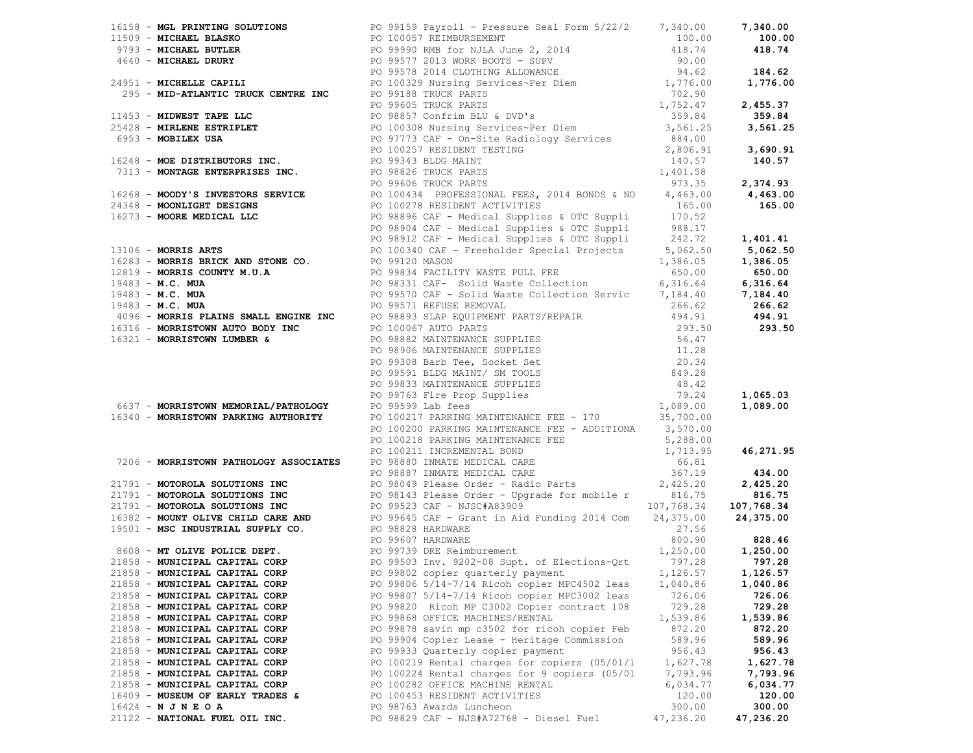|                                  | 13.13.1 Mathematics School (1971) 2012 Forms 12.2 (1972) 1973 (1972) 1973 (1972) 1988, 2013 (1972) 1988, 2013 (1973) 1988, 2013 (1973) 1988, 2013 (1974) 1988, 2013 (1974) 1988, 2013 (1974) 1988, 2013 (1974) 1988, 2013 (19 |           |           |
|----------------------------------|-------------------------------------------------------------------------------------------------------------------------------------------------------------------------------------------------------------------------------|-----------|-----------|
|                                  |                                                                                                                                                                                                                               |           |           |
|                                  |                                                                                                                                                                                                                               |           |           |
|                                  |                                                                                                                                                                                                                               |           |           |
|                                  |                                                                                                                                                                                                                               |           |           |
|                                  |                                                                                                                                                                                                                               |           |           |
|                                  |                                                                                                                                                                                                                               |           |           |
|                                  |                                                                                                                                                                                                                               |           |           |
|                                  |                                                                                                                                                                                                                               |           |           |
|                                  |                                                                                                                                                                                                                               |           |           |
|                                  |                                                                                                                                                                                                                               |           |           |
|                                  |                                                                                                                                                                                                                               |           |           |
|                                  |                                                                                                                                                                                                                               |           |           |
|                                  |                                                                                                                                                                                                                               |           |           |
|                                  |                                                                                                                                                                                                                               |           |           |
|                                  |                                                                                                                                                                                                                               |           |           |
|                                  |                                                                                                                                                                                                                               |           |           |
|                                  |                                                                                                                                                                                                                               |           |           |
|                                  |                                                                                                                                                                                                                               |           |           |
|                                  |                                                                                                                                                                                                                               |           |           |
|                                  |                                                                                                                                                                                                                               |           |           |
|                                  |                                                                                                                                                                                                                               |           |           |
|                                  |                                                                                                                                                                                                                               |           |           |
|                                  |                                                                                                                                                                                                                               |           |           |
|                                  |                                                                                                                                                                                                                               |           |           |
|                                  |                                                                                                                                                                                                                               |           |           |
|                                  |                                                                                                                                                                                                                               |           |           |
|                                  |                                                                                                                                                                                                                               |           |           |
|                                  |                                                                                                                                                                                                                               |           |           |
|                                  |                                                                                                                                                                                                                               |           |           |
|                                  |                                                                                                                                                                                                                               |           |           |
|                                  |                                                                                                                                                                                                                               |           |           |
|                                  |                                                                                                                                                                                                                               |           |           |
|                                  |                                                                                                                                                                                                                               |           |           |
|                                  |                                                                                                                                                                                                                               |           |           |
|                                  |                                                                                                                                                                                                                               |           |           |
|                                  |                                                                                                                                                                                                                               |           |           |
|                                  |                                                                                                                                                                                                                               |           |           |
|                                  |                                                                                                                                                                                                                               |           |           |
|                                  |                                                                                                                                                                                                                               |           |           |
|                                  |                                                                                                                                                                                                                               |           |           |
|                                  |                                                                                                                                                                                                                               |           |           |
|                                  |                                                                                                                                                                                                                               |           |           |
|                                  |                                                                                                                                                                                                                               |           |           |
|                                  |                                                                                                                                                                                                                               |           |           |
|                                  |                                                                                                                                                                                                                               |           |           |
|                                  |                                                                                                                                                                                                                               |           |           |
|                                  |                                                                                                                                                                                                                               |           |           |
|                                  |                                                                                                                                                                                                                               |           |           |
|                                  |                                                                                                                                                                                                                               |           |           |
|                                  |                                                                                                                                                                                                                               |           |           |
| 21858 - MUNICIPAL CAPITAL CORP   | PO 99806 5/14-7/14 Ricoh copier MPC4502 leas                                                                                                                                                                                  | 1,040.86  | 1,040.86  |
| 21858 - MUNICIPAL CAPITAL CORP   | PO 99807 5/14-7/14 Ricoh copier MPC3002 leas                                                                                                                                                                                  | 726.06    | 726.06    |
| 21858 - MUNICIPAL CAPITAL CORP   | PO 99820 Ricoh MP C3002 Copier contract 108                                                                                                                                                                                   | 729.28    | 729.28    |
| 21858 - MUNICIPAL CAPITAL CORP   | PO 99868 OFFICE MACHINES/RENTAL                                                                                                                                                                                               | 1,539.86  | 1,539.86  |
| 21858 - MUNICIPAL CAPITAL CORP   | PO 99878 savin mp c3502 for ricoh copier Feb                                                                                                                                                                                  | 872.20    | 872.20    |
| 21858 - MUNICIPAL CAPITAL CORP   | PO 99904 Copier Lease - Heritage Commission                                                                                                                                                                                   | 589.96    | 589.96    |
| 21858 - MUNICIPAL CAPITAL CORP   | PO 99933 Quarterly copier payment                                                                                                                                                                                             | 956.43    | 956.43    |
| 21858 - MUNICIPAL CAPITAL CORP   | PO 100219 Rental charges for copiers (05/01/1                                                                                                                                                                                 | 1,627.78  | 1,627.78  |
| 21858 - MUNICIPAL CAPITAL CORP   | PO 100224 Rental charges for 9 copiers (05/01                                                                                                                                                                                 | 7,793.96  | 7,793.96  |
| 21858 - MUNICIPAL CAPITAL CORP   | PO 100282 OFFICE MACHINE RENTAL                                                                                                                                                                                               | 6,034.77  | 6,034.77  |
| 16409 - MUSEUM OF EARLY TRADES & | PO 100453 RESIDENT ACTIVITIES                                                                                                                                                                                                 | 120.00    | 120.00    |
| $16424 - N$ J N E O A            | PO 98763 Awards Luncheon                                                                                                                                                                                                      | 300.00    | 300.00    |
| 21122 - NATIONAL FUEL OIL INC.   | PO 98829 CAF - NJS#A72768 - Diesel Fuel                                                                                                                                                                                       | 47,236.20 | 47,236.20 |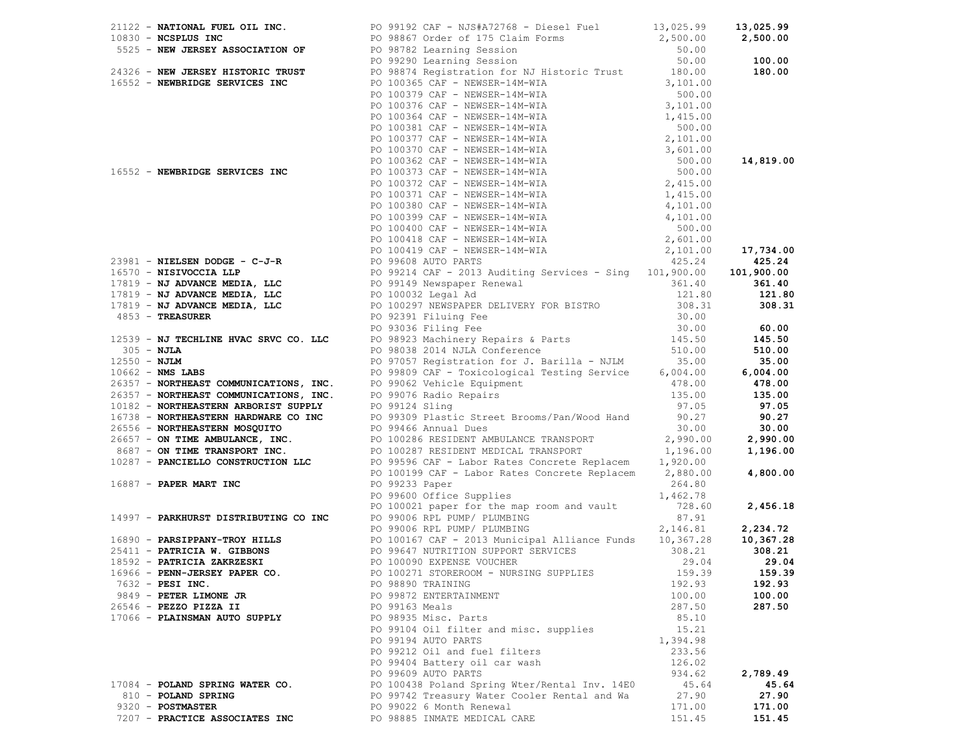|                                 | 1912 - <b>Northern Country Control 1920</b><br>1922 - <b>Northern Country Control 1920</b><br>1922 - <b>Northern Country Control 1920</b><br>1922 - <b>Northern Country Control 1920</b><br>1932 - <b>We country the country of the control 1930</b><br>1932 - <b></b> |          |          |
|---------------------------------|------------------------------------------------------------------------------------------------------------------------------------------------------------------------------------------------------------------------------------------------------------------------|----------|----------|
|                                 |                                                                                                                                                                                                                                                                        |          |          |
|                                 |                                                                                                                                                                                                                                                                        |          |          |
|                                 |                                                                                                                                                                                                                                                                        |          |          |
|                                 |                                                                                                                                                                                                                                                                        |          |          |
| $7632$ - PESI INC.              | PO 98890 TRAINING                                                                                                                                                                                                                                                      | 192.93   | 192.93   |
| 9849 - PETER LIMONE JR          | PO 99872 ENTERTAINMENT                                                                                                                                                                                                                                                 | 100.00   | 100.00   |
| 26546 - PEZZO PIZZA II          | PO 99163 Meals                                                                                                                                                                                                                                                         | 287.50   | 287.50   |
| 17066 - PLAINSMAN AUTO SUPPLY   | PO 98935 Misc. Parts                                                                                                                                                                                                                                                   | 85.10    |          |
|                                 | PO 99104 Oil filter and misc. supplies                                                                                                                                                                                                                                 | 15.21    |          |
|                                 | PO 99194 AUTO PARTS                                                                                                                                                                                                                                                    | 1,394.98 |          |
|                                 |                                                                                                                                                                                                                                                                        |          |          |
|                                 | PO 99212 Oil and fuel filters                                                                                                                                                                                                                                          | 233.56   |          |
|                                 | PO 99404 Battery oil car wash                                                                                                                                                                                                                                          | 126.02   |          |
|                                 | PO 99609 AUTO PARTS                                                                                                                                                                                                                                                    | 934.62   | 2,789.49 |
| 17084 - POLAND SPRING WATER CO. | PO 100438 Poland Spring Wter/Rental Inv. 14E0                                                                                                                                                                                                                          | 45.64    | 45.64    |
| 810 - POLAND SPRING             | PO 99742 Treasury Water Cooler Rental and Wa                                                                                                                                                                                                                           | 27.90    | 27.90    |
| 9320 - POSTMASTER               | PO 99022 6 Month Renewal                                                                                                                                                                                                                                               | 171.00   | 171.00   |
| 7207 - PRACTICE ASSOCIATES INC  | PO 98885 INMATE MEDICAL CARE                                                                                                                                                                                                                                           | 151.45   | 151.45   |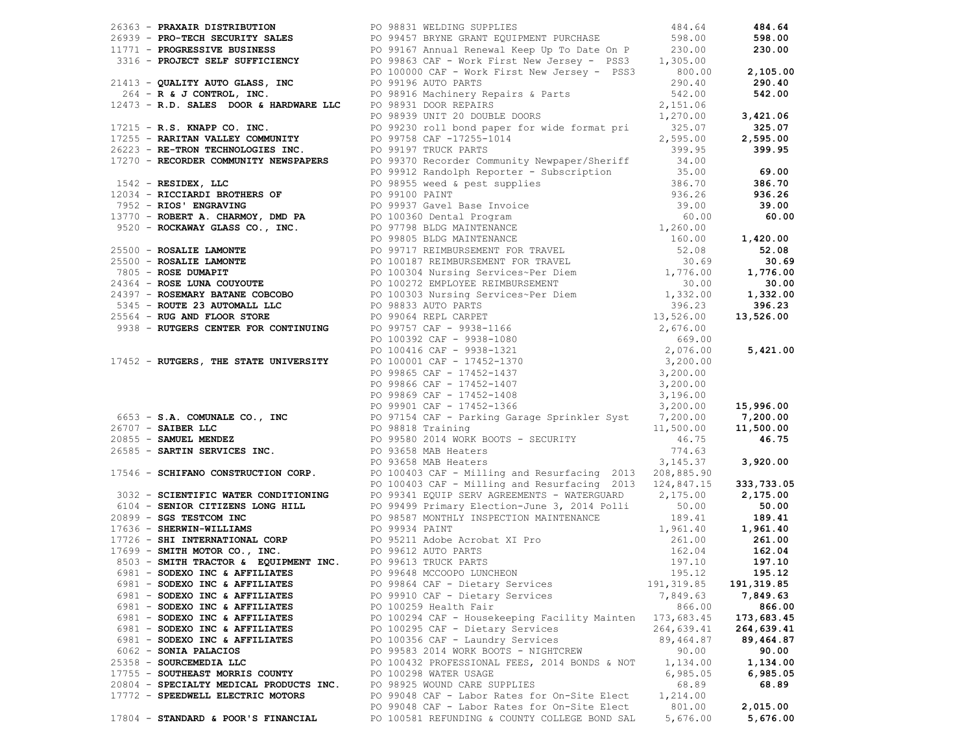|  |                                         | 1961 - MacAlma Distribution (1971 - 1972) 1972, 1972 - 1972, 1972, 1972, 1972, 1972, 1972, 1972, 1972, 1972, 1972, 1972, 1972, 1972, 1972, 1972, 1972, 1972, 1972, 1972, 1972, 1972, 1972, 1972, 1972, 1972, 1972, 1972, 1972 |             |            |
|--|-----------------------------------------|-------------------------------------------------------------------------------------------------------------------------------------------------------------------------------------------------------------------------------|-------------|------------|
|  |                                         |                                                                                                                                                                                                                               |             |            |
|  |                                         |                                                                                                                                                                                                                               |             |            |
|  |                                         |                                                                                                                                                                                                                               |             |            |
|  | 6981 - SODEXO INC & AFFILIATES          | PO 99864 CAF - Dietary Services                                                                                                                                                                                               | 191, 319.85 | 191,319.85 |
|  | 6981 - SODEXO INC & AFFILIATES          | PO 99910 CAF - Dietary Services                                                                                                                                                                                               | 7,849.63    | 7,849.63   |
|  | 6981 - SODEXO INC & AFFILIATES          | PO 100259 Health Fair                                                                                                                                                                                                         | 866.00      | 866.00     |
|  | 6981 - SODEXO INC & AFFILIATES          | PO 100294 CAF - Housekeeping Facility Mainten 173,683.45                                                                                                                                                                      |             | 173,683.45 |
|  | 6981 - SODEXO INC & AFFILIATES          | PO 100295 CAF - Dietary Services                                                                                                                                                                                              | 264,639.41  | 264,639.41 |
|  | 6981 - SODEXO INC & AFFILIATES          | PO 100356 CAF - Laundry Services                                                                                                                                                                                              | 89,464.87   | 89,464.87  |
|  | 6062 - SONIA PALACIOS                   | PO 99583 2014 WORK BOOTS - NIGHTCREW                                                                                                                                                                                          | 90.00       | 90.00      |
|  | 25358 - SOURCEMEDIA LLC                 | PO 100432 PROFESSIONAL FEES, 2014 BONDS & NOT                                                                                                                                                                                 | 1,134.00    | 1,134.00   |
|  | 17755 - SOUTHEAST MORRIS COUNTY         | PO 100298 WATER USAGE                                                                                                                                                                                                         | 6,985.05    | 6,985.05   |
|  | 20804 - SPECIALTY MEDICAL PRODUCTS INC. | PO 98925 WOUND CARE SUPPLIES                                                                                                                                                                                                  | 68.89       | 68.89      |
|  | 17772 - SPEEDWELL ELECTRIC MOTORS       | PO 99048 CAF - Labor Rates for On-Site Elect                                                                                                                                                                                  | 1,214.00    |            |
|  |                                         |                                                                                                                                                                                                                               | 801.00      | 2,015.00   |
|  |                                         | PO 99048 CAF - Labor Rates for On-Site Elect<br>PO 100581 REFUNDING & COUNTY COLLEGE BOND SAL                                                                                                                                 |             |            |
|  | 17804 - STANDARD & POOR'S FINANCIAL     |                                                                                                                                                                                                                               | 5,676.00    | 5,676.00   |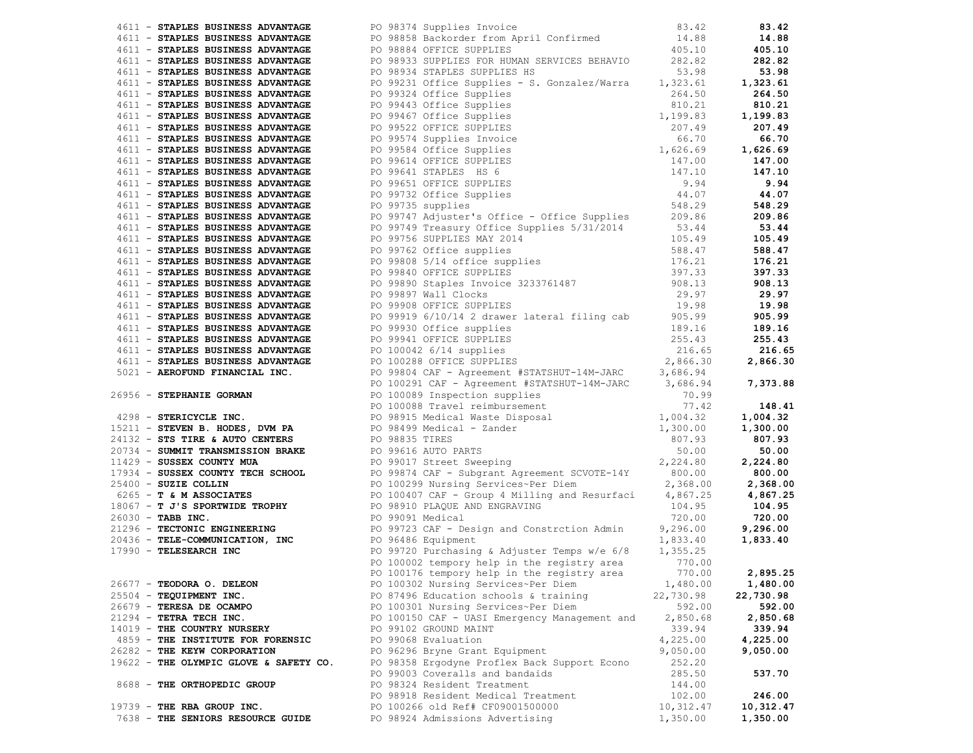|                            |                                        | 1911 - FRAME ROWERS ANYARANT 25 1917 - 1918 - 1918 - 1918 - 1918 - 1918 - 1918 - 1918 - 1918 - 1918 - 1918 - 1918 - 1918 - 1918 - 1918 - 1918 - 1918 - 1918 - 1918 - 1918 - 1918 - 1918 - 1918 - 1918 - 1918 - 1918 - 1918 - |           |           |
|----------------------------|----------------------------------------|------------------------------------------------------------------------------------------------------------------------------------------------------------------------------------------------------------------------------|-----------|-----------|
|                            |                                        |                                                                                                                                                                                                                              |           |           |
|                            |                                        |                                                                                                                                                                                                                              |           |           |
|                            |                                        |                                                                                                                                                                                                                              |           |           |
|                            |                                        | PO 100176 tempory help in the registry area 770.00 2,895.25                                                                                                                                                                  |           |           |
| 26677 - TEODORA O. DELEON  |                                        | PO 100302 Nursing Services~Per Diem                                                                                                                                                                                          | 1,480.00  | 1,480.00  |
| 25504 - TEQUIPMENT INC.    |                                        | PO 87496 Education schools & training                                                                                                                                                                                        | 22,730.98 | 22,730.98 |
| 26679 - TERESA DE OCAMPO   |                                        | PO 100301 Nursing Services~Per Diem                                                                                                                                                                                          | 592.00    | 592.00    |
| $21294$ - TETRA TECH INC.  |                                        | PO 100150 CAF - UASI Emergency Management and                                                                                                                                                                                | 2,850.68  | 2,850.68  |
|                            | 14019 - THE COUNTRY NURSERY            | PO 99102 GROUND MAINT                                                                                                                                                                                                        | 339.94    | 339.94    |
|                            | 4859 - THE INSTITUTE FOR FORENSIC      | PO 99068 Evaluation                                                                                                                                                                                                          | 4,225.00  | 4,225.00  |
|                            | 26282 - THE KEYW CORPORATION           | PO 96296 Bryne Grant Equipment                                                                                                                                                                                               | 9,050.00  | 9,050.00  |
|                            | 19622 - THE OLYMPIC GLOVE & SAFETY CO. | PO 98358 Ergodyne Proflex Back Support Econo                                                                                                                                                                                 | 252.20    |           |
|                            |                                        | PO 99003 Coveralls and bandaids                                                                                                                                                                                              | 285.50    | 537.70    |
|                            | 8688 - THE ORTHOPEDIC GROUP            | PO 98324 Resident Treatment                                                                                                                                                                                                  | 144.00    |           |
|                            |                                        | PO 98918 Resident Medical Treatment                                                                                                                                                                                          | 102.00    | 246.00    |
| 19739 - THE RBA GROUP INC. |                                        | PO 100266 old Ref# CF09001500000                                                                                                                                                                                             | 10,312.47 | 10,312.47 |
|                            | 7638 - THE SENIORS RESOURCE GUIDE      | PO 98924 Admissions Advertising                                                                                                                                                                                              | 1,350.00  | 1,350.00  |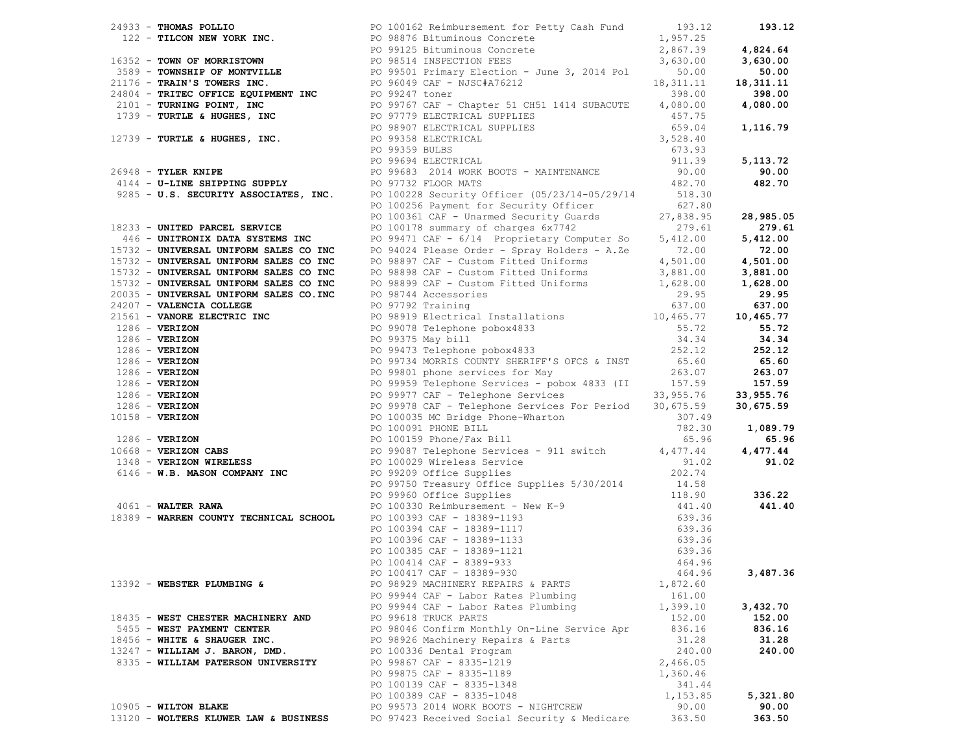|                                       | 1991) - The Most Motor Herman (2002) (1992) (1993) (1993) (1993) (1993) (1993) (1993) (1993) (1993) (1993) (1993) (1993) (1993) (1993) (1993) (1993) (1993) (1993) (1993) (1993) (1993) (1993) (1993) (1993) (1993) (1993) ( |          |          |
|---------------------------------------|------------------------------------------------------------------------------------------------------------------------------------------------------------------------------------------------------------------------------|----------|----------|
|                                       |                                                                                                                                                                                                                              |          |          |
|                                       |                                                                                                                                                                                                                              |          |          |
|                                       |                                                                                                                                                                                                                              |          |          |
|                                       |                                                                                                                                                                                                                              |          |          |
|                                       |                                                                                                                                                                                                                              |          |          |
|                                       |                                                                                                                                                                                                                              |          |          |
|                                       |                                                                                                                                                                                                                              |          |          |
|                                       |                                                                                                                                                                                                                              |          |          |
|                                       |                                                                                                                                                                                                                              |          |          |
|                                       |                                                                                                                                                                                                                              |          |          |
|                                       |                                                                                                                                                                                                                              |          |          |
|                                       |                                                                                                                                                                                                                              |          |          |
|                                       |                                                                                                                                                                                                                              |          |          |
|                                       |                                                                                                                                                                                                                              |          |          |
|                                       |                                                                                                                                                                                                                              |          |          |
|                                       |                                                                                                                                                                                                                              |          |          |
|                                       |                                                                                                                                                                                                                              |          |          |
|                                       |                                                                                                                                                                                                                              |          |          |
|                                       |                                                                                                                                                                                                                              |          |          |
|                                       |                                                                                                                                                                                                                              |          |          |
|                                       |                                                                                                                                                                                                                              |          |          |
|                                       |                                                                                                                                                                                                                              |          |          |
|                                       |                                                                                                                                                                                                                              |          |          |
|                                       |                                                                                                                                                                                                                              |          |          |
|                                       |                                                                                                                                                                                                                              |          |          |
|                                       |                                                                                                                                                                                                                              |          |          |
|                                       |                                                                                                                                                                                                                              |          |          |
|                                       |                                                                                                                                                                                                                              |          |          |
|                                       |                                                                                                                                                                                                                              |          |          |
|                                       |                                                                                                                                                                                                                              |          |          |
|                                       |                                                                                                                                                                                                                              |          |          |
|                                       |                                                                                                                                                                                                                              |          |          |
|                                       |                                                                                                                                                                                                                              |          |          |
|                                       |                                                                                                                                                                                                                              |          |          |
|                                       |                                                                                                                                                                                                                              |          |          |
|                                       |                                                                                                                                                                                                                              |          |          |
|                                       |                                                                                                                                                                                                                              |          |          |
|                                       |                                                                                                                                                                                                                              |          |          |
|                                       |                                                                                                                                                                                                                              |          |          |
|                                       |                                                                                                                                                                                                                              |          |          |
|                                       |                                                                                                                                                                                                                              |          |          |
|                                       |                                                                                                                                                                                                                              |          |          |
|                                       |                                                                                                                                                                                                                              |          |          |
|                                       |                                                                                                                                                                                                                              |          |          |
|                                       |                                                                                                                                                                                                                              |          |          |
|                                       |                                                                                                                                                                                                                              |          |          |
|                                       |                                                                                                                                                                                                                              |          |          |
|                                       |                                                                                                                                                                                                                              |          |          |
|                                       |                                                                                                                                                                                                                              |          |          |
| 13392 - WEBSTER PLUMBING &            | PO 98929 MACHINERY REPAIRS & PARTS                                                                                                                                                                                           | 1,872.60 |          |
|                                       | PO 99944 CAF - Labor Rates Plumbing                                                                                                                                                                                          | 161.00   |          |
|                                       | PO 99944 CAF - Labor Rates Plumbing                                                                                                                                                                                          | 1,399.10 | 3,432.70 |
| 18435 - WEST CHESTER MACHINERY AND    | PO 99618 TRUCK PARTS                                                                                                                                                                                                         | 152.00   | 152.00   |
| 5455 - WEST PAYMENT CENTER            | PO 98046 Confirm Monthly On-Line Service Apr                                                                                                                                                                                 | 836.16   | 836.16   |
| $18456$ - WHITE & SHAUGER INC.        | PO 98926 Machinery Repairs & Parts                                                                                                                                                                                           | 31.28    | 31.28    |
| 13247 - WILLIAM J. BARON, DMD.        | PO 100336 Dental Program                                                                                                                                                                                                     | 240.00   | 240.00   |
| 8335 - WILLIAM PATERSON UNIVERSITY    | PO 99867 CAF - 8335-1219                                                                                                                                                                                                     | 2,466.05 |          |
|                                       | PO 99875 CAF - 8335-1189                                                                                                                                                                                                     | 1,360.46 |          |
|                                       | PO 100139 CAF - 8335-1348                                                                                                                                                                                                    | 341.44   |          |
|                                       | PO 100389 CAF - 8335-1048                                                                                                                                                                                                    | 1,153.85 | 5,321.80 |
| 10905 - WILTON BLAKE                  | PO 99573 2014 WORK BOOTS - NIGHTCREW                                                                                                                                                                                         | 90.00    | 90.00    |
| 13120 - WOLTERS KLUWER LAW & BUSINESS | PO 97423 Received Social Security & Medicare                                                                                                                                                                                 | 363.50   | 363.50   |
|                                       |                                                                                                                                                                                                                              |          |          |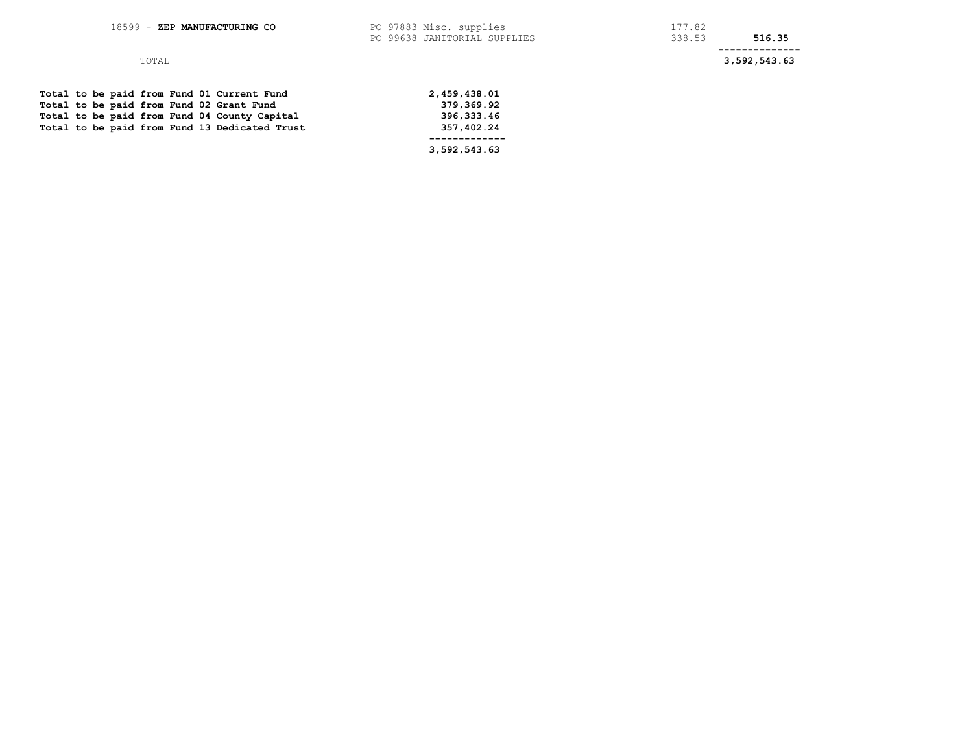## TOTAL **3,592,543.63**

|  |  |  |  | Total to be paid from Fund 01 Current Fund    | 2,459,438.01 |
|--|--|--|--|-----------------------------------------------|--------------|
|  |  |  |  | Total to be paid from Fund 02 Grant Fund      | 379,369.92   |
|  |  |  |  | Total to be paid from Fund 04 County Capital  | 396,333.46   |
|  |  |  |  | Total to be paid from Fund 13 Dedicated Trust | 357,402.24   |
|  |  |  |  |                                               |              |
|  |  |  |  |                                               | 3,592,543.63 |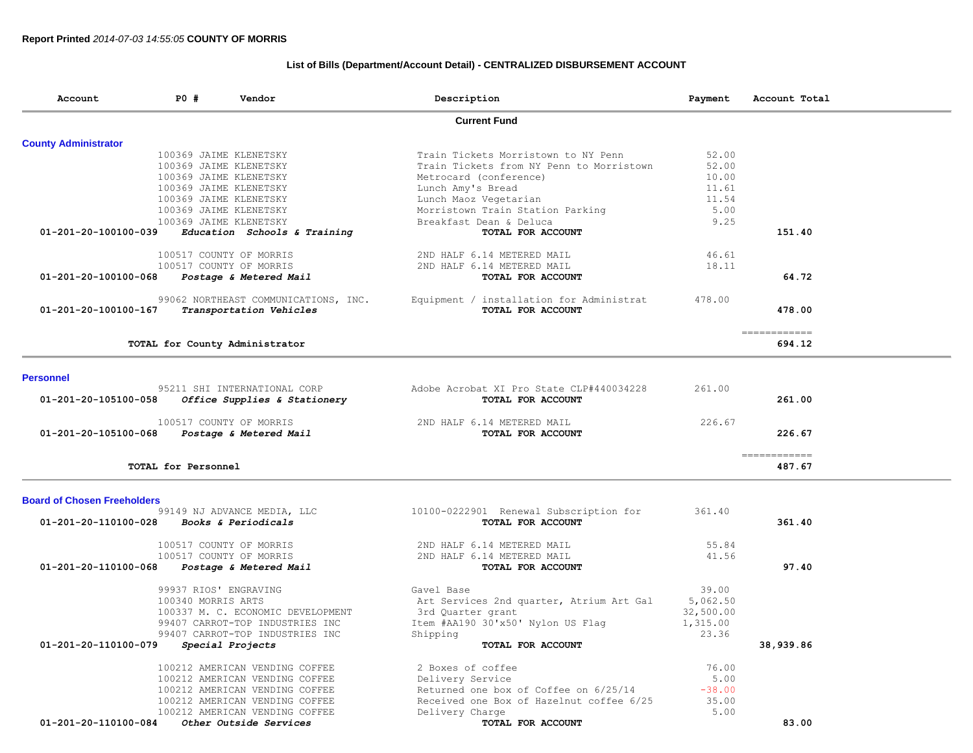# **List of Bills (Department/Account Detail) - CENTRALIZED DISBURSEMENT ACCOUNT**

| <b>Current Fund</b><br><b>County Administrator</b><br>Train Tickets Morristown to NY Penn<br>52.00<br>100369 JAIME KLENETSKY<br>52.00<br>100369 JAIME KLENETSKY<br>Train Tickets from NY Penn to Morristown<br>10.00<br>100369 JAIME KLENETSKY<br>Metrocard (conference)<br>100369 JAIME KLENETSKY<br>Lunch Amy's Bread<br>11.61<br>100369 JAIME KLENETSKY<br>Lunch Maoz Vegetarian<br>11.54<br>100369 JAIME KLENETSKY<br>Morristown Train Station Parking<br>5.00<br>Breakfast Dean & Deluca<br>100369 JAIME KLENETSKY<br>9.25<br>01-201-20-100100-039<br>Education Schools & Training<br>TOTAL FOR ACCOUNT<br>151.40<br>46.61<br>100517 COUNTY OF MORRIS<br>2ND HALF 6.14 METERED MAIL<br>100517 COUNTY OF MORRIS<br>2ND HALF 6.14 METERED MAIL<br>18.11<br>64.72<br>01-201-20-100100-068<br>Postage & Metered Mail<br>TOTAL FOR ACCOUNT<br>99062 NORTHEAST COMMUNICATIONS, INC.<br>478.00<br>Equipment / installation for Administrat<br>478.00<br>01-201-20-100100-167<br>Transportation Vehicles<br>TOTAL FOR ACCOUNT<br>------------<br>694.12<br>TOTAL for County Administrator<br><b>Personnel</b><br>95211 SHI INTERNATIONAL CORP<br>Adobe Acrobat XI Pro State CLP#440034228<br>261.00<br>01-201-20-105100-058<br>Office Supplies & Stationery<br>TOTAL FOR ACCOUNT<br>261.00<br>100517 COUNTY OF MORRIS<br>226.67<br>2ND HALF 6.14 METERED MAIL<br>226.67<br>01-201-20-105100-068<br>Postage & Metered Mail<br>TOTAL FOR ACCOUNT<br>------------<br>TOTAL for Personnel<br>487.67<br><b>Board of Chosen Freeholders</b><br>99149 NJ ADVANCE MEDIA, LLC<br>10100-0222901 Renewal Subscription for<br>361.40<br>01-201-20-110100-028<br>Books & Periodicals<br>TOTAL FOR ACCOUNT<br>361.40<br>100517 COUNTY OF MORRIS<br>2ND HALF 6.14 METERED MAIL<br>55.84<br>41.56<br>100517 COUNTY OF MORRIS<br>2ND HALF 6.14 METERED MAIL<br>97.40<br>01-201-20-110100-068<br>Postage & Metered Mail<br>TOTAL FOR ACCOUNT<br>99937 RIOS' ENGRAVING<br>39.00<br>Gavel Base<br>100340 MORRIS ARTS<br>5,062.50<br>Art Services 2nd quarter, Atrium Art Gal<br>100337 M. C. ECONOMIC DEVELOPMENT<br>3rd Quarter grant<br>32,500.00<br>99407 CARROT-TOP INDUSTRIES INC<br>Item #AA190 30'x50' Nylon US Flag<br>1,315.00<br>99407 CARROT-TOP INDUSTRIES INC<br>Shipping<br>23.36<br>01-201-20-110100-079<br>Special Projects<br>TOTAL FOR ACCOUNT<br>38,939.86<br>2 Boxes of coffee<br>100212 AMERICAN VENDING COFFEE<br>76.00<br>Delivery Service<br>5.00<br>100212 AMERICAN VENDING COFFEE<br>100212 AMERICAN VENDING COFFEE<br>Returned one box of Coffee on 6/25/14<br>$-38.00$<br>Received one Box of Hazelnut coffee 6/25<br>35.00<br>100212 AMERICAN VENDING COFFEE<br>100212 AMERICAN VENDING COFFEE<br>5.00<br>Delivery Charge<br>01-201-20-110100-084<br>Other Outside Services<br>TOTAL FOR ACCOUNT<br>83.00 | Account | PO # | Vendor | Description | Payment | Account Total |
|-----------------------------------------------------------------------------------------------------------------------------------------------------------------------------------------------------------------------------------------------------------------------------------------------------------------------------------------------------------------------------------------------------------------------------------------------------------------------------------------------------------------------------------------------------------------------------------------------------------------------------------------------------------------------------------------------------------------------------------------------------------------------------------------------------------------------------------------------------------------------------------------------------------------------------------------------------------------------------------------------------------------------------------------------------------------------------------------------------------------------------------------------------------------------------------------------------------------------------------------------------------------------------------------------------------------------------------------------------------------------------------------------------------------------------------------------------------------------------------------------------------------------------------------------------------------------------------------------------------------------------------------------------------------------------------------------------------------------------------------------------------------------------------------------------------------------------------------------------------------------------------------------------------------------------------------------------------------------------------------------------------------------------------------------------------------------------------------------------------------------------------------------------------------------------------------------------------------------------------------------------------------------------------------------------------------------------------------------------------------------------------------------------------------------------------------------------------------------------------------------------------------------------------------------------------------------------------------------------------------------------------------------------------------------------------------------------------------------------------------------------------------------------------------------------------------|---------|------|--------|-------------|---------|---------------|
|                                                                                                                                                                                                                                                                                                                                                                                                                                                                                                                                                                                                                                                                                                                                                                                                                                                                                                                                                                                                                                                                                                                                                                                                                                                                                                                                                                                                                                                                                                                                                                                                                                                                                                                                                                                                                                                                                                                                                                                                                                                                                                                                                                                                                                                                                                                                                                                                                                                                                                                                                                                                                                                                                                                                                                                                                 |         |      |        |             |         |               |
|                                                                                                                                                                                                                                                                                                                                                                                                                                                                                                                                                                                                                                                                                                                                                                                                                                                                                                                                                                                                                                                                                                                                                                                                                                                                                                                                                                                                                                                                                                                                                                                                                                                                                                                                                                                                                                                                                                                                                                                                                                                                                                                                                                                                                                                                                                                                                                                                                                                                                                                                                                                                                                                                                                                                                                                                                 |         |      |        |             |         |               |
|                                                                                                                                                                                                                                                                                                                                                                                                                                                                                                                                                                                                                                                                                                                                                                                                                                                                                                                                                                                                                                                                                                                                                                                                                                                                                                                                                                                                                                                                                                                                                                                                                                                                                                                                                                                                                                                                                                                                                                                                                                                                                                                                                                                                                                                                                                                                                                                                                                                                                                                                                                                                                                                                                                                                                                                                                 |         |      |        |             |         |               |
|                                                                                                                                                                                                                                                                                                                                                                                                                                                                                                                                                                                                                                                                                                                                                                                                                                                                                                                                                                                                                                                                                                                                                                                                                                                                                                                                                                                                                                                                                                                                                                                                                                                                                                                                                                                                                                                                                                                                                                                                                                                                                                                                                                                                                                                                                                                                                                                                                                                                                                                                                                                                                                                                                                                                                                                                                 |         |      |        |             |         |               |
|                                                                                                                                                                                                                                                                                                                                                                                                                                                                                                                                                                                                                                                                                                                                                                                                                                                                                                                                                                                                                                                                                                                                                                                                                                                                                                                                                                                                                                                                                                                                                                                                                                                                                                                                                                                                                                                                                                                                                                                                                                                                                                                                                                                                                                                                                                                                                                                                                                                                                                                                                                                                                                                                                                                                                                                                                 |         |      |        |             |         |               |
|                                                                                                                                                                                                                                                                                                                                                                                                                                                                                                                                                                                                                                                                                                                                                                                                                                                                                                                                                                                                                                                                                                                                                                                                                                                                                                                                                                                                                                                                                                                                                                                                                                                                                                                                                                                                                                                                                                                                                                                                                                                                                                                                                                                                                                                                                                                                                                                                                                                                                                                                                                                                                                                                                                                                                                                                                 |         |      |        |             |         |               |
|                                                                                                                                                                                                                                                                                                                                                                                                                                                                                                                                                                                                                                                                                                                                                                                                                                                                                                                                                                                                                                                                                                                                                                                                                                                                                                                                                                                                                                                                                                                                                                                                                                                                                                                                                                                                                                                                                                                                                                                                                                                                                                                                                                                                                                                                                                                                                                                                                                                                                                                                                                                                                                                                                                                                                                                                                 |         |      |        |             |         |               |
|                                                                                                                                                                                                                                                                                                                                                                                                                                                                                                                                                                                                                                                                                                                                                                                                                                                                                                                                                                                                                                                                                                                                                                                                                                                                                                                                                                                                                                                                                                                                                                                                                                                                                                                                                                                                                                                                                                                                                                                                                                                                                                                                                                                                                                                                                                                                                                                                                                                                                                                                                                                                                                                                                                                                                                                                                 |         |      |        |             |         |               |
|                                                                                                                                                                                                                                                                                                                                                                                                                                                                                                                                                                                                                                                                                                                                                                                                                                                                                                                                                                                                                                                                                                                                                                                                                                                                                                                                                                                                                                                                                                                                                                                                                                                                                                                                                                                                                                                                                                                                                                                                                                                                                                                                                                                                                                                                                                                                                                                                                                                                                                                                                                                                                                                                                                                                                                                                                 |         |      |        |             |         |               |
|                                                                                                                                                                                                                                                                                                                                                                                                                                                                                                                                                                                                                                                                                                                                                                                                                                                                                                                                                                                                                                                                                                                                                                                                                                                                                                                                                                                                                                                                                                                                                                                                                                                                                                                                                                                                                                                                                                                                                                                                                                                                                                                                                                                                                                                                                                                                                                                                                                                                                                                                                                                                                                                                                                                                                                                                                 |         |      |        |             |         |               |
|                                                                                                                                                                                                                                                                                                                                                                                                                                                                                                                                                                                                                                                                                                                                                                                                                                                                                                                                                                                                                                                                                                                                                                                                                                                                                                                                                                                                                                                                                                                                                                                                                                                                                                                                                                                                                                                                                                                                                                                                                                                                                                                                                                                                                                                                                                                                                                                                                                                                                                                                                                                                                                                                                                                                                                                                                 |         |      |        |             |         |               |
|                                                                                                                                                                                                                                                                                                                                                                                                                                                                                                                                                                                                                                                                                                                                                                                                                                                                                                                                                                                                                                                                                                                                                                                                                                                                                                                                                                                                                                                                                                                                                                                                                                                                                                                                                                                                                                                                                                                                                                                                                                                                                                                                                                                                                                                                                                                                                                                                                                                                                                                                                                                                                                                                                                                                                                                                                 |         |      |        |             |         |               |
|                                                                                                                                                                                                                                                                                                                                                                                                                                                                                                                                                                                                                                                                                                                                                                                                                                                                                                                                                                                                                                                                                                                                                                                                                                                                                                                                                                                                                                                                                                                                                                                                                                                                                                                                                                                                                                                                                                                                                                                                                                                                                                                                                                                                                                                                                                                                                                                                                                                                                                                                                                                                                                                                                                                                                                                                                 |         |      |        |             |         |               |
|                                                                                                                                                                                                                                                                                                                                                                                                                                                                                                                                                                                                                                                                                                                                                                                                                                                                                                                                                                                                                                                                                                                                                                                                                                                                                                                                                                                                                                                                                                                                                                                                                                                                                                                                                                                                                                                                                                                                                                                                                                                                                                                                                                                                                                                                                                                                                                                                                                                                                                                                                                                                                                                                                                                                                                                                                 |         |      |        |             |         |               |
|                                                                                                                                                                                                                                                                                                                                                                                                                                                                                                                                                                                                                                                                                                                                                                                                                                                                                                                                                                                                                                                                                                                                                                                                                                                                                                                                                                                                                                                                                                                                                                                                                                                                                                                                                                                                                                                                                                                                                                                                                                                                                                                                                                                                                                                                                                                                                                                                                                                                                                                                                                                                                                                                                                                                                                                                                 |         |      |        |             |         |               |
|                                                                                                                                                                                                                                                                                                                                                                                                                                                                                                                                                                                                                                                                                                                                                                                                                                                                                                                                                                                                                                                                                                                                                                                                                                                                                                                                                                                                                                                                                                                                                                                                                                                                                                                                                                                                                                                                                                                                                                                                                                                                                                                                                                                                                                                                                                                                                                                                                                                                                                                                                                                                                                                                                                                                                                                                                 |         |      |        |             |         |               |
|                                                                                                                                                                                                                                                                                                                                                                                                                                                                                                                                                                                                                                                                                                                                                                                                                                                                                                                                                                                                                                                                                                                                                                                                                                                                                                                                                                                                                                                                                                                                                                                                                                                                                                                                                                                                                                                                                                                                                                                                                                                                                                                                                                                                                                                                                                                                                                                                                                                                                                                                                                                                                                                                                                                                                                                                                 |         |      |        |             |         |               |
|                                                                                                                                                                                                                                                                                                                                                                                                                                                                                                                                                                                                                                                                                                                                                                                                                                                                                                                                                                                                                                                                                                                                                                                                                                                                                                                                                                                                                                                                                                                                                                                                                                                                                                                                                                                                                                                                                                                                                                                                                                                                                                                                                                                                                                                                                                                                                                                                                                                                                                                                                                                                                                                                                                                                                                                                                 |         |      |        |             |         |               |
|                                                                                                                                                                                                                                                                                                                                                                                                                                                                                                                                                                                                                                                                                                                                                                                                                                                                                                                                                                                                                                                                                                                                                                                                                                                                                                                                                                                                                                                                                                                                                                                                                                                                                                                                                                                                                                                                                                                                                                                                                                                                                                                                                                                                                                                                                                                                                                                                                                                                                                                                                                                                                                                                                                                                                                                                                 |         |      |        |             |         |               |
|                                                                                                                                                                                                                                                                                                                                                                                                                                                                                                                                                                                                                                                                                                                                                                                                                                                                                                                                                                                                                                                                                                                                                                                                                                                                                                                                                                                                                                                                                                                                                                                                                                                                                                                                                                                                                                                                                                                                                                                                                                                                                                                                                                                                                                                                                                                                                                                                                                                                                                                                                                                                                                                                                                                                                                                                                 |         |      |        |             |         |               |
|                                                                                                                                                                                                                                                                                                                                                                                                                                                                                                                                                                                                                                                                                                                                                                                                                                                                                                                                                                                                                                                                                                                                                                                                                                                                                                                                                                                                                                                                                                                                                                                                                                                                                                                                                                                                                                                                                                                                                                                                                                                                                                                                                                                                                                                                                                                                                                                                                                                                                                                                                                                                                                                                                                                                                                                                                 |         |      |        |             |         |               |
|                                                                                                                                                                                                                                                                                                                                                                                                                                                                                                                                                                                                                                                                                                                                                                                                                                                                                                                                                                                                                                                                                                                                                                                                                                                                                                                                                                                                                                                                                                                                                                                                                                                                                                                                                                                                                                                                                                                                                                                                                                                                                                                                                                                                                                                                                                                                                                                                                                                                                                                                                                                                                                                                                                                                                                                                                 |         |      |        |             |         |               |
|                                                                                                                                                                                                                                                                                                                                                                                                                                                                                                                                                                                                                                                                                                                                                                                                                                                                                                                                                                                                                                                                                                                                                                                                                                                                                                                                                                                                                                                                                                                                                                                                                                                                                                                                                                                                                                                                                                                                                                                                                                                                                                                                                                                                                                                                                                                                                                                                                                                                                                                                                                                                                                                                                                                                                                                                                 |         |      |        |             |         |               |
|                                                                                                                                                                                                                                                                                                                                                                                                                                                                                                                                                                                                                                                                                                                                                                                                                                                                                                                                                                                                                                                                                                                                                                                                                                                                                                                                                                                                                                                                                                                                                                                                                                                                                                                                                                                                                                                                                                                                                                                                                                                                                                                                                                                                                                                                                                                                                                                                                                                                                                                                                                                                                                                                                                                                                                                                                 |         |      |        |             |         |               |
|                                                                                                                                                                                                                                                                                                                                                                                                                                                                                                                                                                                                                                                                                                                                                                                                                                                                                                                                                                                                                                                                                                                                                                                                                                                                                                                                                                                                                                                                                                                                                                                                                                                                                                                                                                                                                                                                                                                                                                                                                                                                                                                                                                                                                                                                                                                                                                                                                                                                                                                                                                                                                                                                                                                                                                                                                 |         |      |        |             |         |               |
|                                                                                                                                                                                                                                                                                                                                                                                                                                                                                                                                                                                                                                                                                                                                                                                                                                                                                                                                                                                                                                                                                                                                                                                                                                                                                                                                                                                                                                                                                                                                                                                                                                                                                                                                                                                                                                                                                                                                                                                                                                                                                                                                                                                                                                                                                                                                                                                                                                                                                                                                                                                                                                                                                                                                                                                                                 |         |      |        |             |         |               |
|                                                                                                                                                                                                                                                                                                                                                                                                                                                                                                                                                                                                                                                                                                                                                                                                                                                                                                                                                                                                                                                                                                                                                                                                                                                                                                                                                                                                                                                                                                                                                                                                                                                                                                                                                                                                                                                                                                                                                                                                                                                                                                                                                                                                                                                                                                                                                                                                                                                                                                                                                                                                                                                                                                                                                                                                                 |         |      |        |             |         |               |
|                                                                                                                                                                                                                                                                                                                                                                                                                                                                                                                                                                                                                                                                                                                                                                                                                                                                                                                                                                                                                                                                                                                                                                                                                                                                                                                                                                                                                                                                                                                                                                                                                                                                                                                                                                                                                                                                                                                                                                                                                                                                                                                                                                                                                                                                                                                                                                                                                                                                                                                                                                                                                                                                                                                                                                                                                 |         |      |        |             |         |               |
|                                                                                                                                                                                                                                                                                                                                                                                                                                                                                                                                                                                                                                                                                                                                                                                                                                                                                                                                                                                                                                                                                                                                                                                                                                                                                                                                                                                                                                                                                                                                                                                                                                                                                                                                                                                                                                                                                                                                                                                                                                                                                                                                                                                                                                                                                                                                                                                                                                                                                                                                                                                                                                                                                                                                                                                                                 |         |      |        |             |         |               |
|                                                                                                                                                                                                                                                                                                                                                                                                                                                                                                                                                                                                                                                                                                                                                                                                                                                                                                                                                                                                                                                                                                                                                                                                                                                                                                                                                                                                                                                                                                                                                                                                                                                                                                                                                                                                                                                                                                                                                                                                                                                                                                                                                                                                                                                                                                                                                                                                                                                                                                                                                                                                                                                                                                                                                                                                                 |         |      |        |             |         |               |
|                                                                                                                                                                                                                                                                                                                                                                                                                                                                                                                                                                                                                                                                                                                                                                                                                                                                                                                                                                                                                                                                                                                                                                                                                                                                                                                                                                                                                                                                                                                                                                                                                                                                                                                                                                                                                                                                                                                                                                                                                                                                                                                                                                                                                                                                                                                                                                                                                                                                                                                                                                                                                                                                                                                                                                                                                 |         |      |        |             |         |               |
|                                                                                                                                                                                                                                                                                                                                                                                                                                                                                                                                                                                                                                                                                                                                                                                                                                                                                                                                                                                                                                                                                                                                                                                                                                                                                                                                                                                                                                                                                                                                                                                                                                                                                                                                                                                                                                                                                                                                                                                                                                                                                                                                                                                                                                                                                                                                                                                                                                                                                                                                                                                                                                                                                                                                                                                                                 |         |      |        |             |         |               |
|                                                                                                                                                                                                                                                                                                                                                                                                                                                                                                                                                                                                                                                                                                                                                                                                                                                                                                                                                                                                                                                                                                                                                                                                                                                                                                                                                                                                                                                                                                                                                                                                                                                                                                                                                                                                                                                                                                                                                                                                                                                                                                                                                                                                                                                                                                                                                                                                                                                                                                                                                                                                                                                                                                                                                                                                                 |         |      |        |             |         |               |
|                                                                                                                                                                                                                                                                                                                                                                                                                                                                                                                                                                                                                                                                                                                                                                                                                                                                                                                                                                                                                                                                                                                                                                                                                                                                                                                                                                                                                                                                                                                                                                                                                                                                                                                                                                                                                                                                                                                                                                                                                                                                                                                                                                                                                                                                                                                                                                                                                                                                                                                                                                                                                                                                                                                                                                                                                 |         |      |        |             |         |               |
|                                                                                                                                                                                                                                                                                                                                                                                                                                                                                                                                                                                                                                                                                                                                                                                                                                                                                                                                                                                                                                                                                                                                                                                                                                                                                                                                                                                                                                                                                                                                                                                                                                                                                                                                                                                                                                                                                                                                                                                                                                                                                                                                                                                                                                                                                                                                                                                                                                                                                                                                                                                                                                                                                                                                                                                                                 |         |      |        |             |         |               |
|                                                                                                                                                                                                                                                                                                                                                                                                                                                                                                                                                                                                                                                                                                                                                                                                                                                                                                                                                                                                                                                                                                                                                                                                                                                                                                                                                                                                                                                                                                                                                                                                                                                                                                                                                                                                                                                                                                                                                                                                                                                                                                                                                                                                                                                                                                                                                                                                                                                                                                                                                                                                                                                                                                                                                                                                                 |         |      |        |             |         |               |
|                                                                                                                                                                                                                                                                                                                                                                                                                                                                                                                                                                                                                                                                                                                                                                                                                                                                                                                                                                                                                                                                                                                                                                                                                                                                                                                                                                                                                                                                                                                                                                                                                                                                                                                                                                                                                                                                                                                                                                                                                                                                                                                                                                                                                                                                                                                                                                                                                                                                                                                                                                                                                                                                                                                                                                                                                 |         |      |        |             |         |               |
|                                                                                                                                                                                                                                                                                                                                                                                                                                                                                                                                                                                                                                                                                                                                                                                                                                                                                                                                                                                                                                                                                                                                                                                                                                                                                                                                                                                                                                                                                                                                                                                                                                                                                                                                                                                                                                                                                                                                                                                                                                                                                                                                                                                                                                                                                                                                                                                                                                                                                                                                                                                                                                                                                                                                                                                                                 |         |      |        |             |         |               |
|                                                                                                                                                                                                                                                                                                                                                                                                                                                                                                                                                                                                                                                                                                                                                                                                                                                                                                                                                                                                                                                                                                                                                                                                                                                                                                                                                                                                                                                                                                                                                                                                                                                                                                                                                                                                                                                                                                                                                                                                                                                                                                                                                                                                                                                                                                                                                                                                                                                                                                                                                                                                                                                                                                                                                                                                                 |         |      |        |             |         |               |
|                                                                                                                                                                                                                                                                                                                                                                                                                                                                                                                                                                                                                                                                                                                                                                                                                                                                                                                                                                                                                                                                                                                                                                                                                                                                                                                                                                                                                                                                                                                                                                                                                                                                                                                                                                                                                                                                                                                                                                                                                                                                                                                                                                                                                                                                                                                                                                                                                                                                                                                                                                                                                                                                                                                                                                                                                 |         |      |        |             |         |               |
|                                                                                                                                                                                                                                                                                                                                                                                                                                                                                                                                                                                                                                                                                                                                                                                                                                                                                                                                                                                                                                                                                                                                                                                                                                                                                                                                                                                                                                                                                                                                                                                                                                                                                                                                                                                                                                                                                                                                                                                                                                                                                                                                                                                                                                                                                                                                                                                                                                                                                                                                                                                                                                                                                                                                                                                                                 |         |      |        |             |         |               |
|                                                                                                                                                                                                                                                                                                                                                                                                                                                                                                                                                                                                                                                                                                                                                                                                                                                                                                                                                                                                                                                                                                                                                                                                                                                                                                                                                                                                                                                                                                                                                                                                                                                                                                                                                                                                                                                                                                                                                                                                                                                                                                                                                                                                                                                                                                                                                                                                                                                                                                                                                                                                                                                                                                                                                                                                                 |         |      |        |             |         |               |
|                                                                                                                                                                                                                                                                                                                                                                                                                                                                                                                                                                                                                                                                                                                                                                                                                                                                                                                                                                                                                                                                                                                                                                                                                                                                                                                                                                                                                                                                                                                                                                                                                                                                                                                                                                                                                                                                                                                                                                                                                                                                                                                                                                                                                                                                                                                                                                                                                                                                                                                                                                                                                                                                                                                                                                                                                 |         |      |        |             |         |               |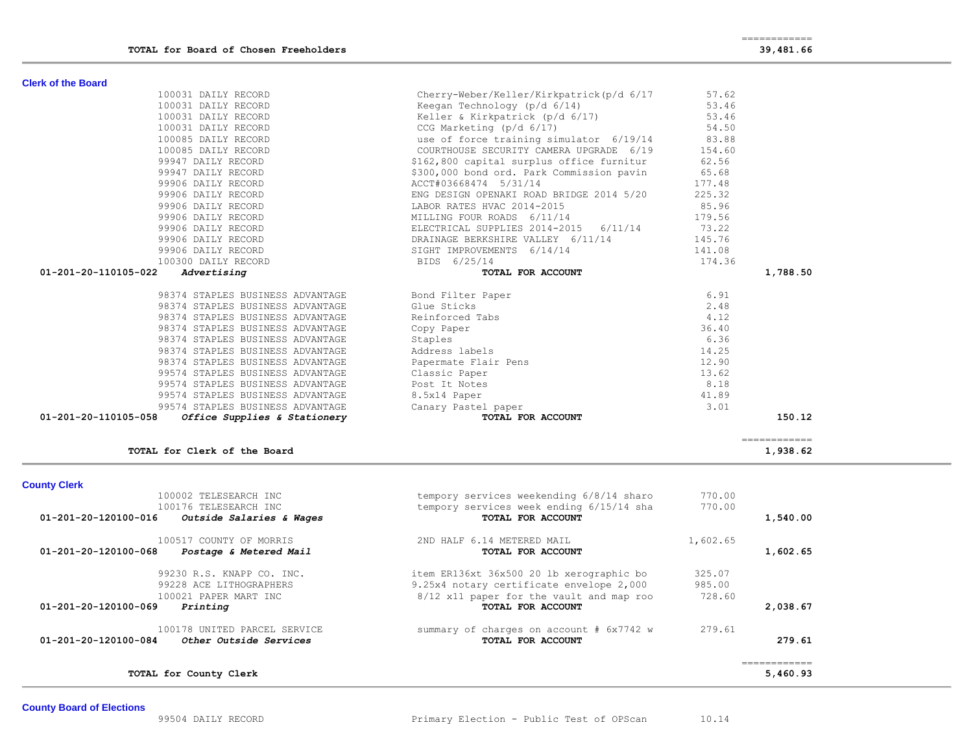| 100002 TELESEARCH INC                            | tempory services weekending 6/8/14 sharo | 770.00   |          |
|--------------------------------------------------|------------------------------------------|----------|----------|
| 100176 TELESEARCH INC                            | tempory services week ending 6/15/14 sha | 770.00   |          |
| 01-201-20-120100-016<br>Outside Salaries & Wages | TOTAL FOR ACCOUNT                        |          | 1,540.00 |
| 100517 COUNTY OF MORRIS                          | 2ND HALF 6.14 METERED MAIL               | 1,602.65 |          |
| 01-201-20-120100-068<br>Postage & Metered Mail   | TOTAL FOR ACCOUNT                        |          | 1,602.65 |
| 99230 R.S. KNAPP CO. INC.                        | item ER136xt 36x500 20 lb xerographic bo | 325.07   |          |
| 99228 ACE LITHOGRAPHERS                          | 9.25x4 notary certificate envelope 2,000 | 985.00   |          |
| 100021 PAPER MART INC                            | 8/12 x11 paper for the vault and map roo | 728.60   |          |
| 01-201-20-120100-069<br>Printing                 | TOTAL FOR ACCOUNT                        |          | 2,038.67 |
| 100178 UNITED PARCEL SERVICE                     | summary of charges on account # 6x7742 w | 279.61   |          |
| 01-201-20-120100-084<br>Other Outside Services   | TOTAL FOR ACCOUNT                        |          | 279.61   |
|                                                  |                                          |          | 5,460.93 |
| TOTAL for County Clerk                           |                                          |          |          |

============

**TOTAL for Clerk of the Board 1,938.62**

# **County Clerk**

| <u> 52 Agi eu iiuigu ull</u><br>-------------        |                      | - , ,  |
|------------------------------------------------------|----------------------|--------|
| 98374 STAPLES BUSINESS ADVANTAGE                     | Bond Filter Paper    | 6.91   |
| 98374 STAPLES BUSINESS ADVANTAGE                     | Glue Sticks          | 2.48   |
| 98374 STAPLES BUSINESS ADVANTAGE                     | Reinforced Tabs      | 4.12   |
| 98374 STAPLES BUSINESS ADVANTAGE                     | Copy Paper           | 36.40  |
| 98374 STAPLES BUSINESS ADVANTAGE                     | Staples              | 6.36   |
| 98374 STAPLES BUSINESS ADVANTAGE                     | Address labels       | 14.25  |
| 98374 STAPLES BUSINESS ADVANTAGE                     | Papermate Flair Pens | 12.90  |
| 99574 STAPLES BUSINESS ADVANTAGE                     | Classic Paper        | 13.62  |
| 99574 STAPLES BUSINESS ADVANTAGE                     | Post It Notes        | 8.18   |
| 99574 STAPLES BUSINESS ADVANTAGE                     | 8.5x14 Paper         | 41.89  |
| 99574 STAPLES BUSINESS ADVANTAGE                     | Canary Pastel paper  | 3.01   |
| 01-201-20-110105-058<br>Office Supplies & Stationery | TOTAL FOR ACCOUNT    | 150.12 |

| <b>Clerk of the Board</b>              |                                                                                                                 |               |          |
|----------------------------------------|-----------------------------------------------------------------------------------------------------------------|---------------|----------|
| 100031 DAILY RECORD                    | Cherry-Weber/Keller/Kirkpatrick(p/d 6/17                                                                        | 57.62         |          |
| 100031 DAILY RECORD                    | Keegan Technology (p/d 6/14)                                                                                    | 53.46         |          |
| 100031 DAILY RECORD                    | Keller & Kirkpatrick (p/d 6/17)                                                                                 | 53.46         |          |
| 100031 DAILY RECORD                    | CCG Marketing $(p/d \t 6/17)$ 54.50                                                                             |               |          |
| 100085 DAILY RECORD                    | use of force training simulator 6/19/14                                                                         | 83.88         |          |
| 100085 DAILY RECORD                    | COURTHOUSE SECURITY CAMERA UPGRADE 6/19                                                                         | 154.60        |          |
| 99947 DAILY RECORD                     | \$162,800 capital surplus office furnitur                                                                       | 62.56         |          |
| 99947 DAILY RECORD                     | \$300,000 bond ord. Park Commission pavin                                                                       | 65.68         |          |
| 99906 DAILY RECORD                     | ACCT#03668474 5/31/14                                                                                           | 177.48        |          |
| 99906 DAILY RECORD                     | ENG DESIGN OPENAKI ROAD BRIDGE 2014 5/20                                                                        | 225.32        |          |
| 99906 DAILY RECORD                     | LABOR RATES HVAC 2014-2015                                                                                      | 85.96         |          |
| 99906 DAILY RECORD                     | MILLING FOUR ROADS 6/11/14                                                                                      | 179.56        |          |
| 99906 DAILY RECORD                     | ELECTRICAL SUPPLIES 2014-2015 6/11/14 73.22                                                                     |               |          |
| 99906 DAILY RECORD                     | DRAINAGE BERKSHIRE VALLEY 6/11/14                                                                               | 145.76        |          |
| 99906 DAILY RECORD                     | SIGHT IMPROVEMENTS 6/14/14                                                                                      | 141.08        |          |
| 100300 DAILY RECORD                    | BIDS 6/25/14                                                                                                    | 174.36        |          |
| 01-201-20-110105-022<br>Advertising    | TOTAL FOR ACCOUNT                                                                                               |               | 1,788.50 |
| 98374 STAPLES BUSINESS ADVANTAGE       | Bond Filter Paper                                                                                               | 6.91          |          |
| 98374 STAPLES BUSINESS ADVANTAGE       | Glue Sticks                                                                                                     | 2.48          |          |
| 98374 STAPLES BUSINESS ADVANTAGE       | Reinforced Tabs                                                                                                 | 4.12          |          |
| 98374 STAPLES BUSINESS ADVANTAGE       | Copy Paper                                                                                                      | 36.40         |          |
| $0.0071$ cm pt pc puctures intervalsed | and the state of the state of the state of the state of the state of the state of the state of the state of the | $\sim$ $\sim$ |          |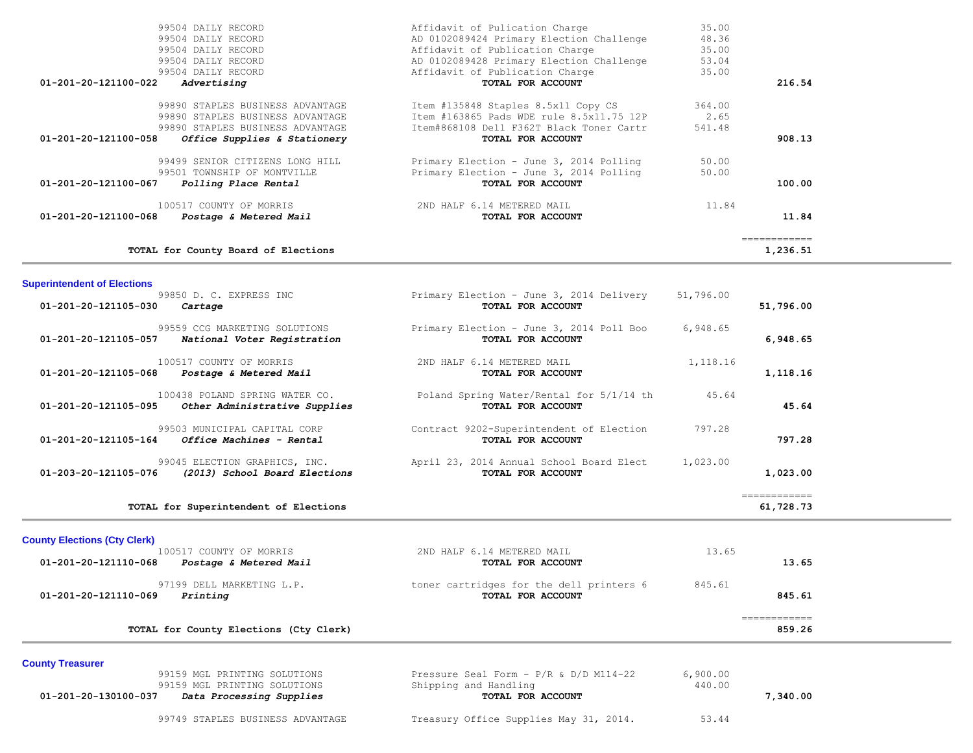| TOTAL for County Board of Elections                                                                                                                              |                                                                                                                                                  |                          | ===========<br>1,236.51 |
|------------------------------------------------------------------------------------------------------------------------------------------------------------------|--------------------------------------------------------------------------------------------------------------------------------------------------|--------------------------|-------------------------|
| 100517 COUNTY OF MORRIS<br>01-201-20-121100-068<br>Postage & Metered Mail                                                                                        | 2ND HALF 6.14 METERED MAIL<br>TOTAL FOR ACCOUNT                                                                                                  | 11.84                    | 11.84                   |
| 99499 SENIOR CITIZENS LONG HILL<br>99501 TOWNSHIP OF MONTVILLE<br>01-201-20-121100-067<br>Polling Place Rental                                                   | Primary Election - June 3, 2014 Polling<br>Primary Election - June 3, 2014 Polling<br>TOTAL FOR ACCOUNT                                          | 50.00<br>50.00           | 100.00                  |
| 99890 STAPLES BUSINESS ADVANTAGE<br>99890 STAPLES BUSINESS ADVANTAGE<br>99890 STAPLES BUSINESS ADVANTAGE<br>01-201-20-121100-058<br>Office Supplies & Stationery | Item #135848 Staples 8.5x11 Copy CS<br>Item #163865 Pads WDE rule 8.5x11.75 12P<br>Item#868108 Dell F362T Black Toner Cartr<br>TOTAL FOR ACCOUNT | 364.00<br>2.65<br>541.48 | 908.13                  |
| 99504 DAILY RECORD<br>99504 DAILY RECORD<br>$01 - 201 - 20 - 121100 - 022$<br>Advertising                                                                        | AD 0102089428 Primary Election Challenge<br>Affidavit of Publication Charge<br>TOTAL FOR ACCOUNT                                                 | 53.04<br>35.00           | 216.54                  |
| 99504 DAILY RECORD<br>99504 DAILY RECORD<br>99504 DAILY RECORD                                                                                                   | Affidavit of Pulication Charge<br>AD 0102089424 Primary Election Challenge<br>Affidavit of Publication Charge                                    | 35.00<br>48.36<br>35.00  |                         |

| TOTAL for Superintendent of Elections                                                   |                                                               |           | ------------<br>61,728.73 |
|-----------------------------------------------------------------------------------------|---------------------------------------------------------------|-----------|---------------------------|
| 99045 ELECTION GRAPHICS, INC.<br>01-203-20-121105-076<br>(2013) School Board Elections  | April 23, 2014 Annual School Board Elect<br>TOTAL FOR ACCOUNT | 1,023.00  | 1,023.00                  |
| 99503 MUNICIPAL CAPITAL CORP<br>01-201-20-121105-164<br>Office Machines - Rental        | Contract 9202-Superintendent of Election<br>TOTAL FOR ACCOUNT | 797.28    | 797.28                    |
| 100438 POLAND SPRING WATER CO.<br>01-201-20-121105-095<br>Other Administrative Supplies | Poland Spring Water/Rental for 5/1/14 th<br>TOTAL FOR ACCOUNT | 45.64     | 45.64                     |
| 100517 COUNTY OF MORRIS<br>01-201-20-121105-068<br>Postage & Metered Mail               | 2ND HALF 6.14 METERED MAIL<br>TOTAL FOR ACCOUNT               | 1,118.16  | 1,118.16                  |
| 99559 CCG MARKETING SOLUTIONS<br>01-201-20-121105-057<br>National Voter Registration    | Primary Election - June 3, 2014 Poll Boo<br>TOTAL FOR ACCOUNT | 6,948.65  | 6,948.65                  |
| 99850 D. C. EXPRESS INC<br>01-201-20-121105-030<br>Cartage                              | Primary Election - June 3, 2014 Delivery<br>TOTAL FOR ACCOUNT | 51,796.00 | 51,796.00                 |

# **County Elections (Cty Clerk)**

**Superintendent of Elections**

| 100517 COUNTY OF MORRIS                                       | 2ND HALF 6.14 METERED MAIL                                    | 13.65  |                        |  |
|---------------------------------------------------------------|---------------------------------------------------------------|--------|------------------------|--|
| 01-201-20-121110-068<br>Postage & Metered Mail                | TOTAL FOR ACCOUNT                                             |        | 13.65                  |  |
| 97199 DELL MARKETING L.P.<br>Printing<br>01-201-20-121110-069 | toner cartridges for the dell printers 6<br>TOTAL FOR ACCOUNT | 845.61 | 845.61                 |  |
| TOTAL for County Elections (Cty Clerk)                        |                                                               |        | ============<br>859.26 |  |
|                                                               |                                                               |        |                        |  |

**County Treasurer** 

|                      | 99159 MGL PRINTING SOLUTIONS<br>99159 MGL PRINTING SOLUTIONS | Pressure Seal Form - $P/R$ & $D/D$ M114-22<br>Shipping and Handling | 6,900.00<br>440.00 |          |
|----------------------|--------------------------------------------------------------|---------------------------------------------------------------------|--------------------|----------|
| 01-201-20-130100-037 | Data Processing Supplies                                     | TOTAL FOR ACCOUNT                                                   |                    | 7,340.00 |

99749 STAPLES BUSINESS ADVANTAGE Treasury Office Supplies May 31, 2014. 53.44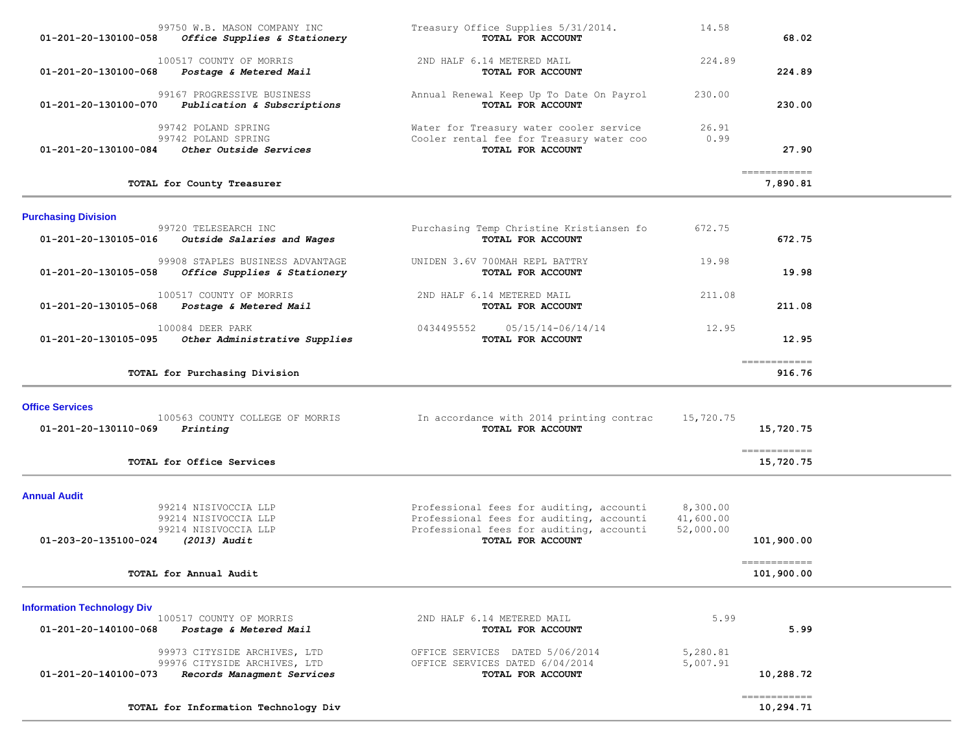| 99750 W.B. MASON COMPANY INC<br>01-201-20-130100-058<br>Office Supplies & Stationery                           | Treasury Office Supplies 5/31/2014.<br>TOTAL FOR ACCOUNT                                                                                              | 14.58                              | 68.02                      |  |
|----------------------------------------------------------------------------------------------------------------|-------------------------------------------------------------------------------------------------------------------------------------------------------|------------------------------------|----------------------------|--|
| 100517 COUNTY OF MORRIS<br>01-201-20-130100-068<br>Postage & Metered Mail                                      | 2ND HALF 6.14 METERED MAIL<br>TOTAL FOR ACCOUNT                                                                                                       | 224.89                             | 224.89                     |  |
| 99167 PROGRESSIVE BUSINESS<br>Publication & Subscriptions<br>01-201-20-130100-070                              | Annual Renewal Keep Up To Date On Payrol<br>TOTAL FOR ACCOUNT                                                                                         | 230.00                             | 230.00                     |  |
| 99742 POLAND SPRING<br>99742 POLAND SPRING<br>Other Outside Services<br>01-201-20-130100-084                   | Water for Treasury water cooler service<br>Cooler rental fee for Treasury water coo<br>TOTAL FOR ACCOUNT                                              | 26.91<br>0.99                      | 27.90                      |  |
| TOTAL for County Treasurer                                                                                     |                                                                                                                                                       |                                    | ============<br>7,890.81   |  |
| <b>Purchasing Division</b>                                                                                     |                                                                                                                                                       |                                    |                            |  |
| 99720 TELESEARCH INC<br>01-201-20-130105-016<br>Outside Salaries and Wages                                     | Purchasing Temp Christine Kristiansen fo<br>TOTAL FOR ACCOUNT                                                                                         | 672.75                             | 672.75                     |  |
| 99908 STAPLES BUSINESS ADVANTAGE<br>01-201-20-130105-058<br>Office Supplies & Stationery                       | UNIDEN 3.6V 700MAH REPL BATTRY<br>TOTAL FOR ACCOUNT                                                                                                   | 19.98                              | 19.98                      |  |
| 100517 COUNTY OF MORRIS<br>01-201-20-130105-068<br>Postage & Metered Mail                                      | 2ND HALF 6.14 METERED MAIL<br>TOTAL FOR ACCOUNT                                                                                                       | 211.08                             | 211.08                     |  |
| 100084 DEER PARK<br>Other Administrative Supplies<br>01-201-20-130105-095                                      | 0434495552<br>05/15/14-06/14/14<br>TOTAL FOR ACCOUNT                                                                                                  | 12.95                              | 12.95                      |  |
| TOTAL for Purchasing Division                                                                                  |                                                                                                                                                       |                                    | -------------<br>916.76    |  |
| <b>Office Services</b>                                                                                         |                                                                                                                                                       |                                    |                            |  |
| 100563 COUNTY COLLEGE OF MORRIS<br>01-201-20-130110-069<br>Printing                                            | In accordance with 2014 printing contrac<br>TOTAL FOR ACCOUNT                                                                                         | 15,720.75                          | 15,720.75                  |  |
| TOTAL for Office Services                                                                                      |                                                                                                                                                       |                                    | ------------<br>15,720.75  |  |
| <b>Annual Audit</b>                                                                                            |                                                                                                                                                       |                                    |                            |  |
| 99214 NISIVOCCIA LLP<br>99214 NISIVOCCIA LLP<br>99214 NISIVOCCIA LLP<br>01-203-20-135100-024<br>$(2013)$ Audit | Professional fees for auditing, accounti<br>Professional fees for auditing, accounti<br>Professional fees for auditing, accounti<br>TOTAL FOR ACCOUNT | 8,300.00<br>41,600.00<br>52,000.00 | 101,900.00                 |  |
| TOTAL for Annual Audit                                                                                         |                                                                                                                                                       |                                    | ------------<br>101,900.00 |  |
| <b>Information Technology Div</b>                                                                              |                                                                                                                                                       |                                    |                            |  |
| 100517 COUNTY OF MORRIS<br>01-201-20-140100-068<br>Postage & Metered Mail                                      | 2ND HALF 6.14 METERED MAIL<br>TOTAL FOR ACCOUNT                                                                                                       | 5.99                               | 5.99                       |  |
| 99973 CITYSIDE ARCHIVES, LTD<br>99976 CITYSIDE ARCHIVES, LTD                                                   | OFFICE SERVICES DATED 5/06/2014<br>OFFICE SERVICES DATED 6/04/2014                                                                                    | 5,280.81<br>5,007.91               |                            |  |
| Records Managment Services<br>01-201-20-140100-073                                                             | TOTAL FOR ACCOUNT                                                                                                                                     |                                    | 10,288.72                  |  |
| TOTAL for Information Technology Div                                                                           |                                                                                                                                                       |                                    | ------------<br>10,294.71  |  |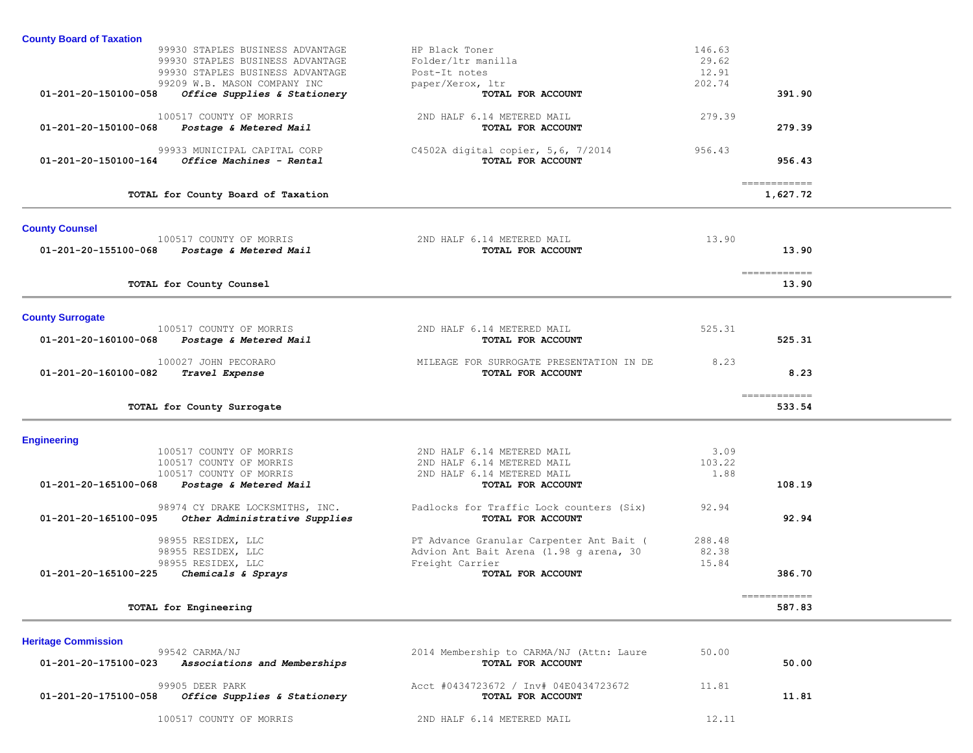| <b>County Board of Taxation</b>                                                      |                                                            |                 |                          |  |
|--------------------------------------------------------------------------------------|------------------------------------------------------------|-----------------|--------------------------|--|
| 99930 STAPLES BUSINESS ADVANTAGE                                                     | HP Black Toner                                             | 146.63          |                          |  |
| 99930 STAPLES BUSINESS ADVANTAGE                                                     | Folder/ltr manilla                                         | 29.62           |                          |  |
| 99930 STAPLES BUSINESS ADVANTAGE                                                     | Post-It notes                                              | 12.91           |                          |  |
| 99209 W.B. MASON COMPANY INC<br>01-201-20-150100-058<br>Office Supplies & Stationery | paper/Xerox, ltr<br>TOTAL FOR ACCOUNT                      | 202.74          | 391.90                   |  |
|                                                                                      |                                                            |                 |                          |  |
| 100517 COUNTY OF MORRIS                                                              | 2ND HALF 6.14 METERED MAIL                                 | 279.39          |                          |  |
| 01-201-20-150100-068<br>Postage & Metered Mail                                       | TOTAL FOR ACCOUNT                                          |                 | 279.39                   |  |
| 99933 MUNICIPAL CAPITAL CORP                                                         | C4502A digital copier, $5,6, 7/2014$                       | 956.43          |                          |  |
| 01-201-20-150100-164<br>Office Machines - Rental                                     | TOTAL FOR ACCOUNT                                          |                 | 956.43                   |  |
|                                                                                      |                                                            |                 |                          |  |
| TOTAL for County Board of Taxation                                                   |                                                            |                 | ------------<br>1,627.72 |  |
|                                                                                      |                                                            |                 |                          |  |
| <b>County Counsel</b>                                                                |                                                            | 13.90           |                          |  |
| 100517 COUNTY OF MORRIS<br>01-201-20-155100-068<br>Postage & Metered Mail            | 2ND HALF 6.14 METERED MAIL<br>TOTAL FOR ACCOUNT            |                 | 13.90                    |  |
|                                                                                      |                                                            |                 |                          |  |
|                                                                                      |                                                            |                 | ============             |  |
| TOTAL for County Counsel                                                             |                                                            |                 | 13.90                    |  |
|                                                                                      |                                                            |                 |                          |  |
| <b>County Surrogate</b><br>100517 COUNTY OF MORRIS                                   | 2ND HALF 6.14 METERED MAIL                                 | 525.31          |                          |  |
| 01-201-20-160100-068<br>Postage & Metered Mail                                       | TOTAL FOR ACCOUNT                                          |                 | 525.31                   |  |
|                                                                                      |                                                            |                 |                          |  |
| 100027 JOHN PECORARO                                                                 | MILEAGE FOR SURROGATE PRESENTATION IN DE                   | 8.23            |                          |  |
| 01-201-20-160100-082<br>Travel Expense                                               | TOTAL FOR ACCOUNT                                          |                 | 8.23                     |  |
|                                                                                      |                                                            |                 | ------------             |  |
| TOTAL for County Surrogate                                                           |                                                            |                 | 533.54                   |  |
|                                                                                      |                                                            |                 |                          |  |
| <b>Engineering</b><br>100517 COUNTY OF MORRIS                                        | 2ND HALF 6.14 METERED MAIL                                 | 3.09            |                          |  |
| 100517 COUNTY OF MORRIS                                                              | 2ND HALF 6.14 METERED MAIL                                 | 103.22          |                          |  |
| 100517 COUNTY OF MORRIS                                                              | 2ND HALF 6.14 METERED MAIL                                 | 1.88            |                          |  |
| 01-201-20-165100-068<br>Postage & Metered Mail                                       | TOTAL FOR ACCOUNT                                          |                 | 108.19                   |  |
| 98974 CY DRAKE LOCKSMITHS, INC.                                                      | Padlocks for Traffic Lock counters (Six)                   | 92.94           |                          |  |
| 01-201-20-165100-095<br>Other Administrative Supplies                                | TOTAL FOR ACCOUNT                                          |                 | 92.94                    |  |
|                                                                                      |                                                            |                 |                          |  |
| 98955 RESIDEX, LLC                                                                   | PT Advance Granular Carpenter Ant Bait (                   | 288.48<br>82.38 |                          |  |
| 98955 RESIDEX, LLC<br>98955 RESIDEX, LLC                                             | Advion Ant Bait Arena (1.98 g arena, 30<br>Freight Carrier | 15.84           |                          |  |
| 01-201-20-165100-225<br>Chemicals & Sprays                                           | TOTAL FOR ACCOUNT                                          |                 | 386.70                   |  |
|                                                                                      |                                                            |                 |                          |  |
| TOTAL for Engineering                                                                |                                                            |                 | ------------<br>587.83   |  |
|                                                                                      |                                                            |                 |                          |  |
| <b>Heritage Commission</b>                                                           |                                                            |                 |                          |  |
| 99542 CARMA/NJ                                                                       | 2014 Membership to CARMA/NJ (Attn: Laure                   | 50.00           |                          |  |
| 01-201-20-175100-023<br>Associations and Memberships                                 | TOTAL FOR ACCOUNT                                          |                 | 50.00                    |  |
| 99905 DEER PARK                                                                      | Acct #0434723672 / Inv# 04E0434723672                      | 11.81           |                          |  |
|                                                                                      |                                                            |                 |                          |  |

100517 COUNTY OF MORRIS 2ND HALF 6.14 METERED MAIL 12.11

 **01-201-20-175100-058** *Office Supplies & Stationery* **TOTAL FOR ACCOUNT 11.81**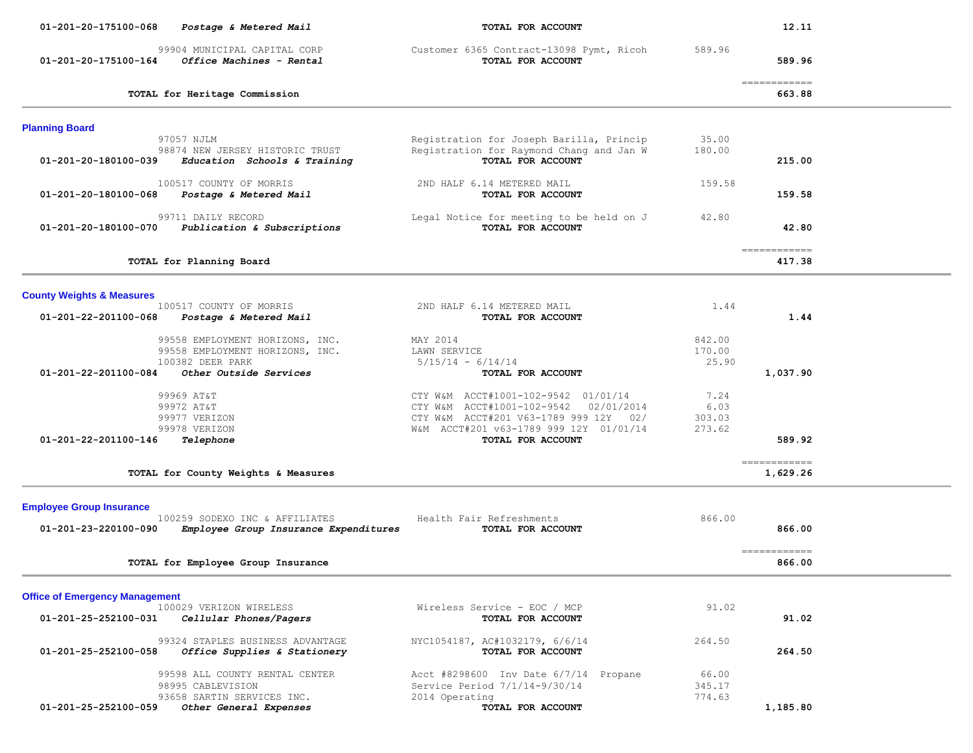| 01-201-20-175100-068<br>Postage & Metered Mail                                                        | TOTAL FOR ACCOUNT                                                                                                                                                                       |                                  | 12.11                                   |
|-------------------------------------------------------------------------------------------------------|-----------------------------------------------------------------------------------------------------------------------------------------------------------------------------------------|----------------------------------|-----------------------------------------|
| 99904 MUNICIPAL CAPITAL CORP<br>01-201-20-175100-164<br>Office Machines - Rental                      | Customer 6365 Contract-13098 Pymt, Ricoh<br>TOTAL FOR ACCOUNT                                                                                                                           | 589.96                           | 589.96                                  |
| TOTAL for Heritage Commission                                                                         |                                                                                                                                                                                         |                                  | -------------<br>663.88                 |
| <b>Planning Board</b>                                                                                 |                                                                                                                                                                                         |                                  |                                         |
| 97057 NJLM<br>98874 NEW JERSEY HISTORIC TRUST<br>Education Schools & Training<br>01-201-20-180100-039 | Registration for Joseph Barilla, Princip<br>Registration for Raymond Chang and Jan W<br>TOTAL FOR ACCOUNT                                                                               | 35.00<br>180.00                  | 215.00                                  |
| 100517 COUNTY OF MORRIS<br>01-201-20-180100-068<br>Postage & Metered Mail                             | 2ND HALF 6.14 METERED MAIL<br>TOTAL FOR ACCOUNT                                                                                                                                         | 159.58                           | 159.58                                  |
| 99711 DAILY RECORD<br>01-201-20-180100-070<br>Publication & Subscriptions                             | Legal Notice for meeting to be held on J<br>TOTAL FOR ACCOUNT                                                                                                                           | 42.80                            | 42.80                                   |
| TOTAL for Planning Board                                                                              |                                                                                                                                                                                         |                                  | $=$ = = = = = = = = = = = =<br>417.38   |
| <b>County Weights &amp; Measures</b>                                                                  |                                                                                                                                                                                         |                                  |                                         |
| 100517 COUNTY OF MORRIS<br>01-201-22-201100-068<br>Postage & Metered Mail                             | 2ND HALF 6.14 METERED MAIL<br>TOTAL FOR ACCOUNT                                                                                                                                         | 1.44                             | 1.44                                    |
| 99558 EMPLOYMENT HORIZONS, INC.<br>99558 EMPLOYMENT HORIZONS, INC.<br>100382 DEER PARK                | MAY 2014<br>LAWN SERVICE<br>$5/15/14 - 6/14/14$                                                                                                                                         | 842.00<br>170.00<br>25.90        |                                         |
| Other Outside Services<br>01-201-22-201100-084                                                        | TOTAL FOR ACCOUNT                                                                                                                                                                       |                                  | 1,037.90                                |
| 99969 AT&T<br>99972 AT&T<br>99977 VERIZON<br>99978 VERIZON<br>01-201-22-201100-146<br>Telephone       | CTY W&M ACCT#1001-102-9542 01/01/14<br>CTY W&M ACCT#1001-102-9542<br>02/01/2014<br>CTY W&M ACCT#201 V63-1789 999 12Y 02/<br>W&M ACCT#201 v63-1789 999 12Y 01/01/14<br>TOTAL FOR ACCOUNT | 7.24<br>6.03<br>303.03<br>273.62 | 589.92                                  |
| TOTAL for County Weights & Measures                                                                   |                                                                                                                                                                                         |                                  | $=$ = = = = = = = = = = = =<br>1,629.26 |
| <b>Employee Group Insurance</b>                                                                       |                                                                                                                                                                                         |                                  |                                         |
| 100259 SODEXO INC & AFFILIATES<br>Employee Group Insurance Expenditures<br>01-201-23-220100-090       | Health Fair Refreshments<br>TOTAL FOR ACCOUNT                                                                                                                                           | 866.00                           | 866.00                                  |
| TOTAL for Employee Group Insurance                                                                    |                                                                                                                                                                                         |                                  | ============<br>866.00                  |
| <b>Office of Emergency Management</b>                                                                 |                                                                                                                                                                                         |                                  |                                         |
| 100029 VERIZON WIRELESS<br>01-201-25-252100-031<br>Cellular Phones/Pagers                             | Wireless Service - EOC / MCP<br>TOTAL FOR ACCOUNT                                                                                                                                       | 91.02                            | 91.02                                   |
| 99324 STAPLES BUSINESS ADVANTAGE<br>01-201-25-252100-058<br>Office Supplies & Stationery              | NYC1054187, AC#1032179, 6/6/14<br>TOTAL FOR ACCOUNT                                                                                                                                     | 264.50                           | 264.50                                  |
| 99598 ALL COUNTY RENTAL CENTER<br>98995 CABLEVISION<br>93658 SARTIN SERVICES INC.                     | Acct #8298600 Inv Date 6/7/14 Propane<br>Service Period 7/1/14-9/30/14<br>2014 Operating                                                                                                | 66.00<br>345.17<br>774.63        |                                         |
| 01-201-25-252100-059<br>Other General Expenses                                                        | TOTAL FOR ACCOUNT                                                                                                                                                                       |                                  | 1,185.80                                |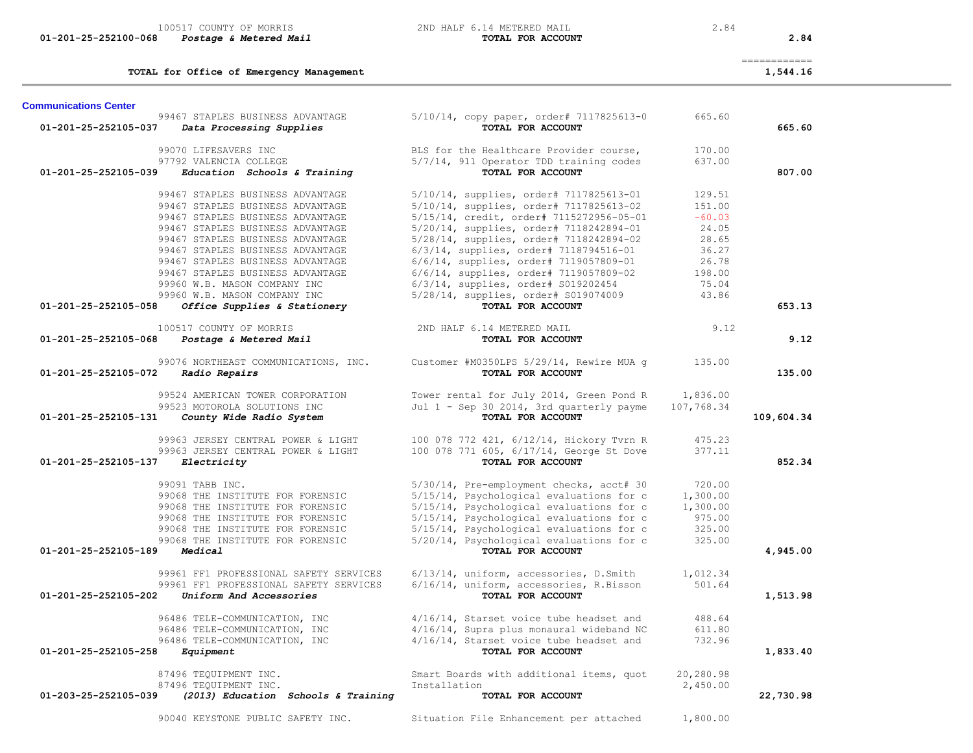|                              | TOTAL for Office of Emergency Management                         |                                                               |                        | ------------<br>1,544.16 |
|------------------------------|------------------------------------------------------------------|---------------------------------------------------------------|------------------------|--------------------------|
| <b>Communications Center</b> |                                                                  |                                                               |                        |                          |
|                              | 99467 STAPLES BUSINESS ADVANTAGE                                 | 5/10/14, copy paper, order# 7117825613-0                      | 665.60                 |                          |
| 01-201-25-252105-037         | Data Processing Supplies                                         | TOTAL FOR ACCOUNT                                             |                        | 665.60                   |
|                              | 99070 LIFESAVERS INC                                             | BLS for the Healthcare Provider course,                       | 170.00                 |                          |
|                              | 97792 VALENCIA COLLEGE                                           | 5/7/14, 911 Operator TDD training codes                       | 637.00                 |                          |
| 01-201-25-252105-039         | Education Schools & Training                                     | TOTAL FOR ACCOUNT                                             |                        | 807.00                   |
|                              | 99467 STAPLES BUSINESS ADVANTAGE                                 | 5/10/14, supplies, order# 7117825613-01                       | 129.51                 |                          |
|                              | 99467 STAPLES BUSINESS ADVANTAGE                                 | 5/10/14, supplies, order# 7117825613-02                       | 151.00                 |                          |
|                              | 99467 STAPLES BUSINESS ADVANTAGE                                 | 5/15/14, credit, order# 7115272956-05-01                      | $-60.03$               |                          |
|                              | 99467 STAPLES BUSINESS ADVANTAGE                                 | 5/20/14, supplies, order# 7118242894-01                       | 24.05                  |                          |
|                              | 99467 STAPLES BUSINESS ADVANTAGE                                 | 5/28/14, supplies, order# 7118242894-02                       | 28.65                  |                          |
|                              | 99467 STAPLES BUSINESS ADVANTAGE                                 | 6/3/14, supplies, order# 7118794516-01                        | 36.27                  |                          |
|                              | 99467 STAPLES BUSINESS ADVANTAGE                                 | 6/6/14, supplies, order# 7119057809-01                        | 26.78                  |                          |
|                              | 99467 STAPLES BUSINESS ADVANTAGE                                 | $6/6/14$ , supplies, order# 7119057809-02                     | 198.00                 |                          |
|                              | 99960 W.B. MASON COMPANY INC                                     | 6/3/14, supplies, order# S019202454                           | 75.04                  |                          |
|                              | 99960 W.B. MASON COMPANY INC                                     | 5/28/14, supplies, order# \$019074009                         | 43.86                  |                          |
| 01-201-25-252105-058         | Office Supplies & Stationery                                     | TOTAL FOR ACCOUNT                                             |                        | 653.13                   |
|                              | 100517 COUNTY OF MORRIS                                          | 2ND HALF 6.14 METERED MAIL                                    | 9.12                   |                          |
| 01-201-25-252105-068         | Postage & Metered Mail                                           | TOTAL FOR ACCOUNT                                             |                        | 9.12                     |
|                              | 99076 NORTHEAST COMMUNICATIONS, INC.                             | Customer #M0350LPS 5/29/14, Rewire MUA q                      | 135.00                 |                          |
| 01-201-25-252105-072         | Radio Repairs                                                    | TOTAL FOR ACCOUNT                                             |                        | 135.00                   |
|                              |                                                                  |                                                               |                        |                          |
|                              | 99524 AMERICAN TOWER CORPORATION<br>99523 MOTOROLA SOLUTIONS INC | Tower rental for July 2014, Green Pond R                      | 1,836.00<br>107,768.34 |                          |
| 01-201-25-252105-131         | County Wide Radio System                                         | Jul 1 - Sep 30 2014, 3rd quarterly payme<br>TOTAL FOR ACCOUNT |                        | 109,604.34               |
|                              |                                                                  |                                                               |                        |                          |
|                              | 99963 JERSEY CENTRAL POWER & LIGHT                               | 100 078 772 421, 6/12/14, Hickory Tvrn R                      | 475.23                 |                          |
|                              | 99963 JERSEY CENTRAL POWER & LIGHT                               | 100 078 771 605, 6/17/14, George St Dove                      | 377.11                 |                          |
| 01-201-25-252105-137         | Electricity                                                      | TOTAL FOR ACCOUNT                                             |                        | 852.34                   |
|                              | 99091 TABB INC.                                                  | 5/30/14, Pre-employment checks, acct# 30                      | 720.00                 |                          |
|                              | 99068 THE INSTITUTE FOR FORENSIC                                 | 5/15/14, Psychological evaluations for c                      | 1,300.00               |                          |
|                              | 99068 THE INSTITUTE FOR FORENSIC                                 | 5/15/14, Psychological evaluations for c                      | 1,300.00               |                          |
|                              | 99068 THE INSTITUTE FOR FORENSIC                                 | 5/15/14, Psychological evaluations for c                      | 975.00                 |                          |
|                              | 99068 THE INSTITUTE FOR FORENSIC                                 | 5/15/14, Psychological evaluations for c                      | 325.00                 |                          |
|                              | 99068 THE INSTITUTE FOR FORENSIC                                 | 5/20/14, Psychological evaluations for c                      | 325.00                 |                          |
| 01-201-25-252105-189         | Medical                                                          | TOTAL FOR ACCOUNT                                             |                        | 4,945.00                 |
|                              | 99961 FF1 PROFESSIONAL SAFETY SERVICES                           | 6/13/14, uniform, accessories, D.Smith                        | 1,012.34               |                          |
|                              | 99961 FF1 PROFESSIONAL SAFETY SERVICES                           | 6/16/14, uniform, accessories, R.Bisson                       | 501.64                 |                          |
| 01-201-25-252105-202         | Uniform And Accessories                                          | TOTAL FOR ACCOUNT                                             |                        | 1,513.98                 |
|                              | 96486 TELE-COMMUNICATION, INC                                    | 4/16/14, Starset voice tube headset and                       | 488.64                 |                          |
|                              | 96486 TELE-COMMUNICATION, INC                                    | 4/16/14, Supra plus monaural wideband NC                      | 611.80                 |                          |
|                              | 96486 TELE-COMMUNICATION, INC                                    | 4/16/14, Starset voice tube headset and                       | 732.96                 |                          |
| 01-201-25-252105-258         | Equipment                                                        | TOTAL FOR ACCOUNT                                             |                        | 1,833.40                 |
|                              |                                                                  |                                                               |                        |                          |
|                              | 87496 TEQUIPMENT INC.<br>87496 TEOUIPMENT INC.                   | Smart Boards with additional items, quot<br>Installation      | 20,280.98              |                          |
| 01-203-25-252105-039         | (2013) Education Schools & Training                              | TOTAL FOR ACCOUNT                                             | 2,450.00               | 22,730.98                |
|                              |                                                                  |                                                               |                        |                          |
|                              | 90040 KEYSTONE PUBLIC SAFETY INC.                                | Situation File Enhancement per attached                       | 1,800.00               |                          |

 **01-201-25-252100-068** *Postage & Metered Mail* **TOTAL FOR ACCOUNT 2.84**

100517 COUNTY OF MORRIS 100517 COUNTY OF MORRIS 2.84<br>3 **Postage & Metered Mail** 2.84 **2008 1007AL FOR ACCOUNT**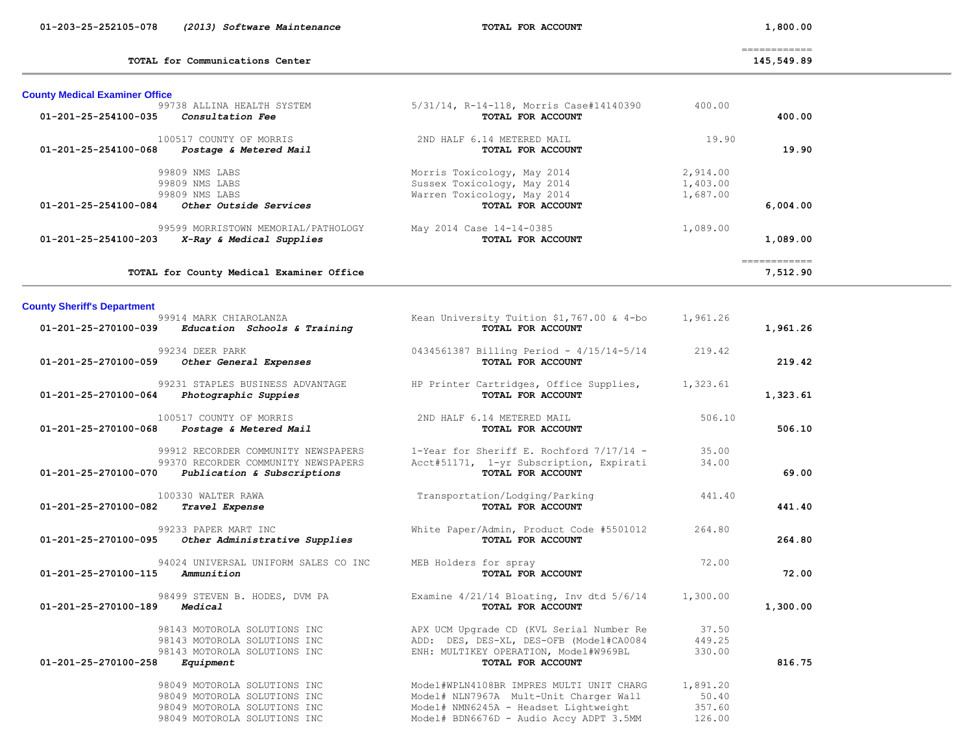|  | 01-203-25-252105-078 |  |  | (2013) Software Maintenance |
|--|----------------------|--|--|-----------------------------|
|--|----------------------|--|--|-----------------------------|

 **01-203-25-252105-078** *(2013) Software Maintenance* **TOTAL FOR ACCOUNT 1,800.00**

TOTAL for Communications Center 145,549.89

============

| <b>County Medical Examiner Office</b>                                                   |                                                                                           |                                  |                          |
|-----------------------------------------------------------------------------------------|-------------------------------------------------------------------------------------------|----------------------------------|--------------------------|
| 99738 ALLINA HEALTH SYSTEM<br>$01 - 201 - 25 - 254100 - 035$<br>Consultation Fee        | 5/31/14, R-14-118, Morris Case#14140390<br><b>TOTAL FOR ACCOUNT</b>                       | 400.00                           | 400.00                   |
| 100517 COUNTY OF MORRIS<br>$01 - 201 - 25 - 254100 - 068$<br>Postage & Metered Mail     | 2ND HALF 6.14 METERED MAIL<br>TOTAL FOR ACCOUNT                                           | 19.90                            | 19.90                    |
| 99809 NMS LABS<br>99809 NMS LABS<br>99809 NMS LABS                                      | Morris Toxicology, May 2014<br>Sussex Toxicology, May 2014<br>Warren Toxicology, May 2014 | 2,914.00<br>1,403.00<br>1,687.00 |                          |
| Other Outside Services<br>$01 - 201 - 25 - 254100 - 084$                                | <b>TOTAL FOR ACCOUNT</b>                                                                  |                                  | 6,004.00                 |
| 99599 MORRISTOWN MEMORIAL/PATHOLOGY<br>01-201-25-254100-203<br>X-Ray & Medical Supplies | May 2014 Case 14-14-0385<br><b>TOTAL FOR ACCOUNT</b>                                      | 1,089.00                         | 1,089.00                 |
| TOTAL for County Medical Examiner Office                                                |                                                                                           |                                  | :===========<br>7,512.90 |

| <b>County Sheriff's Department</b>  |                                                                                                                                  |                                                                                                                                                                        |                                       |          |
|-------------------------------------|----------------------------------------------------------------------------------------------------------------------------------|------------------------------------------------------------------------------------------------------------------------------------------------------------------------|---------------------------------------|----------|
|                                     | 99914 MARK CHIAROLANZA<br>$01-201-25-270100-039$ Education Schools & Training                                                    | Kean University Tuition $$1,767.00$ & 4-bo $1,961.26$<br>TOTAL FOR ACCOUNT                                                                                             |                                       | 1,961.26 |
|                                     | 99234 DEER PARK<br>01-201-25-270100-059 Other General Expenses                                                                   | $0434561387$ Billing Period - $4/15/14-5/14$ 219.42<br>TOTAL FOR ACCOUNT                                                                                               |                                       | 219.42   |
|                                     | 99231 STAPLES BUSINESS ADVANTAGE<br>$01-201-25-270100-064$ Photographic Suppies                                                  | HP Printer Cartridges, Office Supplies, 1,323.61<br>TOTAL FOR ACCOUNT                                                                                                  |                                       | 1,323.61 |
|                                     | 100517 COUNTY OF MORRIS<br>01-201-25-270100-068 Postage & Metered Mail                                                           | 2ND HALF 6.14 METERED MAIL<br>TOTAL FOR ACCOUNT                                                                                                                        | 506.10                                | 506.10   |
|                                     | 99912 RECORDER COMMUNITY NEWSPAPERS<br>99370 RECORDER COMMUNITY NEWSPAPERS<br>$01-201-25-270100-070$ Publication & Subscriptions | $1$ -Year for Sheriff E. Rochford $7/17/14$ -<br>Acct#51171, 1-yr Subscription, Expirati<br>TOTAL FOR ACCOUNT                                                          | 35.00<br>34.00                        | 69.00    |
| 01-201-25-270100-082 Travel Expense | 100330 WALTER RAWA                                                                                                               | Transportation/Lodging/Parking<br>TOTAL FOR ACCOUNT                                                                                                                    | 441.40                                | 441.40   |
| 01-201-25-270100-095                | 99233 PAPER MART INC<br>Other Administrative Supplies                                                                            | White Paper/Admin, Product Code #5501012<br>TOTAL FOR ACCOUNT                                                                                                          | 264.80                                | 264.80   |
| 01-201-25-270100-115 Ammunition     | 94024 UNIVERSAL UNIFORM SALES CO INC                                                                                             | MEB Holders for spray<br>TOTAL FOR ACCOUNT                                                                                                                             | 72.00                                 | 72.00    |
| 01-201-25-270100-189                | Medical                                                                                                                          | TOTAL FOR ACCOUNT                                                                                                                                                      |                                       | 1,300.00 |
| 01-201-25-270100-258                | 98143 MOTOROLA SOLUTIONS INC<br>98143 MOTOROLA SOLUTIONS INC<br>98143 MOTOROLA SOLUTIONS INC<br>Equipment                        | APX UCM Upgrade CD (KVL Serial Number Re<br>ADD: DES, DES-XL, DES-OFB (Model#CA0084<br>ENH: MULTIKEY OPERATION, Model#W969BL<br>TOTAL FOR ACCOUNT                      | 37.50<br>449.25<br>330.00             | 816.75   |
|                                     | 98049 MOTOROLA SOLUTIONS INC<br>98049 MOTOROLA SOLUTIONS INC<br>98049 MOTOROLA SOLUTIONS INC<br>98049 MOTOROLA SOLUTIONS INC     | Model#WPLN4108BR IMPRES MULTI UNIT CHARG<br>Model# NLN7967A Mult-Unit Charger Wall<br>Model# NMN6245A - Headset Lightweight<br>Model# BDN6676D - Audio Accy ADPT 3.5MM | 1,891.20<br>50.40<br>357.60<br>126.00 |          |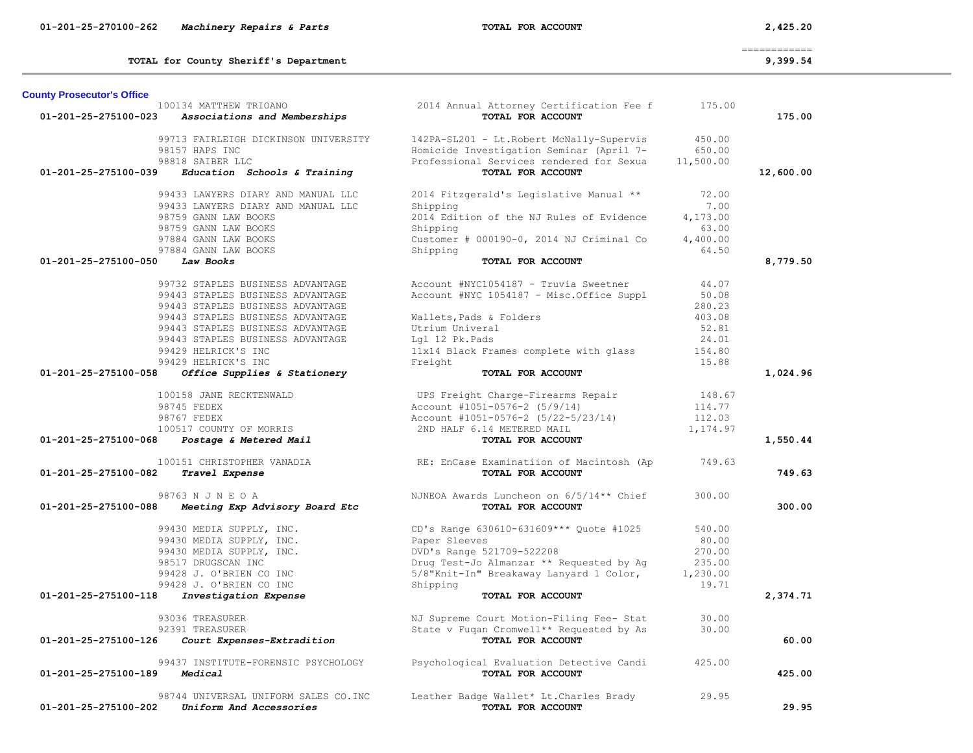|                                   |                                                   |                                                   |           | $=$ = = = = = = = = = = = = |
|-----------------------------------|---------------------------------------------------|---------------------------------------------------|-----------|-----------------------------|
|                                   | TOTAL for County Sheriff's Department             |                                                   |           | 9,399.54                    |
| <b>County Prosecutor's Office</b> |                                                   |                                                   |           |                             |
|                                   | 100134 MATTHEW TRIOANO                            | 2014 Annual Attorney Certification Fee f          | 175.00    |                             |
| 01-201-25-275100-023              | Associations and Memberships                      | TOTAL FOR ACCOUNT                                 |           | 175.00                      |
|                                   | 99713 FAIRLEIGH DICKINSON UNIVERSITY              | 142PA-SL201 - Lt. Robert McNally-Supervis         | 450.00    |                             |
|                                   | 98157 HAPS INC                                    | Homicide Investigation Seminar (April 7-          | 650.00    |                             |
|                                   | 98818 SAIBER LLC                                  | Professional Services rendered for Sexua          | 11,500.00 |                             |
| 01-201-25-275100-039              | Education Schools & Training                      | TOTAL FOR ACCOUNT                                 |           | 12,600.00                   |
|                                   | 99433 LAWYERS DIARY AND MANUAL LLC                | 2014 Fitzgerald's Legislative Manual **           | 72.00     |                             |
|                                   | 99433 LAWYERS DIARY AND MANUAL LLC                | Shipping                                          | 7.00      |                             |
|                                   | 98759 GANN LAW BOOKS                              | 2014 Edition of the NJ Rules of Evidence          | 4,173.00  |                             |
|                                   | 98759 GANN LAW BOOKS                              | Shipping                                          | 63.00     |                             |
|                                   | 97884 GANN LAW BOOKS                              | Customer # 000190-0, 2014 NJ Criminal Co          | 4,400.00  |                             |
|                                   | 97884 GANN LAW BOOKS                              | Shipping                                          | 64.50     |                             |
| 01-201-25-275100-050              | Law Books                                         | TOTAL FOR ACCOUNT                                 |           | 8,779.50                    |
|                                   | 99732 STAPLES BUSINESS ADVANTAGE                  | Account #NYC1054187 - Truvia Sweetner             | 44.07     |                             |
|                                   | 99443 STAPLES BUSINESS ADVANTAGE                  | Account #NYC 1054187 - Misc.Office Suppl          | 50.08     |                             |
|                                   | 99443 STAPLES BUSINESS ADVANTAGE                  |                                                   | 280.23    |                             |
|                                   | 99443 STAPLES BUSINESS ADVANTAGE                  | Wallets, Pads & Folders                           | 403.08    |                             |
|                                   | 99443 STAPLES BUSINESS ADVANTAGE                  | Utrium Univeral                                   | 52.81     |                             |
|                                   | 99443 STAPLES BUSINESS ADVANTAGE                  | Lgl 12 Pk.Pads                                    | 24.01     |                             |
|                                   | 99429 HELRICK'S INC                               |                                                   | 154.80    |                             |
|                                   | 99429 HELRICK'S INC                               | 11x14 Black Frames complete with glass<br>Freight | 15.88     |                             |
| 01-201-25-275100-058              | Office Supplies & Stationery                      | TOTAL FOR ACCOUNT                                 |           | 1,024.96                    |
|                                   |                                                   |                                                   |           |                             |
|                                   | 100158 JANE RECKTENWALD                           | UPS Freight Charge-Firearms Repair                | 148.67    |                             |
|                                   | 98745 FEDEX                                       | Account #1051-0576-2 (5/9/14)                     | 114.77    |                             |
|                                   | 98767 FEDEX                                       | Account #1051-0576-2 (5/22-5/23/14)               | 112.03    |                             |
| 01-201-25-275100-068              | 100517 COUNTY OF MORRIS<br>Postage & Metered Mail | 2ND HALF 6.14 METERED MAIL<br>TOTAL FOR ACCOUNT   | 1,174.97  | 1,550.44                    |
|                                   |                                                   |                                                   |           |                             |
|                                   | 100151 CHRISTOPHER VANADIA                        | RE: EnCase Examinatiion of Macintosh (Ap          | 749.63    |                             |
| 01-201-25-275100-082              | Travel Expense                                    | TOTAL FOR ACCOUNT                                 |           | 749.63                      |
|                                   | 98763 N J N E O A                                 | NJNEOA Awards Luncheon on 6/5/14** Chief          | 300.00    |                             |
| 01-201-25-275100-088              | Meeting Exp Advisory Board Etc                    | TOTAL FOR ACCOUNT                                 |           | 300.00                      |
|                                   | 99430 MEDIA SUPPLY, INC.                          | CD's Range 630610-631609*** Quote #1025           | 540.00    |                             |
|                                   | 99430 MEDIA SUPPLY, INC.                          | Paper Sleeves                                     | 80.00     |                             |
|                                   | 99430 MEDIA SUPPLY, INC.                          | DVD's Range 521709-522208                         | 270.00    |                             |
|                                   | 98517 DRUGSCAN INC                                | Drug Test-Jo Almanzar ** Requested by Ag          | 235.00    |                             |
|                                   | 99428 J. O'BRIEN CO INC                           | 5/8"Knit-In" Breakaway Lanyard 1 Color,           | 1,230.00  |                             |
|                                   | 99428 J. O'BRIEN CO INC                           | Shipping                                          | 19.71     |                             |
| 01-201-25-275100-118              | Investigation Expense                             | TOTAL FOR ACCOUNT                                 |           | 2,374.71                    |
|                                   | 93036 TREASURER                                   | NJ Supreme Court Motion-Filing Fee- Stat          | 30.00     |                             |
|                                   | 92391 TREASURER                                   | State v Fuqan Cromwell** Requested by As          | 30.00     |                             |
| 01-201-25-275100-126              | Court Expenses-Extradition                        | TOTAL FOR ACCOUNT                                 |           | 60.00                       |
|                                   | 99437 INSTITUTE-FORENSIC PSYCHOLOGY               | Psychological Evaluation Detective Candi          | 425.00    |                             |
| 01-201-25-275100-189              | Medical                                           | TOTAL FOR ACCOUNT                                 |           | 425.00                      |
|                                   |                                                   |                                                   |           |                             |
|                                   | 98744 UNIVERSAL UNIFORM SALES CO. INC             | Leather Badge Wallet* Lt. Charles Brady           | 29.95     |                             |
| 01-201-25-275100-202              | Uniform And Accessories                           | TOTAL FOR ACCOUNT                                 |           | 29.95                       |

 **01-201-25-270100-262** *Machinery Repairs & Parts* **TOTAL FOR ACCOUNT 2,425.20**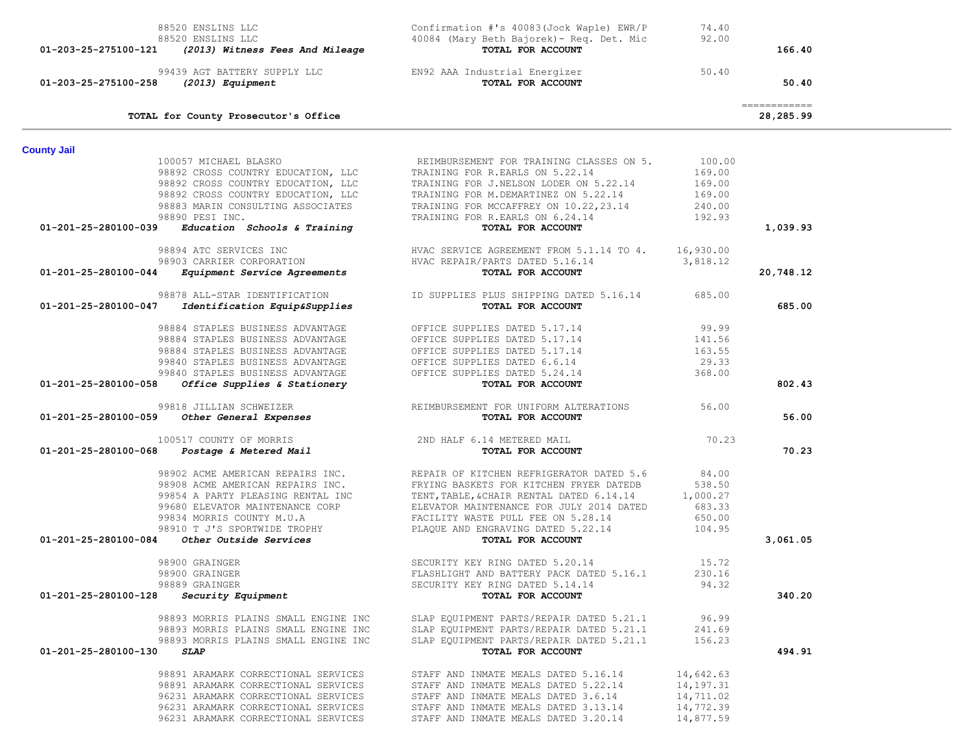| 88520 ENSLINS LLC<br>88520 ENSLINS LLC<br>01-203-25-275100-121<br>(2013) Witness Fees And Mileage                                                                                                                                                                                                                                  | Confirmation #'s 40083(Jock Waple) EWR/P<br>40084 (Mary Beth Bajorek) - Req. Det. Mic<br>TOTAL FOR ACCOUNT                                                                                                                                                                                                                                                                           | 74.40<br>92.00                                                | 166.40                                                                                                                                                                                                                                                                                                                                                                                                                                                                                              |
|------------------------------------------------------------------------------------------------------------------------------------------------------------------------------------------------------------------------------------------------------------------------------------------------------------------------------------|--------------------------------------------------------------------------------------------------------------------------------------------------------------------------------------------------------------------------------------------------------------------------------------------------------------------------------------------------------------------------------------|---------------------------------------------------------------|-----------------------------------------------------------------------------------------------------------------------------------------------------------------------------------------------------------------------------------------------------------------------------------------------------------------------------------------------------------------------------------------------------------------------------------------------------------------------------------------------------|
| (2013) Equipment<br>01-203-25-275100-258                                                                                                                                                                                                                                                                                           | 99439 AGT BATTERY SUPPLY LLC EN92 AAA Industrial Energizer<br>TOTAL FOR ACCOUNT                                                                                                                                                                                                                                                                                                      | 50.40                                                         | 50.40                                                                                                                                                                                                                                                                                                                                                                                                                                                                                               |
| TOTAL for County Prosecutor's Office                                                                                                                                                                                                                                                                                               |                                                                                                                                                                                                                                                                                                                                                                                      |                                                               | $\begin{array}{cccccccccc} \multicolumn{2}{c}{} & \multicolumn{2}{c}{} & \multicolumn{2}{c}{} & \multicolumn{2}{c}{} & \multicolumn{2}{c}{} & \multicolumn{2}{c}{} & \multicolumn{2}{c}{} & \multicolumn{2}{c}{} & \multicolumn{2}{c}{} & \multicolumn{2}{c}{} & \multicolumn{2}{c}{} & \multicolumn{2}{c}{} & \multicolumn{2}{c}{} & \multicolumn{2}{c}{} & \multicolumn{2}{c}{} & \multicolumn{2}{c}{} & \multicolumn{2}{c}{} & \multicolumn{2}{c}{} & \multicolumn{2}{c}{} & \mult$<br>28,285.99 |
| <b>County Jail</b>                                                                                                                                                                                                                                                                                                                 |                                                                                                                                                                                                                                                                                                                                                                                      |                                                               |                                                                                                                                                                                                                                                                                                                                                                                                                                                                                                     |
| 100057 MICHAEL BLASKO<br>98890 PESI INC.<br>$01-201-25-280100-039$ Education Schools & Training                                                                                                                                                                                                                                    | REIMBURSEMENT FOR TRAINING CLASSES ON 5.<br>98892 CROSS COUNTRY EDUCATION, LLC TRAINING FOR R.EARLS ON 5.22.14<br>98892 CROSS COUNTRY EDUCATION, LLC<br>98892 CROSS COUNTRY EDUCATION, LLC<br>98892 CROSS COUNTRY EDUCATION, LLC<br>98883 MARIN CONSULTING ASSOCIATES<br>98883 MARIN CONSULTING ASSOCIATES<br>98890 PESI INC<br>TRAINING FOR R.EARLS ON 6.24.14<br>TOTAL FOR ACCOUNT | 100.00<br>169.00<br>169.00<br>169.00<br>240.00<br>192.93      | 1,039.93                                                                                                                                                                                                                                                                                                                                                                                                                                                                                            |
|                                                                                                                                                                                                                                                                                                                                    |                                                                                                                                                                                                                                                                                                                                                                                      |                                                               |                                                                                                                                                                                                                                                                                                                                                                                                                                                                                                     |
| Equipment Service Agreements<br>01-201-25-280100-044                                                                                                                                                                                                                                                                               | 98894 ATC SERVICES INC<br>98903 CARRIER CORPORATION FINAC SERVICE AGREEMENT FROM 5.1.14 TO 4. 16,930.00<br>1 Foutbooks Corporation Final Handler Herody Harts Daten 5,16,14<br>TOTAL FOR ACCOUNT                                                                                                                                                                                     |                                                               | 20,748.12                                                                                                                                                                                                                                                                                                                                                                                                                                                                                           |
| 98878 ALL-STAR IDENTIFICATION<br>01-201-25-280100-047 Identification Equip&Supplies                                                                                                                                                                                                                                                | ID SUPPLIES PLUS SHIPPING DATED 5.16.14 685.00<br>TOTAL FOR ACCOUNT                                                                                                                                                                                                                                                                                                                  |                                                               | 685.00                                                                                                                                                                                                                                                                                                                                                                                                                                                                                              |
| 98884 STAPLES BUSINESS ADVANTAGE<br>98884 STAPLES BUSINESS ADVANTAGE<br>98884 STAPLES BUSINESS ADVANTAGE OFFICE SUPPLIES DATED 5.17.14<br>98884 STAPLES BUSINESS ADVANTAGE<br>99840 STAPLES BUSINESS ADVANTAGE OFFICE SUPPLIES DATED 5.24.14<br>OFFICE SUPPLIES DATED 5.24.14<br>01-201-25-280100-058 Office Supplies & Stationery | OFFICE SUPPLIES DATED 5.17.14<br>TOTAL FOR ACCOUNT                                                                                                                                                                                                                                                                                                                                   | 99.99<br>141.56<br>163.55<br>29.33<br>368.00                  | 802.43                                                                                                                                                                                                                                                                                                                                                                                                                                                                                              |
| 99818 JILLIAN SCHWEIZER<br>01-201-25-280100-059 Other General Expenses                                                                                                                                                                                                                                                             | REIMBURSEMENT FOR UNIFORM ALTERATIONS<br><b>COTAL FOR ACCOUNT</b>                                                                                                                                                                                                                                                                                                                    | 56.00                                                         | 56.00                                                                                                                                                                                                                                                                                                                                                                                                                                                                                               |
| 100517 COUNTY OF MORRIS 2ND HALF 6.14 METERED MAIL Postage & Metered Mail $\frac{1}{100}$<br>01-201-25-280100-068                                                                                                                                                                                                                  |                                                                                                                                                                                                                                                                                                                                                                                      | 70.23                                                         | 70.23                                                                                                                                                                                                                                                                                                                                                                                                                                                                                               |
| 98908 ACME AMERICAN REPAIRS INC.<br>99854 A PARTY PLEASING RENTAL INC<br>99680 ELEVATOR MAINTENANCE CORP<br>99834 MORRIS COUNTY M.U.A<br>98910 T J'S SPORTWIDE TROPHY<br>Other Outside Services<br>01-201-25-280100-084                                                                                                            | 98902 ACME AMERICAN REPAIRS INC. REPAIR OF KITCHEN REFRIGERATOR DATED 5.6<br>FRYING BASKETS FOR KITCHEN FRYER DATEDB<br>TENT, TABLE, & CHAIR RENTAL DATED 0.13.1.<br>ELEVATOR MAINTENANCE FOR JULY 2014 DATED<br>FACILITY WASTE PULL FEE ON 5.28.14<br>PLAQUE AND ENGRAVING DATED 5.22.14<br>FOR ACCOUNT<br>TENT, TABLE, & CHAIR RENTAL DATED 6.14.14                                | 84.00<br>538.50<br>1,000.27<br>683.33<br>650.00<br>104.95     | 3,061.05                                                                                                                                                                                                                                                                                                                                                                                                                                                                                            |
| 98900 GRAINGER                                                                                                                                                                                                                                                                                                                     | SECURITY KEY RING DATED 5.20.14                                                                                                                                                                                                                                                                                                                                                      | 15.72                                                         |                                                                                                                                                                                                                                                                                                                                                                                                                                                                                                     |
| 98900 GRAINGER<br>98889 GRAINGER<br>$01-201-25-280100-128$ Security Equipment                                                                                                                                                                                                                                                      | FLASHLIGHT AND BATTERY PACK DATED 5.16.1<br>SECURITY KEY RING DATED 5.14.14<br>TOTAL FOR ACCOUNT                                                                                                                                                                                                                                                                                     | 230.16<br>94.32                                               | 340.20                                                                                                                                                                                                                                                                                                                                                                                                                                                                                              |
| 98893 MORRIS PLAINS SMALL ENGINE INC<br>98893 MORRIS PLAINS SMALL ENGINE INC<br>98893 MORRIS PLAINS SMALL ENGINE INC<br>01-201-25-280100-130<br>SLAP                                                                                                                                                                               | SLAP EQUIPMENT PARTS/REPAIR DATED 5.21.1<br>SLAP EQUIPMENT PARTS/REPAIR DATED 5.21.1<br>SLAP EQUIPMENT PARTS/REPAIR DATED 5.21.1<br>TOTAL FOR ACCOUNT                                                                                                                                                                                                                                | 96.99<br>241.69<br>156.23                                     | 494.91                                                                                                                                                                                                                                                                                                                                                                                                                                                                                              |
| 98891 ARAMARK CORRECTIONAL SERVICES<br>98891 ARAMARK CORRECTIONAL SERVICES<br>96231 ARAMARK CORRECTIONAL SERVICES<br>96231 ARAMARK CORRECTIONAL SERVICES<br>96231 ARAMARK CORRECTIONAL SERVICES                                                                                                                                    | STAFF AND INMATE MEALS DATED 5.16.14<br>STAFF AND INMATE MEALS DATED 5.22.14<br>STAFF AND INMATE MEALS DATED 3.6.14<br>STAFF AND INMATE MEALS DATED 3.13.14<br>STAFF AND INMATE MEALS DATED 3.20.14                                                                                                                                                                                  | 14,642.63<br>14,197.31<br>14,711.02<br>14,772.39<br>14,877.59 |                                                                                                                                                                                                                                                                                                                                                                                                                                                                                                     |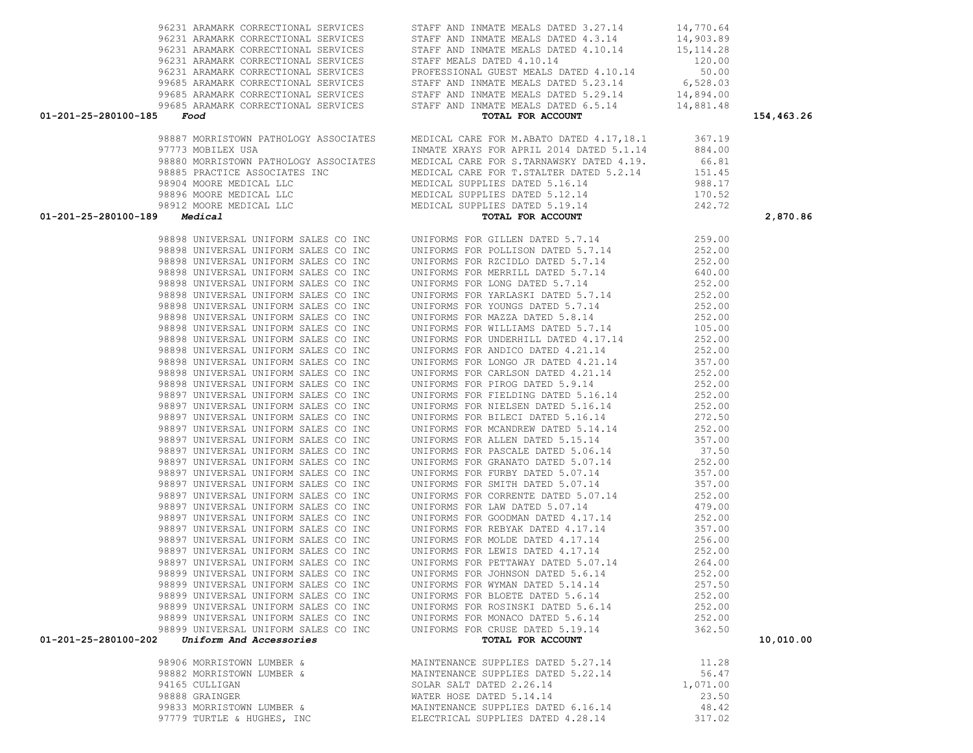|                                     |                                                                              | 96231 ARAMARK CORRECTIONAL SERVICES STAFF AND INMATE MEALS DATED 4.3.14 14,903.89                                                                                                                                                                                                                                                                                                                                                                                                                                                                                                                                                                                                                                                                               |                |            |
|-------------------------------------|------------------------------------------------------------------------------|-----------------------------------------------------------------------------------------------------------------------------------------------------------------------------------------------------------------------------------------------------------------------------------------------------------------------------------------------------------------------------------------------------------------------------------------------------------------------------------------------------------------------------------------------------------------------------------------------------------------------------------------------------------------------------------------------------------------------------------------------------------------|----------------|------------|
|                                     |                                                                              |                                                                                                                                                                                                                                                                                                                                                                                                                                                                                                                                                                                                                                                                                                                                                                 |                |            |
|                                     |                                                                              |                                                                                                                                                                                                                                                                                                                                                                                                                                                                                                                                                                                                                                                                                                                                                                 |                |            |
|                                     |                                                                              |                                                                                                                                                                                                                                                                                                                                                                                                                                                                                                                                                                                                                                                                                                                                                                 |                |            |
|                                     |                                                                              |                                                                                                                                                                                                                                                                                                                                                                                                                                                                                                                                                                                                                                                                                                                                                                 |                |            |
|                                     |                                                                              |                                                                                                                                                                                                                                                                                                                                                                                                                                                                                                                                                                                                                                                                                                                                                                 |                |            |
|                                     |                                                                              |                                                                                                                                                                                                                                                                                                                                                                                                                                                                                                                                                                                                                                                                                                                                                                 |                |            |
| $01 - 201 - 25 - 280100 - 185$ Food |                                                                              | EXERCITIONAL SERVICES<br>STAFF AND INMATE MEALS DATED 4.10.14<br>96231 ARAMARK CORRECTIONAL SERVICES<br>96231 ARAMARK CORRECTIONAL SERVICES<br>97685 ARAMARK CORRECTIONAL SERVICES<br>97685 ARAMARK CORRECTIONAL SERVICES<br>97685 ARAMARK                                                                                                                                                                                                                                                                                                                                                                                                                                                                                                                      |                | 154,463.26 |
|                                     |                                                                              |                                                                                                                                                                                                                                                                                                                                                                                                                                                                                                                                                                                                                                                                                                                                                                 |                |            |
|                                     |                                                                              |                                                                                                                                                                                                                                                                                                                                                                                                                                                                                                                                                                                                                                                                                                                                                                 |                |            |
|                                     |                                                                              |                                                                                                                                                                                                                                                                                                                                                                                                                                                                                                                                                                                                                                                                                                                                                                 |                |            |
|                                     |                                                                              |                                                                                                                                                                                                                                                                                                                                                                                                                                                                                                                                                                                                                                                                                                                                                                 |                |            |
|                                     |                                                                              |                                                                                                                                                                                                                                                                                                                                                                                                                                                                                                                                                                                                                                                                                                                                                                 |                |            |
|                                     |                                                                              |                                                                                                                                                                                                                                                                                                                                                                                                                                                                                                                                                                                                                                                                                                                                                                 |                |            |
|                                     |                                                                              |                                                                                                                                                                                                                                                                                                                                                                                                                                                                                                                                                                                                                                                                                                                                                                 |                |            |
|                                     |                                                                              |                                                                                                                                                                                                                                                                                                                                                                                                                                                                                                                                                                                                                                                                                                                                                                 |                |            |
|                                     | $01 - 201 - 25 - 280100 - 189$ Medical                                       | $\begin{tabular}{lllllllllllllllllll} \end{tabular} \begin{tabular}{lllllllllll} \end{tabular} \begin{tabular}{lllllllllll} \end{tabular} \begin{tabular}{lllllllllll} \end{tabular} \begin{tabular}{lllllllllllll} \end{tabular} \begin{tabular}{lllllllllllll} \end{tabular} \begin{tabular}{lllllllllllllll} \end{tabular} \begin{tabular}{lllllllllllllllllll} \end{tabular} \begin{tabular}{lllllllllllllllllllll} \end{tabular} \begin{tabular}{lllllllllllllllllllllll} \end{tabular} \begin{tabular}{ll$<br><b>99 Medical Medical Control SALES CO INC 19978 PORTLAM PARTICULAR PRIDE 1.114 2252.00<br/> 98999 INIVERSAL UNIFORM SALES CO INC 19971PORT FOR STILLING PRIDE 1.144 2.23.00<br/> 98999 INIVERSAL UNIFORM SALES CO INC 19971PORT STATE </b> |                | 2,870.86   |
|                                     |                                                                              |                                                                                                                                                                                                                                                                                                                                                                                                                                                                                                                                                                                                                                                                                                                                                                 |                |            |
|                                     |                                                                              |                                                                                                                                                                                                                                                                                                                                                                                                                                                                                                                                                                                                                                                                                                                                                                 |                |            |
|                                     |                                                                              |                                                                                                                                                                                                                                                                                                                                                                                                                                                                                                                                                                                                                                                                                                                                                                 |                |            |
|                                     |                                                                              |                                                                                                                                                                                                                                                                                                                                                                                                                                                                                                                                                                                                                                                                                                                                                                 |                |            |
|                                     |                                                                              |                                                                                                                                                                                                                                                                                                                                                                                                                                                                                                                                                                                                                                                                                                                                                                 |                |            |
|                                     |                                                                              |                                                                                                                                                                                                                                                                                                                                                                                                                                                                                                                                                                                                                                                                                                                                                                 |                |            |
|                                     |                                                                              |                                                                                                                                                                                                                                                                                                                                                                                                                                                                                                                                                                                                                                                                                                                                                                 |                |            |
|                                     |                                                                              |                                                                                                                                                                                                                                                                                                                                                                                                                                                                                                                                                                                                                                                                                                                                                                 |                |            |
|                                     |                                                                              |                                                                                                                                                                                                                                                                                                                                                                                                                                                                                                                                                                                                                                                                                                                                                                 |                |            |
|                                     |                                                                              |                                                                                                                                                                                                                                                                                                                                                                                                                                                                                                                                                                                                                                                                                                                                                                 |                |            |
|                                     |                                                                              |                                                                                                                                                                                                                                                                                                                                                                                                                                                                                                                                                                                                                                                                                                                                                                 |                |            |
|                                     |                                                                              |                                                                                                                                                                                                                                                                                                                                                                                                                                                                                                                                                                                                                                                                                                                                                                 |                |            |
|                                     |                                                                              |                                                                                                                                                                                                                                                                                                                                                                                                                                                                                                                                                                                                                                                                                                                                                                 |                |            |
|                                     |                                                                              |                                                                                                                                                                                                                                                                                                                                                                                                                                                                                                                                                                                                                                                                                                                                                                 |                |            |
|                                     |                                                                              |                                                                                                                                                                                                                                                                                                                                                                                                                                                                                                                                                                                                                                                                                                                                                                 |                |            |
|                                     |                                                                              |                                                                                                                                                                                                                                                                                                                                                                                                                                                                                                                                                                                                                                                                                                                                                                 |                |            |
|                                     |                                                                              |                                                                                                                                                                                                                                                                                                                                                                                                                                                                                                                                                                                                                                                                                                                                                                 |                |            |
|                                     |                                                                              |                                                                                                                                                                                                                                                                                                                                                                                                                                                                                                                                                                                                                                                                                                                                                                 |                |            |
|                                     |                                                                              |                                                                                                                                                                                                                                                                                                                                                                                                                                                                                                                                                                                                                                                                                                                                                                 |                |            |
|                                     |                                                                              |                                                                                                                                                                                                                                                                                                                                                                                                                                                                                                                                                                                                                                                                                                                                                                 |                |            |
|                                     |                                                                              |                                                                                                                                                                                                                                                                                                                                                                                                                                                                                                                                                                                                                                                                                                                                                                 |                |            |
|                                     |                                                                              |                                                                                                                                                                                                                                                                                                                                                                                                                                                                                                                                                                                                                                                                                                                                                                 |                |            |
|                                     |                                                                              |                                                                                                                                                                                                                                                                                                                                                                                                                                                                                                                                                                                                                                                                                                                                                                 |                |            |
|                                     |                                                                              |                                                                                                                                                                                                                                                                                                                                                                                                                                                                                                                                                                                                                                                                                                                                                                 |                |            |
|                                     |                                                                              |                                                                                                                                                                                                                                                                                                                                                                                                                                                                                                                                                                                                                                                                                                                                                                 |                |            |
|                                     |                                                                              |                                                                                                                                                                                                                                                                                                                                                                                                                                                                                                                                                                                                                                                                                                                                                                 |                |            |
|                                     |                                                                              |                                                                                                                                                                                                                                                                                                                                                                                                                                                                                                                                                                                                                                                                                                                                                                 |                |            |
|                                     |                                                                              |                                                                                                                                                                                                                                                                                                                                                                                                                                                                                                                                                                                                                                                                                                                                                                 |                |            |
|                                     |                                                                              |                                                                                                                                                                                                                                                                                                                                                                                                                                                                                                                                                                                                                                                                                                                                                                 |                |            |
|                                     |                                                                              |                                                                                                                                                                                                                                                                                                                                                                                                                                                                                                                                                                                                                                                                                                                                                                 |                |            |
|                                     |                                                                              |                                                                                                                                                                                                                                                                                                                                                                                                                                                                                                                                                                                                                                                                                                                                                                 |                |            |
|                                     |                                                                              |                                                                                                                                                                                                                                                                                                                                                                                                                                                                                                                                                                                                                                                                                                                                                                 |                |            |
|                                     |                                                                              |                                                                                                                                                                                                                                                                                                                                                                                                                                                                                                                                                                                                                                                                                                                                                                 |                |            |
|                                     | 98899 UNIVERSAL UNIFORM SALES CO INC                                         | UNIFORMS FOR BLOETE DATED 5.6.14                                                                                                                                                                                                                                                                                                                                                                                                                                                                                                                                                                                                                                                                                                                                | 252.00         |            |
|                                     | 98899 UNIVERSAL UNIFORM SALES CO INC                                         | UNIFORMS FOR ROSINSKI DATED 5.6.14                                                                                                                                                                                                                                                                                                                                                                                                                                                                                                                                                                                                                                                                                                                              | 252.00         |            |
|                                     | 98899 UNIVERSAL UNIFORM SALES CO INC<br>98899 UNIVERSAL UNIFORM SALES CO INC | UNIFORMS FOR MONACO DATED 5.6.14                                                                                                                                                                                                                                                                                                                                                                                                                                                                                                                                                                                                                                                                                                                                | 252.00         |            |
|                                     |                                                                              | UNIFORMS FOR CRUSE DATED 5.19.14                                                                                                                                                                                                                                                                                                                                                                                                                                                                                                                                                                                                                                                                                                                                | 362.50         |            |
|                                     | $01-201-25-280100-202$ Uniform And Accessories                               | TOTAL FOR ACCOUNT                                                                                                                                                                                                                                                                                                                                                                                                                                                                                                                                                                                                                                                                                                                                               |                | 10,010.00  |
|                                     | 98906 MORRISTOWN LUMBER &                                                    | MAINTENANCE SUPPLIES DATED 5.27.14                                                                                                                                                                                                                                                                                                                                                                                                                                                                                                                                                                                                                                                                                                                              |                |            |
|                                     | 98882 MORRISTOWN LUMBER &                                                    | MAINTENANCE SUPPLIES DATED 5.22.14                                                                                                                                                                                                                                                                                                                                                                                                                                                                                                                                                                                                                                                                                                                              | 11.28<br>56.47 |            |
|                                     | 94165 CULLIGAN                                                               | SOLAR SALT DATED 2.26.14                                                                                                                                                                                                                                                                                                                                                                                                                                                                                                                                                                                                                                                                                                                                        | 1,071.00       |            |
|                                     | 98888 GRAINGER                                                               | WATER HOSE DATED 5.14.14                                                                                                                                                                                                                                                                                                                                                                                                                                                                                                                                                                                                                                                                                                                                        | 23.50          |            |
|                                     | 99833 MORRISTOWN LUMBER &                                                    | MAINTENANCE SUPPLIES DATED 6.16.14                                                                                                                                                                                                                                                                                                                                                                                                                                                                                                                                                                                                                                                                                                                              | 48.42          |            |
|                                     | 97779 TURTLE & HUGHES, INC                                                   | ELECTRICAL SUPPLIES DATED 4.28.14                                                                                                                                                                                                                                                                                                                                                                                                                                                                                                                                                                                                                                                                                                                               | 317.02         |            |
|                                     |                                                                              |                                                                                                                                                                                                                                                                                                                                                                                                                                                                                                                                                                                                                                                                                                                                                                 |                |            |

96231 ARAMARK CORRECTIONAL SERVICES STAFF AND INMATE MEALS DATED 3.27.14 14,770.64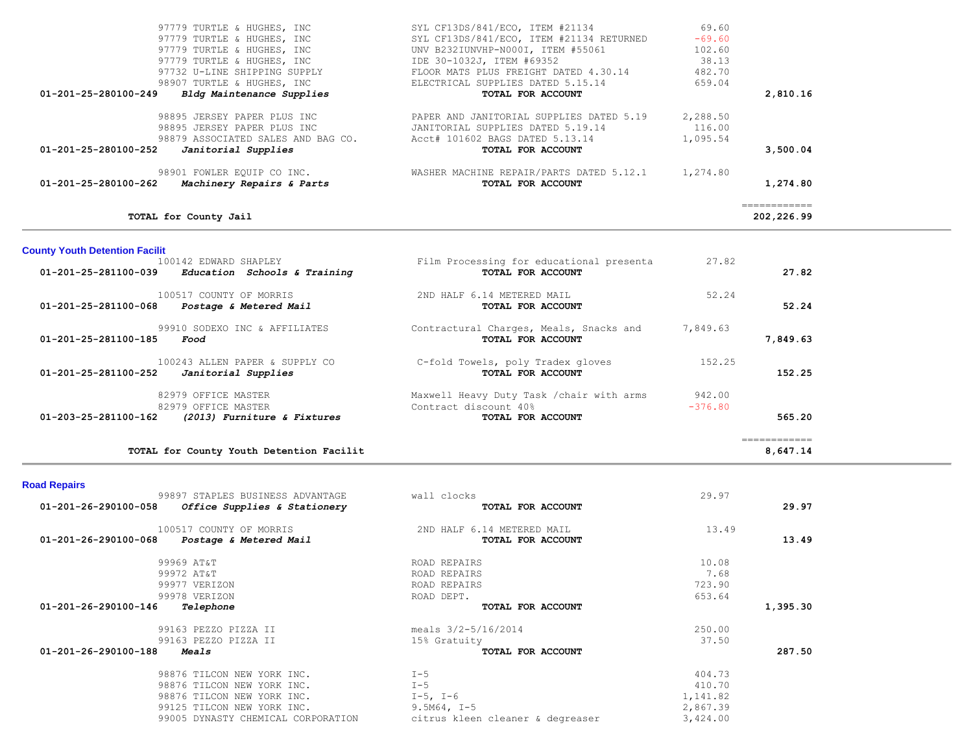|                      | TOTAL for County Jail                                                                                                   |                                                                                                                                       |                                | 202,226.99 |
|----------------------|-------------------------------------------------------------------------------------------------------------------------|---------------------------------------------------------------------------------------------------------------------------------------|--------------------------------|------------|
| 01-201-25-280100-262 | 98901 FOWLER EQUIP CO INC.<br>Machinery Repairs & Parts                                                                 | WASHER MACHINE REPAIR/PARTS DATED 5.12.1<br>TOTAL FOR ACCOUNT                                                                         | 1,274.80                       | 1,274.80   |
| 01-201-25-280100-252 | 98895 JERSEY PAPER PLUS INC<br>98895 JERSEY PAPER PLUS INC<br>98879 ASSOCIATED SALES AND BAG CO.<br>Janitorial Supplies | PAPER AND JANITORIAL SUPPLIES DATED 5.19<br>JANITORIAL SUPPLIES DATED 5.19.14<br>Acct# 101602 BAGS DATED 5.13.14<br>TOTAL FOR ACCOUNT | 2,288.50<br>116.00<br>1,095.54 | 3,500.04   |
| 01-201-25-280100-249 | Bldg Maintenance Supplies                                                                                               | TOTAL FOR ACCOUNT                                                                                                                     |                                | 2,810.16   |
|                      | 97732 U-LINE SHIPPING SUPPLY<br>98907 TURTLE & HUGHES, INC                                                              | FLOOR MATS PLUS FREIGHT DATED 4.30.14<br>ELECTRICAL SUPPLIES DATED 5.15.14                                                            | 482.70<br>659.04               |            |
|                      | 97779 TURTLE & HUGHES, INC                                                                                              | IDE 30-1032J, ITEM #69352                                                                                                             | 38.13                          |            |
|                      | 97779 TURTLE & HUGHES, INC                                                                                              | UNV B232IUNVHP-N000I, ITEM #55061                                                                                                     | 102.60                         |            |
|                      | 97779 TURTLE & HUGHES, INC                                                                                              | SYL CF13DS/841/ECO, ITEM #21134 RETURNED                                                                                              | $-69.60$                       |            |
|                      | 97779 TURTLE & HUGHES, INC                                                                                              | SYL CF13DS/841/ECO, ITEM #21134                                                                                                       | 69.60                          |            |

| 100142 EDWARD SHAPLEY                                          | Film Processing for educational presenta  | 27.82     |          |
|----------------------------------------------------------------|-------------------------------------------|-----------|----------|
| $01 - 201 - 25 - 281100 - 039$<br>Education Schools & Training | TOTAL FOR ACCOUNT                         |           | 27.82    |
| 100517 COUNTY OF MORRIS                                        | 2ND HALF 6.14 METERED MAIL                | 52.24     |          |
| $01 - 201 - 25 - 281100 - 068$<br>Postage & Metered Mail       | TOTAL FOR ACCOUNT                         |           | 52.24    |
| 99910 SODEXO INC & AFFILIATES                                  | Contractural Charges, Meals, Snacks and   | 7,849.63  |          |
| 01-201-25-281100-185<br>Food                                   | TOTAL FOR ACCOUNT                         |           | 7,849.63 |
| 100243 ALLEN PAPER & SUPPLY CO                                 | C-fold Towels, poly Tradex gloves         | 152.25    |          |
| $01 - 201 - 25 - 281100 - 252$<br>Janitorial Supplies          | TOTAL FOR ACCOUNT                         |           | 152.25   |
| 82979 OFFICE MASTER                                            | Maxwell Heavy Duty Task / chair with arms | 942.00    |          |
| 82979 OFFICE MASTER                                            | Contract discount 40%                     | $-376.80$ |          |
| $01 - 203 - 25 - 281100 - 162$<br>(2013) Furniture & Fixtures  | TOTAL FOR ACCOUNT                         |           | 565.20   |
|                                                                |                                           |           |          |

**TOTAL for County Youth Detention Facilit 8,647.14**

## **Road Repairs**

**County Youth Detention Facilit**

| 99897 STAPLES BUSINESS ADVANTAGE                     | wall clocks                      | 29.97    |          |
|------------------------------------------------------|----------------------------------|----------|----------|
| 01-201-26-290100-058<br>Office Supplies & Stationery | TOTAL FOR ACCOUNT                |          | 29.97    |
| 100517 COUNTY OF MORRIS                              | 2ND HALF 6.14 METERED MAIL       | 13.49    |          |
| 01-201-26-290100-068<br>Postage & Metered Mail       | TOTAL FOR ACCOUNT                |          | 13.49    |
| 99969 AT&T                                           | ROAD REPAIRS                     | 10.08    |          |
| 99972 AT&T                                           | ROAD REPAIRS                     | 7.68     |          |
| 99977 VERIZON                                        | ROAD REPAIRS                     | 723.90   |          |
| 99978 VERIZON                                        | ROAD DEPT.                       | 653.64   |          |
| 01-201-26-290100-146<br>Telephone                    | TOTAL FOR ACCOUNT                |          | 1,395.30 |
| 99163 PEZZO PIZZA II                                 | meals $3/2 - 5/16/2014$          | 250.00   |          |
| 99163 PEZZO PIZZA II                                 | 15% Gratuity                     | 37.50    |          |
| 01-201-26-290100-188<br>Meals                        | TOTAL FOR ACCOUNT                |          | 287.50   |
| 98876 TILCON NEW YORK INC.                           | $I - 5$                          | 404.73   |          |
| 98876 TILCON NEW YORK INC.                           | $I - 5$                          | 410.70   |          |
| 98876 TILCON NEW YORK INC.                           | $I-5$ , $I-6$                    | 1,141.82 |          |
| 99125 TILCON NEW YORK INC.                           | $9.5M64, I-5$                    | 2,867.39 |          |
| 99005 DYNASTY CHEMICAL CORPORATION                   | citrus kleen cleaner & degreaser | 3,424.00 |          |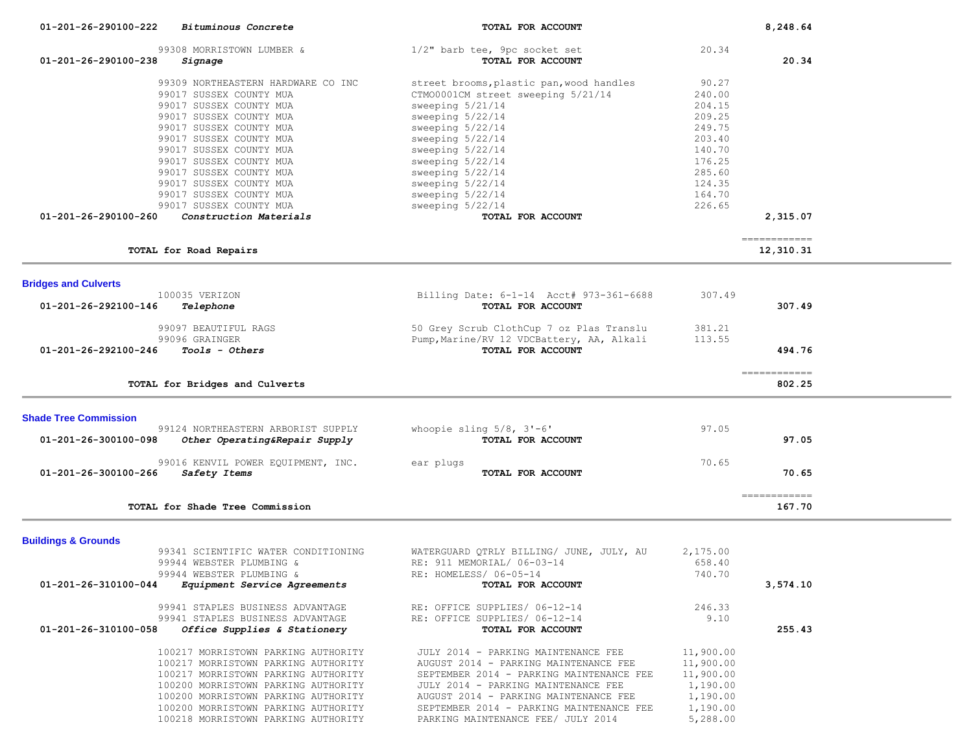| 01-201-26-290100-222           | Bituminous Concrete                                                        | TOTAL FOR ACCOUNT                                                                 |                        | 8,248.64                   |  |
|--------------------------------|----------------------------------------------------------------------------|-----------------------------------------------------------------------------------|------------------------|----------------------------|--|
|                                | 99308 MORRISTOWN LUMBER &                                                  | 1/2" barb tee, 9pc socket set                                                     | 20.34                  |                            |  |
| 01-201-26-290100-238           | Signage                                                                    | TOTAL FOR ACCOUNT                                                                 |                        | 20.34                      |  |
|                                | 99309 NORTHEASTERN HARDWARE CO INC                                         | street brooms, plastic pan, wood handles                                          | 90.27                  |                            |  |
|                                | 99017 SUSSEX COUNTY MUA                                                    | CTM00001CM street sweeping 5/21/14                                                | 240.00                 |                            |  |
|                                | 99017 SUSSEX COUNTY MUA                                                    | sweeping 5/21/14                                                                  | 204.15                 |                            |  |
|                                | 99017 SUSSEX COUNTY MUA                                                    | sweeping 5/22/14                                                                  | 209.25                 |                            |  |
|                                | 99017 SUSSEX COUNTY MUA                                                    | sweeping 5/22/14                                                                  | 249.75                 |                            |  |
|                                | 99017 SUSSEX COUNTY MUA                                                    | sweeping 5/22/14                                                                  | 203.40                 |                            |  |
|                                | 99017 SUSSEX COUNTY MUA                                                    | sweeping 5/22/14                                                                  | 140.70                 |                            |  |
|                                | 99017 SUSSEX COUNTY MUA                                                    | sweeping 5/22/14                                                                  | 176.25                 |                            |  |
|                                | 99017 SUSSEX COUNTY MUA<br>99017 SUSSEX COUNTY MUA                         | sweeping 5/22/14<br>sweeping 5/22/14                                              | 285.60<br>124.35       |                            |  |
|                                | 99017 SUSSEX COUNTY MUA                                                    | sweeping 5/22/14                                                                  | 164.70                 |                            |  |
|                                | 99017 SUSSEX COUNTY MUA                                                    | sweeping 5/22/14                                                                  | 226.65                 |                            |  |
| 01-201-26-290100-260           | Construction Materials                                                     | TOTAL FOR ACCOUNT                                                                 |                        | 2,315.07                   |  |
|                                |                                                                            |                                                                                   |                        |                            |  |
|                                | TOTAL for Road Repairs                                                     |                                                                                   |                        | -------------<br>12,310.31 |  |
|                                |                                                                            |                                                                                   |                        |                            |  |
| <b>Bridges and Culverts</b>    |                                                                            |                                                                                   |                        |                            |  |
| 01-201-26-292100-146           | 100035 VERIZON<br>Telephone                                                | Billing Date: 6-1-14 Acct# 973-361-6688<br>TOTAL FOR ACCOUNT                      | 307.49                 | 307.49                     |  |
|                                |                                                                            |                                                                                   |                        |                            |  |
|                                | 99097 BEAUTIFUL RAGS                                                       | 50 Grey Scrub ClothCup 7 oz Plas Translu                                          | 381.21                 |                            |  |
|                                | 99096 GRAINGER                                                             | Pump, Marine/RV 12 VDCBattery, AA, Alkali                                         | 113.55                 |                            |  |
| 01-201-26-292100-246           | Tools - Others                                                             | TOTAL FOR ACCOUNT                                                                 |                        | 494.76                     |  |
|                                |                                                                            |                                                                                   |                        | ------------               |  |
|                                | TOTAL for Bridges and Culverts                                             |                                                                                   |                        | 802.25                     |  |
|                                |                                                                            |                                                                                   |                        |                            |  |
| <b>Shade Tree Commission</b>   |                                                                            |                                                                                   |                        |                            |  |
| 01-201-26-300100-098           | 99124 NORTHEASTERN ARBORIST SUPPLY<br>Other Operating&Repair Supply        | whoopie sling $5/8$ , $3'-6'$<br>TOTAL FOR ACCOUNT                                | 97.05                  | 97.05                      |  |
|                                |                                                                            |                                                                                   |                        |                            |  |
|                                | 99016 KENVIL POWER EQUIPMENT, INC.                                         | ear plugs                                                                         | 70.65                  |                            |  |
| 01-201-26-300100-266           | Safety Items                                                               | TOTAL FOR ACCOUNT                                                                 |                        | 70.65                      |  |
|                                |                                                                            |                                                                                   |                        |                            |  |
|                                | TOTAL for Shade Tree Commission                                            |                                                                                   |                        | ------------<br>167.70     |  |
|                                |                                                                            |                                                                                   |                        |                            |  |
| <b>Buildings &amp; Grounds</b> |                                                                            |                                                                                   |                        |                            |  |
|                                | 99341 SCIENTIFIC WATER CONDITIONING                                        | WATERGUARD QTRLY BILLING/ JUNE, JULY, AU                                          | 2,175.00               |                            |  |
|                                | 99944 WEBSTER PLUMBING &                                                   | RE: 911 MEMORIAL/ 06-03-14                                                        | 658.40                 |                            |  |
|                                | 99944 WEBSTER PLUMBING &                                                   | RE: HOMELESS/ 06-05-14                                                            | 740.70                 |                            |  |
| 01-201-26-310100-044           | Equipment Service Agreements                                               | TOTAL FOR ACCOUNT                                                                 |                        | 3,574.10                   |  |
|                                | 99941 STAPLES BUSINESS ADVANTAGE                                           | RE: OFFICE SUPPLIES/ 06-12-14                                                     | 246.33                 |                            |  |
|                                | 99941 STAPLES BUSINESS ADVANTAGE                                           | RE: OFFICE SUPPLIES/ 06-12-14                                                     | 9.10                   |                            |  |
| 01-201-26-310100-058           | Office Supplies & Stationery                                               | TOTAL FOR ACCOUNT                                                                 |                        | 255.43                     |  |
|                                |                                                                            |                                                                                   |                        |                            |  |
|                                | 100217 MORRISTOWN PARKING AUTHORITY                                        | JULY 2014 - PARKING MAINTENANCE FEE                                               | 11,900.00              |                            |  |
|                                | 100217 MORRISTOWN PARKING AUTHORITY<br>100217 MORRISTOWN PARKING AUTHORITY | AUGUST 2014 - PARKING MAINTENANCE FEE<br>SEPTEMBER 2014 - PARKING MAINTENANCE FEE | 11,900.00<br>11,900.00 |                            |  |
|                                | 100200 MORRISTOWN PARKING AUTHORITY                                        | JULY 2014 - PARKING MAINTENANCE FEE                                               | 1,190.00               |                            |  |
|                                | 100200 MORRISTOWN PARKING AUTHORITY                                        | AUGUST 2014 - PARKING MAINTENANCE FEE                                             | 1,190.00               |                            |  |
|                                | 100200 MORRISTOWN PARKING AUTHORITY                                        | SEPTEMBER 2014 - PARKING MAINTENANCE FEE                                          | 1,190.00               |                            |  |
|                                | 100218 MORRISTOWN PARKING AUTHORITY                                        | PARKING MAINTENANCE FEE/ JULY 2014                                                | 5,288.00               |                            |  |
|                                |                                                                            |                                                                                   |                        |                            |  |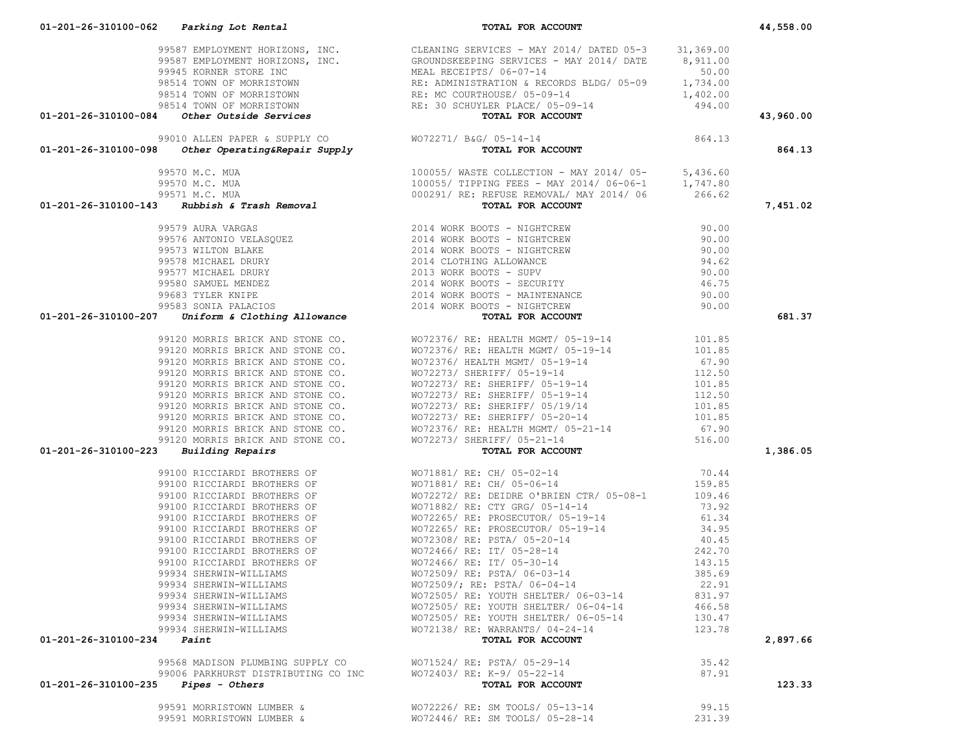|                                       |                                                                                                                                                  | 98514 TOWN OF MORRISTONN<br>98514 TOWN OF MORRISTONN<br>98514 TOWN OF MORRISTONN<br>98514 TOWN OF MORRISTONN<br>98514 TOWN OF MORRISTONN<br>98514 TOWN OF MORRISTONN<br>98514 TOWN OF MORRISTONN<br>98514 TOWN OF MORRISTONN<br>998514 TOWN OF    |        | 43,960.00 |
|---------------------------------------|--------------------------------------------------------------------------------------------------------------------------------------------------|---------------------------------------------------------------------------------------------------------------------------------------------------------------------------------------------------------------------------------------------------|--------|-----------|
|                                       |                                                                                                                                                  |                                                                                                                                                                                                                                                   |        |           |
|                                       |                                                                                                                                                  |                                                                                                                                                                                                                                                   |        | 864.13    |
|                                       |                                                                                                                                                  |                                                                                                                                                                                                                                                   |        |           |
|                                       |                                                                                                                                                  |                                                                                                                                                                                                                                                   |        |           |
|                                       |                                                                                                                                                  |                                                                                                                                                                                                                                                   |        |           |
|                                       |                                                                                                                                                  |                                                                                                                                                                                                                                                   |        | 7,451.02  |
|                                       |                                                                                                                                                  |                                                                                                                                                                                                                                                   |        |           |
|                                       |                                                                                                                                                  |                                                                                                                                                                                                                                                   |        |           |
|                                       |                                                                                                                                                  |                                                                                                                                                                                                                                                   |        |           |
|                                       |                                                                                                                                                  |                                                                                                                                                                                                                                                   |        |           |
|                                       |                                                                                                                                                  |                                                                                                                                                                                                                                                   |        |           |
|                                       |                                                                                                                                                  |                                                                                                                                                                                                                                                   |        |           |
|                                       |                                                                                                                                                  |                                                                                                                                                                                                                                                   |        |           |
|                                       |                                                                                                                                                  |                                                                                                                                                                                                                                                   |        |           |
|                                       |                                                                                                                                                  |                                                                                                                                                                                                                                                   |        | 681.37    |
|                                       |                                                                                                                                                  |                                                                                                                                                                                                                                                   |        |           |
|                                       |                                                                                                                                                  |                                                                                                                                                                                                                                                   |        |           |
|                                       |                                                                                                                                                  |                                                                                                                                                                                                                                                   |        |           |
|                                       |                                                                                                                                                  |                                                                                                                                                                                                                                                   |        |           |
|                                       |                                                                                                                                                  |                                                                                                                                                                                                                                                   |        |           |
|                                       |                                                                                                                                                  |                                                                                                                                                                                                                                                   |        |           |
|                                       |                                                                                                                                                  |                                                                                                                                                                                                                                                   |        |           |
|                                       |                                                                                                                                                  |                                                                                                                                                                                                                                                   |        |           |
|                                       |                                                                                                                                                  |                                                                                                                                                                                                                                                   |        |           |
|                                       |                                                                                                                                                  |                                                                                                                                                                                                                                                   |        |           |
|                                       |                                                                                                                                                  | 01-201-26-310100-08<br>01-201-26-310100-08<br>01-201-26-310100-08<br>01-201-26-310100-08<br>02-201-26-310100-08<br>02-201-26-310100-08<br>02-201-26-310100-08<br>02-201-26-310100-18<br>10-201-26-310100-18<br>10-201-26-310100-18<br>10-201-26-3 |        | 1,386.05  |
|                                       |                                                                                                                                                  |                                                                                                                                                                                                                                                   |        |           |
|                                       |                                                                                                                                                  |                                                                                                                                                                                                                                                   |        |           |
|                                       |                                                                                                                                                  |                                                                                                                                                                                                                                                   |        |           |
|                                       |                                                                                                                                                  |                                                                                                                                                                                                                                                   |        |           |
|                                       |                                                                                                                                                  |                                                                                                                                                                                                                                                   |        |           |
|                                       |                                                                                                                                                  |                                                                                                                                                                                                                                                   |        |           |
|                                       |                                                                                                                                                  |                                                                                                                                                                                                                                                   |        |           |
|                                       |                                                                                                                                                  |                                                                                                                                                                                                                                                   |        |           |
|                                       |                                                                                                                                                  |                                                                                                                                                                                                                                                   |        |           |
|                                       |                                                                                                                                                  |                                                                                                                                                                                                                                                   |        |           |
|                                       |                                                                                                                                                  |                                                                                                                                                                                                                                                   |        |           |
|                                       |                                                                                                                                                  |                                                                                                                                                                                                                                                   |        |           |
|                                       |                                                                                                                                                  |                                                                                                                                                                                                                                                   |        |           |
|                                       |                                                                                                                                                  |                                                                                                                                                                                                                                                   |        |           |
|                                       |                                                                                                                                                  |                                                                                                                                                                                                                                                   |        |           |
| $01-201-26-310100-234$ Paint          |                                                                                                                                                  | TOTAL FOR ACCOUNT                                                                                                                                                                                                                                 |        | 2,897.66  |
|                                       |                                                                                                                                                  |                                                                                                                                                                                                                                                   |        |           |
|                                       | 99568 MADISON PLUMBING SUPPLY CO $\text{WO71524/ RE: PSTA/ 05-29-14}$<br>99006 PARKHURST DISTRIBUTING CO INC $\text{WO72403/ RE: K-9/ 05-22-14}$ |                                                                                                                                                                                                                                                   | 35.42  |           |
| $01-201-26-310100-235$ Pipes - Others |                                                                                                                                                  | TOTAL FOR ACCOUNT                                                                                                                                                                                                                                 | 87.91  | 123.33    |
|                                       |                                                                                                                                                  |                                                                                                                                                                                                                                                   |        |           |
|                                       | 99591 MORRISTOWN LUMBER &                                                                                                                        | WO72226/ RE: SM TOOLS/ 05-13-14                                                                                                                                                                                                                   | 99.15  |           |
|                                       | 99591 MORRISTOWN LUMBER &                                                                                                                        | WO72446/ RE: SM TOOLS/ 05-28-14                                                                                                                                                                                                                   | 231.39 |           |
|                                       |                                                                                                                                                  |                                                                                                                                                                                                                                                   |        |           |

 99587 EMPLOYMENT HORIZONS, INC. CLEANING SERVICES - MAY 2014/ DATED 05-3 31,369.00 99587 EMPLOYMENT HORIZONS, INC. GROUNDSKEEPING SERVICES - MAY 2014/ DATE 8,911.00 99945 KORNER STORE INC MEAL RECEIPTS/ 06-07-14 50.00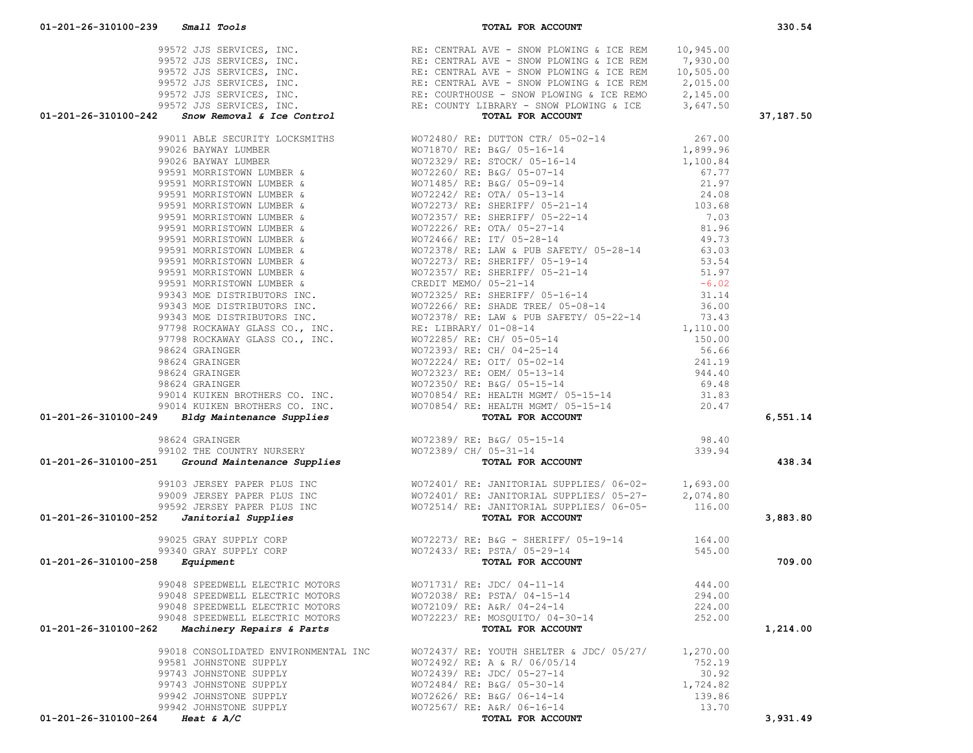|  |                                                                                                                                                                                                                               | 37,187.50   |
|--|-------------------------------------------------------------------------------------------------------------------------------------------------------------------------------------------------------------------------------|-------------|
|  |                                                                                                                                                                                                                               |             |
|  |                                                                                                                                                                                                                               |             |
|  |                                                                                                                                                                                                                               |             |
|  |                                                                                                                                                                                                                               |             |
|  |                                                                                                                                                                                                                               |             |
|  |                                                                                                                                                                                                                               |             |
|  |                                                                                                                                                                                                                               |             |
|  |                                                                                                                                                                                                                               |             |
|  |                                                                                                                                                                                                                               |             |
|  |                                                                                                                                                                                                                               |             |
|  |                                                                                                                                                                                                                               |             |
|  |                                                                                                                                                                                                                               |             |
|  |                                                                                                                                                                                                                               |             |
|  |                                                                                                                                                                                                                               |             |
|  |                                                                                                                                                                                                                               |             |
|  |                                                                                                                                                                                                                               |             |
|  |                                                                                                                                                                                                                               |             |
|  |                                                                                                                                                                                                                               |             |
|  |                                                                                                                                                                                                                               |             |
|  |                                                                                                                                                                                                                               |             |
|  |                                                                                                                                                                                                                               |             |
|  |                                                                                                                                                                                                                               |             |
|  |                                                                                                                                                                                                                               |             |
|  |                                                                                                                                                                                                                               |             |
|  |                                                                                                                                                                                                                               |             |
|  |                                                                                                                                                                                                                               |             |
|  |                                                                                                                                                                                                                               |             |
|  |                                                                                                                                                                                                                               | 6,551.14    |
|  |                                                                                                                                                                                                                               |             |
|  |                                                                                                                                                                                                                               |             |
|  |                                                                                                                                                                                                                               | 438.34      |
|  |                                                                                                                                                                                                                               |             |
|  |                                                                                                                                                                                                                               |             |
|  |                                                                                                                                                                                                                               |             |
|  |                                                                                                                                                                                                                               | 3,883.80    |
|  |                                                                                                                                                                                                                               |             |
|  |                                                                                                                                                                                                                               |             |
|  |                                                                                                                                                                                                                               |             |
|  |                                                                                                                                                                                                                               | -<br>709.00 |
|  |                                                                                                                                                                                                                               |             |
|  |                                                                                                                                                                                                                               |             |
|  |                                                                                                                                                                                                                               |             |
|  |                                                                                                                                                                                                                               |             |
|  |                                                                                                                                                                                                                               |             |
|  |                                                                                                                                                                                                                               | 1,214.00    |
|  | 91-201-146-310109-246 (and the state of the state of the state of the state of the state of the state of the state of the state of the state of the state of the state of the state of the state of the state of the state of |             |
|  |                                                                                                                                                                                                                               |             |
|  |                                                                                                                                                                                                                               |             |
|  |                                                                                                                                                                                                                               |             |
|  |                                                                                                                                                                                                                               |             |
|  |                                                                                                                                                                                                                               |             |
|  |                                                                                                                                                                                                                               | 3,931.49    |
|  |                                                                                                                                                                                                                               |             |

 99572 JJS SERVICES, INC. RE: CENTRAL AVE - SNOW PLOWING & ICE REM 10,945.00 99572 JJS SERVICES, INC. RE: CENTRAL AVE - SNOW PLOWING & ICE REM 7,930.00 99572 JJS SERVICES, INC. RE: CENTRAL AVE - SNOW PLOWING & ICE REM 10,505.00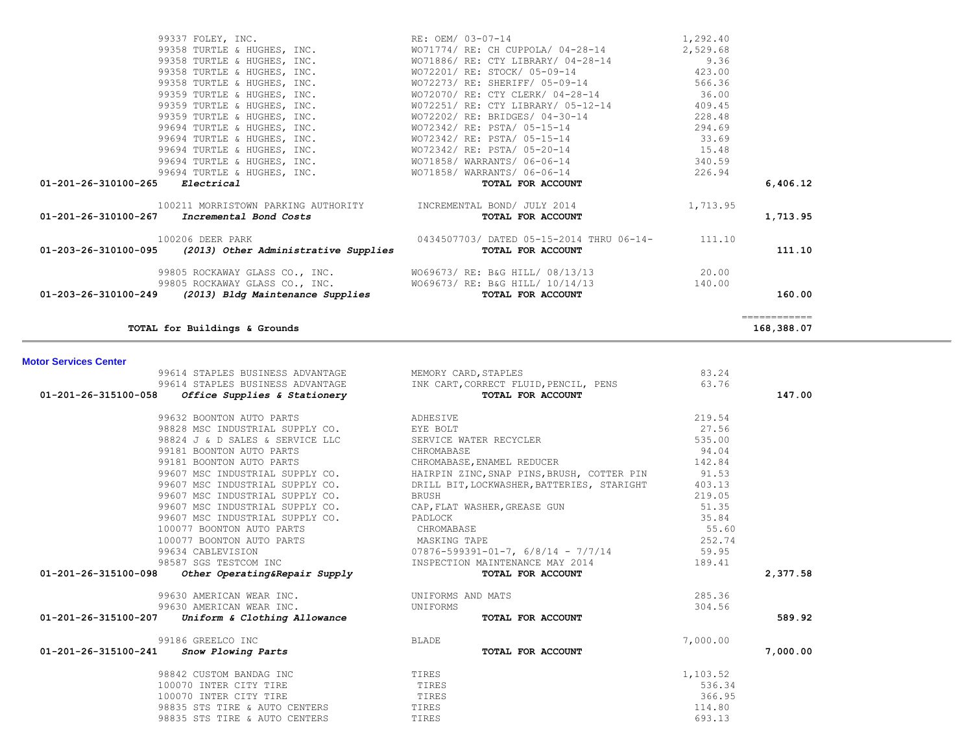| 01-203-26-310100-095         | (2013) Other Administrative Supplies                  | TOTAL FOR ACCOUNT                                                                                                                                                                                                              |          | 111.10                     |
|------------------------------|-------------------------------------------------------|--------------------------------------------------------------------------------------------------------------------------------------------------------------------------------------------------------------------------------|----------|----------------------------|
|                              |                                                       | 99805 ROCKAWAY GLASS CO., INC. WO69673/RE: B&G HILL/08/13/13 99805 ROCKAWAY GLASS CO., INC. WO69673/RE: B&G HILL/08/13/13 99805 ROCKAWAY GLASS CO., INC. WO69673/RE: B&G HILL/10/14/13 99805 ROCKAWAY GLASS CO., INC. WO69673/ |          | 160.00                     |
|                              | TOTAL for Buildings & Grounds                         |                                                                                                                                                                                                                                |          | ============<br>168,388.07 |
|                              |                                                       |                                                                                                                                                                                                                                |          |                            |
| <b>Motor Services Center</b> |                                                       |                                                                                                                                                                                                                                |          |                            |
|                              | 99614 STAPLES BUSINESS ADVANTAGE MEMORY CARD, STAPLES |                                                                                                                                                                                                                                | 83.24    |                            |
|                              |                                                       | 99614 STAPLES BUSINESS ADVANTAGE TINK CART, CORRECT FLUID, PENCIL, PENS                                                                                                                                                        | 63.76    |                            |
|                              | $01-201-26-315100-058$ Office Supplies & Stationery   | TOTAL FOR ACCOUNT                                                                                                                                                                                                              |          | 147.00                     |
|                              | <b>ADHESIVE</b><br>99632 BOONTON AUTO PARTS           |                                                                                                                                                                                                                                | 219.54   |                            |
|                              | 98828 MSC INDUSTRIAL SUPPLY CO. EYE BOLT              |                                                                                                                                                                                                                                | 27.56    |                            |
|                              |                                                       |                                                                                                                                                                                                                                | 535.00   |                            |
|                              | 99181 BOONTON AUTO PARTS                              | CHROMABASE                                                                                                                                                                                                                     | 94.04    |                            |
|                              | 99181 BOONTON AUTO PARTS                              | CHROMABASE, ENAMEL REDUCER                                                                                                                                                                                                     | 142.84   |                            |
|                              |                                                       |                                                                                                                                                                                                                                |          |                            |
|                              |                                                       |                                                                                                                                                                                                                                |          |                            |
|                              |                                                       | 99607 MSC INDUSTRIAL SUPPLY CO.<br>99607 MSC INDUSTRIAL SUPPLY CO. BRILL BIT, LOCKWASHER, BATTERIES, STARIGHT 403.13<br>99607 MSC INDUSTRIAL SUPPLY CO. BRUSH BRUSH BRISH BRISH 219.05                                         |          |                            |
|                              |                                                       | SOUTHING INDUCTRIAL SUPPLIT CO.<br>99607 MSC INDUSTRIAL SUPPLY CO. CAP, FLAT WASHER, GREASE GUN<br>99607 MSC INDUCTRIAL SUPPLIT                                                                                                | 51.35    |                            |
|                              | 99607 MSC INDUSTRIAL SUPPLY CO. PADLOCK               |                                                                                                                                                                                                                                | 35.84    |                            |
|                              | 100077 BOONTON AUTO PARTS                             |                                                                                                                                                                                                                                | 55.60    |                            |
|                              |                                                       |                                                                                                                                                                                                                                | 252.74   |                            |
|                              |                                                       |                                                                                                                                                                                                                                |          |                            |
|                              |                                                       |                                                                                                                                                                                                                                |          |                            |
|                              |                                                       |                                                                                                                                                                                                                                |          | 2,377.58                   |
|                              | 99630 AMERICAN WEAR INC.                              |                                                                                                                                                                                                                                | 285.36   |                            |
|                              | 99630 AMERICAN WEAR INC.                              | UNIFORMS AND MATS<br>UNIFORMS                                                                                                                                                                                                  | 304.56   |                            |
|                              | $01-201-26-315100-207$ Uniform & Clothing Allowance   | TOTAL FOR ACCOUNT                                                                                                                                                                                                              |          | 589.92                     |
|                              | 99186 GREELCO INC                                     | BLADE                                                                                                                                                                                                                          | 7,000.00 |                            |
|                              | $01 - 201 - 26 - 315100 - 241$ Snow Plowing Parts     | TOTAL FOR ACCOUNT                                                                                                                                                                                                              |          | 7,000.00                   |
|                              | 98842 CUSTOM BANDAG INC<br><b>TIRES</b>               |                                                                                                                                                                                                                                | 1,103.52 |                            |
|                              | 100070 INTER CITY TIRE                                | TIRES                                                                                                                                                                                                                          | 536.34   |                            |
|                              | 100070 INTER CITY TIRE                                | TIRES                                                                                                                                                                                                                          | 366.95   |                            |
|                              | 98835 STS TIRE & AUTO CENTERS TIRES                   |                                                                                                                                                                                                                                | 114.80   |                            |
|                              | 98835 STS TIRE & AUTO CENTERS                         | TIRES                                                                                                                                                                                                                          | 693.13   |                            |
|                              |                                                       |                                                                                                                                                                                                                                |          |                            |

| 1,713.95<br>111.10 |
|--------------------|
|                    |
|                    |
| 6,406.12           |
|                    |
|                    |
|                    |
|                    |
|                    |
|                    |
|                    |
|                    |
|                    |
|                    |
|                    |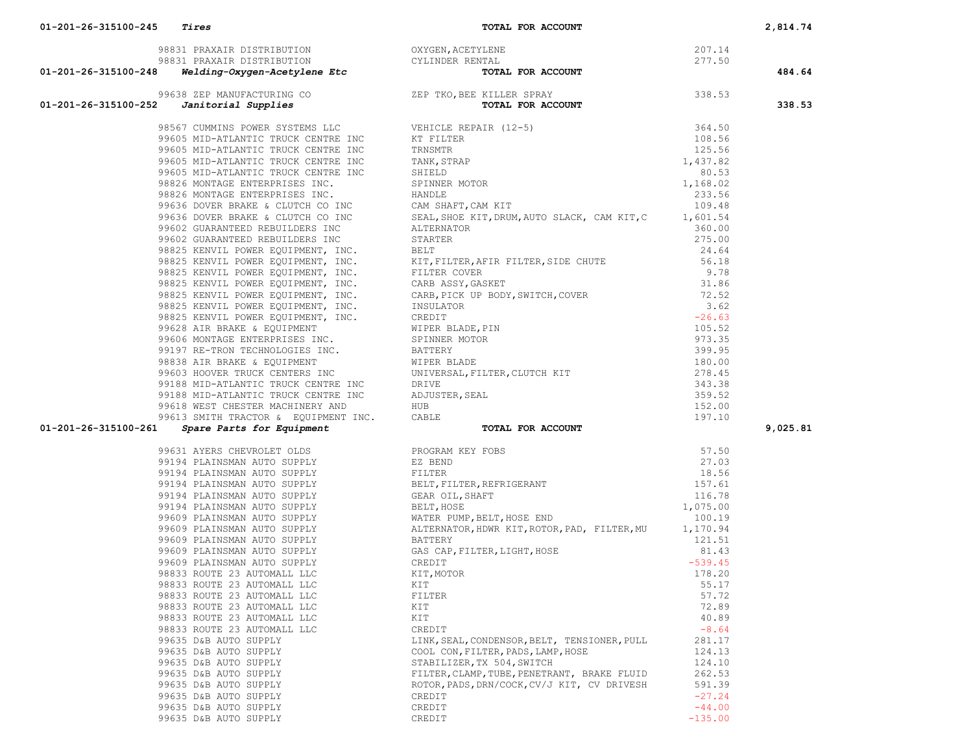**01-201-26-315100-245** *Tires* **TOTAL FOR ACCOUNT 2,814.74**

|                                                |                                                                                                                                                                                                                                           |                       | 484.64   |
|------------------------------------------------|-------------------------------------------------------------------------------------------------------------------------------------------------------------------------------------------------------------------------------------------|-----------------------|----------|
|                                                |                                                                                                                                                                                                                                           |                       |          |
|                                                | 01-201-24 SMAR DERIVATIONS (1993)<br>01-201-24 SMARO DERIVATIONS (1993)<br>01-201-24 SMARO DERIVATIONS (1993)<br>01-201-24 SMARO DERIVATIONS (1993)<br>01-201-24 SMARO DERIVATIONS (1993)<br>201-24 SMARO DERIVATIONS (1993)<br>201-24 SM |                       | 338.53   |
|                                                |                                                                                                                                                                                                                                           |                       |          |
|                                                |                                                                                                                                                                                                                                           |                       |          |
|                                                |                                                                                                                                                                                                                                           |                       |          |
|                                                |                                                                                                                                                                                                                                           |                       |          |
|                                                |                                                                                                                                                                                                                                           |                       |          |
|                                                |                                                                                                                                                                                                                                           |                       |          |
|                                                |                                                                                                                                                                                                                                           |                       |          |
|                                                |                                                                                                                                                                                                                                           |                       |          |
|                                                |                                                                                                                                                                                                                                           |                       |          |
|                                                |                                                                                                                                                                                                                                           |                       |          |
|                                                |                                                                                                                                                                                                                                           |                       |          |
|                                                |                                                                                                                                                                                                                                           |                       |          |
|                                                |                                                                                                                                                                                                                                           |                       |          |
|                                                |                                                                                                                                                                                                                                           |                       |          |
|                                                |                                                                                                                                                                                                                                           |                       |          |
|                                                |                                                                                                                                                                                                                                           |                       |          |
|                                                |                                                                                                                                                                                                                                           |                       |          |
|                                                |                                                                                                                                                                                                                                           |                       |          |
|                                                |                                                                                                                                                                                                                                           |                       |          |
|                                                |                                                                                                                                                                                                                                           |                       |          |
|                                                |                                                                                                                                                                                                                                           |                       |          |
|                                                |                                                                                                                                                                                                                                           |                       |          |
|                                                |                                                                                                                                                                                                                                           |                       |          |
|                                                |                                                                                                                                                                                                                                           |                       |          |
|                                                |                                                                                                                                                                                                                                           |                       |          |
|                                                |                                                                                                                                                                                                                                           |                       |          |
|                                                |                                                                                                                                                                                                                                           |                       |          |
|                                                |                                                                                                                                                                                                                                           |                       | 9,025.81 |
|                                                |                                                                                                                                                                                                                                           |                       |          |
|                                                |                                                                                                                                                                                                                                           |                       |          |
|                                                |                                                                                                                                                                                                                                           |                       |          |
|                                                |                                                                                                                                                                                                                                           |                       |          |
|                                                |                                                                                                                                                                                                                                           |                       |          |
|                                                |                                                                                                                                                                                                                                           |                       |          |
|                                                |                                                                                                                                                                                                                                           |                       |          |
|                                                |                                                                                                                                                                                                                                           |                       |          |
|                                                |                                                                                                                                                                                                                                           |                       |          |
|                                                |                                                                                                                                                                                                                                           |                       |          |
|                                                |                                                                                                                                                                                                                                           |                       |          |
|                                                |                                                                                                                                                                                                                                           |                       |          |
|                                                |                                                                                                                                                                                                                                           |                       |          |
|                                                |                                                                                                                                                                                                                                           |                       |          |
|                                                |                                                                                                                                                                                                                                           |                       |          |
| 98833 ROUTE 23 AUTOMALL LLC                    | KIT                                                                                                                                                                                                                                       | 72.89                 |          |
| 98833 ROUTE 23 AUTOMALL LLC                    | KIT                                                                                                                                                                                                                                       | 40.89                 |          |
| 98833 ROUTE 23 AUTOMALL LLC                    | CREDIT                                                                                                                                                                                                                                    | $-8.64$               |          |
| 99635 D&B AUTO SUPPLY                          | LINK, SEAL, CONDENSOR, BELT, TENSIONER, PULL                                                                                                                                                                                              | 281.17                |          |
| 99635 D&B AUTO SUPPLY                          | COOL CON, FILTER, PADS, LAMP, HOSE                                                                                                                                                                                                        | 124.13                |          |
| 99635 D&B AUTO SUPPLY                          | STABILIZER, TX 504, SWITCH                                                                                                                                                                                                                | 124.10                |          |
| 99635 D&B AUTO SUPPLY                          | FILTER, CLAMP, TUBE, PENETRANT, BRAKE FLUID                                                                                                                                                                                               | 262.53                |          |
| 99635 D&B AUTO SUPPLY                          | ROTOR, PADS, DRN/COCK, CV/J KIT, CV DRIVESH                                                                                                                                                                                               | 591.39                |          |
| 99635 D&B AUTO SUPPLY                          | CREDIT                                                                                                                                                                                                                                    | $-27.24$              |          |
|                                                |                                                                                                                                                                                                                                           |                       |          |
| 99635 D&B AUTO SUPPLY<br>99635 D&B AUTO SUPPLY | CREDIT<br>CREDIT                                                                                                                                                                                                                          | $-44.00$<br>$-135.00$ |          |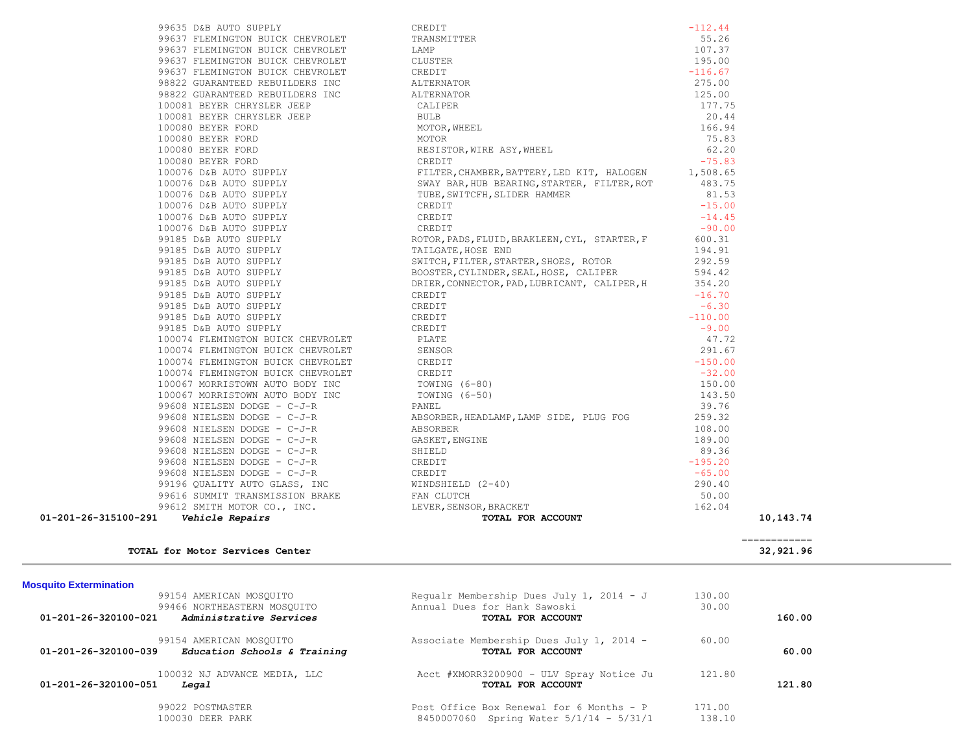|                      | TOTAL for Motor Services Center                                                                                                                       |                                                                                                                                                                                                                         | $\begin{array}{cccccccccc} \multicolumn{2}{c}{} & \multicolumn{2}{c}{} & \multicolumn{2}{c}{} & \multicolumn{2}{c}{} & \multicolumn{2}{c}{} & \multicolumn{2}{c}{} & \multicolumn{2}{c}{} & \multicolumn{2}{c}{} & \multicolumn{2}{c}{} & \multicolumn{2}{c}{} & \multicolumn{2}{c}{} & \multicolumn{2}{c}{} & \multicolumn{2}{c}{} & \multicolumn{2}{c}{} & \multicolumn{2}{c}{} & \multicolumn{2}{c}{} & \multicolumn{2}{c}{} & \multicolumn{2}{c}{} & \multicolumn{2}{c}{} & \mult$<br>32,921.96 |  |
|----------------------|-------------------------------------------------------------------------------------------------------------------------------------------------------|-------------------------------------------------------------------------------------------------------------------------------------------------------------------------------------------------------------------------|-----------------------------------------------------------------------------------------------------------------------------------------------------------------------------------------------------------------------------------------------------------------------------------------------------------------------------------------------------------------------------------------------------------------------------------------------------------------------------------------------------|--|
|                      |                                                                                                                                                       |                                                                                                                                                                                                                         |                                                                                                                                                                                                                                                                                                                                                                                                                                                                                                     |  |
| 01-201-26-315100-291 | Vehicle Repairs                                                                                                                                       | ABSORBER<br>GASKET, ENGINE<br>SHIELD<br>CREDIT<br>CREDIT<br>CREDIT<br>WINDSHIELD (2-40)<br>E AN CLUTCH<br>LEVER, SENSOR, BRACKET<br>TOTAL FOR ACCOUNT                                                                   | 10,143.74                                                                                                                                                                                                                                                                                                                                                                                                                                                                                           |  |
|                      | 99612 SMITH MOTOR CO., INC.                                                                                                                           |                                                                                                                                                                                                                         | 162.04                                                                                                                                                                                                                                                                                                                                                                                                                                                                                              |  |
|                      | 99196 QUALITY AUTO GLASS, INC<br>99616 SUMMIT TRANSMISSION BRAKE                                                                                      |                                                                                                                                                                                                                         | 50.00                                                                                                                                                                                                                                                                                                                                                                                                                                                                                               |  |
|                      |                                                                                                                                                       |                                                                                                                                                                                                                         | 290.40                                                                                                                                                                                                                                                                                                                                                                                                                                                                                              |  |
|                      | $99608$ NIELSEN DODGE - $C-J-R$ CREDIT                                                                                                                |                                                                                                                                                                                                                         | $-65.00$                                                                                                                                                                                                                                                                                                                                                                                                                                                                                            |  |
|                      | 99608 NIELSEN DODGE - C-J-R<br>99608 NIELSEN DODGE - C-J-R                                                                                            |                                                                                                                                                                                                                         | 89.36<br>$-195.20$                                                                                                                                                                                                                                                                                                                                                                                                                                                                                  |  |
|                      | 99608 NIELSEN DODGE - C-J-R                                                                                                                           |                                                                                                                                                                                                                         | 189.00                                                                                                                                                                                                                                                                                                                                                                                                                                                                                              |  |
|                      | 99608 NIELSEN DODGE - C-J-R                                                                                                                           | ABSORBER                                                                                                                                                                                                                | 108.00                                                                                                                                                                                                                                                                                                                                                                                                                                                                                              |  |
|                      | 99608 NIELSEN DODGE - C-J-R                                                                                                                           | ABSORBER, HEADLAMP, LAMP SIDE, PLUG FOG                                                                                                                                                                                 | 259.32                                                                                                                                                                                                                                                                                                                                                                                                                                                                                              |  |
|                      | 99608 NIELSEN DODGE - C-J-R                                                                                                                           | PANEL                                                                                                                                                                                                                   | 39.76                                                                                                                                                                                                                                                                                                                                                                                                                                                                                               |  |
|                      | 100067 MORRISTOWN AUTO BODY INC                                                                                                                       | TOWING (6-50)                                                                                                                                                                                                           | 143.50                                                                                                                                                                                                                                                                                                                                                                                                                                                                                              |  |
|                      | 100067 MORRISTOWN AUTO BODY INC TOWING (6-80)                                                                                                         |                                                                                                                                                                                                                         | 150.00                                                                                                                                                                                                                                                                                                                                                                                                                                                                                              |  |
|                      | 100074 FLEMINGTON BUICK CHEVROLET                                                                                                                     | CREDIT                                                                                                                                                                                                                  | $-32.00$                                                                                                                                                                                                                                                                                                                                                                                                                                                                                            |  |
|                      | 100074 FLEMINGTON BUICK CHEVROLET                                                                                                                     | CREDIT                                                                                                                                                                                                                  | $-150.00$                                                                                                                                                                                                                                                                                                                                                                                                                                                                                           |  |
|                      | 100074 FLEMINGTON BUICK CHEVROLET                                                                                                                     | SENSOR                                                                                                                                                                                                                  | 291.67                                                                                                                                                                                                                                                                                                                                                                                                                                                                                              |  |
|                      | 100074 FLEMINGTON BUICK CHEVROLET                                                                                                                     | PLATE                                                                                                                                                                                                                   | 47.72                                                                                                                                                                                                                                                                                                                                                                                                                                                                                               |  |
|                      | 99185 D&B AUTO SUPPLY                                                                                                                                 | CREDIT                                                                                                                                                                                                                  | $-9.00$                                                                                                                                                                                                                                                                                                                                                                                                                                                                                             |  |
|                      | 99185 D&B AUTO SUPPLY                                                                                                                                 | CREDIT                                                                                                                                                                                                                  | $-110.00$                                                                                                                                                                                                                                                                                                                                                                                                                                                                                           |  |
|                      | 99185 D&B AUTO SUPPLY                                                                                                                                 | CREDIT                                                                                                                                                                                                                  | $-6.30$                                                                                                                                                                                                                                                                                                                                                                                                                                                                                             |  |
|                      | 99185 D&B AUTO SUPPLY                                                                                                                                 | CREDIT                                                                                                                                                                                                                  | $-16.70$                                                                                                                                                                                                                                                                                                                                                                                                                                                                                            |  |
|                      |                                                                                                                                                       | DRIER, CONNECTOR, PAD, LUBRICANT, CALIPER, H                                                                                                                                                                            | 354.20                                                                                                                                                                                                                                                                                                                                                                                                                                                                                              |  |
|                      |                                                                                                                                                       | BOOSTER, CYLINDER, SEAL, HOSE, CALIPER                                                                                                                                                                                  | 594.42                                                                                                                                                                                                                                                                                                                                                                                                                                                                                              |  |
|                      |                                                                                                                                                       | SWITCH, FILTER, STARTER, SHOES, ROTOR                                                                                                                                                                                   | 292.59                                                                                                                                                                                                                                                                                                                                                                                                                                                                                              |  |
|                      | 100076 D&B AUTO SUITEIX<br>100076 D&B AUTO SUPPLY<br>99185 D&B AUTO SUPPLY<br>99185 D&B AUTO SUPPLY<br>99185 D&B AUTO SUPPLY<br>99185 D&B AUTO SUPPLY | TAILGATE, HOSE END                                                                                                                                                                                                      | 194.91                                                                                                                                                                                                                                                                                                                                                                                                                                                                                              |  |
|                      |                                                                                                                                                       | ROTOR, PADS, FLUID, BRAKLEEN, CYL, STARTER, F                                                                                                                                                                           | 600.31                                                                                                                                                                                                                                                                                                                                                                                                                                                                                              |  |
|                      |                                                                                                                                                       | CREDIT                                                                                                                                                                                                                  | $-90.00$                                                                                                                                                                                                                                                                                                                                                                                                                                                                                            |  |
|                      | 100076 D&B AUTO SUPPLY                                                                                                                                | CREDIT                                                                                                                                                                                                                  | $-14.45$                                                                                                                                                                                                                                                                                                                                                                                                                                                                                            |  |
|                      | 100076 D&B AUTO SUPPLY                                                                                                                                | CREDIT                                                                                                                                                                                                                  | $-15.00$                                                                                                                                                                                                                                                                                                                                                                                                                                                                                            |  |
|                      | 100080 BEYER FORD<br>100080 BEYER FORD<br>100076 D&B AUTO SUPPLY<br>100076 D&B AUTO SUPPLY<br>100076 D&B AUTO SUPPLY<br>100076 D&B AUTO SUPPLY        | TUBE, SWITCFH, SLIDER HAMMER                                                                                                                                                                                            | 81.53                                                                                                                                                                                                                                                                                                                                                                                                                                                                                               |  |
|                      |                                                                                                                                                       | SWAY BAR, HUB BEARING, STARTER, FILTER, ROT                                                                                                                                                                             | 483.75                                                                                                                                                                                                                                                                                                                                                                                                                                                                                              |  |
|                      |                                                                                                                                                       | FILTER, CHAMBER, BATTERY, LED KIT, HALOGEN 1,508.65                                                                                                                                                                     |                                                                                                                                                                                                                                                                                                                                                                                                                                                                                                     |  |
|                      |                                                                                                                                                       |                                                                                                                                                                                                                         | $-75.83$                                                                                                                                                                                                                                                                                                                                                                                                                                                                                            |  |
|                      |                                                                                                                                                       |                                                                                                                                                                                                                         | 62.20                                                                                                                                                                                                                                                                                                                                                                                                                                                                                               |  |
|                      |                                                                                                                                                       |                                                                                                                                                                                                                         | 75.83                                                                                                                                                                                                                                                                                                                                                                                                                                                                                               |  |
|                      | 100080 BEYER FORD                                                                                                                                     |                                                                                                                                                                                                                         | 166.94                                                                                                                                                                                                                                                                                                                                                                                                                                                                                              |  |
|                      | 100081 BEYER CHRYSLER JEEP                                                                                                                            |                                                                                                                                                                                                                         | 20.44                                                                                                                                                                                                                                                                                                                                                                                                                                                                                               |  |
|                      | 100081 BEYER CHRYSLER JEEP                                                                                                                            |                                                                                                                                                                                                                         | 177.75                                                                                                                                                                                                                                                                                                                                                                                                                                                                                              |  |
|                      | 98822 GUARANTEED REBUILDERS INC                                                                                                                       | ALTERNATOR                                                                                                                                                                                                              | 125.00                                                                                                                                                                                                                                                                                                                                                                                                                                                                                              |  |
|                      | 98822 GUARANTEED REBUILDERS INC                                                                                                                       | CREDIT<br>TRANSMITTER<br>LAMP<br>CLUSTER<br>CREDIT<br>ALTERNATOR<br>ALTERNATOR<br>CALIPER<br>BULB<br>MOTOR, WHEEL<br>MOTOR, WHEEL<br>MOTOR, WHEEL<br>CRESISTOR, WIRE ASY, WHEEL<br>CRESISTOR, WIRE ASY, WHEEL<br>CREDIT | 275.00                                                                                                                                                                                                                                                                                                                                                                                                                                                                                              |  |
|                      | 99637 FLEMINGTON BUICK CHEVROLET                                                                                                                      |                                                                                                                                                                                                                         | $-116.67$                                                                                                                                                                                                                                                                                                                                                                                                                                                                                           |  |
|                      | 99637 FLEMINGTON BUICK CHEVROLET                                                                                                                      |                                                                                                                                                                                                                         | 195.00                                                                                                                                                                                                                                                                                                                                                                                                                                                                                              |  |
|                      | 99637 FLEMINGTON BUICK CHEVROLET                                                                                                                      |                                                                                                                                                                                                                         | 107.37                                                                                                                                                                                                                                                                                                                                                                                                                                                                                              |  |
|                      | 99635 D&B AUTO SUPPLY<br>99637 FLEMINGTON BUICK CHEVROLET                                                                                             |                                                                                                                                                                                                                         | 55.26                                                                                                                                                                                                                                                                                                                                                                                                                                                                                               |  |

# **Mosquito Extermination**

| 11000                                                |                                           |        |        |
|------------------------------------------------------|-------------------------------------------|--------|--------|
| 99154 AMERICAN MOSOUITO                              | Requalr Membership Dues July 1, 2014 - J  | 130.00 |        |
| 99466 NORTHEASTERN MOSOUITO                          | Annual Dues for Hank Sawoski              | 30.00  |        |
| Administrative Services<br>01-201-26-320100-021      | TOTAL FOR ACCOUNT                         |        | 160.00 |
| 99154 AMERICAN MOSOUITO                              | Associate Membership Dues July 1, 2014 -  | 60.00  |        |
| 01-201-26-320100-039<br>Education Schools & Training | TOTAL FOR ACCOUNT                         |        | 60.00  |
| 100032 NJ ADVANCE MEDIA, LLC                         | Acct #XMORR3200900 - ULV Spray Notice Ju  | 121.80 |        |
| $01 - 201 - 26 - 320100 - 051$<br>Legal              | TOTAL FOR ACCOUNT                         |        | 121.80 |
| 99022 POSTMASTER                                     | Post Office Box Renewal for 6 Months - P  | 171.00 |        |
| 100030 DEER PARK                                     | 8450007060 Spring Water $5/1/14 - 5/31/1$ | 138.10 |        |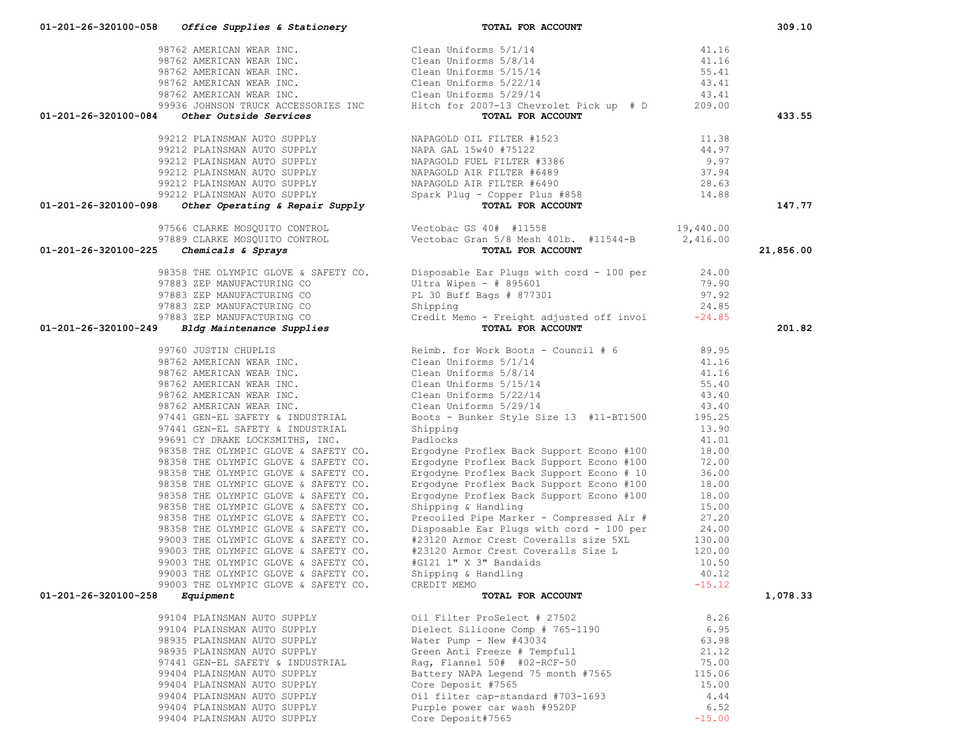| 01-201-26-320100-084 | Other Outside Services               | 98762 AMERICAN WEAR INC.<br>98762 AMERICAN WEAR INC.<br>98762 AMERICAN WEAR INC.<br>98762 AMERICAN WEAR INC.<br>98762 AMERICAN WEAR INC.<br>98762 AMERICAN WEAR INC.<br>99362 AMERICAN WEAR INC.<br>99362 AMERICAN WEAR INC.<br>99362 AMERICA<br>TOTAL FOR ACCOUNT                                                                                                                                                                                     |          | 433.55    |
|----------------------|--------------------------------------|--------------------------------------------------------------------------------------------------------------------------------------------------------------------------------------------------------------------------------------------------------------------------------------------------------------------------------------------------------------------------------------------------------------------------------------------------------|----------|-----------|
|                      |                                      |                                                                                                                                                                                                                                                                                                                                                                                                                                                        |          |           |
|                      |                                      |                                                                                                                                                                                                                                                                                                                                                                                                                                                        |          |           |
|                      |                                      |                                                                                                                                                                                                                                                                                                                                                                                                                                                        |          |           |
|                      |                                      |                                                                                                                                                                                                                                                                                                                                                                                                                                                        |          |           |
|                      |                                      |                                                                                                                                                                                                                                                                                                                                                                                                                                                        |          |           |
|                      |                                      |                                                                                                                                                                                                                                                                                                                                                                                                                                                        |          |           |
|                      |                                      |                                                                                                                                                                                                                                                                                                                                                                                                                                                        |          |           |
| 01-201-26-320100-098 |                                      | $\begin{tabular}{lllllllllllllllllllllllllllllllllllllllllllll} \textsc{99212} \text{ PLAINSMAN AUTO SUPPLY} & \textsc{NAPAGOLD OIL FILTER } \text{\#1523} & 11.38 \\ \text{\#9212} \text{ PLAINSMAN AUTO SUPPLY} & \text{NAPAGOLD FUEL FILTER } \text{\#3386} & 9.97 \\ \text{\#9212} \text{ PLAINSMAN AUTO SUPPLY} & \text{NAPAGOLD FUEL FILTER } \text{\#3386} & 9.97 \\ \text{\#9212} \text{ PLAINSMAN AUTO SUPPLY} & \text{NAPAGOLD AIR FILTER }$ |          | 147.77    |
|                      |                                      |                                                                                                                                                                                                                                                                                                                                                                                                                                                        |          |           |
|                      |                                      |                                                                                                                                                                                                                                                                                                                                                                                                                                                        |          |           |
|                      |                                      |                                                                                                                                                                                                                                                                                                                                                                                                                                                        |          |           |
| 01-201-26-320100-225 |                                      | TOTAL FOR ACCOUNT                                                                                                                                                                                                                                                                                                                                                                                                                                      |          | 21,856.00 |
|                      |                                      | 98358 THE OLYMPIC GLOVE & SAFETY CO.<br>97883 ZEP MANUFACTURING CO<br>97883 ZEP MANUFACTURING CO<br>97883 ZEP MANUFACTURING CO<br>97883 ZEP MANUFACTURING CO<br>97883 ZEP MANUFACTURING CO<br>97883 ZEP MANUFACTURING CO<br>97883 ZEP MANUFA                                                                                                                                                                                                           |          |           |
|                      |                                      |                                                                                                                                                                                                                                                                                                                                                                                                                                                        |          |           |
|                      |                                      |                                                                                                                                                                                                                                                                                                                                                                                                                                                        |          |           |
|                      |                                      |                                                                                                                                                                                                                                                                                                                                                                                                                                                        |          |           |
|                      |                                      |                                                                                                                                                                                                                                                                                                                                                                                                                                                        |          |           |
|                      |                                      |                                                                                                                                                                                                                                                                                                                                                                                                                                                        |          |           |
| 01-201-26-320100-249 |                                      | TOTAL FOR ACCOUNT                                                                                                                                                                                                                                                                                                                                                                                                                                      |          | 201.82    |
|                      |                                      | 99760 JUSTIN CHUPLIS<br>98762 AMERICAN WEAR INC.<br>98762 AMERICAN WEAR INC.<br>98762 AMERICAN WEAR INC.<br>98762 AMERICAN WEAR INC.<br>98762 AMERICAN WEAR INC.<br>98762 AMERICAN WEAR INC.<br>98762 AMERICAN WEAR INC.<br>98762 AMERICAN WEA                                                                                                                                                                                                         |          |           |
|                      |                                      |                                                                                                                                                                                                                                                                                                                                                                                                                                                        |          |           |
|                      |                                      |                                                                                                                                                                                                                                                                                                                                                                                                                                                        |          |           |
|                      |                                      |                                                                                                                                                                                                                                                                                                                                                                                                                                                        |          |           |
|                      |                                      |                                                                                                                                                                                                                                                                                                                                                                                                                                                        |          |           |
|                      |                                      |                                                                                                                                                                                                                                                                                                                                                                                                                                                        |          |           |
|                      |                                      |                                                                                                                                                                                                                                                                                                                                                                                                                                                        |          |           |
|                      |                                      |                                                                                                                                                                                                                                                                                                                                                                                                                                                        |          |           |
|                      | 97441 GEN-EL SAFETY & INDUSTRIAL     | Shipping                                                                                                                                                                                                                                                                                                                                                                                                                                               | 13.90    |           |
|                      | 99691 CY DRAKE LOCKSMITHS, INC.      | Padlocks                                                                                                                                                                                                                                                                                                                                                                                                                                               | 41.01    |           |
|                      | 98358 THE OLYMPIC GLOVE & SAFETY CO. | Ergodyne Proflex Back Support Econo #100 18.00<br>Ergodyne Proflex Back Support Econo #100 72.00                                                                                                                                                                                                                                                                                                                                                       |          |           |
|                      | 98358 THE OLYMPIC GLOVE & SAFETY CO. |                                                                                                                                                                                                                                                                                                                                                                                                                                                        |          |           |
|                      | 98358 THE OLYMPIC GLOVE & SAFETY CO. | Ergodyne Proflex Back Support Econo # 10<br>Ergodyne Proflex Back Support Econo #100                                                                                                                                                                                                                                                                                                                                                                   | 36.00    |           |
|                      | 98358 THE OLYMPIC GLOVE & SAFETY CO. |                                                                                                                                                                                                                                                                                                                                                                                                                                                        | 18.00    |           |
|                      | 98358 THE OLYMPIC GLOVE & SAFETY CO. | Ergodyne Proflex Back Support Econo #100                                                                                                                                                                                                                                                                                                                                                                                                               | 18.00    |           |
|                      | 98358 THE OLYMPIC GLOVE & SAFETY CO. | Shipping & Handling                                                                                                                                                                                                                                                                                                                                                                                                                                    | 15.00    |           |
|                      |                                      | 98358 THE OLYMPIC GLOVE & SAFETY CO.<br>98358 THE OLYMPIC GLOVE & SAFETY CO.<br>99003 THE OLYMPIC GLOVE & SAFETY CO. Disposable Ear Plugs with cord - 100 per 24.00<br>99003 THE OLYMPIC GLOVE & SAFETY CO. #23120 Armor Crest Coverall                                                                                                                                                                                                                |          |           |
|                      |                                      |                                                                                                                                                                                                                                                                                                                                                                                                                                                        |          |           |
|                      |                                      |                                                                                                                                                                                                                                                                                                                                                                                                                                                        |          |           |
|                      | 99003 THE OLYMPIC GLOVE & SAFETY CO. | #23120 Armor Crest Coveralls Size L                                                                                                                                                                                                                                                                                                                                                                                                                    |          |           |
|                      | 99003 THE OLYMPIC GLOVE & SAFETY CO. |                                                                                                                                                                                                                                                                                                                                                                                                                                                        | 10.50    |           |
|                      | 99003 THE OLYMPIC GLOVE & SAFETY CO. |                                                                                                                                                                                                                                                                                                                                                                                                                                                        | 40.12    |           |
|                      | 99003 THE OLYMPIC GLOVE & SAFETY CO. | #G121 1" X 3" Bandaids<br>Shipping & Handaids<br>CREDIT MEMO                                                                                                                                                                                                                                                                                                                                                                                           | $-15.12$ |           |
| 01-201-26-320100-258 | Equipment                            | TOTAL FOR ACCOUNT                                                                                                                                                                                                                                                                                                                                                                                                                                      |          | 1,078.33  |
|                      |                                      |                                                                                                                                                                                                                                                                                                                                                                                                                                                        |          |           |
|                      | 99104 PLAINSMAN AUTO SUPPLY          | Oil Filter ProSelect # 27502                                                                                                                                                                                                                                                                                                                                                                                                                           | 8.26     |           |
|                      | 99104 PLAINSMAN AUTO SUPPLY          | Dielect Silicone Comp # 765-1190                                                                                                                                                                                                                                                                                                                                                                                                                       | 6.95     |           |
|                      | 98935 PLAINSMAN AUTO SUPPLY          | Water Pump - New #43034                                                                                                                                                                                                                                                                                                                                                                                                                                | 63.98    |           |
|                      | 98935 PLAINSMAN AUTO SUPPLY          | Green Anti Freeze # Tempfull                                                                                                                                                                                                                                                                                                                                                                                                                           | 21.12    |           |
|                      | 97441 GEN-EL SAFETY & INDUSTRIAL     | Raq, Flannel 50# #02-RCF-50                                                                                                                                                                                                                                                                                                                                                                                                                            | 75.00    |           |
|                      | 99404 PLAINSMAN AUTO SUPPLY          | Battery NAPA Legend 75 month #7565                                                                                                                                                                                                                                                                                                                                                                                                                     | 115.06   |           |
|                      | 99404 PLAINSMAN AUTO SUPPLY          | Core Deposit #7565                                                                                                                                                                                                                                                                                                                                                                                                                                     | 15.00    |           |
|                      | 99404 PLAINSMAN AUTO SUPPLY          | Oil filter cap-standard #703-1693                                                                                                                                                                                                                                                                                                                                                                                                                      | 4.44     |           |
|                      | 99404 PLAINSMAN AUTO SUPPLY          | Purple power car wash #9520P                                                                                                                                                                                                                                                                                                                                                                                                                           | 6.52     |           |

99404 PLAINSMAN AUTO SUPPLY Core Deposit#7565 -15.00

 **01-201-26-320100-058** *Office Supplies & Stationery* **TOTAL FOR ACCOUNT 309.10**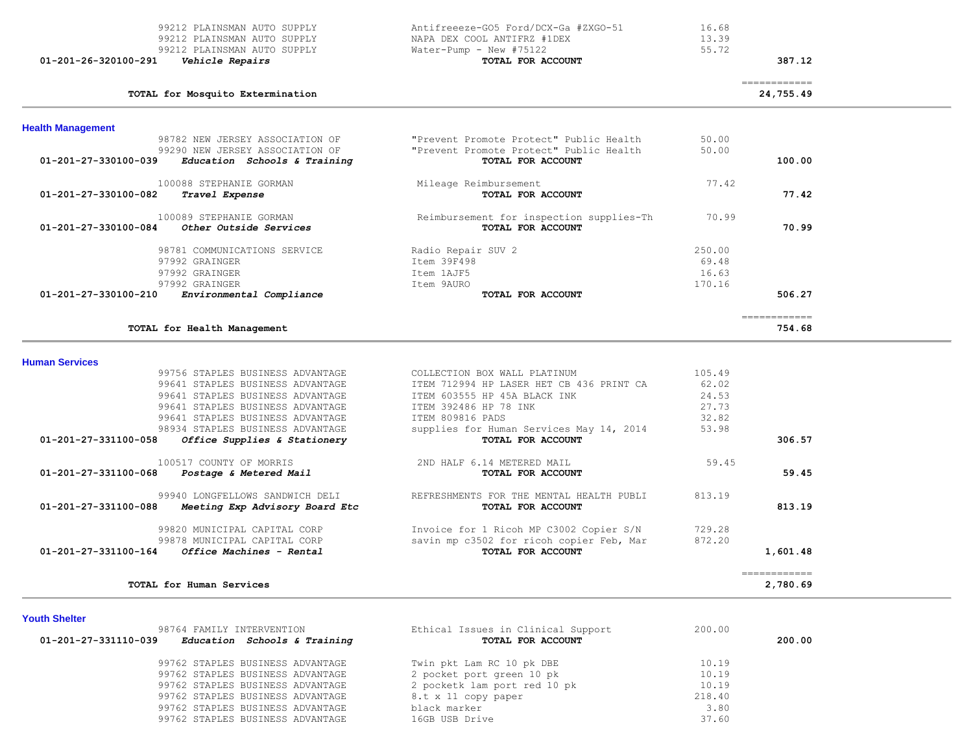| 01-201-26-320100-291     | 99212 PLAINSMAN AUTO SUPPLY<br>99212 PLAINSMAN AUTO SUPPLY<br>99212 PLAINSMAN AUTO SUPPLY<br>Vehicle Repairs | Antifreeeze-GO5 Ford/DCX-Ga #ZXGO-51<br>NAPA DEX COOL ANTIFRZ #1DEX<br>Water-Pump - New #75122<br>TOTAL FOR ACCOUNT | 16.68<br>13.39<br>55.72 | 387.12                    |  |
|--------------------------|--------------------------------------------------------------------------------------------------------------|---------------------------------------------------------------------------------------------------------------------|-------------------------|---------------------------|--|
|                          | TOTAL for Mosquito Extermination                                                                             |                                                                                                                     |                         | ------------<br>24,755.49 |  |
| <b>Health Management</b> |                                                                                                              |                                                                                                                     |                         |                           |  |
|                          | 98782 NEW JERSEY ASSOCIATION OF                                                                              | "Prevent Promote Protect" Public Health                                                                             | 50.00                   |                           |  |
|                          | 99290 NEW JERSEY ASSOCIATION OF                                                                              | "Prevent Promote Protect" Public Health                                                                             | 50.00                   |                           |  |
| 01-201-27-330100-039     | Education Schools & Training                                                                                 | TOTAL FOR ACCOUNT                                                                                                   |                         | 100.00                    |  |
|                          | 100088 STEPHANIE GORMAN                                                                                      | Mileage Reimbursement                                                                                               | 77.42                   |                           |  |
| 01-201-27-330100-082     | Travel Expense                                                                                               | TOTAL FOR ACCOUNT                                                                                                   |                         | 77.42                     |  |
|                          | 100089 STEPHANIE GORMAN                                                                                      | Reimbursement for inspection supplies-Th                                                                            | 70.99                   |                           |  |
| 01-201-27-330100-084     | <i><b>Other Outside Services</b></i>                                                                         | TOTAL FOR ACCOUNT                                                                                                   |                         | 70.99                     |  |
|                          | 98781 COMMUNICATIONS SERVICE                                                                                 | Radio Repair SUV 2                                                                                                  | 250.00                  |                           |  |
|                          | 97992 GRAINGER                                                                                               | Item 39F498                                                                                                         | 69.48                   |                           |  |
|                          | 97992 GRAINGER                                                                                               | Item 1AJF5                                                                                                          | 16.63                   |                           |  |
|                          | 97992 GRAINGER                                                                                               | Item 9AURO                                                                                                          | 170.16                  |                           |  |
| 01-201-27-330100-210     | Environmental Compliance                                                                                     | TOTAL FOR ACCOUNT                                                                                                   |                         | 506.27                    |  |
|                          | TOTAL for Health Management                                                                                  |                                                                                                                     |                         | -------------<br>754.68   |  |
|                          |                                                                                                              |                                                                                                                     |                         |                           |  |
| <b>Human Services</b>    |                                                                                                              |                                                                                                                     |                         |                           |  |
|                          | 99756 STAPLES BUSINESS ADVANTAGE                                                                             | COLLECTION BOX WALL PLATINUM                                                                                        | 105.49                  |                           |  |
|                          | 99641 STAPLES BUSINESS ADVANTAGE                                                                             | ITEM 712994 HP LASER HET CB 436 PRINT CA                                                                            | 62.02                   |                           |  |
|                          | 99641 STAPLES BUSINESS ADVANTAGE                                                                             | ITEM 603555 HP 45A BLACK INK                                                                                        | 24.53                   |                           |  |
|                          | 99641 STAPLES BUSINESS ADVANTAGE                                                                             | ITEM 392486 HP 78 INK                                                                                               | 27.73                   |                           |  |
|                          | 99641 STAPLES BUSINESS ADVANTAGE                                                                             | ITEM 809816 PADS                                                                                                    | 32.82                   |                           |  |
| 01-201-27-331100-058     | 98934 STAPLES BUSINESS ADVANTAGE<br>Office Supplies & Stationery                                             | supplies for Human Services May 14, 2014<br>TOTAL FOR ACCOUNT                                                       | 53.98                   | 306.57                    |  |
|                          | 100517 COUNTY OF MORRIS                                                                                      | 2ND HALF 6.14 METERED MAIL                                                                                          | 59.45                   |                           |  |
| 01-201-27-331100-068     | Postage & Metered Mail                                                                                       | TOTAL FOR ACCOUNT                                                                                                   |                         | 59.45                     |  |
|                          |                                                                                                              |                                                                                                                     |                         |                           |  |
|                          | 99940 LONGFELLOWS SANDWICH DELI                                                                              | REFRESHMENTS FOR THE MENTAL HEALTH PUBLI                                                                            | 813.19                  |                           |  |
| 01-201-27-331100-088     | Meeting Exp Advisory Board Etc                                                                               | TOTAL FOR ACCOUNT                                                                                                   |                         | 813.19                    |  |
|                          | 99820 MUNICIPAL CAPITAL CORP                                                                                 | Invoice for 1 Ricoh MP C3002 Copier S/N                                                                             | 729.28                  |                           |  |
|                          | 99878 MUNICIPAL CAPITAL CORP                                                                                 | savin mp c3502 for ricoh copier Feb, Mar                                                                            | 872.20                  |                           |  |
| 01-201-27-331100-164     | <i>Office Machines - Rental</i>                                                                              | TOTAL FOR ACCOUNT                                                                                                   |                         | 1,601.48                  |  |
|                          |                                                                                                              |                                                                                                                     |                         | ------------              |  |
|                          | TOTAL for Human Services                                                                                     |                                                                                                                     |                         | 2,780.69                  |  |

## **Youth Shelter**

| 98764 FAMILY INTERVENTION                            | Ethical Issues in Clinical Support | 200.00 |        |
|------------------------------------------------------|------------------------------------|--------|--------|
| 01-201-27-331110-039<br>Education Schools & Training | TOTAL FOR ACCOUNT                  |        | 200.00 |
| 99762 STAPLES BUSINESS ADVANTAGE                     | Twin pkt Lam RC 10 pk DBE          | 10.19  |        |
| 99762 STAPLES BUSINESS ADVANTAGE                     | 2 pocket port green 10 pk          | 10.19  |        |
| 99762 STAPLES BUSINESS ADVANTAGE                     | 2 pocketk lam port red 10 pk       | 10.19  |        |
| 99762 STAPLES BUSINESS ADVANTAGE                     | 8.t x 11 copy paper                | 218.40 |        |
| 99762 STAPLES BUSINESS ADVANTAGE                     | black marker                       | 3.80   |        |
| 99762 STAPLES BUSINESS ADVANTAGE                     | 16GB USB Drive                     | 37.60  |        |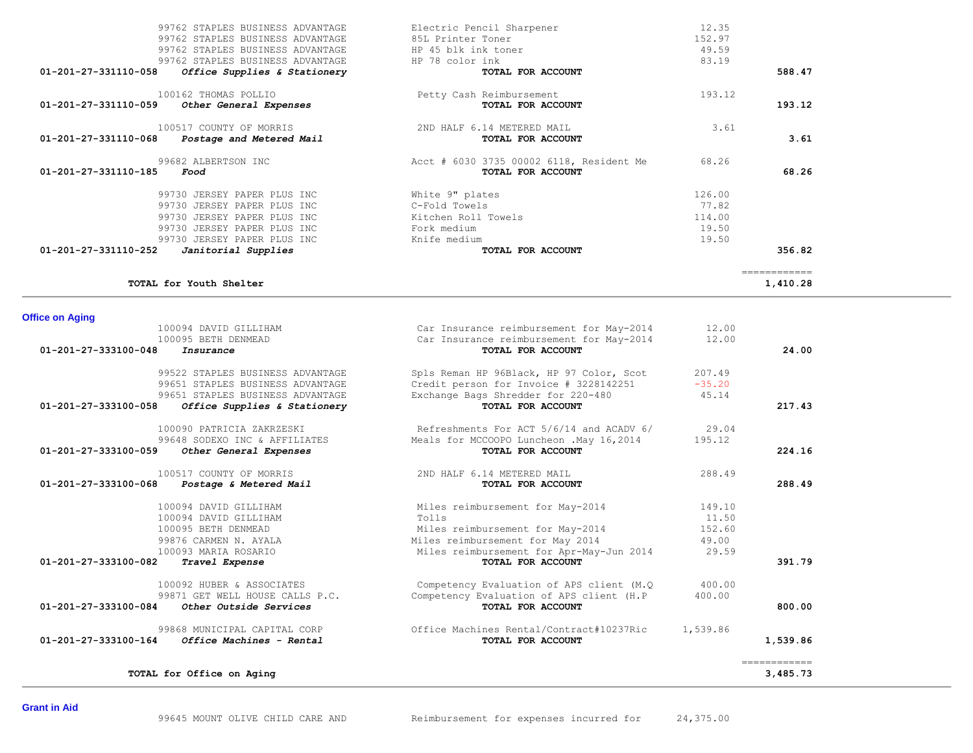|                                          |                                                                                                                                                                                                                                                                                                                                                                                                                                                                   | ============                                |
|------------------------------------------|-------------------------------------------------------------------------------------------------------------------------------------------------------------------------------------------------------------------------------------------------------------------------------------------------------------------------------------------------------------------------------------------------------------------------------------------------------------------|---------------------------------------------|
|                                          |                                                                                                                                                                                                                                                                                                                                                                                                                                                                   | 1,410.28                                    |
|                                          |                                                                                                                                                                                                                                                                                                                                                                                                                                                                   |                                             |
|                                          |                                                                                                                                                                                                                                                                                                                                                                                                                                                                   |                                             |
|                                          |                                                                                                                                                                                                                                                                                                                                                                                                                                                                   |                                             |
|                                          |                                                                                                                                                                                                                                                                                                                                                                                                                                                                   | 24.00                                       |
|                                          | 207.49                                                                                                                                                                                                                                                                                                                                                                                                                                                            |                                             |
|                                          | $-35.20$                                                                                                                                                                                                                                                                                                                                                                                                                                                          |                                             |
|                                          | 45.14                                                                                                                                                                                                                                                                                                                                                                                                                                                             |                                             |
| TOTAL FOR ACCOUNT                        |                                                                                                                                                                                                                                                                                                                                                                                                                                                                   | 217.43                                      |
|                                          |                                                                                                                                                                                                                                                                                                                                                                                                                                                                   |                                             |
|                                          |                                                                                                                                                                                                                                                                                                                                                                                                                                                                   |                                             |
| TOTAL FOR ACCOUNT                        |                                                                                                                                                                                                                                                                                                                                                                                                                                                                   | 224.16                                      |
|                                          |                                                                                                                                                                                                                                                                                                                                                                                                                                                                   |                                             |
| TOTAL FOR ACCOUNT                        |                                                                                                                                                                                                                                                                                                                                                                                                                                                                   | 288.49                                      |
|                                          | 149.10                                                                                                                                                                                                                                                                                                                                                                                                                                                            |                                             |
| Tolls                                    | 11.50                                                                                                                                                                                                                                                                                                                                                                                                                                                             |                                             |
| Miles reimbursement for May-2014         | 152.60                                                                                                                                                                                                                                                                                                                                                                                                                                                            |                                             |
| Miles reimbursement for May 2014         | 49.00                                                                                                                                                                                                                                                                                                                                                                                                                                                             |                                             |
|                                          | 29.59                                                                                                                                                                                                                                                                                                                                                                                                                                                             |                                             |
|                                          |                                                                                                                                                                                                                                                                                                                                                                                                                                                                   | 391.79                                      |
| Competency Evaluation of APS client (M.Q | 400.00                                                                                                                                                                                                                                                                                                                                                                                                                                                            |                                             |
| Competency Evaluation of APS client (H.P | 400.00                                                                                                                                                                                                                                                                                                                                                                                                                                                            |                                             |
| TOTAL FOR ACCOUNT                        |                                                                                                                                                                                                                                                                                                                                                                                                                                                                   | 800.00                                      |
| Office Machines Rental/Contract#10237Ric | 1,539.86                                                                                                                                                                                                                                                                                                                                                                                                                                                          |                                             |
| TOTAL FOR ACCOUNT                        |                                                                                                                                                                                                                                                                                                                                                                                                                                                                   | 1,539.86                                    |
|                                          |                                                                                                                                                                                                                                                                                                                                                                                                                                                                   | ============<br>3,485.73                    |
|                                          | Car Insurance reimbursement for May-2014<br>Car Insurance reimbursement for May-2014<br>TOTAL FOR ACCOUNT<br>Spls Reman HP 96Black, HP 97 Color, Scot<br>Credit person for Invoice # 3228142251<br>Exchange Bags Shredder for 220-480<br>Refreshments For ACT 5/6/14 and ACADV 6/<br>Meals for MCCOOPO Luncheon . May 16, 2014<br>2ND HALF 6.14 METERED MAIL<br>Miles reimbursement for May-2014<br>Miles reimbursement for Apr-May-Jun 2014<br>TOTAL FOR ACCOUNT | 12.00<br>12.00<br>29.04<br>195.12<br>288.49 |

|        | 12.35<br>152.97<br>49.59<br>83.19 | Electric Pencil Sharpener<br>85L Printer Toner<br>HP 45 blk ink toner<br>HP 78 color ink | 99762 STAPLES BUSINESS ADVANTAGE<br>99762 STAPLES BUSINESS ADVANTAGE<br>99762 STAPLES BUSINESS ADVANTAGE<br>99762 STAPLES BUSINESS ADVANTAGE |
|--------|-----------------------------------|------------------------------------------------------------------------------------------|----------------------------------------------------------------------------------------------------------------------------------------------|
| 588.47 |                                   | TOTAL FOR ACCOUNT                                                                        | $01-201-27-331110-058$ Office Supplies & Stationery                                                                                          |
| 193.12 | 193.12                            | Petty Cash Reimbursement<br>TOTAL FOR ACCOUNT                                            | 100162 THOMAS POLLIO<br>01-201-27-331110-059<br>Other General Expenses                                                                       |
| 3.61   | 3.61                              | 2ND HALF 6.14 METERED MAIL<br>TOTAL FOR ACCOUNT                                          | 100517 COUNTY OF MORRIS<br>$01-201-27-331110-068$ Postage and Metered Mail                                                                   |
| 68.26  | 68.26                             | Acct # 6030 3735 00002 6118, Resident Me<br>TOTAL FOR ACCOUNT                            | 99682 ALBERTSON INC<br>01-201-27-331110-185<br>Food                                                                                          |
|        | 126.00                            | White 9" plates                                                                          | 99730 JERSEY PAPER PLUS INC                                                                                                                  |
|        | 77.82                             | C-Fold Towels                                                                            | 99730 JERSEY PAPER PLUS INC                                                                                                                  |
|        | 114.00                            | Kitchen Roll Towels                                                                      | 99730 JERSEY PAPER PLUS INC                                                                                                                  |
|        | 19.50                             | Fork medium                                                                              | 99730 JERSEY PAPER PLUS INC                                                                                                                  |
|        | 19.50                             | Knife medium                                                                             | 99730 JERSEY PAPER PLUS INC                                                                                                                  |
|        |                                   | TOTAL FOR ACCOUNT                                                                        | 01-201-27-331110-252<br>Janitorial Supplies                                                                                                  |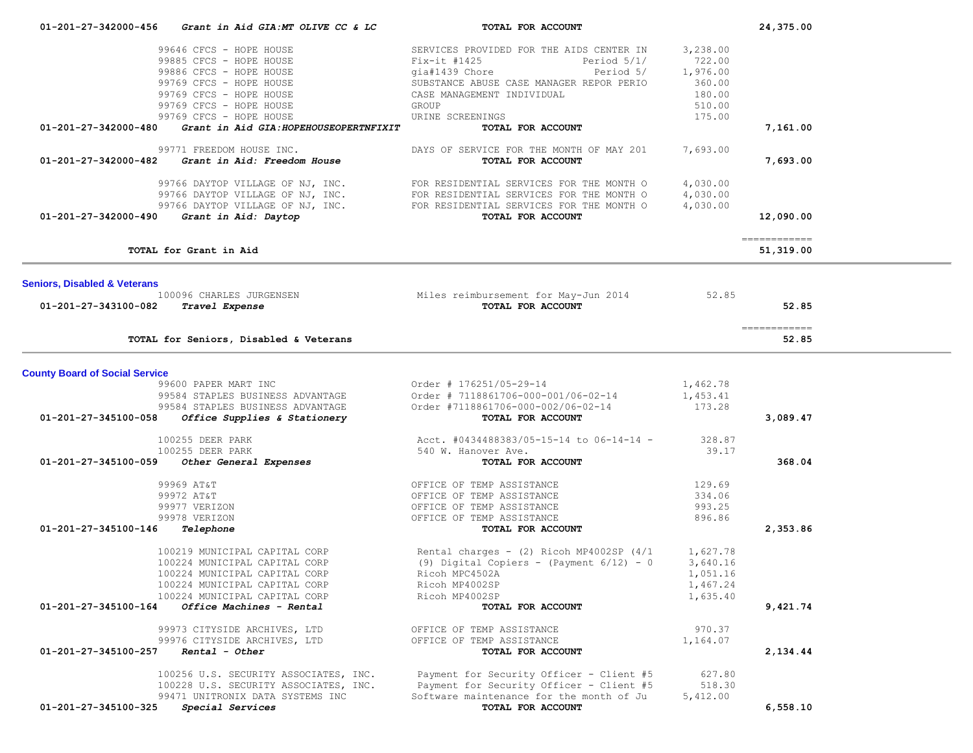| 01-201-27-342000-456                    | Grant in Aid GIA:MT OLIVE CC & LC                  | TOTAL FOR ACCOUNT                                             |          | 24,375.00                  |  |
|-----------------------------------------|----------------------------------------------------|---------------------------------------------------------------|----------|----------------------------|--|
|                                         | 99646 CFCS - HOPE HOUSE                            | SERVICES PROVIDED FOR THE AIDS CENTER IN                      | 3,238.00 |                            |  |
|                                         | 99885 CFCS - HOPE HOUSE                            | $Fix-it$ #1425<br>Period $5/1/$                               | 722.00   |                            |  |
|                                         | 99886 CFCS - HOPE HOUSE                            | Period 5/<br>gia#1439 Chore                                   | 1,976.00 |                            |  |
|                                         | 99769 CFCS - HOPE HOUSE                            | SUBSTANCE ABUSE CASE MANAGER REPOR PERIO                      | 360.00   |                            |  |
|                                         | 99769 CFCS - HOPE HOUSE                            | CASE MANAGEMENT INDIVIDUAL                                    | 180.00   |                            |  |
|                                         | 99769 CFCS - HOPE HOUSE                            | GROUP                                                         | 510.00   |                            |  |
|                                         | 99769 CFCS - HOPE HOUSE                            | URINE SCREENINGS                                              | 175.00   |                            |  |
| 01-201-27-342000-480                    | Grant in Aid GIA: HOPEHOUSEOPERTNFIXIT             | TOTAL FOR ACCOUNT                                             |          | 7,161.00                   |  |
|                                         | 99771 FREEDOM HOUSE INC.                           | DAYS OF SERVICE FOR THE MONTH OF MAY 201<br>TOTAL FOR ACCOUNT | 7,693.00 |                            |  |
|                                         | $01-201-27-342000-482$ Grant in Aid: Freedom House |                                                               |          | 7,693.00                   |  |
|                                         | 99766 DAYTOP VILLAGE OF NJ, INC.                   | FOR RESIDENTIAL SERVICES FOR THE MONTH O                      | 4,030.00 |                            |  |
|                                         | 99766 DAYTOP VILLAGE OF NJ, INC.                   | FOR RESIDENTIAL SERVICES FOR THE MONTH O                      | 4,030.00 |                            |  |
|                                         | 99766 DAYTOP VILLAGE OF NJ, INC.                   | FOR RESIDENTIAL SERVICES FOR THE MONTH O                      | 4,030.00 |                            |  |
| 01-201-27-342000-490                    | Grant in Aid: Daytop                               | TOTAL FOR ACCOUNT                                             |          | 12,090.00                  |  |
|                                         | TOTAL for Grant in Aid                             |                                                               |          | -------------<br>51,319.00 |  |
|                                         |                                                    |                                                               |          |                            |  |
| <b>Seniors, Disabled &amp; Veterans</b> | 100096 CHARLES JURGENSEN                           |                                                               | 52.85    |                            |  |
| 01-201-27-343100-082                    | Travel Expense                                     | Miles reimbursement for May-Jun 2014<br>TOTAL FOR ACCOUNT     |          | 52.85                      |  |
|                                         |                                                    |                                                               |          |                            |  |
|                                         | TOTAL for Seniors, Disabled & Veterans             |                                                               |          | ------------<br>52.85      |  |
| <b>County Board of Social Service</b>   |                                                    |                                                               |          |                            |  |
|                                         | 99600 PAPER MART INC                               | Order # 176251/05-29-14                                       | 1,462.78 |                            |  |
|                                         | 99584 STAPLES BUSINESS ADVANTAGE                   | Order # 7118861706-000-001/06-02-14                           | 1,453.41 |                            |  |
|                                         | 99584 STAPLES BUSINESS ADVANTAGE                   | Order #7118861706-000-002/06-02-14                            | 173.28   |                            |  |
| 01-201-27-345100-058                    | Office Supplies & Stationery                       | TOTAL FOR ACCOUNT                                             |          | 3,089.47                   |  |
|                                         | 100255 DEER PARK                                   | Acct. #0434488383/05-15-14 to 06-14-14 -                      | 328.87   |                            |  |
|                                         | 100255 DEER PARK                                   | 540 W. Hanover Ave.                                           | 39.17    |                            |  |
| 01-201-27-345100-059                    | Other General Expenses                             | TOTAL FOR ACCOUNT                                             |          | 368.04                     |  |
|                                         | 99969 AT&T                                         | OFFICE OF TEMP ASSISTANCE                                     | 129.69   |                            |  |
|                                         | 99972 AT&T                                         | OFFICE OF TEMP ASSISTANCE                                     | 334.06   |                            |  |
|                                         | 99977 VERIZON                                      | OFFICE OF TEMP ASSISTANCE                                     | 993.25   |                            |  |
|                                         | 99978 VERIZON                                      | OFFICE OF TEMP ASSISTANCE                                     | 896.86   |                            |  |
| 01-201-27-345100-146                    | Telephone                                          | TOTAL FOR ACCOUNT                                             |          | 2,353.86                   |  |
|                                         | 100219 MUNICIPAL CAPITAL CORP                      | Rental charges - $(2)$ Ricoh MP4002SP $(4/1)$                 | 1,627.78 |                            |  |
|                                         | 100224 MUNICIPAL CAPITAL CORP                      | (9) Digital Copiers - (Payment $6/12$ ) - 0                   | 3,640.16 |                            |  |
|                                         | 100224 MUNICIPAL CAPITAL CORP                      | Ricoh MPC4502A                                                | 1,051.16 |                            |  |
|                                         | 100224 MUNICIPAL CAPITAL CORP                      | Ricoh MP4002SP                                                | 1,467.24 |                            |  |
|                                         | 100224 MUNICIPAL CAPITAL CORP                      | Ricoh MP4002SP                                                | 1,635.40 |                            |  |
| $01 - 201 - 27 - 345100 - 164$          | Office Machines - Rental                           | TOTAL FOR ACCOUNT                                             |          | 9,421.74                   |  |
|                                         | 99973 CITYSIDE ARCHIVES, LTD                       | OFFICE OF TEMP ASSISTANCE                                     | 970.37   |                            |  |
|                                         | 99976 CITYSIDE ARCHIVES, LTD                       | OFFICE OF TEMP ASSISTANCE                                     | 1,164.07 |                            |  |
| 01-201-27-345100-257                    | Rental - Other                                     | TOTAL FOR ACCOUNT                                             |          | 2,134.44                   |  |
|                                         | 100256 U.S. SECURITY ASSOCIATES, INC.              | Payment for Security Officer - Client #5                      | 627.80   |                            |  |
|                                         | 100228 U.S. SECURITY ASSOCIATES, INC.              | Payment for Security Officer - Client #5                      | 518.30   |                            |  |
|                                         | 99471 UNITRONIX DATA SYSTEMS INC                   | Software maintenance for the month of Ju                      | 5,412.00 |                            |  |
| 01-201-27-345100-325                    | Special Services                                   | TOTAL FOR ACCOUNT                                             |          | 6,558.10                   |  |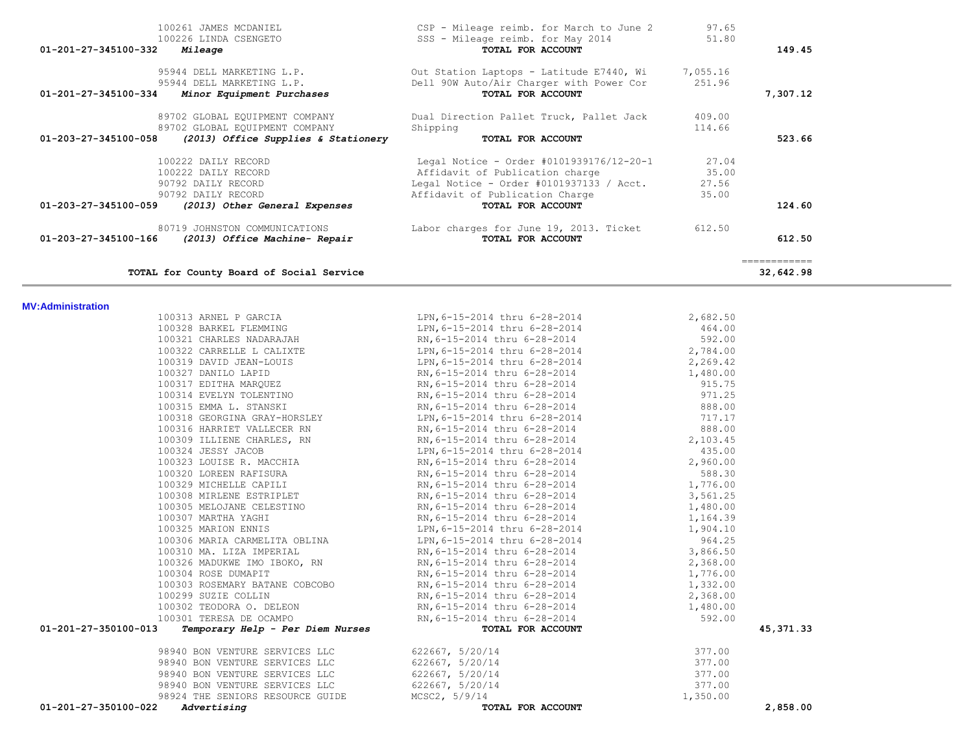|                          |                                                                  | 95944 DELL MARKETING L.P. 01t Station Laptops - Latitude E7440, Wi 7,055.16<br>95944 DELL MARKETING L.P. Dell 90W Auto/Air Charger with Power Cor 251.96                                                                                         |                    |                           |
|--------------------------|------------------------------------------------------------------|--------------------------------------------------------------------------------------------------------------------------------------------------------------------------------------------------------------------------------------------------|--------------------|---------------------------|
|                          | 01-201-27-345100-334 Minor Equipment Purchases                   | TOTAL FOR ACCOUNT                                                                                                                                                                                                                                |                    | 7,307.12                  |
|                          | 89702 GLOBAL EQUIPMENT COMPANY<br>89702 GLOBAL EQUIPMENT COMPANY | Dual Direction Pallet Truck, Pallet Jack 409.00<br>Shipping 114.66<br>Shipping                                                                                                                                                                   | 114.66             |                           |
| 01-203-27-345100-058     | (2013) Office Supplies & Stationery                              | TOTAL FOR ACCOUNT                                                                                                                                                                                                                                |                    | 523.66                    |
|                          | 100222 DAILY RECORD                                              | Legal Notice - Order #0101939176/12-20-1 27.04                                                                                                                                                                                                   |                    |                           |
|                          | 100222 DAILY RECORD                                              |                                                                                                                                                                                                                                                  | 35.00              |                           |
|                          | 90792 DAILY RECORD<br>90792 DAILY RECORD                         | Affidavit of Publication charge<br>Legal Notice - Order #0101937133 / Acct. 27.56<br>Affidavit of Publication Charge 35.00                                                                                                                       |                    |                           |
| 01-203-27-345100-059     | (2013) Other General Expenses                                    | TOTAL FOR ACCOUNT                                                                                                                                                                                                                                |                    | 124.60                    |
|                          | 80719 JOHNSTON COMMUNICATIONS                                    | Labor charges for June 19, 2013. Ticket 612.50                                                                                                                                                                                                   |                    |                           |
| 01-203-27-345100-166     | (2013) Office Machine- Repair                                    | TOTAL FOR ACCOUNT                                                                                                                                                                                                                                |                    | 612.50                    |
|                          | TOTAL for County Board of Social Service                         |                                                                                                                                                                                                                                                  |                    | ============<br>32,642.98 |
| <b>MV:Administration</b> |                                                                  |                                                                                                                                                                                                                                                  |                    |                           |
|                          |                                                                  |                                                                                                                                                                                                                                                  | 2,682.50           |                           |
|                          | 100313 ARNEL P GARCIA<br>100328 BARKEL FLEMMING                  | LPN, 6-15-2014 thru 6-28-2014<br>LPN, 6-15-2014 thru 6-28-2014                                                                                                                                                                                   | 464.00             |                           |
|                          | 100321 CHARLES NADARAJAH                                         | RN, 6-15-2014 thru 6-28-2014<br>LPN, 6-15-2014 thru 6-28-2014                                                                                                                                                                                    | 592.00             |                           |
|                          | 100322 CARRELLE L CALIXTE                                        |                                                                                                                                                                                                                                                  | 2,784.00           |                           |
|                          |                                                                  |                                                                                                                                                                                                                                                  | 2,269.42           |                           |
|                          |                                                                  | 100322 CARRELLE L CALIXTE<br>100319 DAVID JEAN-LOUIS<br>100319 DAVID JEAN-LOUIS<br>100327 DANILO LAPID<br>100317 EDITHA MARQUEZ<br>100317 EDITHA MARQUEZ<br>100314 EVELYN TOLENTINO<br>100314 EVELYN TOLENTINO<br>100315 EMMA L. STANSKI<br>1003 | 1,480.00           |                           |
|                          |                                                                  |                                                                                                                                                                                                                                                  | 915.75             |                           |
|                          |                                                                  |                                                                                                                                                                                                                                                  | 971.25<br>888.00   |                           |
|                          |                                                                  |                                                                                                                                                                                                                                                  | 717.17             |                           |
|                          |                                                                  |                                                                                                                                                                                                                                                  | 888.00             |                           |
|                          |                                                                  |                                                                                                                                                                                                                                                  | 2,103.45           |                           |
|                          | 100324 JESSY JACOB                                               | LPN, 6-15-2014 thru 6-28-2014                                                                                                                                                                                                                    | 435.00             |                           |
|                          | 100323 LOUISE R. MACCHIA                                         | RN, 6-15-2014 thru 6-28-2014<br>RN, 6-15-2014 thru 6-28-2014                                                                                                                                                                                     | 2,960.00           |                           |
|                          | 100320 LOREEN RAFISURA                                           |                                                                                                                                                                                                                                                  | 588.30             |                           |
|                          | 100329 MICHELLE CAPILI                                           | RN,6-15-2014 thru 6-28-2014                                                                                                                                                                                                                      | 1,776.00           |                           |
|                          | 100308 MIRLENE ESINILLET<br>100305 MELOJANE CELESTINO            | RN, 6-15-2014 thru 6-28-2014                                                                                                                                                                                                                     | 3,561.25           |                           |
|                          |                                                                  | RN, 6-15-2014 thru 6-28-2014<br>RN, 6-15-2014 thru 6-28-2014                                                                                                                                                                                     | 1,480.00           |                           |
|                          |                                                                  |                                                                                                                                                                                                                                                  | 1,164.39           |                           |
|                          |                                                                  | 100325 MARION ENNIS<br>100306 MARIA CARMELITA OBLINA<br>100306 MARIA CARMELITA OBLINA<br>LPN, 6-15-2014 thru 6-28-2014                                                                                                                           | 1,904.10<br>964.25 |                           |
|                          | 100310 MA. LIZA IMPERIAL                                         | RN,6-15-2014 thru 6-28-2014                                                                                                                                                                                                                      | 3,866.50           |                           |
|                          | 100326 MADUKWE IMO IBOKO, RN                                     | RN, 6-15-2014 thru 6-28-2014                                                                                                                                                                                                                     | 2,368.00           |                           |
|                          | 100304 ROSE DUMAPIT                                              | RN,6-15-2014 thru 6-28-2014                                                                                                                                                                                                                      | 1,776.00           |                           |
|                          |                                                                  | 100303 ROSEMARY BATANE COBCOBO RN, 6-15-2014 thru 6-28-2014<br>RN, 6-15-2014 thru v 20 20<br>RN, 6-15-2014 thru 6-28-2014<br>10 111 thru 6-28-2014                                                                                               | 1,332.00           |                           |
|                          | 100299 SUZIE COLLIN                                              |                                                                                                                                                                                                                                                  | 2,368.00           |                           |
|                          | 100302 TEODORA O. DELEON                                         |                                                                                                                                                                                                                                                  | 1,480.00           |                           |
|                          | 100301 TERESA DE OCAMPO                                          | RN, 6-15-2014 thru 6-28-2014                                                                                                                                                                                                                     | 592.00             |                           |
| 01-201-27-350100-013     | Temporary Help - Per Diem Nurses                                 | TOTAL FOR ACCOUNT                                                                                                                                                                                                                                |                    | 45, 371.33                |
|                          | 98940 BON VENTURE SERVICES LLC<br>98940 BON VENTURE SERVICES LLC | 622667, 5/20/14<br>622667, 5/20/14                                                                                                                                                                                                               | 377.00<br>377.00   |                           |
|                          | 98940 BON VENTURE SERVICES LLC                                   | 622667, 5/20/14                                                                                                                                                                                                                                  | 377.00             |                           |
|                          | 98940 BON VENTURE SERVICES LLC                                   | 622667, 5/20/14                                                                                                                                                                                                                                  | 377.00             |                           |
|                          | 98924 THE SENIORS RESOURCE GUIDE                                 | MCSC2, 5/9/14                                                                                                                                                                                                                                    | 1,350.00           |                           |
| 01-201-27-350100-022     | Advertising                                                      | TOTAL FOR ACCOUNT                                                                                                                                                                                                                                |                    | 2,858.00                  |

100261 JAMES MCDANIEL CSP - Mileage reimb. for March to June 2 97.65<br>100226 LINDA CSENGETO CONTROLLER SSS - Mileage reimb. for May 2014 51.80

 **01-201-27-345100-332** *Mileage* **TOTAL FOR ACCOUNT 149.45**

SSS - Mileage reimb. for May 2014<br>**TOTAL FOR ACCOUNT**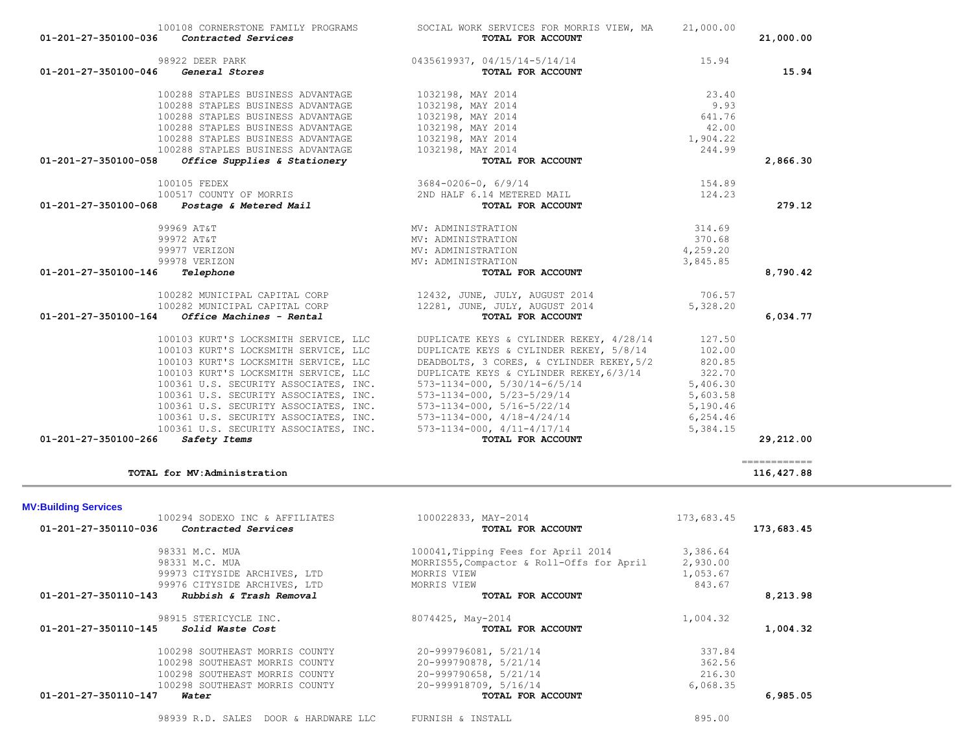|  | 98939 R.D. | SALES | <b>DOOR</b><br><b>SAN &amp; HARDWARE IT C</b> |  | FURNISH & INSTALL |  |  |
|--|------------|-------|-----------------------------------------------|--|-------------------|--|--|
|--|------------|-------|-----------------------------------------------|--|-------------------|--|--|

| Ω |  |  |  |
|---|--|--|--|
|   |  |  |  |

| 98331 M.C. MUA                                  | 100041, Tipping Fees for April 2014       | 3,386.64 |          |
|-------------------------------------------------|-------------------------------------------|----------|----------|
| 98331 M.C. MUA                                  | MORRIS55, Compactor & Roll-Offs for April | 2,930.00 |          |
| 99973 CITYSIDE ARCHIVES, LTD                    | MORRIS VIEW                               | 1,053.67 |          |
| 99976 CITYSIDE ARCHIVES, LTD                    | MORRIS VIEW                               | 843.67   |          |
| 01-201-27-350110-143<br>Rubbish & Trash Removal | TOTAL FOR ACCOUNT                         |          | 8,213.98 |
| 98915 STERICYCLE INC.                           | 8074425, May-2014                         | 1,004.32 |          |
| 01-201-27-350110-145<br><i>Solid Waste Cost</i> | TOTAL FOR ACCOUNT                         |          | 1,004.32 |
| 100298 SOUTHEAST MORRIS COUNTY                  | 20-999796081, 5/21/14                     | 337.84   |          |
| 100298 SOUTHEAST MORRIS COUNTY                  | 20-999790878, 5/21/14                     | 362.56   |          |
| 100298 SOUTHEAST MORRIS COUNTY                  | 20-999790658, 5/21/14                     | 216.30   |          |
| 100298 SOUTHEAST MORRIS COUNTY                  | 20-999918709, 5/16/14                     | 6,068.35 |          |
| 01-201-27-350110-147<br>Water                   | TOTAL FOR ACCOUNT                         |          | 6,985.05 |

# **MV:Building Services**  100294 SODEXO INC & AFFILIATES 100022833, MAY-2014 173,683.45<br> **Contracted Services** 100022833, MAY-2014 **173,683.45 01-201-27-350110-036** *Contracted Services* **TOTAL FOR ACCOUNT 173,683.45**

|                      | 01-201-27-350100-036<br>Contracted Services                                                                                                                      | TOTAL FOR ACCOUNT                                |          | 21,000.00 |
|----------------------|------------------------------------------------------------------------------------------------------------------------------------------------------------------|--------------------------------------------------|----------|-----------|
|                      | 98922 DEER PARK                                                                                                                                                  | 0435619937, 04/15/14-5/14/14                     | 15.94    |           |
| 01-201-27-350100-046 | <i><b>General Stores</b></i>                                                                                                                                     | TOTAL FOR ACCOUNT                                |          | 15.94     |
|                      | 100288 STAPLES BUSINESS ADVANTAGE                                                                                                                                | 1032198, MAY 2014                                | 23.40    |           |
|                      | 100288 STAPLES BUSINESS ADVANTAGE                                                                                                                                | 1032198, MAY 2014                                | 9.93     |           |
|                      | 100288 STAPLES BUSINESS ADVANTAGE                                                                                                                                | 1032198, MAY 2014                                | 641.76   |           |
|                      | 100288 STAPLES BUSINESS ADVANTAGE                                                                                                                                | 1032198, MAY 2014                                | 42.00    |           |
|                      | 100288 STAPLES BUSINESS ADVANTAGE                                                                                                                                | 1032198, MAY 2014                                | 1,904.22 |           |
|                      | 100288 STAPLES BUSINESS ADVANTAGE                                                                                                                                | 1032198, MAY 2014                                | 244.99   |           |
| 01-201-27-350100-058 | Office Supplies & Stationery                                                                                                                                     | TOTAL FOR ACCOUNT                                |          | 2,866.30  |
|                      | 100105 FEDEX                                                                                                                                                     | $3684 - 0206 - 0, 6/9/14$                        | 154.89   |           |
|                      | 100517 COUNTY OF MORRIS<br>01-201-27-350100-068    Postage & Metered Mail                                                                                        | 2ND HALF 6.14 METERED MAIL                       | 124.23   |           |
|                      |                                                                                                                                                                  | TOTAL FOR ACCOUNT                                |          | 279.12    |
|                      | 99969 AT&T                                                                                                                                                       | MV: ADMINISTRATION                               | 314.69   |           |
|                      | 99972 AT&T                                                                                                                                                       | MV: ADMINISTRATION                               | 370.68   |           |
|                      | 99977 VERIZON                                                                                                                                                    | MV: ADMINISTRATION                               | 4,259.20 |           |
|                      | 99978 VERIZON                                                                                                                                                    | MV: ADMINISTRATION                               | 3,845.85 |           |
| 01-201-27-350100-146 | Telephone                                                                                                                                                        | TOTAL FOR ACCOUNT                                |          | 8,790.42  |
|                      | 100282 MUNICIPAL CAPITAL CORP                                                                                                                                    | 12432, JUNE, JULY, AUGUST 2014                   | 706.57   |           |
|                      | 100282 MUNICIPAL CAPITAL CORP                                                                                                                                    | 12281, JUNE, JULY, AUGUST 2014                   | 5,328.20 |           |
|                      | $01 - 201 - 27 - 350100 - 164$ Office Machines - Rental                                                                                                          | TOTAL FOR ACCOUNT                                |          | 6,034.77  |
|                      | 100103 KURT'S LOCKSMITH SERVICE, LLC                                                                                                                             | DUPLICATE KEYS & CYLINDER REKEY, 4/28/14 127.50  |          |           |
|                      | 100103 KURT'S LOCKSMITH SERVICE, LLC                                                                                                                             | DUPLICATE KEYS & CYLINDER REKEY, 5/8/14          | 102.00   |           |
|                      | 100103 KURT'S LOCKSMITH SERVICE, LLC                                                                                                                             | DEADBOLTS, 3 CORES, & CYLINDER REKEY, 5/2 820.85 |          |           |
|                      | 100103 KURT'S LOCKSMITH SERVICE, LLC                                                                                                                             | DUPLICATE KEYS & CYLINDER REKEY, 6/3/14          | 322.70   |           |
|                      | 100361 U.S. SECURITY ASSOCIATES, INC.                                                                                                                            | $573 - 1134 - 000$ , $5/30/14 - 6/5/14$          | 5,406.30 |           |
|                      | 100361 U.S. SECURITY ASSOCIATES, INC.<br>100361 U.S. SECURITY ASSOCIATES, INC.<br>100361 U.S. SECURITY ASSOCIATES, INC.<br>100361 U.S. SECURITY ASSOCIATES, INC. | 573-1134-000, 5/23-5/29/14                       | 5,603.58 |           |
|                      |                                                                                                                                                                  | 573-1134-000, 5/16-5/22/14                       | 5,190.46 |           |
|                      |                                                                                                                                                                  | $573 - 1134 - 000$ , $4/18 - 4/24/14$            | 6,254.46 |           |
|                      |                                                                                                                                                                  | 573-1134-000, 4/11-4/17/14                       | 5,384.15 |           |
| 01-201-27-350100-266 | Safety Items                                                                                                                                                     | TOTAL FOR ACCOUNT                                |          | 29,212.00 |

100108 CORNERSTONE FAMILY PROGRAMS SOCIAL WORK SERVICES FOR MORRIS VIEW, MA 21,000.00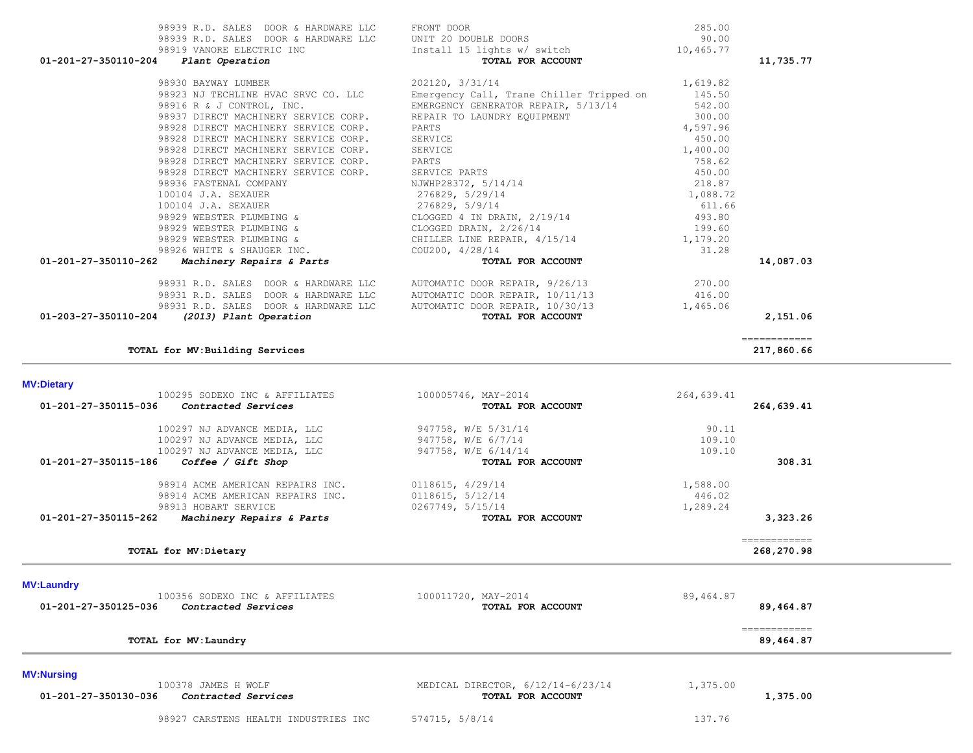| TOTAL for MV: Dietary                                                           |                                          |                 | 268,270.98   |
|---------------------------------------------------------------------------------|------------------------------------------|-----------------|--------------|
|                                                                                 |                                          |                 | ============ |
| 01-201-27-350115-262<br>Machinery Repairs & Parts                               | TOTAL FOR ACCOUNT                        |                 | 3,323.26     |
| 98913 HOBART SERVICE                                                            | 0267749, 5/15/14                         | 1,289.24        |              |
| 98914 ACME AMERICAN REPAIRS INC.                                                | 0118615, 5/12/14                         | 446.02          |              |
| 98914 ACME AMERICAN REPAIRS INC.                                                | 0118615, 4/29/14                         | 1,588.00        |              |
|                                                                                 |                                          |                 |              |
| Coffee / Gift Shop<br>01-201-27-350115-186                                      | TOTAL FOR ACCOUNT                        |                 | 308.31       |
| 100297 NJ ADVANCE MEDIA, LLC                                                    | 947758, W/E 6/14/14                      | 109.10          |              |
| 100297 NJ ADVANCE MEDIA, LLC                                                    | 947758, W/E 6/7/14                       | 109.10          |              |
| 100297 NJ ADVANCE MEDIA, LLC                                                    | 947758, W/E 5/31/14                      | 90.11           |              |
| Contracted Services<br>01-201-27-350115-036                                     | TOTAL FOR ACCOUNT                        |                 | 264,639.41   |
| 100295 SODEXO INC & AFFILIATES                                                  | 100005746, MAY-2014                      | 264,639.41      |              |
| <b>MV:Dietary</b>                                                               |                                          |                 |              |
| TOTAL for MV: Building Services                                                 |                                          |                 | 217,860.66   |
|                                                                                 |                                          |                 | ============ |
| 01-203-27-350110-204<br>(2013) Plant Operation                                  | TOTAL FOR ACCOUNT                        |                 | 2,151.06     |
| 98931 R.D. SALES DOOR & HARDWARE LLC                                            | AUTOMATIC DOOR REPAIR, 10/30/13          | 1,465.06        |              |
| 98931 R.D. SALES DOOR & HARDWARE LLC                                            | AUTOMATIC DOOR REPAIR, 10/11/13          | 416.00          |              |
| 98931 R.D. SALES DOOR & HARDWARE LLC                                            | AUTOMATIC DOOR REPAIR, 9/26/13           | 270.00          |              |
|                                                                                 |                                          |                 |              |
| 98926 WHITE & SHAUGER INC.<br>01-201-27-350110-262<br>Machinery Repairs & Parts | COU200, 4/28/14<br>TOTAL FOR ACCOUNT     | 31.28           | 14,087.03    |
| 98929 WEBSTER PLUMBING &                                                        | CHILLER LINE REPAIR, 4/15/14             | 1,179.20        |              |
| 98929 WEBSTER PLUMBING &                                                        | CLOGGED DRAIN, 2/26/14                   | 199.60          |              |
| 98929 WEBSTER PLUMBING &                                                        | CLOGGED 4 IN DRAIN, 2/19/14              | 493.80          |              |
| 100104 J.A. SEXAUER                                                             | 276829, 5/9/14                           | 611.66          |              |
| 100104 J.A. SEXAUER                                                             | 276829, 5/29/14                          | 1,088.72        |              |
| 98936 FASTENAL COMPANY                                                          | NJWHP28372, 5/14/14                      | 218.87          |              |
| 98928 DIRECT MACHINERY SERVICE CORP.                                            | SERVICE PARTS                            | 450.00          |              |
| 98928 DIRECT MACHINERY SERVICE CORP.                                            | PARTS                                    | 758.62          |              |
| 98928 DIRECT MACHINERY SERVICE CORP.                                            | SERVICE                                  | 1,400.00        |              |
| 98928 DIRECT MACHINERY SERVICE CORP.                                            | SERVICE                                  | 450.00          |              |
| 98928 DIRECT MACHINERY SERVICE CORP.                                            | PARTS                                    | 4,597.96        |              |
| 98937 DIRECT MACHINERY SERVICE CORP.                                            | REPAIR TO LAUNDRY EQUIPMENT              | 300.00          |              |
| 98916 R & J CONTROL, INC.                                                       | EMERGENCY GENERATOR REPAIR, 5/13/14      | 542.00          |              |
| 98923 NJ TECHLINE HVAC SRVC CO. LLC                                             | Emergency Call, Trane Chiller Tripped on | 145.50          |              |
| 98930 BAYWAY LUMBER                                                             | 202120, 3/31/14                          | 1,619.82        |              |
|                                                                                 |                                          |                 |              |
| 01-201-27-350110-204<br>Plant Operation                                         | TOTAL FOR ACCOUNT                        |                 | 11,735.77    |
| 98919 VANORE ELECTRIC INC                                                       | Install 15 lights w/ switch              | 10,465.77       |              |
| 98939 R.D. SALES DOOR & HARDWARE LLC                                            | FRONT DOOR<br>UNIT 20 DOUBLE DOORS       | 285.00<br>90.00 |              |
| 98939 R.D. SALES DOOR & HARDWARE LLC                                            |                                          |                 |              |

| 100356 SODEXO INC & AFFILIATES<br>01-201-27-350125-036<br>Contracted Services           | 100011720, MAY-2014<br>TOTAL FOR ACCOUNT               | 89,464.87<br>89,464.87    |
|-----------------------------------------------------------------------------------------|--------------------------------------------------------|---------------------------|
| TOTAL for MV: Laundry                                                                   |                                                        | ============<br>89,464.87 |
| <b>MV:Nursing</b><br>100378 JAMES H WOLF<br>01-201-27-350130-036<br>Contracted Services | MEDICAL DIRECTOR, 6/12/14-6/23/14<br>TOTAL FOR ACCOUNT | 1,375.00<br>1,375.00      |
| 98927 CARSTENS HEALTH INDUSTRIES INC                                                    | 574715, 5/8/14                                         | 137.76                    |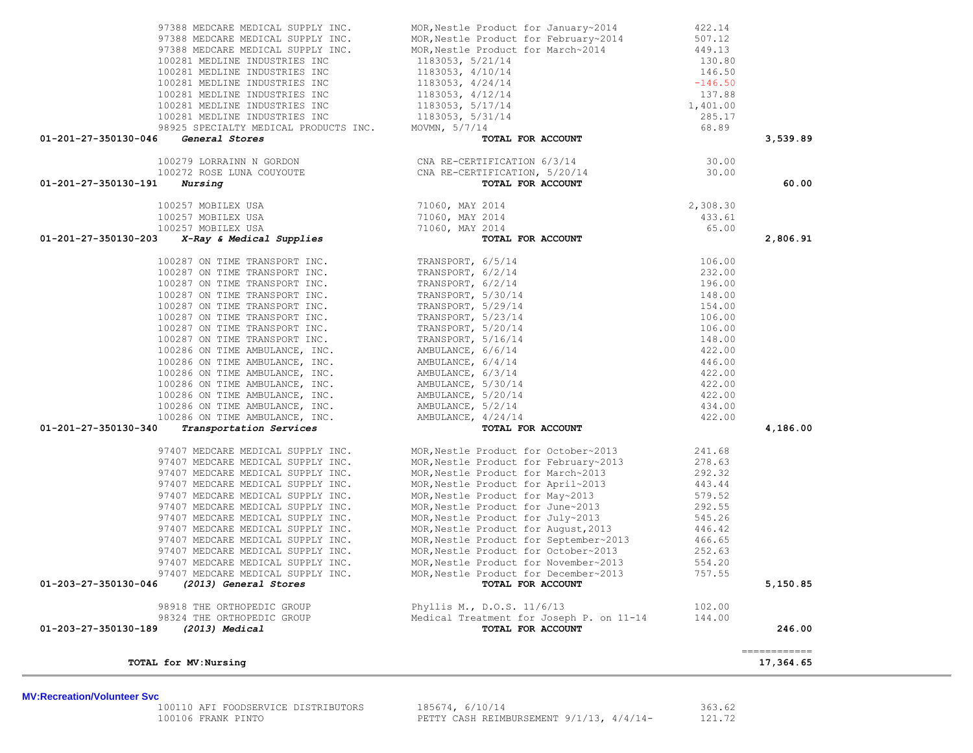| TOTAL for MV:Nursing                                                                                                                             |                                                                                                                                                                                                                                            |        | 17,364.65    |
|--------------------------------------------------------------------------------------------------------------------------------------------------|--------------------------------------------------------------------------------------------------------------------------------------------------------------------------------------------------------------------------------------------|--------|--------------|
|                                                                                                                                                  |                                                                                                                                                                                                                                            |        | ============ |
| 01-203-27-350130-189<br>(2013) Medical                                                                                                           | TOTAL FOR ACCOUNT                                                                                                                                                                                                                          |        | 246.00       |
| 98324 THE ORTHOPEDIC GROUP                                                                                                                       | Medical Treatment for Joseph P. on 11-14                                                                                                                                                                                                   | 144.00 |              |
| 98918 THE ORTHOPEDIC GROUP                                                                                                                       | Phyllis M., D.O.S. 11/6/13                                                                                                                                                                                                                 | 102.00 |              |
| 01-203-27-350130-046 (2013) General Stores                                                                                                       | TOTAL FOR ACCOUNT                                                                                                                                                                                                                          |        | 5,150.85     |
| 97407 MEDCARE MEDICAL SUPPLY INC.                                                                                                                | MOR, Nestle Product for December~2013 757.55                                                                                                                                                                                               |        |              |
| 97407 MEDCARE MEDICAL SUPPLY INC.                                                                                                                |                                                                                                                                                                                                                                            |        |              |
|                                                                                                                                                  |                                                                                                                                                                                                                                            |        |              |
|                                                                                                                                                  |                                                                                                                                                                                                                                            |        |              |
| 97407 MEDCARE MEDICAL SUPPLY INC.<br>97407 MEDCARE MEDICAL SUPPLY INC.<br>97407 MEDCARE MEDICAL SUPPLY INC.<br>97407 MEDCARE MEDICAL SUPPLY INC. |                                                                                                                                                                                                                                            |        |              |
| 97407 MEDCARE MEDICAL SUPPLY INC.<br>97407 MEDCARE MEDICAL SUPPLY INC.                                                                           |                                                                                                                                                                                                                                            |        |              |
| 97407 MEDCARE MEDICAL SUPPLY INC.                                                                                                                |                                                                                                                                                                                                                                            |        |              |
|                                                                                                                                                  |                                                                                                                                                                                                                                            |        |              |
|                                                                                                                                                  |                                                                                                                                                                                                                                            |        |              |
|                                                                                                                                                  |                                                                                                                                                                                                                                            |        |              |
| 97407 MEDCARE MEDICAL SUPPLY INC.<br>97407 MEDCARE MEDICAL SUPPLY INC.<br>97407 MEDCARE MEDICAL SUPPLY INC.<br>97407 MEDCARE MEDICAL SUPPLY INC. | MOR, Nestle Product for October~2013 241.68<br>MOR, Nestle Product for February~2013 278.63<br>MOR, Nestle Product for March~2013 292.32<br>MOR, Nestle Product for April~2013 443.44<br>MOR, Nestle Product for June~2013 579.52<br>MOR   |        |              |
|                                                                                                                                                  |                                                                                                                                                                                                                                            |        |              |
| 01-201-27-350130-340                                                                                                                             |                                                                                                                                                                                                                                            |        | 4,186.00     |
|                                                                                                                                                  |                                                                                                                                                                                                                                            |        |              |
|                                                                                                                                                  |                                                                                                                                                                                                                                            |        |              |
|                                                                                                                                                  |                                                                                                                                                                                                                                            |        |              |
|                                                                                                                                                  |                                                                                                                                                                                                                                            |        |              |
|                                                                                                                                                  |                                                                                                                                                                                                                                            |        |              |
|                                                                                                                                                  |                                                                                                                                                                                                                                            |        |              |
|                                                                                                                                                  |                                                                                                                                                                                                                                            |        |              |
|                                                                                                                                                  |                                                                                                                                                                                                                                            |        |              |
|                                                                                                                                                  |                                                                                                                                                                                                                                            |        |              |
|                                                                                                                                                  |                                                                                                                                                                                                                                            |        |              |
|                                                                                                                                                  |                                                                                                                                                                                                                                            |        |              |
|                                                                                                                                                  |                                                                                                                                                                                                                                            |        |              |
|                                                                                                                                                  |                                                                                                                                                                                                                                            |        |              |
|                                                                                                                                                  |                                                                                                                                                                                                                                            |        |              |
| 01-201-27-350130-203                                                                                                                             |                                                                                                                                                                                                                                            |        | 2,806.91     |
|                                                                                                                                                  |                                                                                                                                                                                                                                            |        |              |
| 100257 MOBILEX USA<br>100257 MOBILEX USA<br>100257 MOBILEX USA<br>100257 MOBILEX USA<br><b>3</b> X-Ray & Medical Supplies<br>TOTAI               | $\begin{tabular}{cc} 2014 & 2,308.30 \\ 2014 & 433.61 \\ 2014 & 65.00 \\ \textbf{TOTAL FOR ACCOUNT} \end{tabular}$                                                                                                                         |        |              |
|                                                                                                                                                  |                                                                                                                                                                                                                                            |        |              |
| $01 - 201 - 27 - 350130 - 191$ Nursing                                                                                                           | TOTAL FOR ACCOUNT                                                                                                                                                                                                                          |        | 60.00        |
|                                                                                                                                                  |                                                                                                                                                                                                                                            |        |              |
|                                                                                                                                                  |                                                                                                                                                                                                                                            |        |              |
|                                                                                                                                                  | General Stores<br>100279 LORRAINN N GORDON<br>100272 ROSE LUNA COUYOUTE CNA RE-CERTIFICATION 6/3/14<br>CNA RE-CERTIFICATION, 5/20/14<br>TOTAL FOR ACCOUNT<br>TOTAL FOR ACCOUNT                                                             |        |              |
| 01-201-27-350130-046                                                                                                                             |                                                                                                                                                                                                                                            |        | 3,539.89     |
|                                                                                                                                                  |                                                                                                                                                                                                                                            |        |              |
|                                                                                                                                                  |                                                                                                                                                                                                                                            |        |              |
|                                                                                                                                                  |                                                                                                                                                                                                                                            |        |              |
|                                                                                                                                                  |                                                                                                                                                                                                                                            |        |              |
|                                                                                                                                                  |                                                                                                                                                                                                                                            |        |              |
|                                                                                                                                                  |                                                                                                                                                                                                                                            |        |              |
|                                                                                                                                                  | 97388 MEDCARE MEDICAL SUPPLY INC.<br>97388 MEDCARE MEDICAL SUPPLY INC.<br>97388 MEDCARE MEDICAL SUPPLY INC.<br>97388 MEDCARE MEDICAL SUPPLY INC.<br>97388 MEDCARE MEDICAL SUPPLY INC.<br>97388 MEDCARE MEDICAL SUPPLY INC.<br>97388 MEDCAR |        |              |
|                                                                                                                                                  |                                                                                                                                                                                                                                            |        |              |
|                                                                                                                                                  | 97388 MEDCARE MEDICAL SUPPLY INC. MOR, Nestle Product for January~2014                                                                                                                                                                     | 422.14 |              |

100110 AFI FOODSERVICE DISTRIBUTORS 185674, 6/10/14<br>121.72 100106 FRANK PINTO 121.72 PETTY CASH REIMBURSEMENT 9/1/13, 4/4/14-

PETTY CASH REIMBURSEMENT 9/1/13, 4/4/14-

**MV:Recreation/Volunteer Svc**

 $\sim$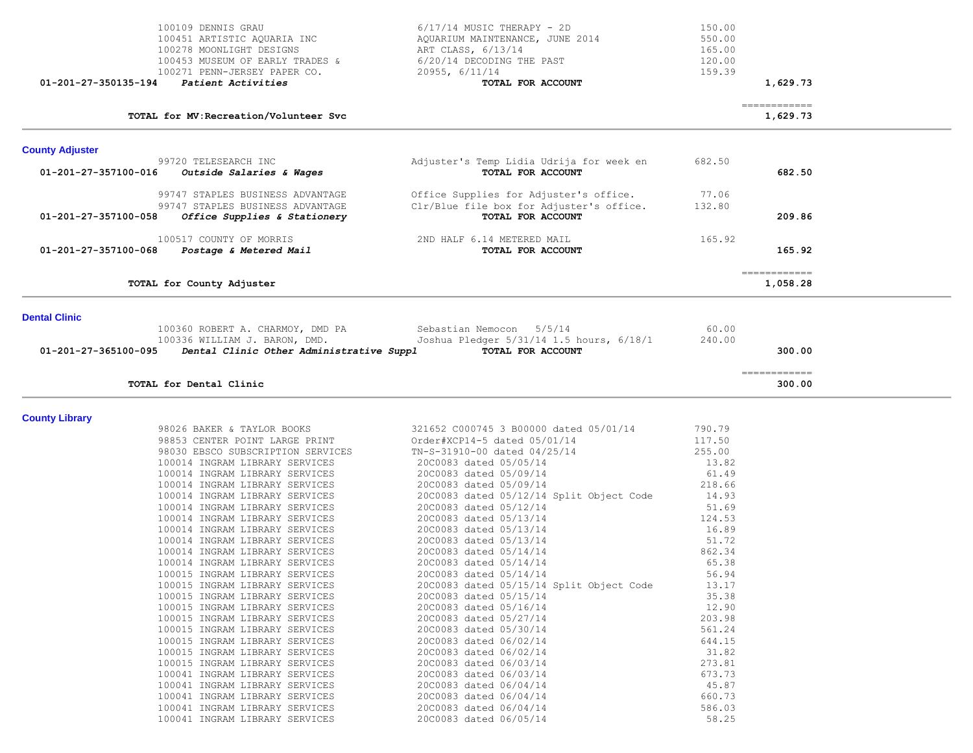|                        | 100109 DENNIS GRAU<br>100451 ARTISTIC AQUARIA INC<br>100278 MOONLIGHT DESIGNS<br>100453 MUSEUM OF EARLY TRADES &<br>100271 PENN-JERSEY PAPER CO. | $6/17/14$ MUSIC THERAPY - 2D<br>AQUARIUM MAINTENANCE, JUNE 2014<br>ART CLASS, 6/13/14<br>6/20/14 DECODING THE PAST<br>20955, 6/11/14 | 150.00<br>550.00<br>165.00<br>120.00<br>159.39 |                                                                                                                                                                                                                                                                                                                                                                                                                                                                                                    |  |
|------------------------|--------------------------------------------------------------------------------------------------------------------------------------------------|--------------------------------------------------------------------------------------------------------------------------------------|------------------------------------------------|----------------------------------------------------------------------------------------------------------------------------------------------------------------------------------------------------------------------------------------------------------------------------------------------------------------------------------------------------------------------------------------------------------------------------------------------------------------------------------------------------|--|
| 01-201-27-350135-194   | Patient Activities                                                                                                                               | TOTAL FOR ACCOUNT                                                                                                                    |                                                | 1,629.73                                                                                                                                                                                                                                                                                                                                                                                                                                                                                           |  |
|                        | TOTAL for MV: Recreation/Volunteer Svc                                                                                                           |                                                                                                                                      |                                                | $\begin{array}{cccccccccc} \multicolumn{2}{c}{} & \multicolumn{2}{c}{} & \multicolumn{2}{c}{} & \multicolumn{2}{c}{} & \multicolumn{2}{c}{} & \multicolumn{2}{c}{} & \multicolumn{2}{c}{} & \multicolumn{2}{c}{} & \multicolumn{2}{c}{} & \multicolumn{2}{c}{} & \multicolumn{2}{c}{} & \multicolumn{2}{c}{} & \multicolumn{2}{c}{} & \multicolumn{2}{c}{} & \multicolumn{2}{c}{} & \multicolumn{2}{c}{} & \multicolumn{2}{c}{} & \multicolumn{2}{c}{} & \multicolumn{2}{c}{} & \mult$<br>1,629.73 |  |
| <b>County Adjuster</b> |                                                                                                                                                  |                                                                                                                                      |                                                |                                                                                                                                                                                                                                                                                                                                                                                                                                                                                                    |  |
| 01-201-27-357100-016   | 99720 TELESEARCH INC<br>Outside Salaries & Wages                                                                                                 | Adjuster's Temp Lidia Udrija for week en<br>TOTAL FOR ACCOUNT                                                                        | 682.50                                         | 682.50                                                                                                                                                                                                                                                                                                                                                                                                                                                                                             |  |
| 01-201-27-357100-058   | 99747 STAPLES BUSINESS ADVANTAGE<br>99747 STAPLES BUSINESS ADVANTAGE<br>Office Supplies & Stationery                                             | Office Supplies for Adjuster's office.<br>Clr/Blue file box for Adjuster's office.<br>TOTAL FOR ACCOUNT                              | 77.06<br>132.80                                | 209.86                                                                                                                                                                                                                                                                                                                                                                                                                                                                                             |  |
| 01-201-27-357100-068   | 100517 COUNTY OF MORRIS<br>Postage & Metered Mail                                                                                                | 2ND HALF 6.14 METERED MAIL<br>TOTAL FOR ACCOUNT                                                                                      | 165.92                                         | 165.92                                                                                                                                                                                                                                                                                                                                                                                                                                                                                             |  |
|                        | TOTAL for County Adjuster                                                                                                                        |                                                                                                                                      |                                                | $\begin{array}{cccccccccc} \multicolumn{2}{c}{} & \multicolumn{2}{c}{} & \multicolumn{2}{c}{} & \multicolumn{2}{c}{} & \multicolumn{2}{c}{} & \multicolumn{2}{c}{} & \multicolumn{2}{c}{} & \multicolumn{2}{c}{} & \multicolumn{2}{c}{} & \multicolumn{2}{c}{} & \multicolumn{2}{c}{} & \multicolumn{2}{c}{} & \multicolumn{2}{c}{} & \multicolumn{2}{c}{} & \multicolumn{2}{c}{} & \multicolumn{2}{c}{} & \multicolumn{2}{c}{} & \multicolumn{2}{c}{} & \multicolumn{2}{c}{} & \mult$<br>1,058.28 |  |
| <b>Dental Clinic</b>   | 100360 ROBERT A. CHARMOY, DMD PA<br>100336 WILLIAM J. BARON, DMD.                                                                                | Sebastian Nemocon 5/5/14<br>Joshua Pledger 5/31/14 1.5 hours, 6/18/1                                                                 | 60.00<br>240.00                                |                                                                                                                                                                                                                                                                                                                                                                                                                                                                                                    |  |
|                        | 01-201-27-365100-095  Dental Clinic Other Administrative Suppl                                                                                   | TOTAL FOR ACCOUNT                                                                                                                    |                                                | 300.00                                                                                                                                                                                                                                                                                                                                                                                                                                                                                             |  |
|                        | TOTAL for Dental Clinic                                                                                                                          |                                                                                                                                      |                                                | $=$ = = = = = = = = = = = =<br>300.00                                                                                                                                                                                                                                                                                                                                                                                                                                                              |  |
| <b>County Library</b>  |                                                                                                                                                  |                                                                                                                                      |                                                |                                                                                                                                                                                                                                                                                                                                                                                                                                                                                                    |  |
|                        | 98026 BAKER & TAYLOR BOOKS                                                                                                                       | 321652 C000745 3 B00000 dated 05/01/14                                                                                               | 790.79                                         |                                                                                                                                                                                                                                                                                                                                                                                                                                                                                                    |  |
|                        | 98853 CENTER POINT LARGE PRINT                                                                                                                   | Order#XCP14-5 dated 05/01/14                                                                                                         | 117.50                                         |                                                                                                                                                                                                                                                                                                                                                                                                                                                                                                    |  |
|                        | 98030 EBSCO SUBSCRIPTION SERVICES                                                                                                                | TN-S-31910-00 dated 04/25/14                                                                                                         | 255.00                                         |                                                                                                                                                                                                                                                                                                                                                                                                                                                                                                    |  |
|                        | 100014 INGRAM LIBRARY SERVICES                                                                                                                   | 20C0083 dated 05/05/14                                                                                                               | 13.82                                          |                                                                                                                                                                                                                                                                                                                                                                                                                                                                                                    |  |
|                        | 100014 INGRAM LIBRARY SERVICES                                                                                                                   | 20C0083 dated 05/09/14                                                                                                               | 61.49                                          |                                                                                                                                                                                                                                                                                                                                                                                                                                                                                                    |  |
|                        | 100014 INGRAM LIBRARY SERVICES<br>100014 INGRAM LIBRARY SERVICES                                                                                 | 20C0083 dated 05/09/14                                                                                                               | 218.66<br>14.93                                |                                                                                                                                                                                                                                                                                                                                                                                                                                                                                                    |  |
|                        | 100014 INGRAM LIBRARY SERVICES                                                                                                                   | 2000083 dated 05/12/14 Split Object Code<br>20C0083 dated 05/12/14                                                                   | 51.69                                          |                                                                                                                                                                                                                                                                                                                                                                                                                                                                                                    |  |
|                        | 100014 INGRAM LIBRARY SERVICES                                                                                                                   | 20C0083 dated 05/13/14                                                                                                               | 124.53                                         |                                                                                                                                                                                                                                                                                                                                                                                                                                                                                                    |  |
|                        | 100014 INGRAM LIBRARY SERVICES                                                                                                                   | 20C0083 dated 05/13/14                                                                                                               | 16.89                                          |                                                                                                                                                                                                                                                                                                                                                                                                                                                                                                    |  |
|                        | 100014 INGRAM LIBRARY SERVICES                                                                                                                   | 20C0083 dated 05/13/14                                                                                                               | 51.72                                          |                                                                                                                                                                                                                                                                                                                                                                                                                                                                                                    |  |
|                        | 100014 INGRAM LIBRARY SERVICES                                                                                                                   | 20C0083 dated 05/14/14                                                                                                               | 862.34                                         |                                                                                                                                                                                                                                                                                                                                                                                                                                                                                                    |  |
|                        | 100014 INGRAM LIBRARY SERVICES                                                                                                                   | 20C0083 dated 05/14/14                                                                                                               | 65.38                                          |                                                                                                                                                                                                                                                                                                                                                                                                                                                                                                    |  |
|                        | 100015 INGRAM LIBRARY SERVICES                                                                                                                   | 20C0083 dated 05/14/14                                                                                                               | 56.94                                          |                                                                                                                                                                                                                                                                                                                                                                                                                                                                                                    |  |
|                        | 100015 INGRAM LIBRARY SERVICES                                                                                                                   | 2000083 dated 05/15/14 Split Object Code                                                                                             | 13.17                                          |                                                                                                                                                                                                                                                                                                                                                                                                                                                                                                    |  |
|                        | 100015 INGRAM LIBRARY SERVICES                                                                                                                   | 20C0083 dated 05/15/14<br>20C0083 dated 05/16/14                                                                                     | 35.38                                          |                                                                                                                                                                                                                                                                                                                                                                                                                                                                                                    |  |
|                        | 100015 INGRAM LIBRARY SERVICES<br>100015 INGRAM LIBRARY SERVICES                                                                                 | 20C0083 dated 05/27/14                                                                                                               | 12.90<br>203.98                                |                                                                                                                                                                                                                                                                                                                                                                                                                                                                                                    |  |
|                        | 100015 INGRAM LIBRARY SERVICES                                                                                                                   | 20C0083 dated 05/30/14                                                                                                               | 561.24                                         |                                                                                                                                                                                                                                                                                                                                                                                                                                                                                                    |  |
|                        | 100015 INGRAM LIBRARY SERVICES                                                                                                                   | 20C0083 dated 06/02/14                                                                                                               | 644.15                                         |                                                                                                                                                                                                                                                                                                                                                                                                                                                                                                    |  |
|                        | 100015 INGRAM LIBRARY SERVICES                                                                                                                   | 20C0083 dated 06/02/14                                                                                                               | 31.82                                          |                                                                                                                                                                                                                                                                                                                                                                                                                                                                                                    |  |
|                        | 100015 INGRAM LIBRARY SERVICES                                                                                                                   | 20C0083 dated 06/03/14                                                                                                               | 273.81                                         |                                                                                                                                                                                                                                                                                                                                                                                                                                                                                                    |  |
|                        | 100041 INGRAM LIBRARY SERVICES                                                                                                                   | 20C0083 dated 06/03/14                                                                                                               | 673.73                                         |                                                                                                                                                                                                                                                                                                                                                                                                                                                                                                    |  |
|                        | 100041 INGRAM LIBRARY SERVICES                                                                                                                   | 20C0083 dated 06/04/14                                                                                                               | 45.87                                          |                                                                                                                                                                                                                                                                                                                                                                                                                                                                                                    |  |
|                        | 100041 INGRAM LIBRARY SERVICES                                                                                                                   | 20C0083 dated 06/04/14                                                                                                               | 660.73                                         |                                                                                                                                                                                                                                                                                                                                                                                                                                                                                                    |  |
|                        | 100041 INGRAM LIBRARY SERVICES<br>100041 INGRAM LIBRARY SERVICES                                                                                 | 20C0083 dated 06/04/14<br>20C0083 dated 06/05/14                                                                                     | 586.03<br>58.25                                |                                                                                                                                                                                                                                                                                                                                                                                                                                                                                                    |  |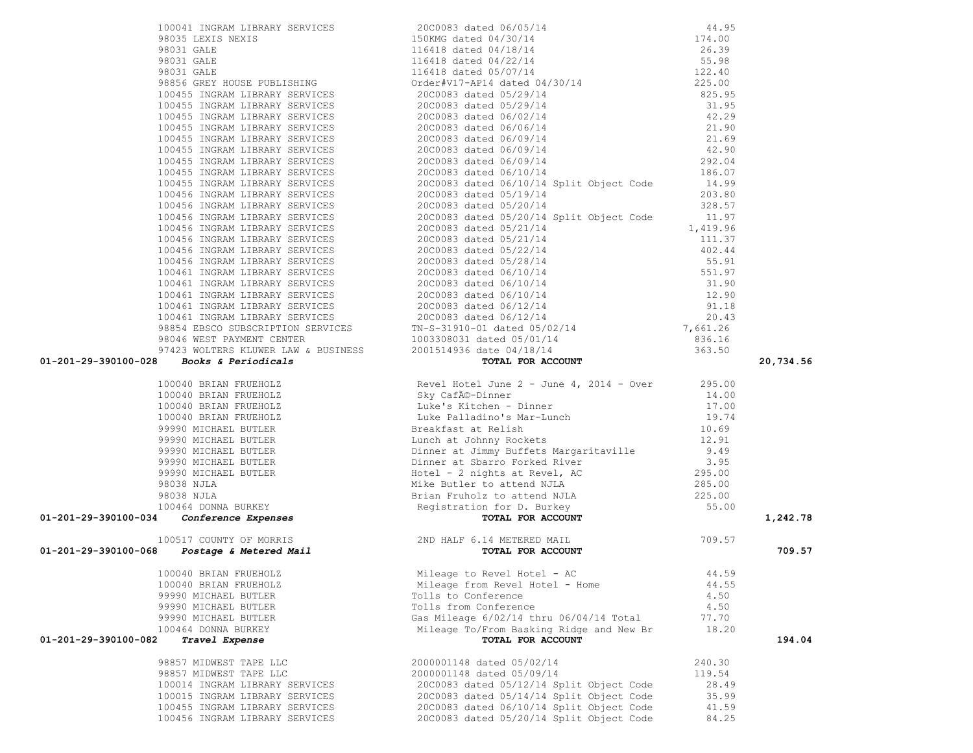|                                                                                                                                     |                                          |        | 20,734.56 |
|-------------------------------------------------------------------------------------------------------------------------------------|------------------------------------------|--------|-----------|
|                                                                                                                                     |                                          |        |           |
|                                                                                                                                     |                                          |        |           |
|                                                                                                                                     |                                          |        |           |
|                                                                                                                                     |                                          |        |           |
|                                                                                                                                     |                                          |        |           |
|                                                                                                                                     |                                          |        |           |
|                                                                                                                                     |                                          |        |           |
|                                                                                                                                     |                                          |        |           |
|                                                                                                                                     |                                          |        |           |
|                                                                                                                                     |                                          |        |           |
|                                                                                                                                     |                                          |        |           |
|                                                                                                                                     |                                          |        |           |
|                                                                                                                                     |                                          |        | 1,242.78  |
| 100517 COUNTY OF MORRIS<br>2ND HALF 6.14 METERED MAIL 709.57<br><b>100040 BRIAN FRUEHOLZ</b> Mail Mileage to Revel Hotel - AC 44.59 |                                          |        |           |
|                                                                                                                                     |                                          |        | 709.57    |
| 100040 BRIAN FRUEHOLZ                                                                                                               | Mileage to Revel Hotel - AC 44.59        |        |           |
| 100040 BRIAN FRUEHOLZ                                                                                                               | Mileage from Revel Hotel - Home          | 44.55  |           |
| 99990 MICHAEL BUTLER                                                                                                                | Tolls to Conference                      | 4.50   |           |
| 99990 MICHAEL BUTLER                                                                                                                | Tolls from Conference                    | 4.50   |           |
| 99990 MICHAEL BUTLER                                                                                                                | Gas Mileage 6/02/14 thru 06/04/14 Total  | 77.70  |           |
| 100464 DONNA BURKEY                                                                                                                 | Mileage To/From Basking Ridge and New Br | 18.20  |           |
| 01-201-29-390100-082<br>Travel Expense                                                                                              | TOTAL FOR ACCOUNT                        |        | 194.04    |
| 98857 MIDWEST TAPE LLC                                                                                                              | 2000001148 dated 05/02/14                | 240.30 |           |
| 98857 MIDWEST TAPE LLC                                                                                                              | 2000001148 dated 05/09/14                | 119.54 |           |
| 100014 INGRAM LIBRARY SERVICES                                                                                                      | 20C0083 dated 05/12/14 Split Object Code | 28.49  |           |
| 100015 INGRAM LIBRARY SERVICES                                                                                                      | 2000083 dated 05/14/14 Split Object Code | 35.99  |           |
| 100455 INGRAM LIBRARY SERVICES                                                                                                      | 20C0083 dated 06/10/14 Split Object Code | 41.59  |           |
| 100456 INGRAM LIBRARY SERVICES                                                                                                      | 20C0083 dated 05/20/14 Split Object Code | 84.25  |           |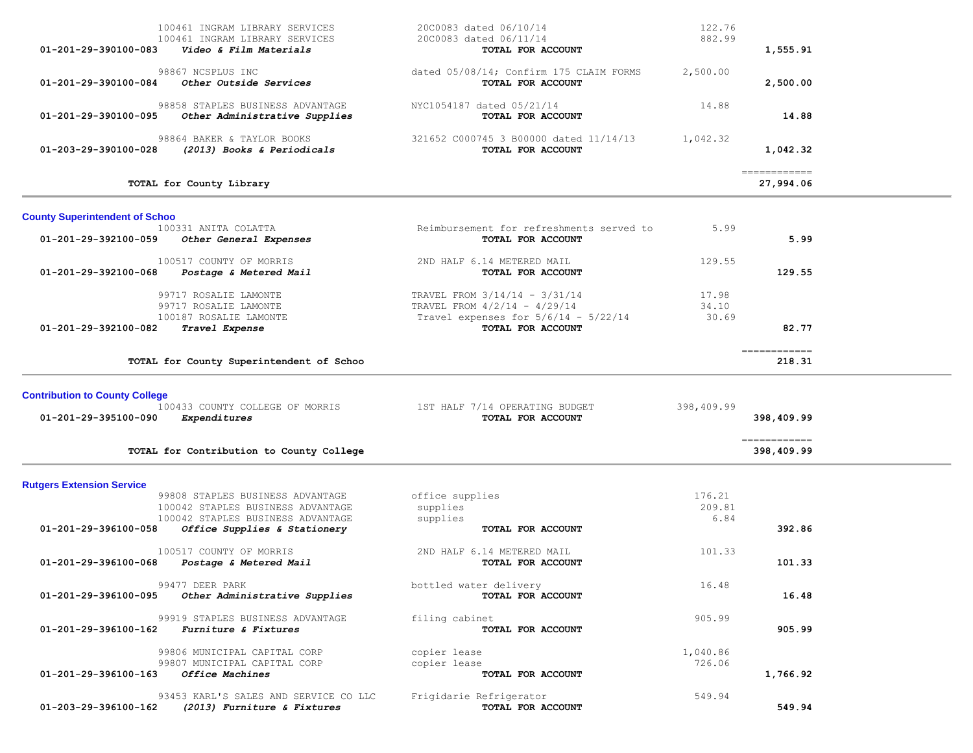| 01-201-29-390100-083                                     | 100461 INGRAM LIBRARY SERVICES<br>100461 INGRAM LIBRARY SERVICES<br>Video & Film Materials                                                 | 20C0083 dated 06/10/14<br>20C0083 dated 06/11/14<br>TOTAL FOR ACCOUNT                                                          | 122.76<br>882.99         | 1,555.91                    |  |
|----------------------------------------------------------|--------------------------------------------------------------------------------------------------------------------------------------------|--------------------------------------------------------------------------------------------------------------------------------|--------------------------|-----------------------------|--|
| 01-201-29-390100-084                                     | 98867 NCSPLUS INC<br>Other Outside Services                                                                                                | dated 05/08/14; Confirm 175 CLAIM FORMS<br>TOTAL FOR ACCOUNT                                                                   | 2,500.00                 | 2,500.00                    |  |
| 01-201-29-390100-095                                     | 98858 STAPLES BUSINESS ADVANTAGE<br>Other Administrative Supplies                                                                          | NYC1054187 dated 05/21/14<br>TOTAL FOR ACCOUNT                                                                                 | 14.88                    | 14.88                       |  |
| 01-203-29-390100-028                                     | 98864 BAKER & TAYLOR BOOKS<br>(2013) Books & Periodicals                                                                                   | 321652 C000745 3 B00000 dated 11/14/13<br>TOTAL FOR ACCOUNT                                                                    | 1,042.32                 | 1,042.32                    |  |
|                                                          | TOTAL for County Library                                                                                                                   |                                                                                                                                |                          | -------------<br>27,994.06  |  |
| <b>County Superintendent of Schoo</b>                    |                                                                                                                                            |                                                                                                                                |                          |                             |  |
| 01-201-29-392100-059                                     | 100331 ANITA COLATTA<br>Other General Expenses                                                                                             | Reimbursement for refreshments served to<br>TOTAL FOR ACCOUNT                                                                  | 5.99                     | 5.99                        |  |
| 01-201-29-392100-068                                     | 100517 COUNTY OF MORRIS<br>Postage & Metered Mail                                                                                          | 2ND HALF 6.14 METERED MAIL<br>TOTAL FOR ACCOUNT                                                                                | 129.55                   | 129.55                      |  |
| 01-201-29-392100-082                                     | 99717 ROSALIE LAMONTE<br>99717 ROSALIE LAMONTE<br>100187 ROSALIE LAMONTE<br>Travel Expense                                                 | TRAVEL FROM 3/14/14 - 3/31/14<br>TRAVEL FROM 4/2/14 - 4/29/14<br>Travel expenses for $5/6/14$ - $5/22/14$<br>TOTAL FOR ACCOUNT | 17.98<br>34.10<br>30.69  | 82.77                       |  |
|                                                          | TOTAL for County Superintendent of Schoo                                                                                                   |                                                                                                                                |                          | ============<br>218.31      |  |
| <b>Contribution to County College</b>                    |                                                                                                                                            |                                                                                                                                |                          |                             |  |
| 01-201-29-395100-090                                     | 100433 COUNTY COLLEGE OF MORRIS<br>Expenditures                                                                                            | 1ST HALF 7/14 OPERATING BUDGET<br>TOTAL FOR ACCOUNT                                                                            | 398,409.99               | 398,409.99                  |  |
|                                                          |                                                                                                                                            |                                                                                                                                |                          |                             |  |
|                                                          | TOTAL for Contribution to County College                                                                                                   |                                                                                                                                |                          | -------------<br>398,409.99 |  |
| <b>Rutgers Extension Service</b><br>01-201-29-396100-058 | 99808 STAPLES BUSINESS ADVANTAGE<br>100042 STAPLES BUSINESS ADVANTAGE<br>100042 STAPLES BUSINESS ADVANTAGE<br>Office Supplies & Stationery | office supplies<br>supplies<br>supplies<br>TOTAL FOR ACCOUNT                                                                   | 176.21<br>209.81<br>6.84 | 392.86                      |  |
| 01-201-29-396100-068                                     | 100517 COUNTY OF MORRIS<br>Postage & Metered Mail                                                                                          | 2ND HALF 6.14 METERED MAIL<br>TOTAL FOR ACCOUNT                                                                                | 101.33                   | 101.33                      |  |
| 01-201-29-396100-095                                     | 99477 DEER PARK<br>Other Administrative Supplies                                                                                           | bottled water delivery<br>TOTAL FOR ACCOUNT                                                                                    | 16.48                    | 16.48                       |  |
| 01-201-29-396100-162                                     | 99919 STAPLES BUSINESS ADVANTAGE<br>Furniture & Fixtures                                                                                   | filing cabinet<br>TOTAL FOR ACCOUNT                                                                                            | 905.99                   | 905.99                      |  |
| 01-201-29-396100-163                                     | 99806 MUNICIPAL CAPITAL CORP<br>99807 MUNICIPAL CAPITAL CORP<br>Office Machines                                                            | copier lease<br>copier lease<br>TOTAL FOR ACCOUNT                                                                              | 1,040.86<br>726.06       | 1,766.92                    |  |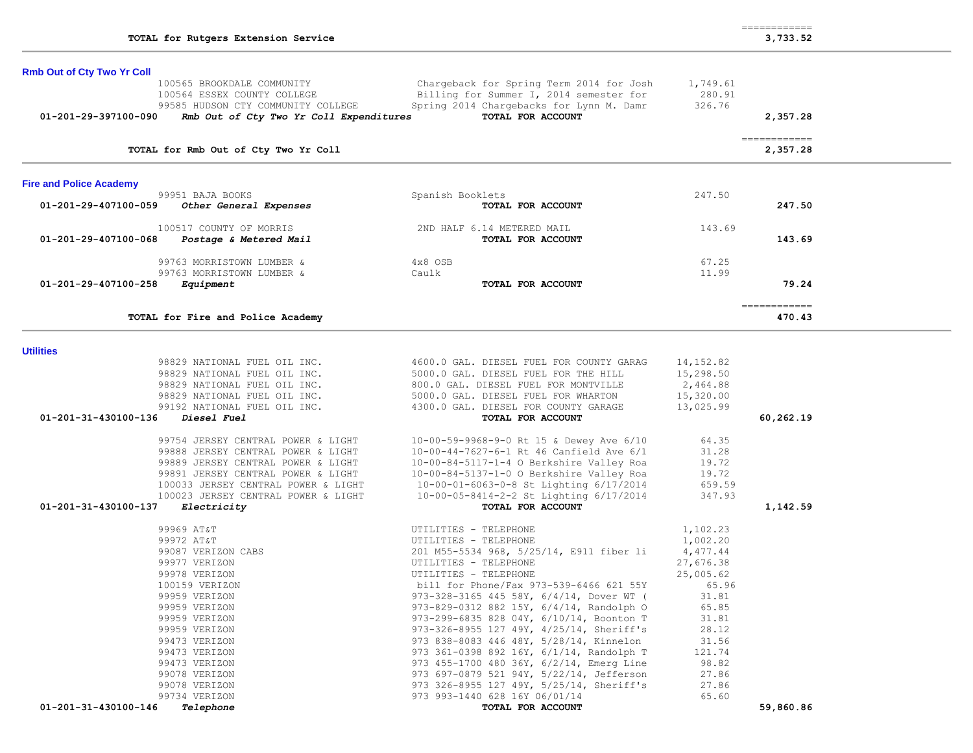|                                | 100565 BROOKDALE COMMUNITY<br>100564 ESSEX COUNTY COLLEGE<br>99585 HUDSON CTY COMMUNITY COLLEGE                                                                                                                                                                              | Chargeback for Spring Term 2014 for Josh<br>Billing for Summer I, 2014 semester for<br>Spring 2014 Chargebacks for Lynn M. Damr                                                                                                                                                                                                                                                                                                                                                                                                                                                                                                     | 1,749.61<br>280.91<br>326.76                                                                                                                                   |                          |
|--------------------------------|------------------------------------------------------------------------------------------------------------------------------------------------------------------------------------------------------------------------------------------------------------------------------|-------------------------------------------------------------------------------------------------------------------------------------------------------------------------------------------------------------------------------------------------------------------------------------------------------------------------------------------------------------------------------------------------------------------------------------------------------------------------------------------------------------------------------------------------------------------------------------------------------------------------------------|----------------------------------------------------------------------------------------------------------------------------------------------------------------|--------------------------|
| 01-201-29-397100-090           | Rmb Out of Cty Two Yr Coll Expenditures                                                                                                                                                                                                                                      | TOTAL FOR ACCOUNT                                                                                                                                                                                                                                                                                                                                                                                                                                                                                                                                                                                                                   |                                                                                                                                                                | 2,357.28                 |
|                                | TOTAL for Rmb Out of Cty Two Yr Coll                                                                                                                                                                                                                                         |                                                                                                                                                                                                                                                                                                                                                                                                                                                                                                                                                                                                                                     |                                                                                                                                                                | ------------<br>2,357.28 |
| <b>Fire and Police Academy</b> |                                                                                                                                                                                                                                                                              |                                                                                                                                                                                                                                                                                                                                                                                                                                                                                                                                                                                                                                     |                                                                                                                                                                |                          |
| 01-201-29-407100-059           | 99951 BAJA BOOKS<br>Other General Expenses                                                                                                                                                                                                                                   | Spanish Booklets<br>TOTAL FOR ACCOUNT                                                                                                                                                                                                                                                                                                                                                                                                                                                                                                                                                                                               | 247.50                                                                                                                                                         | 247.50                   |
| 01-201-29-407100-068           | 100517 COUNTY OF MORRIS<br>Postage & Metered Mail                                                                                                                                                                                                                            | 2ND HALF 6.14 METERED MAIL<br>TOTAL FOR ACCOUNT                                                                                                                                                                                                                                                                                                                                                                                                                                                                                                                                                                                     | 143.69                                                                                                                                                         | 143.69                   |
|                                | 99763 MORRISTOWN LUMBER &                                                                                                                                                                                                                                                    | 4x8 OSB                                                                                                                                                                                                                                                                                                                                                                                                                                                                                                                                                                                                                             | 67.25                                                                                                                                                          |                          |
| 01-201-29-407100-258           | 99763 MORRISTOWN LUMBER &<br>Equipment                                                                                                                                                                                                                                       | Caulk<br>TOTAL FOR ACCOUNT                                                                                                                                                                                                                                                                                                                                                                                                                                                                                                                                                                                                          | 11.99                                                                                                                                                          | 79.24                    |
|                                | TOTAL for Fire and Police Academy                                                                                                                                                                                                                                            |                                                                                                                                                                                                                                                                                                                                                                                                                                                                                                                                                                                                                                     |                                                                                                                                                                | ------------<br>470.43   |
| <b>Utilities</b>               |                                                                                                                                                                                                                                                                              |                                                                                                                                                                                                                                                                                                                                                                                                                                                                                                                                                                                                                                     |                                                                                                                                                                |                          |
|                                | 98829 NATIONAL FUEL OIL INC.<br>98829 NATIONAL FUEL OIL INC.<br>98829 NATIONAL FUEL OIL INC.<br>98829 NATIONAL FUEL OIL INC.                                                                                                                                                 | 4600.0 GAL. DIESEL FUEL FOR COUNTY GARAG<br>5000.0 GAL. DIESEL FUEL FOR THE HILL<br>800.0 GAL. DIESEL FUEL FOR MONTVILLE<br>5000.0 GAL. DIESEL FUEL FOR WHARTON                                                                                                                                                                                                                                                                                                                                                                                                                                                                     | 14, 152.82<br>15,298.50<br>2,464.88<br>15,320.00                                                                                                               |                          |
| 01-201-31-430100-136           | 99192 NATIONAL FUEL OIL INC.<br>Diesel Fuel                                                                                                                                                                                                                                  | 4300.0 GAL. DIESEL FOR COUNTY GARAGE<br>TOTAL FOR ACCOUNT                                                                                                                                                                                                                                                                                                                                                                                                                                                                                                                                                                           | 13,025.99                                                                                                                                                      | 60,262.19                |
| 01-201-31-430100-137           | 99754 JERSEY CENTRAL POWER & LIGHT<br>99888 JERSEY CENTRAL POWER & LIGHT<br>99889 JERSEY CENTRAL POWER & LIGHT<br>99891 JERSEY CENTRAL POWER & LIGHT<br>100033 JERSEY CENTRAL POWER & LIGHT<br>100023 JERSEY CENTRAL POWER & LIGHT<br><i>Electricity</i>                     | 10-00-59-9968-9-0 Rt 15 & Dewey Ave 6/10<br>$10-00-44-7627-6-1$ Rt 46 Canfield Ave 6/1<br>10-00-84-5117-1-4 O Berkshire Valley Roa<br>10-00-84-5137-1-0 O Berkshire Valley Roa<br>10-00-01-6063-0-8 St Lighting 6/17/2014<br>10-00-05-8414-2-2 St Lighting 6/17/2014<br>TOTAL FOR ACCOUNT                                                                                                                                                                                                                                                                                                                                           | 64.35<br>31.28<br>19.72<br>19.72<br>659.59<br>347.93                                                                                                           | 1,142.59                 |
|                                | 99969 AT&T<br>99972 AT&T<br>99087 VERIZON CABS<br>99977 VERIZON<br>99978 VERIZON<br>100159 VERIZON<br>99959 VERIZON<br>99959 VERIZON<br>99959 VERIZON<br>99959 VERIZON<br>99473 VERIZON<br>99473 VERIZON<br>99473 VERIZON<br>99078 VERIZON<br>99078 VERIZON<br>99734 VERIZON | UTILITIES - TELEPHONE<br>UTILITIES - TELEPHONE<br>201 M55-5534 968, 5/25/14, E911 fiber li<br>UTILITIES - TELEPHONE<br>UTILITIES - TELEPHONE<br>bill for Phone/Fax 973-539-6466 621 55Y<br>973-328-3165 445 58Y, 6/4/14, Dover WT (<br>973-829-0312 882 15Y, 6/4/14, Randolph O<br>973-299-6835 828 04Y, 6/10/14, Boonton T<br>973-326-8955 127 49Y, 4/25/14, Sheriff's<br>973 838-8083 446 48Y, 5/28/14, Kinnelon<br>973 361-0398 892 16Y, 6/1/14, Randolph T<br>973 455-1700 480 36Y, 6/2/14, Emerg Line<br>973 697-0879 521 94Y, 5/22/14, Jefferson<br>973 326-8955 127 49Y, 5/25/14, Sheriff's<br>973 993-1440 628 16Y 06/01/14 | 1,102.23<br>1,002.20<br>4,477.44<br>27,676.38<br>25,005.62<br>65.96<br>31.81<br>65.85<br>31.81<br>28.12<br>31.56<br>121.74<br>98.82<br>27.86<br>27.86<br>65.60 |                          |

**Rmb Out of Cty Two Yr Coll** 100565 BROOKDALE COMMUNITY

============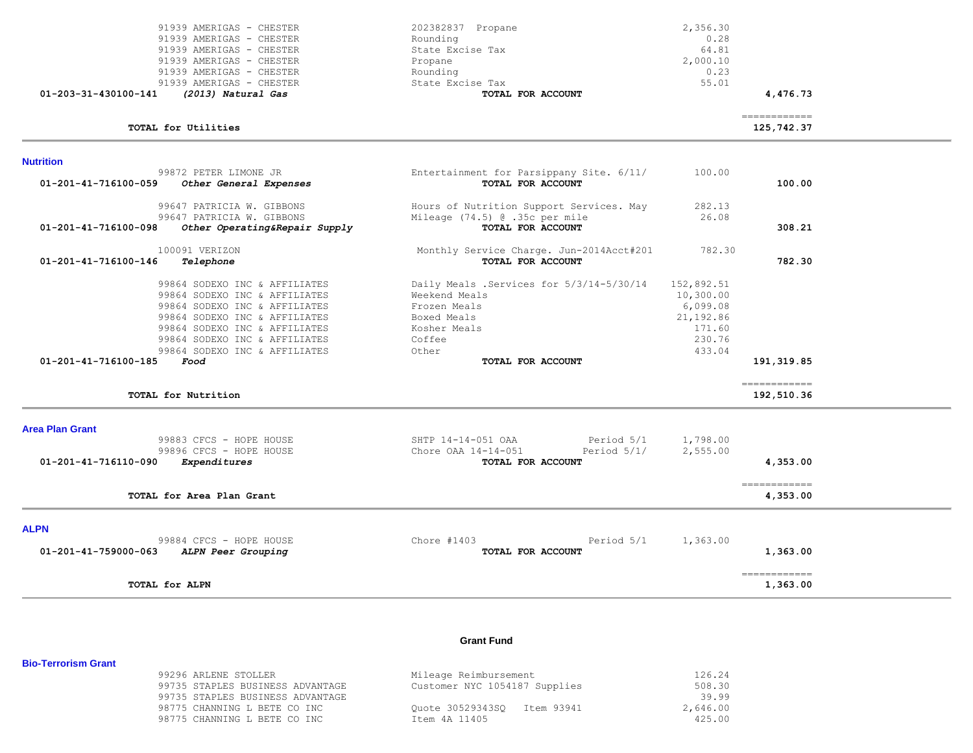| 91939 AMERIGAS - CHESTER                              | 202382837 Propane                        | 2,356.30   |                            |  |
|-------------------------------------------------------|------------------------------------------|------------|----------------------------|--|
| 91939 AMERIGAS - CHESTER                              | Rounding                                 | 0.28       |                            |  |
| 91939 AMERIGAS - CHESTER                              | State Excise Tax                         | 64.81      |                            |  |
| 91939 AMERIGAS - CHESTER                              | Propane                                  | 2,000.10   |                            |  |
| 91939 AMERIGAS - CHESTER                              | Rounding                                 | 0.23       |                            |  |
| 91939 AMERIGAS - CHESTER                              | State Excise Tax                         | 55.01      |                            |  |
| (2013) Natural Gas<br>01-203-31-430100-141            | TOTAL FOR ACCOUNT                        |            | 4,476.73                   |  |
|                                                       |                                          |            |                            |  |
| TOTAL for Utilities                                   |                                          |            | ============<br>125,742.37 |  |
| <b>Nutrition</b>                                      |                                          |            |                            |  |
| 99872 PETER LIMONE JR                                 | Entertainment for Parsippany Site. 6/11/ | 100.00     |                            |  |
| 01-201-41-716100-059<br>Other General Expenses        | TOTAL FOR ACCOUNT                        |            | 100.00                     |  |
| 99647 PATRICIA W. GIBBONS                             | Hours of Nutrition Support Services. May | 282.13     |                            |  |
| 99647 PATRICIA W. GIBBONS                             | Mileage (74.5) @ .35c per mile           | 26.08      |                            |  |
| 01-201-41-716100-098<br>Other Operating&Repair Supply | TOTAL FOR ACCOUNT                        |            | 308.21                     |  |
|                                                       |                                          |            |                            |  |
| 100091 VERIZON                                        | Monthly Service Charge. Jun-2014Acct#201 | 782.30     |                            |  |
| 01-201-41-716100-146<br>Telephone                     | TOTAL FOR ACCOUNT                        |            | 782.30                     |  |
| 99864 SODEXO INC & AFFILIATES                         | Daily Meals .Services for 5/3/14-5/30/14 | 152,892.51 |                            |  |
| 99864 SODEXO INC & AFFILIATES                         | Weekend Meals                            | 10,300.00  |                            |  |
| 99864 SODEXO INC & AFFILIATES                         | Frozen Meals                             | 6,099.08   |                            |  |
| 99864 SODEXO INC & AFFILIATES                         | Boxed Meals                              | 21,192.86  |                            |  |
| 99864 SODEXO INC & AFFILIATES                         | Kosher Meals                             | 171.60     |                            |  |
| 99864 SODEXO INC & AFFILIATES                         | Coffee                                   | 230.76     |                            |  |
| 99864 SODEXO INC & AFFILIATES                         | Other                                    | 433.04     |                            |  |
| 01-201-41-716100-185<br>Food                          | TOTAL FOR ACCOUNT                        |            | 191, 319.85                |  |
|                                                       |                                          |            | ============               |  |
| TOTAL for Nutrition                                   |                                          |            | 192,510.36                 |  |
| <b>Area Plan Grant</b>                                |                                          |            |                            |  |
| 99883 CFCS - HOPE HOUSE                               | SHTP 14-14-051 OAA<br>Period 5/1         | 1,798.00   |                            |  |
| 99896 CFCS - HOPE HOUSE                               | Period $5/1/$<br>Chore OAA 14-14-051     | 2,555.00   |                            |  |
| 01-201-41-716110-090<br>Expenditures                  | TOTAL FOR ACCOUNT                        |            | 4,353.00                   |  |
|                                                       |                                          |            | ============               |  |
| TOTAL for Area Plan Grant                             |                                          |            | 4,353.00                   |  |
|                                                       |                                          |            |                            |  |
| <b>ALPN</b>                                           | Period 5/1<br>Chore $#1403$              |            |                            |  |
| 99884 CFCS - HOPE HOUSE                               |                                          | 1,363.00   |                            |  |
| 01-201-41-759000-063<br>ALPN Peer Grouping            | TOTAL FOR ACCOUNT                        |            | 1,363.00                   |  |
| TOTAL for ALPN                                        |                                          |            | ============<br>1,363.00   |  |

# **Grant Fund**

| 99296 ARLENE STOLLER             | Mileage Reimbursement         | 126.24   |
|----------------------------------|-------------------------------|----------|
| 99735 STAPLES BUSINESS ADVANTAGE | Customer NYC 1054187 Supplies | 508.30   |
| 99735 STAPLES BUSINESS ADVANTAGE |                               | 39.99    |
| 98775 CHANNING L BETE CO INC     | Ouote 30529343SO Item 93941   | 2,646.00 |
| 98775 CHANNING L BETE CO INC     | Item 4A 11405                 | 425.00   |

**Bio-Terrorism Grant**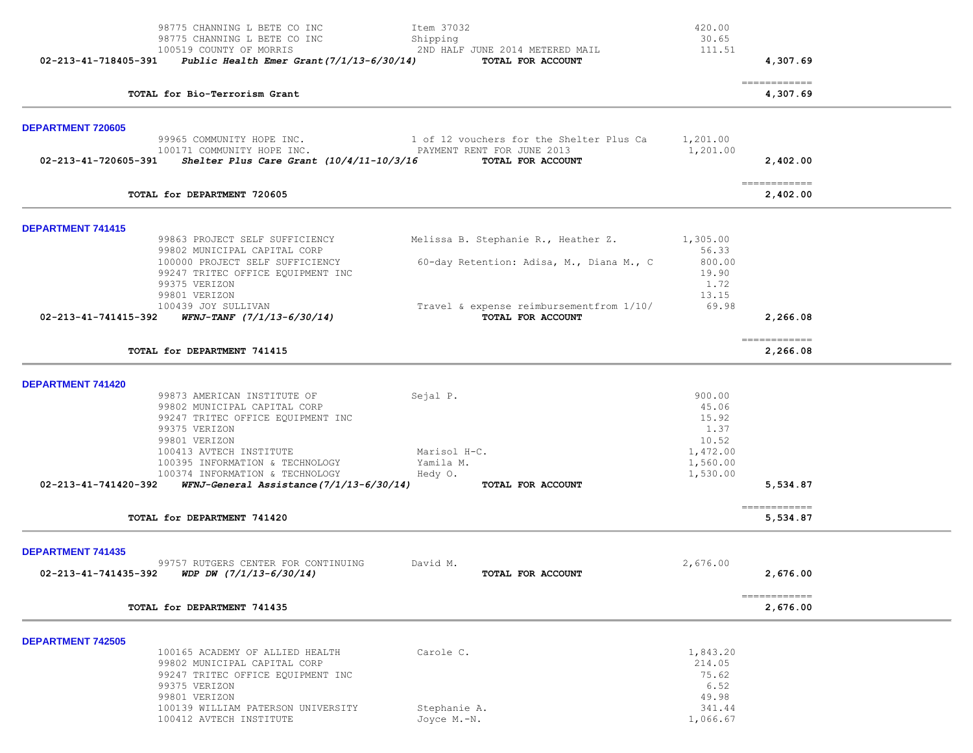|                          | 98775 CHANNING L BETE CO INC                                                                      | Item 37032                                                    | 420.00               |                                         |
|--------------------------|---------------------------------------------------------------------------------------------------|---------------------------------------------------------------|----------------------|-----------------------------------------|
|                          | 98775 CHANNING L BETE CO INC                                                                      | Shipping                                                      | 30.65                |                                         |
|                          | 100519 COUNTY OF MORRIS<br>02-213-41-718405-391 Public Health Emer Grant(7/1/13-6/30/14)          | 2ND HALF JUNE 2014 METERED MAIL<br>TOTAL FOR ACCOUNT          | 111.51               | 4,307.69                                |
|                          |                                                                                                   |                                                               |                      |                                         |
|                          | TOTAL for Bio-Terrorism Grant                                                                     |                                                               |                      | -------------<br>4,307.69               |
| <b>DEPARTMENT 720605</b> |                                                                                                   |                                                               |                      |                                         |
|                          | 99965 COMMUNITY HOPE INC.                                                                         | 1 of 12 vouchers for the Shelter Plus Ca                      | 1,201.00             |                                         |
|                          | 100171 COMMUNITY HOPE INC.                                                                        | PAYMENT RENT FOR JUNE 2013                                    | 1,201.00             |                                         |
|                          | 02-213-41-720605-391 Shelter Plus Care Grant $(10/4/11-10/3/16$ TOTAL FOR ACCOUNT                 |                                                               |                      | 2,402.00                                |
|                          | TOTAL for DEPARTMENT 720605                                                                       |                                                               |                      | -------------<br>2,402.00               |
| <b>DEPARTMENT 741415</b> |                                                                                                   |                                                               |                      |                                         |
|                          | 99863 PROJECT SELF SUFFICIENCY                                                                    | Melissa B. Stephanie R., Heather Z.                           | 1,305.00             |                                         |
|                          | 99802 MUNICIPAL CAPITAL CORP                                                                      |                                                               | 56.33                |                                         |
|                          | 100000 PROJECT SELF SUFFICIENCY<br>99247 TRITEC OFFICE EQUIPMENT INC                              | 60-day Retention: Adisa, M., Diana M., C                      | 800.00<br>19.90      |                                         |
|                          | 99375 VERIZON                                                                                     |                                                               | 1.72                 |                                         |
|                          | 99801 VERIZON                                                                                     |                                                               | 13.15                |                                         |
|                          | 100439 JOY SULLIVAN<br>02-213-41-741415-392 WFNJ-TANF (7/1/13-6/30/14)                            | Travel & expense reimbursementfrom 1/10/<br>TOTAL FOR ACCOUNT | 69.98                | 2,266.08                                |
|                          | TOTAL for DEPARTMENT 741415                                                                       |                                                               |                      | $=$ = = = = = = = = = = = =<br>2,266.08 |
|                          |                                                                                                   |                                                               |                      |                                         |
| <b>DEPARTMENT 741420</b> |                                                                                                   |                                                               |                      |                                         |
|                          | 99873 AMERICAN INSTITUTE OF                                                                       | Sejal P.                                                      | 900.00               |                                         |
|                          | 99802 MUNICIPAL CAPITAL CORP<br>99247 TRITEC OFFICE EQUIPMENT INC                                 |                                                               | 45.06<br>15.92       |                                         |
|                          | 99375 VERIZON                                                                                     |                                                               | 1.37                 |                                         |
|                          | 99801 VERIZON                                                                                     |                                                               | 10.52                |                                         |
|                          | 100413 AVTECH INSTITUTE                                                                           | Marisol H-C.                                                  | 1,472.00             |                                         |
|                          | 100395 INFORMATION & TECHNOLOGY<br>100374 INFORMATION & TECHNOLOGY                                | Yamila M.<br>Hedy O.                                          | 1,560.00<br>1,530.00 |                                         |
| 02-213-41-741420-392     | WFNJ-General Assistance(7/1/13-6/30/14)                                                           | TOTAL FOR ACCOUNT                                             |                      | 5,534.87                                |
|                          |                                                                                                   |                                                               |                      |                                         |
|                          | TOTAL for DEPARTMENT 741420                                                                       |                                                               |                      | -------------<br>5,534.87               |
| <b>DEPARTMENT 741435</b> |                                                                                                   |                                                               |                      |                                         |
|                          | 99757 RUTGERS CENTER FOR CONTINUING<br>$02 - 213 - 41 - 741435 - 392$ WDP DW $(7/1/13 - 6/30/14)$ | David M.<br>TOTAL FOR ACCOUNT                                 | 2,676.00             | 2,676.00                                |
|                          | TOTAL for DEPARTMENT 741435                                                                       |                                                               |                      | ------------<br>2,676.00                |
|                          |                                                                                                   |                                                               |                      |                                         |
| <b>DEPARTMENT 742505</b> |                                                                                                   |                                                               |                      |                                         |
|                          | 100165 ACADEMY OF ALLIED HEALTH<br>99802 MUNICIPAL CAPITAL CORP                                   | Carole C.                                                     | 1,843.20<br>214.05   |                                         |
|                          | 99247 TRITEC OFFICE EQUIPMENT INC                                                                 |                                                               | 75.62                |                                         |
|                          | 99375 VERIZON                                                                                     |                                                               | 6.52                 |                                         |
|                          | 99801 VERIZON                                                                                     |                                                               | 49.98                |                                         |
|                          | 100139 WILLIAM PATERSON UNIVERSITY<br>100412 AVTECH INSTITUTE                                     | Stephanie A.<br>Joyce M.-N.                                   | 341.44<br>1,066.67   |                                         |
|                          |                                                                                                   |                                                               |                      |                                         |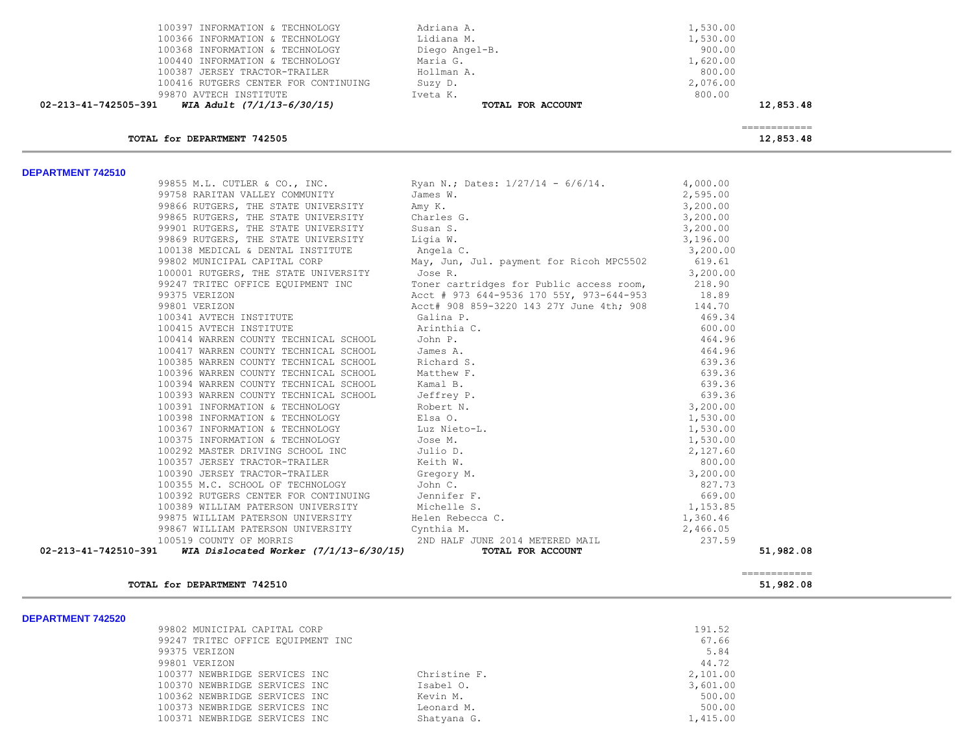| WIA Adult (7/1/13-6/30/15)<br>02-213-41-742505-391 | TOTAL FOR ACCOUNT | 12,853.48 |
|----------------------------------------------------|-------------------|-----------|
| 99870 AVTECH INSTITUTE                             | Iveta K.          | 800.00    |
| 100416 RUTGERS CENTER FOR CONTINUING               | Suzy D.           | 2,076.00  |
| 100387 JERSEY TRACTOR-TRAILER                      | Hollman A.        | 800.00    |
| 100440 INFORMATION & TECHNOLOGY                    | Maria G.          | 1,620.00  |
| 100368 INFORMATION & TECHNOLOGY                    | Diego Angel-B.    | 900.00    |
| 100366 INFORMATION & TECHNOLOGY                    | Lidiana M.        | 1,530.00  |
| 100397 INFORMATION & TECHNOLOGY                    | Adriana A.        | 1,530.00  |

============

**TOTAL for DEPARTMENT 742505** 12,853.48

**DEPARTMENT 742510** 

| 99855 M.L. CUTLER & CO., INC.                                                                                                                                                                                                                                                 | Ryan N.; Dates: 1/27/14 - 6/6/14.                                            | 4,000.00             |           |
|-------------------------------------------------------------------------------------------------------------------------------------------------------------------------------------------------------------------------------------------------------------------------------|------------------------------------------------------------------------------|----------------------|-----------|
| 99758 RARITAN VALLEY COMMUNITY James W.                                                                                                                                                                                                                                       |                                                                              | 2,595.00             |           |
|                                                                                                                                                                                                                                                                               |                                                                              |                      |           |
| Amy K.<br>99865 RUTGERS, THE STATE UNIVERSITY Charles G.<br>99901 RUTGERS, THE STATE UNIVERSITY Susan S.<br>99869 RUTGERS, THE STATE UNIVERSITY Ligia W.<br>100138 MEDICAL & DENTRAL INCRITY                                                                                  | $3, 200.00$<br>$3, 200.00$<br>$3, 200.00$                                    |                      |           |
|                                                                                                                                                                                                                                                                               |                                                                              |                      |           |
|                                                                                                                                                                                                                                                                               |                                                                              | 3,196.00             |           |
| 100138 MEDICAL & DENTAL INSTITUTE                                                                                                                                                                                                                                             | Angela C.                                                                    | 3,200.00             |           |
|                                                                                                                                                                                                                                                                               | 99802 MUNICIPAL CAPITAL CORP May, Jun, Jul. payment for Ricoh MPC5502 619.61 |                      |           |
| 100001 RUTGERS, THE STATE UNIVERSITY Jose R.                                                                                                                                                                                                                                  |                                                                              | 3,200.00             |           |
| 99247 TRITEC OFFICE EQUIPMENT INC                                                                                                                                                                                                                                             | Toner cartridges for Public access room, 218.90                              |                      |           |
|                                                                                                                                                                                                                                                                               | Acct # 973 644-9536 170 55Y, 973-644-953 18.89                               |                      |           |
| 99375 VERIZON<br>99801 VERIZON                                                                                                                                                                                                                                                | Acct# 908 859-3220 143 27Y June 4th; 908                                     | 144.70               |           |
| 100341 AVTECH INSTITUTE                                                                                                                                                                                                                                                       | Galina P.                                                                    | 469.34               |           |
|                                                                                                                                                                                                                                                                               |                                                                              | 600.00               |           |
|                                                                                                                                                                                                                                                                               |                                                                              | 464.96               |           |
|                                                                                                                                                                                                                                                                               |                                                                              | 464.96               |           |
|                                                                                                                                                                                                                                                                               |                                                                              | 639.36               |           |
|                                                                                                                                                                                                                                                                               |                                                                              | 639.36               |           |
|                                                                                                                                                                                                                                                                               |                                                                              | 639.36               |           |
|                                                                                                                                                                                                                                                                               |                                                                              | 639.36               |           |
|                                                                                                                                                                                                                                                                               |                                                                              | 3,200.00             |           |
|                                                                                                                                                                                                                                                                               |                                                                              | 1,530.00             |           |
|                                                                                                                                                                                                                                                                               |                                                                              | 1,530.00             |           |
|                                                                                                                                                                                                                                                                               |                                                                              | 1,530.00             |           |
|                                                                                                                                                                                                                                                                               |                                                                              | 2,127.60             |           |
|                                                                                                                                                                                                                                                                               |                                                                              | 800.00               |           |
|                                                                                                                                                                                                                                                                               |                                                                              | 3,200.00             |           |
|                                                                                                                                                                                                                                                                               |                                                                              | 827.73               |           |
|                                                                                                                                                                                                                                                                               |                                                                              | 669.00               |           |
|                                                                                                                                                                                                                                                                               |                                                                              |                      |           |
| 99801 VERIZON TRITUTE<br>100415 AVECH INSTITUTE<br>100415 AVECH INSTITUTE (Calina P. 100416 AVECH INSTITUTE (Arinhia C.<br>100417 WARREN COUNTY TECHNICAL SCHOOL Jome P.<br>100417 WARREN COUNTY TECHNICAL SCHOOL Mames A.<br>100385 WAR<br>99875 WILLIAM PATERSON UNIVERSITY | Helen Rebecca C.                                                             | 1,153.85<br>1,360.46 |           |
| 99867 WILLIAM PATERSON UNIVERSITY Cynthia M.                                                                                                                                                                                                                                  |                                                                              | 2,466.05             |           |
| 100519 COUNTY OF MORRIS                                                                                                                                                                                                                                                       | 2ND HALF JUNE 2014 METERED MAIL                                              | 237.59               |           |
| WIA Dislocated Worker $(7/1/13-6/30/15)$<br>02-213-41-742510-391                                                                                                                                                                                                              | TOTAL FOR ACCOUNT                                                            |                      | 51,982.08 |
|                                                                                                                                                                                                                                                                               |                                                                              |                      |           |

## **TOTAL for DEPARTMENT 742510 51,982.08**

**DEPARTMENT 742520** 

| 99802 MUNICIPAL CAPITAL CORP      |              | 191.52   |
|-----------------------------------|--------------|----------|
| 99247 TRITEC OFFICE EQUIPMENT INC |              | 67.66    |
| 99375 VERIZON                     |              | 5.84     |
| 99801 VERIZON                     |              | 44.72    |
| 100377 NEWBRIDGE SERVICES INC     | Christine F. | 2,101.00 |
| 100370 NEWBRIDGE SERVICES INC     | Isabel O.    | 3,601.00 |
| 100362 NEWBRIDGE SERVICES INC     | Kevin M.     | 500.00   |
| 100373 NEWBRIDGE SERVICES INC     | Leonard M.   | 500.00   |
| 100371 NEWBRIDGE SERVICES INC     | Shatyana G.  | 1,415.00 |
|                                   |              |          |

============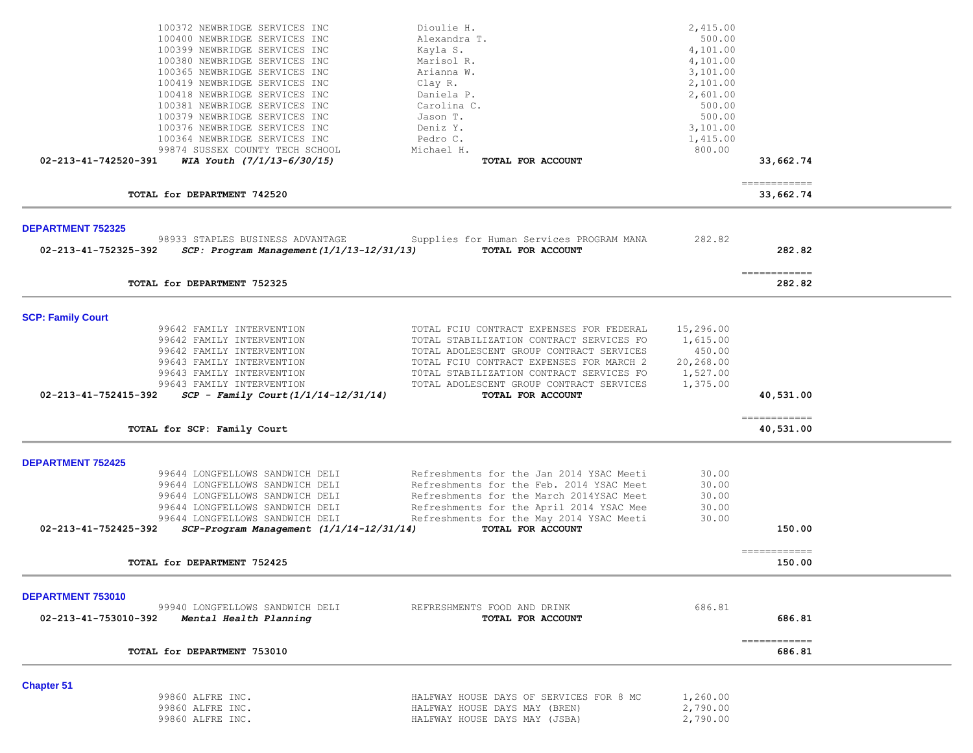|                          | 100372 NEWBRIDGE SERVICES INC             | Dioulie H.                               | 2,415.00  |                                       |  |
|--------------------------|-------------------------------------------|------------------------------------------|-----------|---------------------------------------|--|
|                          | 100400 NEWBRIDGE SERVICES INC             | Alexandra T.                             | 500.00    |                                       |  |
|                          | 100399 NEWBRIDGE SERVICES INC             | Kayla S.                                 | 4,101.00  |                                       |  |
|                          | 100380 NEWBRIDGE SERVICES INC             | Marisol R.                               | 4,101.00  |                                       |  |
|                          | 100365 NEWBRIDGE SERVICES INC             | Arianna W.                               | 3,101.00  |                                       |  |
|                          | 100419 NEWBRIDGE SERVICES INC             | Clay R.                                  | 2,101.00  |                                       |  |
|                          | 100418 NEWBRIDGE SERVICES INC             | Daniela P.                               | 2,601.00  |                                       |  |
|                          | 100381 NEWBRIDGE SERVICES INC             | Carolina C.                              | 500.00    |                                       |  |
|                          | 100379 NEWBRIDGE SERVICES INC             | Jason T.                                 | 500.00    |                                       |  |
|                          | 100376 NEWBRIDGE SERVICES INC             | Deniz Y.                                 | 3,101.00  |                                       |  |
|                          | 100364 NEWBRIDGE SERVICES INC             | Pedro C.                                 | 1,415.00  |                                       |  |
|                          | 99874 SUSSEX COUNTY TECH SCHOOL           | Michael H.                               | 800.00    |                                       |  |
| 02-213-41-742520-391     | WIA Youth $(7/1/13-6/30/15)$              | TOTAL FOR ACCOUNT                        |           | 33,662.74                             |  |
|                          |                                           |                                          |           | -------------                         |  |
|                          | TOTAL for DEPARTMENT 742520               |                                          |           | 33,662.74                             |  |
| <b>DEPARTMENT 752325</b> |                                           |                                          |           |                                       |  |
|                          | 98933 STAPLES BUSINESS ADVANTAGE          | Supplies for Human Services PROGRAM MANA | 282.82    |                                       |  |
| 02-213-41-752325-392     | SCP: Program Management (1/1/13-12/31/13) | TOTAL FOR ACCOUNT                        |           | 282.82                                |  |
|                          | TOTAL for DEPARTMENT 752325               |                                          |           | $=$ = = = = = = = = = = = =<br>282.82 |  |
| <b>SCP: Family Court</b> |                                           |                                          |           |                                       |  |
|                          | 99642 FAMILY INTERVENTION                 | TOTAL FCIU CONTRACT EXPENSES FOR FEDERAL | 15,296.00 |                                       |  |
|                          | 99642 FAMILY INTERVENTION                 | TOTAL STABILIZATION CONTRACT SERVICES FO | 1,615.00  |                                       |  |
|                          | 99642 FAMILY INTERVENTION                 | TOTAL ADOLESCENT GROUP CONTRACT SERVICES | 450.00    |                                       |  |
|                          | 99643 FAMILY INTERVENTION                 | TOTAL FCIU CONTRACT EXPENSES FOR MARCH 2 | 20,268.00 |                                       |  |
|                          | 99643 FAMILY INTERVENTION                 | TOTAL STABILIZATION CONTRACT SERVICES FO | 1,527.00  |                                       |  |
|                          | 99643 FAMILY INTERVENTION                 | TOTAL ADOLESCENT GROUP CONTRACT SERVICES | 1,375.00  |                                       |  |
| 02-213-41-752415-392     | $SCP - Family Court (1/1/14-12/31/14)$    | TOTAL FOR ACCOUNT                        |           | 40,531.00                             |  |
|                          | TOTAL for SCP: Family Court               |                                          |           | -------------<br>40,531.00            |  |
|                          |                                           |                                          |           |                                       |  |
| <b>DEPARTMENT 752425</b> |                                           |                                          |           |                                       |  |
|                          | 99644 LONGFELLOWS SANDWICH DELI           | Refreshments for the Jan 2014 YSAC Meeti | 30.00     |                                       |  |
|                          | 99644 LONGFELLOWS SANDWICH DELI           | Refreshments for the Feb. 2014 YSAC Meet | 30.00     |                                       |  |
|                          | 99644 LONGFELLOWS SANDWICH DELI           | Refreshments for the March 2014YSAC Meet | 30.00     |                                       |  |
|                          | 99644 LONGFELLOWS SANDWICH DELI           | Refreshments for the April 2014 YSAC Mee | 30.00     |                                       |  |
|                          | 99644 LONGFELLOWS SANDWICH DELI           | Refreshments for the May 2014 YSAC Meeti | 30.00     |                                       |  |
| 02-213-41-752425-392     | SCP-Program Management (1/1/14-12/31/14)  | TOTAL FOR ACCOUNT                        |           | 150.00                                |  |
|                          | TOTAL for DEPARTMENT 752425               |                                          |           | ------------<br>150.00                |  |
|                          |                                           |                                          |           |                                       |  |
| DEPARTMENT 753010        |                                           |                                          |           |                                       |  |
|                          | 99940 LONGFELLOWS SANDWICH DELI           | REFRESHMENTS FOOD AND DRINK              | 686.81    |                                       |  |
| 02-213-41-753010-392     | Mental Health Planning                    | TOTAL FOR ACCOUNT                        |           | 686.81                                |  |
|                          | TOTAL for DEPARTMENT 753010               |                                          |           | ============<br>686.81                |  |
|                          |                                           |                                          |           |                                       |  |
| <b>Chapter 51</b>        |                                           |                                          |           |                                       |  |
|                          | 99860 ALFRE INC.                          | HALFWAY HOUSE DAYS OF SERVICES FOR 8 MC  | 1,260.00  |                                       |  |
|                          | 99860 ALFRE INC.                          | HALFWAY HOUSE DAYS MAY (BREN)            | 2,790.00  |                                       |  |
|                          | 99860 ALFRE INC.                          | HALFWAY HOUSE DAYS MAY (JSBA)            | 2,790.00  |                                       |  |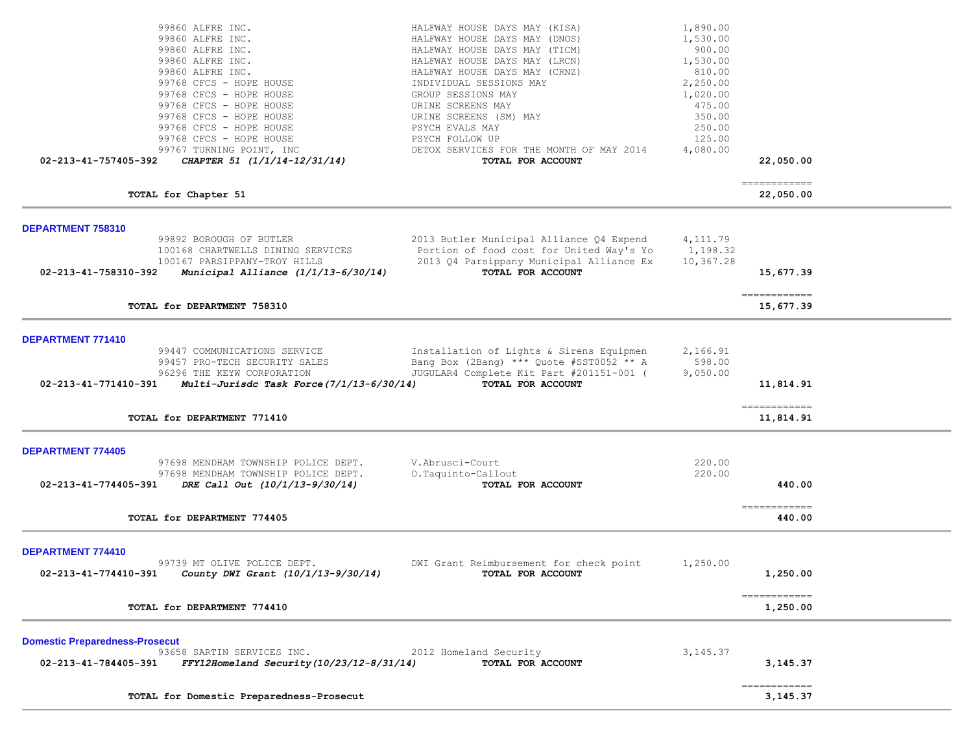| 99860 ALFRE INC.<br>99860 ALFRE INC.<br>99860 ALFRE INC.<br>99860 ALFRE INC.<br>99860 ALFRE INC.<br>99768 CFCS - HOPE HOUSE<br>99768 CFCS - HOPE HOUSE<br>99768 CFCS - HOPE HOUSE<br>99768 CFCS - HOPE HOUSE<br>99768 CFCS - HOPE HOUSE<br>99768 CFCS - HOPE HOUSE | HALFWAY HOUSE DAYS MAY (KISA)<br>HALFWAY HOUSE DAYS MAY (DNOS)<br>HALFWAY HOUSE DAYS MAY (TICM)<br>HALFWAY HOUSE DAYS MAY (LRCN)<br>HALFWAY HOUSE DAYS MAY (CRNZ)<br>INDIVIDUAL SESSIONS MAY<br>GROUP SESSIONS MAY<br>URINE SCREENS MAY<br>URINE SCREENS (SM) MAY<br>PSYCH EVALS MAY<br>PSYCH FOLLOW UP | 1,890.00<br>1,530.00<br>900.00<br>1,530.00<br>810.00<br>2,250.00<br>1,020.00<br>475.00<br>350.00<br>250.00<br>125.00 |                                         |  |
|--------------------------------------------------------------------------------------------------------------------------------------------------------------------------------------------------------------------------------------------------------------------|---------------------------------------------------------------------------------------------------------------------------------------------------------------------------------------------------------------------------------------------------------------------------------------------------------|----------------------------------------------------------------------------------------------------------------------|-----------------------------------------|--|
| 99767 TURNING POINT, INC<br>CHAPTER 51 (1/1/14-12/31/14)<br>02-213-41-757405-392                                                                                                                                                                                   | DETOX SERVICES FOR THE MONTH OF MAY 2014<br>TOTAL FOR ACCOUNT                                                                                                                                                                                                                                           | 4,080.00                                                                                                             | 22,050.00                               |  |
| TOTAL for Chapter 51                                                                                                                                                                                                                                               |                                                                                                                                                                                                                                                                                                         |                                                                                                                      | -------------<br>22,050.00              |  |
| DEPARTMENT 758310<br>99892 BOROUGH OF BUTLER<br>100168 CHARTWELLS DINING SERVICES<br>100167 PARSIPPANY-TROY HILLS<br>02-213-41-758310-392<br>Municipal Alliance $(1/1/13-6/30/14)$                                                                                 | 2013 Butler Municipal Alliance Q4 Expend<br>Portion of food cost for United Way's Yo<br>2013 Q4 Parsippany Municipal Alliance Ex<br>TOTAL FOR ACCOUNT                                                                                                                                                   | 4, 111.79<br>1,198.32<br>10,367.28                                                                                   | 15,677.39<br>-------------              |  |
| TOTAL for DEPARTMENT 758310                                                                                                                                                                                                                                        |                                                                                                                                                                                                                                                                                                         |                                                                                                                      | 15,677.39                               |  |
| <b>DEPARTMENT 771410</b><br>99447 COMMUNICATIONS SERVICE<br>99457 PRO-TECH SECURITY SALES<br>96296 THE KEYW CORPORATION<br>Multi-Jurisdc Task Force $(7/1/13-6/30/14)$<br>02-213-41-771410-391                                                                     | Installation of Lights & Sirens Equipmen<br>Bang Box (2Bang) *** Quote #SST0052 ** A<br>JUGULAR4 Complete Kit Part #201151-001 (<br>TOTAL FOR ACCOUNT                                                                                                                                                   | 2,166.91<br>598.00<br>9,050.00                                                                                       | 11,814.91                               |  |
| TOTAL for DEPARTMENT 771410                                                                                                                                                                                                                                        |                                                                                                                                                                                                                                                                                                         |                                                                                                                      | -------------<br>11,814.91              |  |
| <b>DEPARTMENT 774405</b><br>97698 MENDHAM TOWNSHIP POLICE DEPT.<br>97698 MENDHAM TOWNSHIP POLICE DEPT.<br>02-213-41-774405-391<br>DRE Call Out (10/1/13-9/30/14)<br>TOTAL for DEPARTMENT 774405                                                                    | V.Abrusci-Court<br>D.Taquinto-Callout<br>TOTAL FOR ACCOUNT                                                                                                                                                                                                                                              | 220.00<br>220.00                                                                                                     | 440.00<br>------------<br>440.00        |  |
| <b>DEPARTMENT 774410</b><br>99739 MT OLIVE POLICE DEPT.<br>02-213-41-774410-391<br>County DWI Grant (10/1/13-9/30/14)                                                                                                                                              | DWI Grant Reimbursement for check point<br>TOTAL FOR ACCOUNT                                                                                                                                                                                                                                            | 1,250.00                                                                                                             | 1,250.00<br>$=$ = = = = = = = = = = = = |  |
| TOTAL for DEPARTMENT 774410                                                                                                                                                                                                                                        |                                                                                                                                                                                                                                                                                                         |                                                                                                                      | 1,250.00                                |  |
| <b>Domestic Preparedness-Prosecut</b><br>93658 SARTIN SERVICES INC.<br>$FFY12Home$ land Security (10/23/12-8/31/14)<br>02-213-41-784405-391                                                                                                                        | 2012 Homeland Security<br>TOTAL FOR ACCOUNT                                                                                                                                                                                                                                                             | 3, 145.37                                                                                                            | 3,145.37                                |  |
| TOTAL for Domestic Preparedness-Prosecut                                                                                                                                                                                                                           |                                                                                                                                                                                                                                                                                                         |                                                                                                                      | -------------<br>3,145.37               |  |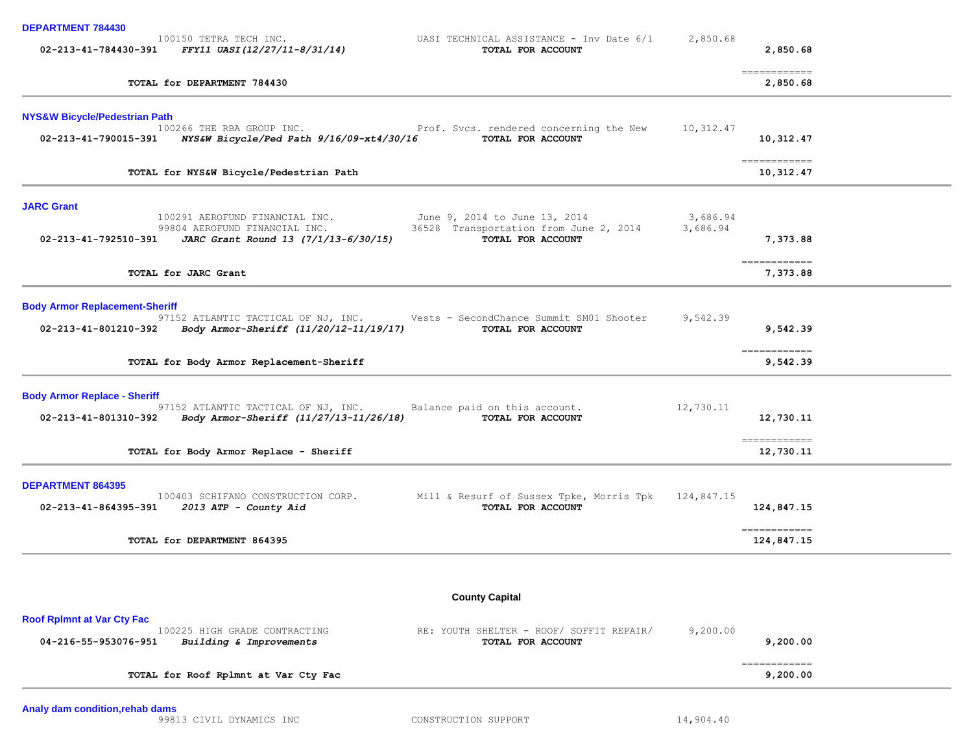| <b>DEPARTMENT 784430</b>                 |                                                                                                    |                                                                                                                             |                      |                                          |  |
|------------------------------------------|----------------------------------------------------------------------------------------------------|-----------------------------------------------------------------------------------------------------------------------------|----------------------|------------------------------------------|--|
|                                          | 100150 TETRA TECH INC.<br>02-213-41-784430-391 FFY11 UASI(12/27/11-8/31/14)                        | UASI TECHNICAL ASSISTANCE - Inv Date 6/1<br>TOTAL FOR ACCOUNT                                                               | 2,850.68             | 2,850.68                                 |  |
|                                          | TOTAL for DEPARTMENT 784430                                                                        |                                                                                                                             |                      | -------------<br>2,850.68                |  |
| <b>NYS&amp;W Bicycle/Pedestrian Path</b> |                                                                                                    |                                                                                                                             |                      |                                          |  |
|                                          | 100266 THE RBA GROUP INC.<br>02-213-41-790015-391 NYS&W Bicycle/Ped Path 9/16/09-xt4/30/16         | Prof. Svcs. rendered concerning the New<br>TOTAL FOR ACCOUNT                                                                | 10,312.47            | 10,312.47                                |  |
|                                          | TOTAL for NYS&W Bicycle/Pedestrian Path                                                            |                                                                                                                             |                      | $=$ = = = = = = = = = = = =<br>10,312.47 |  |
| <b>JARC Grant</b>                        |                                                                                                    |                                                                                                                             |                      |                                          |  |
|                                          | 99804 AEROFUND FINANCIAL INC.<br>02-213-41-792510-391 JARC Grant Round 13 $(7/1/13-6/30/15)$       | 100291 AEROFUND FINANCIAL INC. June 9, 2014 to June 13, 2014<br>36528 Transportation from June 2, 2014<br>TOTAL FOR ACCOUNT | 3,686.94<br>3,686.94 | 7,373.88                                 |  |
|                                          | TOTAL for JARC Grant                                                                               |                                                                                                                             |                      | $=$ = = = = = = = = = = = =<br>7,373.88  |  |
| <b>Body Armor Replacement-Sheriff</b>    |                                                                                                    |                                                                                                                             |                      |                                          |  |
|                                          | 02-213-41-801210-392 Body Armor-Sheriff (11/20/12-11/19/17)                                        | 97152 ATLANTIC TACTICAL OF NJ, INC. Vests - SecondChance Summit SM01 Shooter<br>TOTAL FOR ACCOUNT                           | 9,542.39             | 9,542.39                                 |  |
|                                          | TOTAL for Body Armor Replacement-Sheriff                                                           |                                                                                                                             |                      | ============<br>9,542.39                 |  |
| <b>Body Armor Replace - Sheriff</b>      | 97152 ATLANTIC TACTICAL OF NJ, INC.<br>02-213-41-801310-392 Body Armor-Sheriff (11/27/13-11/26/18) | Balance paid on this account.<br>TOTAL FOR ACCOUNT                                                                          | 12,730.11            | 12,730.11                                |  |
|                                          | TOTAL for Body Armor Replace - Sheriff                                                             |                                                                                                                             |                      | ------------<br>12,730.11                |  |
| <b>DEPARTMENT 864395</b>                 | 100403 SCHIFANO CONSTRUCTION CORP.<br>02-213-41-864395-391   2013 ATP - County Aid                 | Mill & Resurf of Sussex Tpke, Morris Tpk<br>TOTAL FOR ACCOUNT                                                               | 124,847.15           | 124,847.15                               |  |
|                                          | TOTAL for DEPARTMENT 864395                                                                        |                                                                                                                             |                      | -------------<br>124,847.15              |  |
|                                          |                                                                                                    |                                                                                                                             |                      |                                          |  |
|                                          |                                                                                                    | <b>County Capital</b>                                                                                                       |                      |                                          |  |
| <b>Roof Rplmnt at Var Cty Fac</b>        | 100225 HIGH GRADE CONTRACTING                                                                      | RE: YOUTH SHELTER - ROOF/ SOFFIT REPAIR/                                                                                    | 9,200.00             |                                          |  |
| 04-216-55-953076-951                     | Building & Improvements                                                                            | TOTAL FOR ACCOUNT                                                                                                           |                      | 9,200.00                                 |  |
|                                          | TOTAL for Roof Rplmnt at Var Cty Fac                                                               |                                                                                                                             |                      | ------------<br>9,200.00                 |  |
|                                          |                                                                                                    |                                                                                                                             |                      |                                          |  |

99813 CIVIL DYNAMICS INC CONSTRUCTION SUPPORT 14,904.40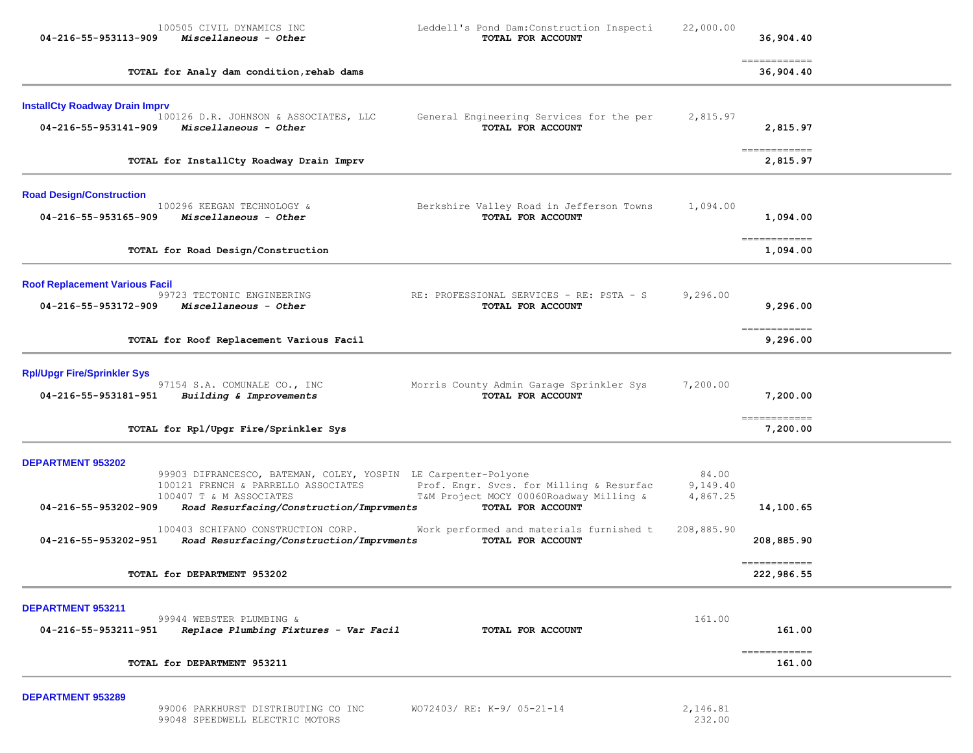| 100505 CIVIL DYNAMICS INC<br>04-216-55-953113-909<br>Miscellaneous - Other                                                      | Leddell's Pond Dam: Construction Inspecti<br>TOTAL FOR ACCOUNT                                           | 22,000.00                                                                                                                                              | 36,904.40  |                                                                                                                                                                                                                                                                                                                                                                                                                                                                                                                                                                                                                                                                                                                                                                                                                                                                                                                                                                                                                                              |
|---------------------------------------------------------------------------------------------------------------------------------|----------------------------------------------------------------------------------------------------------|--------------------------------------------------------------------------------------------------------------------------------------------------------|------------|----------------------------------------------------------------------------------------------------------------------------------------------------------------------------------------------------------------------------------------------------------------------------------------------------------------------------------------------------------------------------------------------------------------------------------------------------------------------------------------------------------------------------------------------------------------------------------------------------------------------------------------------------------------------------------------------------------------------------------------------------------------------------------------------------------------------------------------------------------------------------------------------------------------------------------------------------------------------------------------------------------------------------------------------|
| TOTAL for Analy dam condition, rehab dams                                                                                       |                                                                                                          |                                                                                                                                                        | 36,904.40  |                                                                                                                                                                                                                                                                                                                                                                                                                                                                                                                                                                                                                                                                                                                                                                                                                                                                                                                                                                                                                                              |
| <b>InstallCty Roadway Drain Imprv</b><br>100126 D.R. JOHNSON & ASSOCIATES, LLC<br>Miscellaneous - Other<br>04-216-55-953141-909 | General Engineering Services for the per<br>TOTAL FOR ACCOUNT                                            | 2,815.97                                                                                                                                               | 2,815.97   |                                                                                                                                                                                                                                                                                                                                                                                                                                                                                                                                                                                                                                                                                                                                                                                                                                                                                                                                                                                                                                              |
| TOTAL for InstallCty Roadway Drain Imprv                                                                                        |                                                                                                          |                                                                                                                                                        | 2,815.97   |                                                                                                                                                                                                                                                                                                                                                                                                                                                                                                                                                                                                                                                                                                                                                                                                                                                                                                                                                                                                                                              |
| 100296 KEEGAN TECHNOLOGY &<br>Miscellaneous - Other<br>04-216-55-953165-909                                                     | Berkshire Valley Road in Jefferson Towns<br>TOTAL FOR ACCOUNT                                            | 1,094.00                                                                                                                                               | 1,094.00   |                                                                                                                                                                                                                                                                                                                                                                                                                                                                                                                                                                                                                                                                                                                                                                                                                                                                                                                                                                                                                                              |
| TOTAL for Road Design/Construction                                                                                              |                                                                                                          |                                                                                                                                                        | 1,094.00   |                                                                                                                                                                                                                                                                                                                                                                                                                                                                                                                                                                                                                                                                                                                                                                                                                                                                                                                                                                                                                                              |
| <b>Roof Replacement Various Facil</b><br>99723 TECTONIC ENGINEERING<br>04-216-55-953172-909<br>Miscellaneous - Other            | RE: PROFESSIONAL SERVICES - RE: PSTA - S<br>TOTAL FOR ACCOUNT                                            | 9,296.00                                                                                                                                               | 9,296.00   |                                                                                                                                                                                                                                                                                                                                                                                                                                                                                                                                                                                                                                                                                                                                                                                                                                                                                                                                                                                                                                              |
| TOTAL for Roof Replacement Various Facil                                                                                        |                                                                                                          |                                                                                                                                                        | 9,296.00   |                                                                                                                                                                                                                                                                                                                                                                                                                                                                                                                                                                                                                                                                                                                                                                                                                                                                                                                                                                                                                                              |
| 97154 S.A. COMUNALE CO., INC<br>Building & Improvements<br>04-216-55-953181-951                                                 | Morris County Admin Garage Sprinkler Sys<br>TOTAL FOR ACCOUNT                                            | 7,200.00                                                                                                                                               | 7,200.00   |                                                                                                                                                                                                                                                                                                                                                                                                                                                                                                                                                                                                                                                                                                                                                                                                                                                                                                                                                                                                                                              |
|                                                                                                                                 |                                                                                                          |                                                                                                                                                        |            |                                                                                                                                                                                                                                                                                                                                                                                                                                                                                                                                                                                                                                                                                                                                                                                                                                                                                                                                                                                                                                              |
| 100121 FRENCH & PARRELLO ASSOCIATES<br>100407 T & M ASSOCIATES<br>04-216-55-953202-909                                          | Prof. Engr. Svcs. for Milling & Resurfac<br>T&M Project MOCY 00060Roadway Milling &<br>TOTAL FOR ACCOUNT | 84.00<br>9,149.40<br>4,867.25                                                                                                                          | 14,100.65  |                                                                                                                                                                                                                                                                                                                                                                                                                                                                                                                                                                                                                                                                                                                                                                                                                                                                                                                                                                                                                                              |
| 100403 SCHIFANO CONSTRUCTION CORP.<br>04-216-55-953202-951                                                                      | Work performed and materials furnished t<br>TOTAL FOR ACCOUNT                                            | 208,885.90                                                                                                                                             | 208,885.90 |                                                                                                                                                                                                                                                                                                                                                                                                                                                                                                                                                                                                                                                                                                                                                                                                                                                                                                                                                                                                                                              |
| TOTAL for DEPARTMENT 953202                                                                                                     |                                                                                                          |                                                                                                                                                        | 222,986.55 |                                                                                                                                                                                                                                                                                                                                                                                                                                                                                                                                                                                                                                                                                                                                                                                                                                                                                                                                                                                                                                              |
| 99944 WEBSTER PLUMBING &<br>04-216-55-953211-951<br>Replace Plumbing Fixtures - Var Facil                                       | TOTAL FOR ACCOUNT                                                                                        | 161.00                                                                                                                                                 | 161.00     |                                                                                                                                                                                                                                                                                                                                                                                                                                                                                                                                                                                                                                                                                                                                                                                                                                                                                                                                                                                                                                              |
|                                                                                                                                 |                                                                                                          |                                                                                                                                                        |            |                                                                                                                                                                                                                                                                                                                                                                                                                                                                                                                                                                                                                                                                                                                                                                                                                                                                                                                                                                                                                                              |
|                                                                                                                                 | TOTAL for Rpl/Upgr Fire/Sprinkler Sys                                                                    | 99903 DIFRANCESCO, BATEMAN, COLEY, YOSPIN LE Carpenter-Polyone<br>Road Resurfacing/Construction/Imprvments<br>Road Resurfacing/Construction/Imprvments |            | $\begin{array}{cccccccccc} \multicolumn{2}{c}{} & \multicolumn{2}{c}{} & \multicolumn{2}{c}{} & \multicolumn{2}{c}{} & \multicolumn{2}{c}{} & \multicolumn{2}{c}{} & \multicolumn{2}{c}{} & \multicolumn{2}{c}{} & \multicolumn{2}{c}{} & \multicolumn{2}{c}{} & \multicolumn{2}{c}{} & \multicolumn{2}{c}{} & \multicolumn{2}{c}{} & \multicolumn{2}{c}{} & \multicolumn{2}{c}{} & \multicolumn{2}{c}{} & \multicolumn{2}{c}{} & \multicolumn{2}{c}{} & \multicolumn{2}{c}{} & \mult$<br>$=$ = = = = = = = = = = = =<br>$\begin{array}{cccccccccc} \multicolumn{2}{c}{} & \multicolumn{2}{c}{} & \multicolumn{2}{c}{} & \multicolumn{2}{c}{} & \multicolumn{2}{c}{} & \multicolumn{2}{c}{} & \multicolumn{2}{c}{} & \multicolumn{2}{c}{} & \multicolumn{2}{c}{} & \multicolumn{2}{c}{} & \multicolumn{2}{c}{} & \multicolumn{2}{c}{} & \multicolumn{2}{c}{} & \multicolumn{2}{c}{} & \multicolumn{2}{c}{} & \multicolumn{2}{c}{} & \multicolumn{2}{c}{} & \multicolumn{2}{c}{} & \multicolumn{2}{c}{} & \mult$<br>-------------<br>7,200.00 |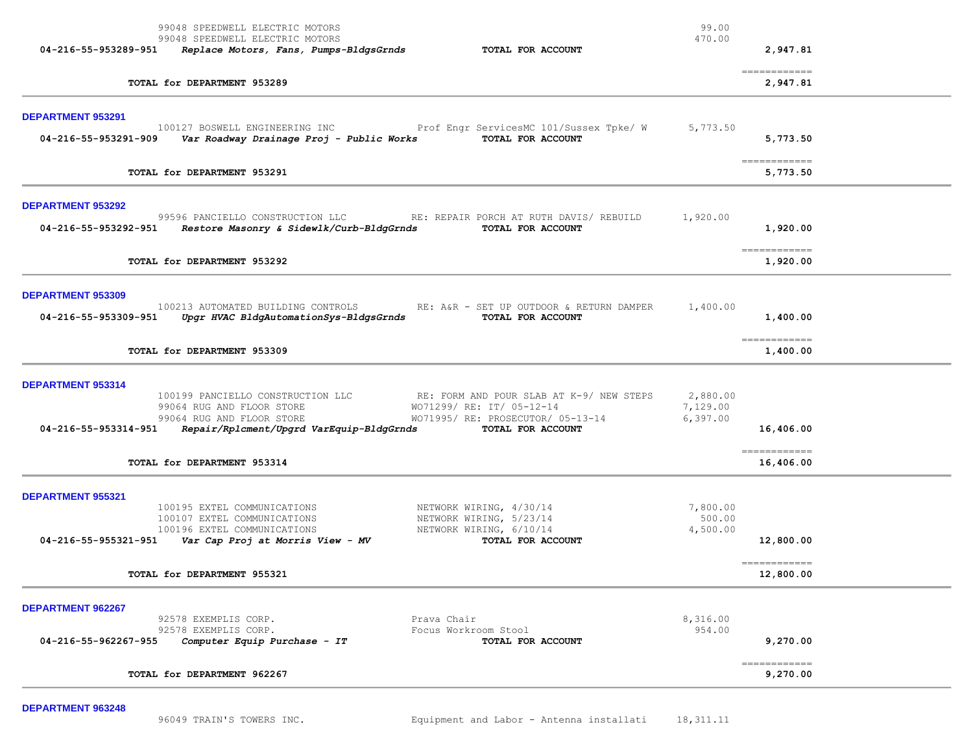| 99048 SPEEDWELL ELECTRIC MOTORS<br>99048 SPEEDWELL ELECTRIC MOTORS<br>TOTAL FOR ACCOUNT<br>04-216-55-953289-951<br>Replace Motors, Fans, Pumps-BldgsGrnds                                                                                                                                                           | 99.00<br>470.00<br>2,947.81                                                                                                                                                                                                                                                                                                                                                                                                                                                                                    |
|---------------------------------------------------------------------------------------------------------------------------------------------------------------------------------------------------------------------------------------------------------------------------------------------------------------------|----------------------------------------------------------------------------------------------------------------------------------------------------------------------------------------------------------------------------------------------------------------------------------------------------------------------------------------------------------------------------------------------------------------------------------------------------------------------------------------------------------------|
| TOTAL for DEPARTMENT 953289                                                                                                                                                                                                                                                                                         | ------------<br>2,947.81                                                                                                                                                                                                                                                                                                                                                                                                                                                                                       |
| DEPARTMENT 953291<br>Prof Engr ServicesMC 101/Sussex Tpke/ W<br>100127 BOSWELL ENGINEERING INC<br>TOTAL FOR ACCOUNT<br>Var Roadway Drainage Proj - Public Works<br>04-216-55-953291-909                                                                                                                             | 5,773.50<br>5,773.50<br>-------------                                                                                                                                                                                                                                                                                                                                                                                                                                                                          |
| TOTAL for DEPARTMENT 953291                                                                                                                                                                                                                                                                                         | 5,773.50                                                                                                                                                                                                                                                                                                                                                                                                                                                                                                       |
| <b>DEPARTMENT 953292</b><br>99596 PANCIELLO CONSTRUCTION LLC RE: REPAIR PORCH AT RUTH DAVIS/ REBUILD<br>04-216-55-953292-951 Restore Masonry & Sidewlk/Curb-BldgGrnds<br>TOTAL FOR ACCOUNT                                                                                                                          | 1,920.00<br>1,920.00<br>$\begin{array}{cccccccccc} \multicolumn{2}{c}{} & \multicolumn{2}{c}{} & \multicolumn{2}{c}{} & \multicolumn{2}{c}{} & \multicolumn{2}{c}{} & \multicolumn{2}{c}{} & \multicolumn{2}{c}{} & \multicolumn{2}{c}{} & \multicolumn{2}{c}{} & \multicolumn{2}{c}{} & \multicolumn{2}{c}{} & \multicolumn{2}{c}{} & \multicolumn{2}{c}{} & \multicolumn{2}{c}{} & \multicolumn{2}{c}{} & \multicolumn{2}{c}{} & \multicolumn{2}{c}{} & \multicolumn{2}{c}{} & \multicolumn{2}{c}{} & \mult$ |
| TOTAL for DEPARTMENT 953292                                                                                                                                                                                                                                                                                         | 1,920.00                                                                                                                                                                                                                                                                                                                                                                                                                                                                                                       |
| <b>DEPARTMENT 953309</b><br>100213 AUTOMATED BUILDING CONTROLS<br>RE: A&R - SET UP OUTDOOR & RETURN DAMPER<br>Upgr HVAC BldgAutomationSys-BldgsGrnds<br>04-216-55-953309-951<br>TOTAL FOR ACCOUNT                                                                                                                   | 1,400.00<br>1,400.00                                                                                                                                                                                                                                                                                                                                                                                                                                                                                           |
| TOTAL for DEPARTMENT 953309                                                                                                                                                                                                                                                                                         | ------------<br>1,400.00                                                                                                                                                                                                                                                                                                                                                                                                                                                                                       |
| DEPARTMENT 953314<br>100199 PANCIELLO CONSTRUCTION LLC RE: FORM AND POUR SLAB AT K-9/ NEW STEPS<br>99064 RUG AND FLOOR STORE<br>WO71299/ RE: IT/ 05-12-14<br>99064 RUG AND FLOOR STORE<br>WO71995/ RE: PROSECUTOR/ 05-13-14<br>$04-216-55-953314-951$ Repair/Rplcment/Upgrd VarEquip-BldgGrnds<br>TOTAL FOR ACCOUNT | 2,880.00<br>7,129.00<br>6,397.00<br>16,406.00<br>------------                                                                                                                                                                                                                                                                                                                                                                                                                                                  |
| TOTAL for DEPARTMENT 953314                                                                                                                                                                                                                                                                                         | 16,406.00                                                                                                                                                                                                                                                                                                                                                                                                                                                                                                      |
| DEPARTMENT 955321<br>100195 EXTEL COMMUNICATIONS<br>NETWORK WIRING, 4/30/14<br>NETWORK WIRING, 5/23/14<br>100107 EXTEL COMMUNICATIONS<br>100196 EXTEL COMMUNICATIONS<br>NETWORK WIRING, 6/10/14<br>$04-216-55-955321-951$ Var Cap Proj at Morris View - MV<br>TOTAL FOR ACCOUNT<br>TOTAL for DEPARTMENT 955321      | 7,800.00<br>500.00<br>4,500.00<br>12,800.00<br>$=$ = = = = = = = = = = = =<br>12,800.00                                                                                                                                                                                                                                                                                                                                                                                                                        |
|                                                                                                                                                                                                                                                                                                                     |                                                                                                                                                                                                                                                                                                                                                                                                                                                                                                                |
| DEPARTMENT 962267<br>Prava Chair<br>92578 EXEMPLIS CORP.<br>92578 EXEMPLIS CORP.<br>Focus Workroom Stool<br>Computer Equip Purchase - IT<br>04-216-55-962267-955<br>TOTAL FOR ACCOUNT                                                                                                                               | 8,316.00<br>954.00<br>9,270.00                                                                                                                                                                                                                                                                                                                                                                                                                                                                                 |
| TOTAL for DEPARTMENT 962267                                                                                                                                                                                                                                                                                         | ------------<br>9,270.00                                                                                                                                                                                                                                                                                                                                                                                                                                                                                       |

**DEPARTMENT 963248**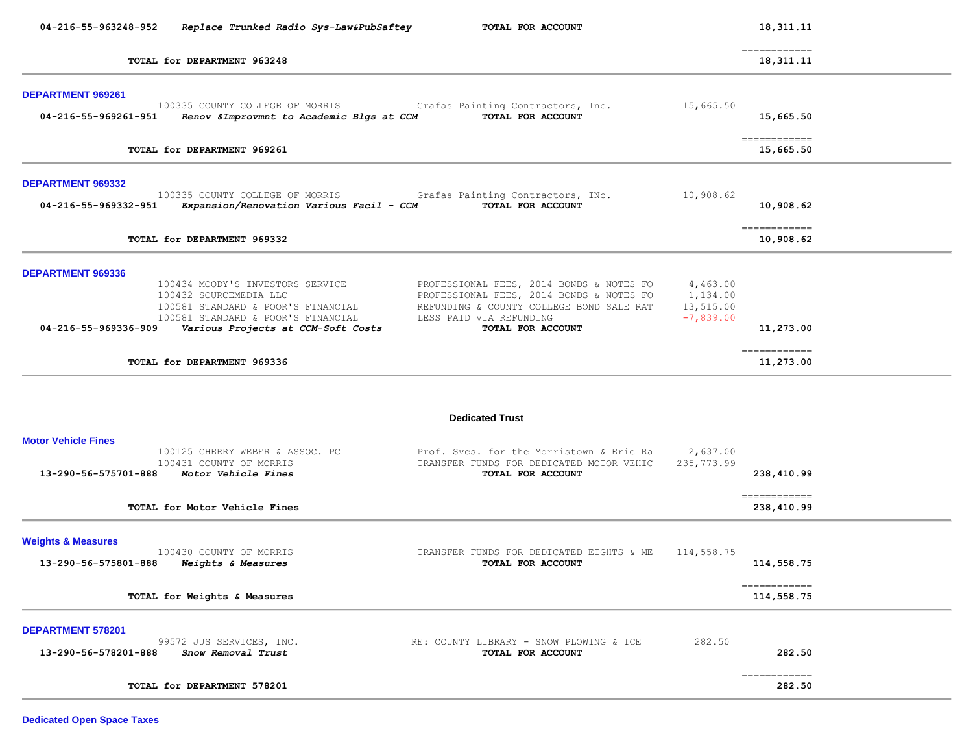| 04-216-55-963248-952<br>Replace Trunked Radio Sys-Law&PubSaftey                                                                                                                                                           | TOTAL FOR ACCOUNT                                                                                                                                                                |                                                  | 18, 311. 11                 |  |
|---------------------------------------------------------------------------------------------------------------------------------------------------------------------------------------------------------------------------|----------------------------------------------------------------------------------------------------------------------------------------------------------------------------------|--------------------------------------------------|-----------------------------|--|
| TOTAL for DEPARTMENT 963248                                                                                                                                                                                               |                                                                                                                                                                                  |                                                  | ============<br>18,311.11   |  |
| DEPARTMENT 969261<br>100335 COUNTY COLLEGE OF MORRIS<br>04-216-55-969261-951<br>Renov & Improvmnt to Academic Blgs at CCM                                                                                                 | Grafas Painting Contractors, Inc.<br>TOTAL FOR ACCOUNT                                                                                                                           | 15,665.50                                        | 15,665.50                   |  |
| TOTAL for DEPARTMENT 969261                                                                                                                                                                                               |                                                                                                                                                                                  |                                                  | ------------<br>15,665.50   |  |
| <b>DEPARTMENT 969332</b><br>100335 COUNTY COLLEGE OF MORRIS<br>04-216-55-969332-951<br>Expansion/Renovation Various Facil - CCM                                                                                           | Grafas Painting Contractors, INc.<br>TOTAL FOR ACCOUNT                                                                                                                           | 10,908.62                                        | 10,908.62                   |  |
| TOTAL for DEPARTMENT 969332                                                                                                                                                                                               |                                                                                                                                                                                  |                                                  | -------------<br>10,908.62  |  |
| DEPARTMENT 969336<br>100434 MOODY'S INVESTORS SERVICE<br>100432 SOURCEMEDIA LLC<br>100581 STANDARD & POOR'S FINANCIAL<br>100581 STANDARD & POOR'S FINANCIAL<br>04-216-55-969336-909<br>Various Projects at CCM-Soft Costs | PROFESSIONAL FEES, 2014 BONDS & NOTES FO<br>PROFESSIONAL FEES, 2014 BONDS & NOTES FO<br>REFUNDING & COUNTY COLLEGE BOND SALE RAT<br>LESS PAID VIA REFUNDING<br>TOTAL FOR ACCOUNT | 4,463.00<br>1,134.00<br>13,515.00<br>$-7,839.00$ | 11,273.00                   |  |
| TOTAL for DEPARTMENT 969336                                                                                                                                                                                               |                                                                                                                                                                                  |                                                  | ------------<br>11,273.00   |  |
|                                                                                                                                                                                                                           | <b>Dedicated Trust</b>                                                                                                                                                           |                                                  |                             |  |
| <b>Motor Vehicle Fines</b><br>100125 CHERRY WEBER & ASSOC. PC<br>100431 COUNTY OF MORRIS<br>13-290-56-575701-888<br>Motor Vehicle Fines<br>TOTAL for Motor Vehicle Fines                                                  | Prof. Svcs. for the Morristown & Erie Ra<br>TRANSFER FUNDS FOR DEDICATED MOTOR VEHIC<br>TOTAL FOR ACCOUNT                                                                        | 2,637.00<br>235,773.99                           | 238,410.99<br>------------- |  |
|                                                                                                                                                                                                                           |                                                                                                                                                                                  |                                                  | 238,410.99                  |  |
| <b>Weights &amp; Measures</b><br>100430 COUNTY OF MORRIS<br>13-290-56-575801-888<br>Weights & Measures                                                                                                                    | TRANSFER FUNDS FOR DEDICATED EIGHTS & ME<br>TOTAL FOR ACCOUNT                                                                                                                    | 114,558.75                                       | 114,558.75<br>------------  |  |
| TOTAL for Weights & Measures                                                                                                                                                                                              |                                                                                                                                                                                  |                                                  | 114,558.75                  |  |
| DEPARTMENT 578201<br>99572 JJS SERVICES, INC.<br>13-290-56-578201-888<br>Snow Removal Trust                                                                                                                               | RE: COUNTY LIBRARY - SNOW PLOWING & ICE<br>TOTAL FOR ACCOUNT                                                                                                                     | 282.50                                           | 282.50                      |  |

 ============ **TOTAL for DEPARTMENT 578201 282.50**

**Dedicated Open Space Taxes**